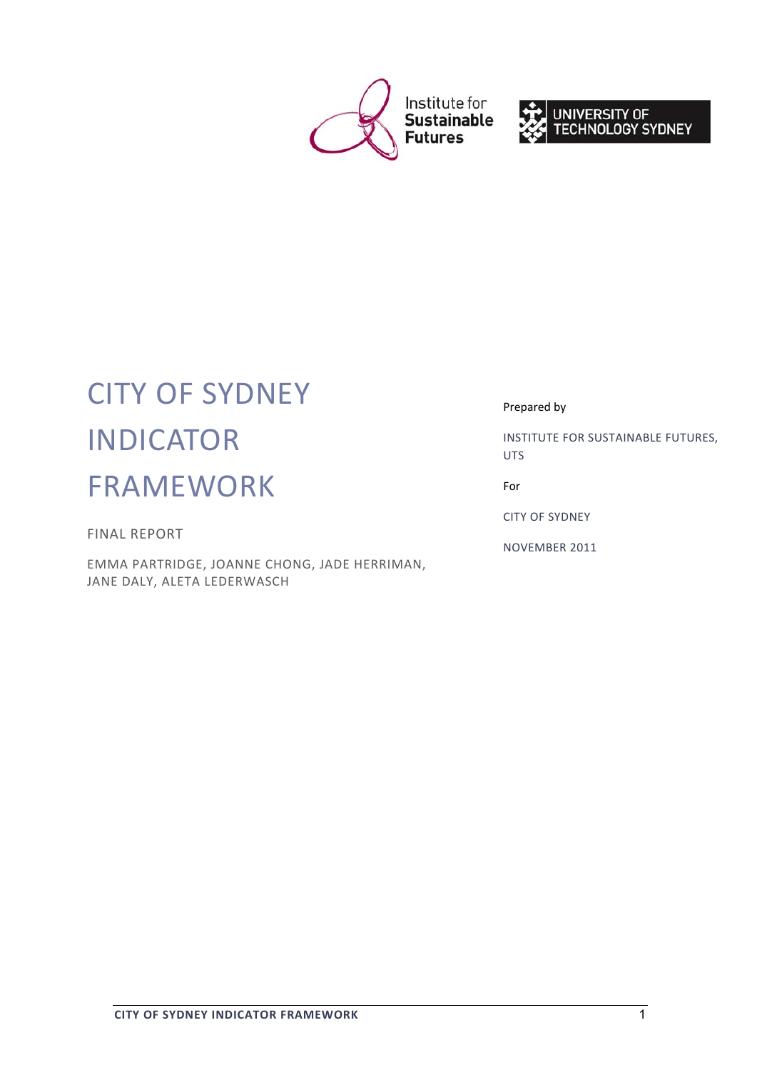



# CITY OF SYDNEY INDICATOR FRAMEWORK

FINAL REPORT

EMMA PARTRIDGE, JOANNE CHONG, JADE HERRIMAN, JANE DALY, ALETA LEDERWASCH

Prepared by

INSTITUTE FOR SUSTAINABLE FUTURES, UTS

For

CITY OF SYDNEY

NOVEMBER 2011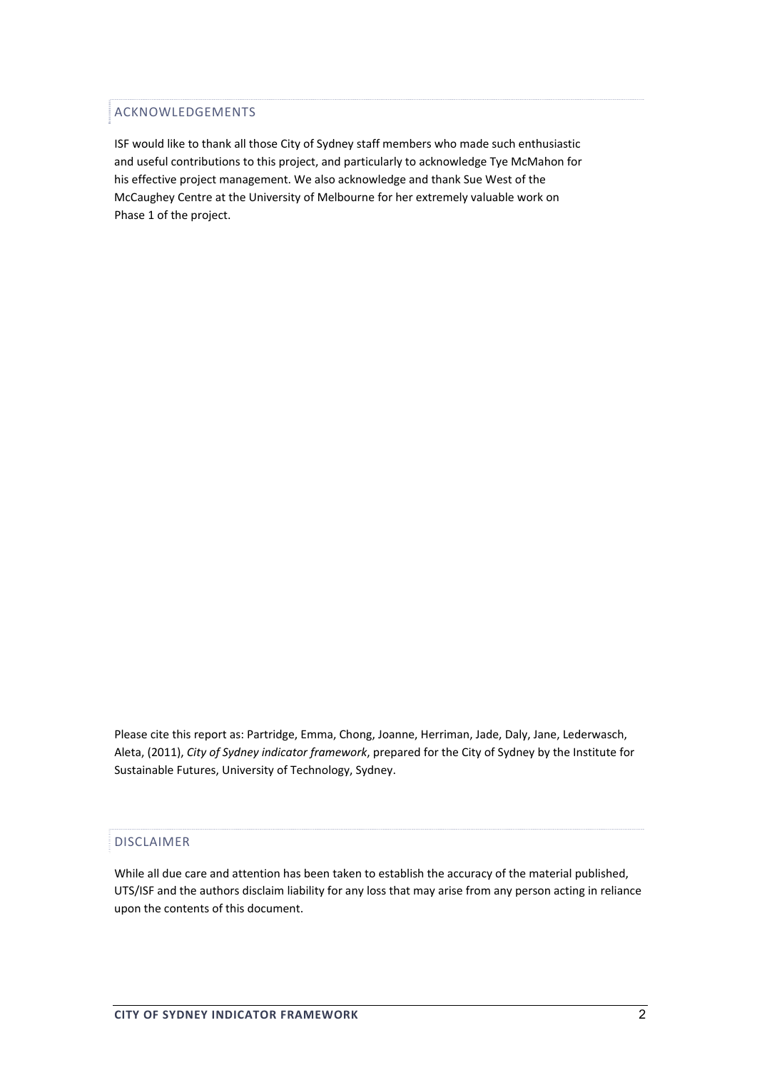## ACKNOWLEDGEMENTS

ISF would like to thank all those City of Sydney staff members who made such enthusiastic and useful contributions to this project, and particularly to acknowledge Tye McMahon for his effective project management. We also acknowledge and thank Sue West of the McCaughey Centre at the University of Melbourne for her extremely valuable work on Phase 1 of the project.

Please cite this report as: Partridge, Emma, Chong, Joanne, Herriman, Jade, Daly, Jane, Lederwasch, Aleta, (2011), *City of Sydney indicator framework*, prepared for the City of Sydney by the Institute for Sustainable Futures, University of Technology, Sydney.

## DISCLAIMER

While all due care and attention has been taken to establish the accuracy of the material published, UTS/ISF and the authors disclaim liability for any loss that may arise from any person acting in reliance upon the contents of this document.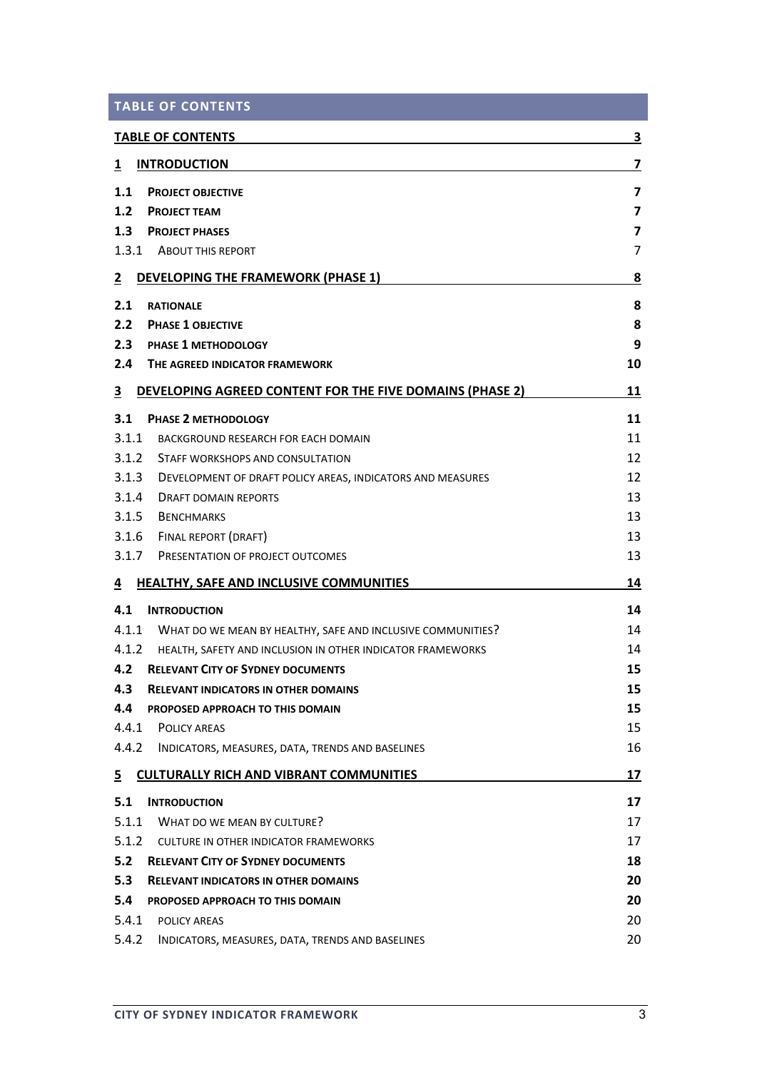|  | <b>TABLE OF CONTENTS</b> |  |  |  |
|--|--------------------------|--|--|--|
|--|--------------------------|--|--|--|

|                | <b>TABLE OF CONTENTS</b>                                          | 3                       |
|----------------|-------------------------------------------------------------------|-------------------------|
| 1              | <b>INTRODUCTION</b>                                               | 7                       |
| 1.1            | <b>PROJECT OBJECTIVE</b>                                          | $\overline{\mathbf{z}}$ |
| 1.2            | <b>PROJECT TEAM</b>                                               | $\overline{\mathbf{z}}$ |
| 1.3            | <b>PROJECT PHASES</b>                                             | $\overline{\mathbf{z}}$ |
|                | 1.3.1 ABOUT THIS REPORT                                           | 7                       |
| $\overline{2}$ | <b>DEVELOPING THE FRAMEWORK (PHASE 1)</b>                         | <u>8</u>                |
| 2.1            | <b>RATIONALE</b>                                                  | 8                       |
| 2.2            | <b>PHASE 1 OBJECTIVE</b>                                          | 8                       |
| 2.3            | <b>PHASE 1 METHODOLOGY</b>                                        | 9                       |
| 2.4            | THE AGREED INDICATOR FRAMEWORK                                    | 10                      |
| 3              | DEVELOPING AGREED CONTENT FOR THE FIVE DOMAINS (PHASE 2)          | 11                      |
| 3.1            | PHASE 2 METHODOLOGY                                               | 11                      |
| 3.1.1          | BACKGROUND RESEARCH FOR EACH DOMAIN                               | 11                      |
| 3.1.2          | STAFF WORKSHOPS AND CONSULTATION                                  | 12                      |
| 3.1.3          | DEVELOPMENT OF DRAFT POLICY AREAS, INDICATORS AND MEASURES        | 12                      |
| 3.1.4          | DRAFT DOMAIN REPORTS                                              | 13                      |
| 3.1.5          | <b>BENCHMARKS</b>                                                 | 13                      |
| 3.1.6          | FINAL REPORT (DRAFT)                                              | 13                      |
| 3.1.7          | PRESENTATION OF PROJECT OUTCOMES                                  | 13                      |
| 4              | <b>HEALTHY, SAFE AND INCLUSIVE COMMUNITIES</b>                    | 14                      |
| 4.1            | <b>INTRODUCTION</b>                                               | 14                      |
|                | 4.1.1 WHAT DO WE MEAN BY HEALTHY, SAFE AND INCLUSIVE COMMUNITIES? | 14                      |
|                | 4.1.2 HEALTH, SAFETY AND INCLUSION IN OTHER INDICATOR FRAMEWORKS  | 14                      |
| 4.2            | <b>RELEVANT CITY OF SYDNEY DOCUMENTS</b>                          | 15                      |
| 4.3            | <b>RELEVANT INDICATORS IN OTHER DOMAINS</b>                       | 15                      |
| 4.4            | PROPOSED APPROACH TO THIS DOMAIN                                  | 15                      |
| 4.4.1          | <b>POLICY AREAS</b>                                               | 15                      |
| 4.4.2          | INDICATORS, MEASURES, DATA, TRENDS AND BASELINES                  | 16                      |
| $\overline{5}$ | <b>CULTURALLY RICH AND VIBRANT COMMUNITIES</b>                    | 17                      |
| 5.1            | <b>INTRODUCTION</b>                                               | 17                      |
| 5.1.1          | WHAT DO WE MEAN BY CULTURE?                                       | 17                      |
|                | 5.1.2 CULTURE IN OTHER INDICATOR FRAMEWORKS                       | 17                      |
| 5.2            | <b>RELEVANT CITY OF SYDNEY DOCUMENTS</b>                          | 18                      |
| 5.3            | <b>RELEVANT INDICATORS IN OTHER DOMAINS</b>                       | 20                      |
| 5.4            | PROPOSED APPROACH TO THIS DOMAIN                                  | 20                      |
| 5.4.1          | POLICY AREAS                                                      | 20                      |
| 5.4.2          | INDICATORS, MEASURES, DATA, TRENDS AND BASELINES                  | 20                      |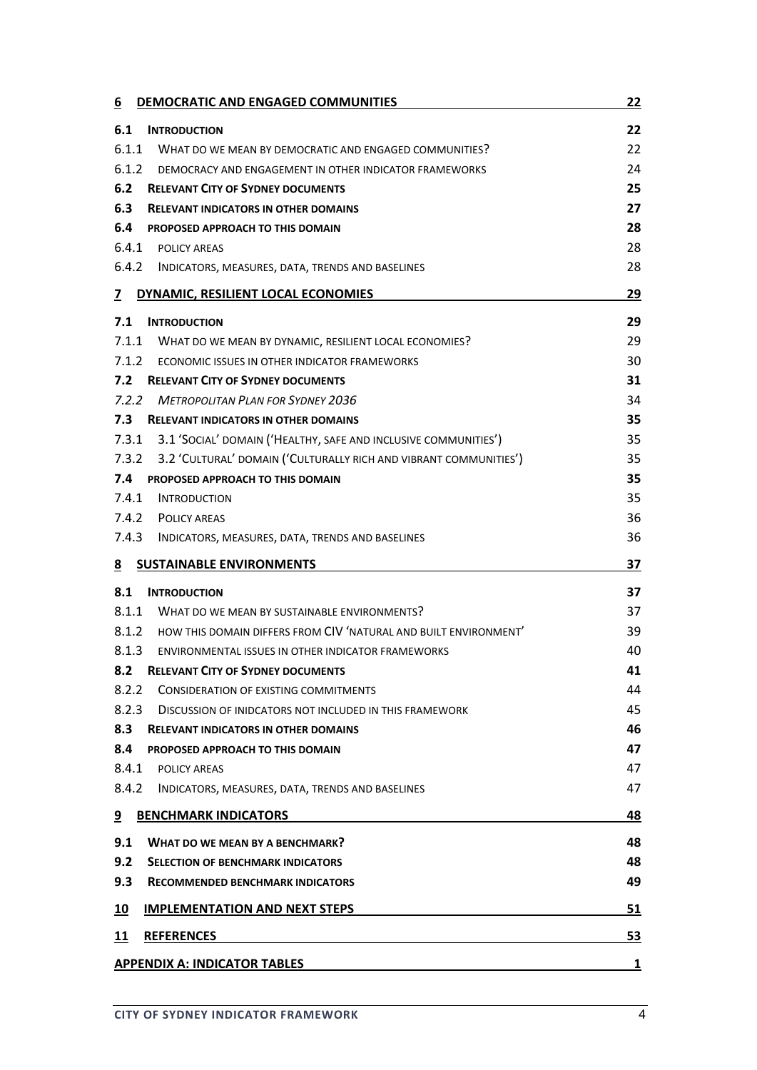| DEMOCRATIC AND ENGAGED COMMUNITIES<br><u>6</u>                             | 22        |
|----------------------------------------------------------------------------|-----------|
| 6.1<br><b>INTRODUCTION</b>                                                 | 22        |
| 6.1.1<br>WHAT DO WE MEAN BY DEMOCRATIC AND ENGAGED COMMUNITIES?            | 22        |
| 6.1.2<br>DEMOCRACY AND ENGAGEMENT IN OTHER INDICATOR FRAMEWORKS            | 24        |
| 6.2<br><b>RELEVANT CITY OF SYDNEY DOCUMENTS</b>                            | 25        |
| 6.3<br><b>RELEVANT INDICATORS IN OTHER DOMAINS</b>                         | 27        |
| 6.4<br>PROPOSED APPROACH TO THIS DOMAIN                                    | 28        |
| 6.4.1<br><b>POLICY AREAS</b>                                               | 28        |
| 6.4.2<br>INDICATORS, MEASURES, DATA, TRENDS AND BASELINES                  | 28        |
| DYNAMIC, RESILIENT LOCAL ECONOMIES<br>$\overline{z}$                       | <u>29</u> |
| 7.1<br><b>INTRODUCTION</b>                                                 | 29        |
| 7.1.1<br>WHAT DO WE MEAN BY DYNAMIC, RESILIENT LOCAL ECONOMIES?            | 29        |
| 7.1.2<br>ECONOMIC ISSUES IN OTHER INDICATOR FRAMEWORKS                     | 30        |
| 7.2<br><b>RELEVANT CITY OF SYDNEY DOCUMENTS</b>                            | 31        |
| 7.2.2<br><b>METROPOLITAN PLAN FOR SYDNEY 2036</b>                          | 34        |
| 7.3<br><b>RELEVANT INDICATORS IN OTHER DOMAINS</b>                         | 35        |
| 7.3.1<br>3.1 'SOCIAL' DOMAIN ('HEALTHY, SAFE AND INCLUSIVE COMMUNITIES')   | 35        |
| 7.3.2<br>3.2 'CULTURAL' DOMAIN ('CULTURALLY RICH AND VIBRANT COMMUNITIES') | 35        |
| 7.4<br>PROPOSED APPROACH TO THIS DOMAIN                                    | 35        |
| 7.4.1<br><b>INTRODUCTION</b>                                               | 35        |
| 7.4.2<br><b>POLICY AREAS</b>                                               | 36        |
| 7.4.3<br>INDICATORS, MEASURES, DATA, TRENDS AND BASELINES                  | 36        |
| <b>SUSTAINABLE ENVIRONMENTS</b><br><u>8</u>                                | 37        |
| 8.1<br><b>INTRODUCTION</b>                                                 | 37        |
| 8.1.1<br>WHAT DO WE MEAN BY SUSTAINABLE ENVIRONMENTS?                      | 37        |
| 8.1.2<br>HOW THIS DOMAIN DIFFERS FROM CIV 'NATURAL AND BUILT ENVIRONMENT'  | 39        |
| 8.1.3<br>ENVIRONMENTAL ISSUES IN OTHER INDICATOR FRAMEWORKS                | 40        |
| <b>RELEVANT CITY OF SYDNEY DOCUMENTS</b><br>8.2                            | 41        |
| 8.2.2<br><b>CONSIDERATION OF EXISTING COMMITMENTS</b>                      | 44        |
| 8.2.3<br><b>DISCUSSION OF INIDCATORS NOT INCLUDED IN THIS FRAMEWORK</b>    | 45        |
| 8.3<br><b>RELEVANT INDICATORS IN OTHER DOMAINS</b>                         | 46        |
| 8.4<br>PROPOSED APPROACH TO THIS DOMAIN                                    | 47        |
| 8.4.1<br>POLICY AREAS                                                      | 47        |
| 8.4.2<br>INDICATORS, MEASURES, DATA, TRENDS AND BASELINES                  | 47        |
| <b>BENCHMARK INDICATORS</b><br>9                                           | 48        |
| 9.1<br><b>WHAT DO WE MEAN BY A BENCHMARK?</b>                              | 48        |
| 9.2<br><b>SELECTION OF BENCHMARK INDICATORS</b>                            | 48        |
| 9.3<br><b>RECOMMENDED BENCHMARK INDICATORS</b>                             | 49        |
| <b>IMPLEMENTATION AND NEXT STEPS</b><br><u> 10</u>                         | 51        |
| 11<br><b>REFERENCES</b>                                                    | 53        |
| <b>APPENDIX A: INDICATOR TABLES</b>                                        | 1         |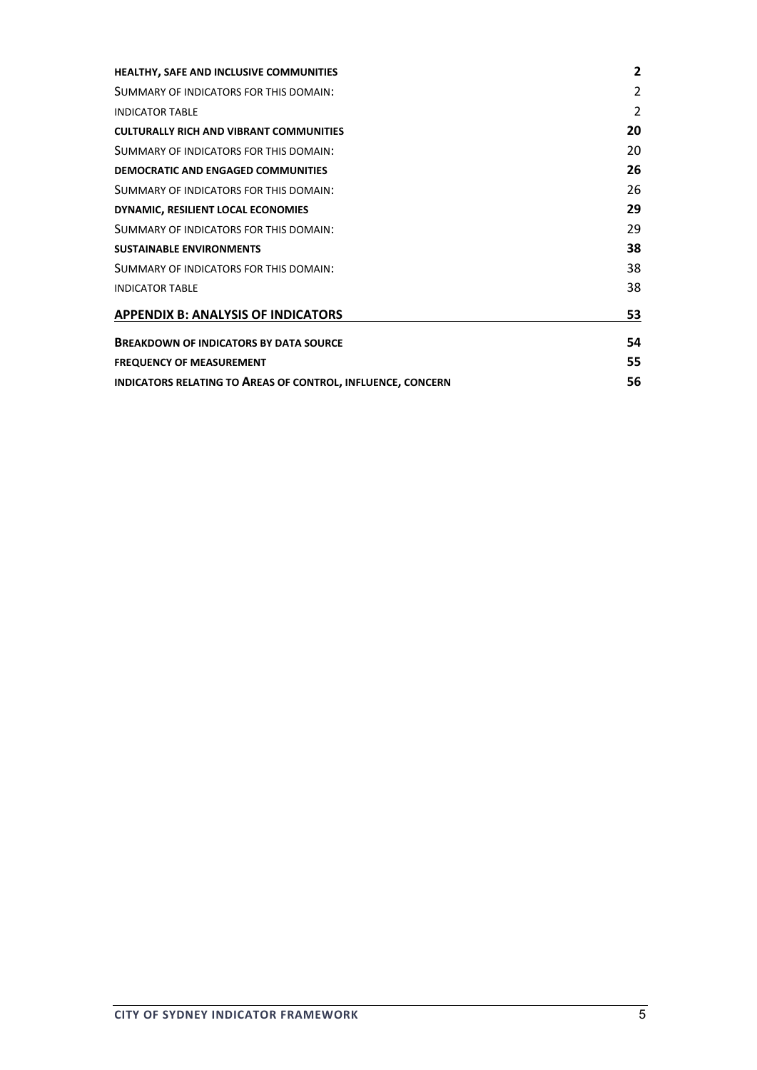| HEALTHY, SAFE AND INCLUSIVE COMMUNITIES                     | $\overline{2}$ |
|-------------------------------------------------------------|----------------|
| SUMMARY OF INDICATORS FOR THIS DOMAIN:                      | $\overline{2}$ |
| <b>INDICATOR TABLE</b>                                      | $\overline{2}$ |
| <b>CULTURALLY RICH AND VIBRANT COMMUNITIES</b>              | 20             |
| SUMMARY OF INDICATORS FOR THIS DOMAIN:                      | 20             |
| DEMOCRATIC AND ENGAGED COMMUNITIES                          | 26             |
| SUMMARY OF INDICATORS FOR THIS DOMAIN:                      | 26             |
| DYNAMIC, RESILIENT LOCAL ECONOMIES                          | 29             |
| SUMMARY OF INDICATORS FOR THIS DOMAIN:                      | 29             |
| <b>SUSTAINABLE ENVIRONMENTS</b>                             | 38             |
| SUMMARY OF INDICATORS FOR THIS DOMAIN:                      | 38             |
| <b>INDICATOR TABLE</b>                                      | 38             |
| <b>APPENDIX B: ANALYSIS OF INDICATORS</b>                   | 53             |
| <b>BREAKDOWN OF INDICATORS BY DATA SOURCE</b>               | 54             |
| <b>FREQUENCY OF MEASUREMENT</b>                             | 55             |
| INDICATORS RELATING TO AREAS OF CONTROL, INFLUENCE, CONCERN | 56             |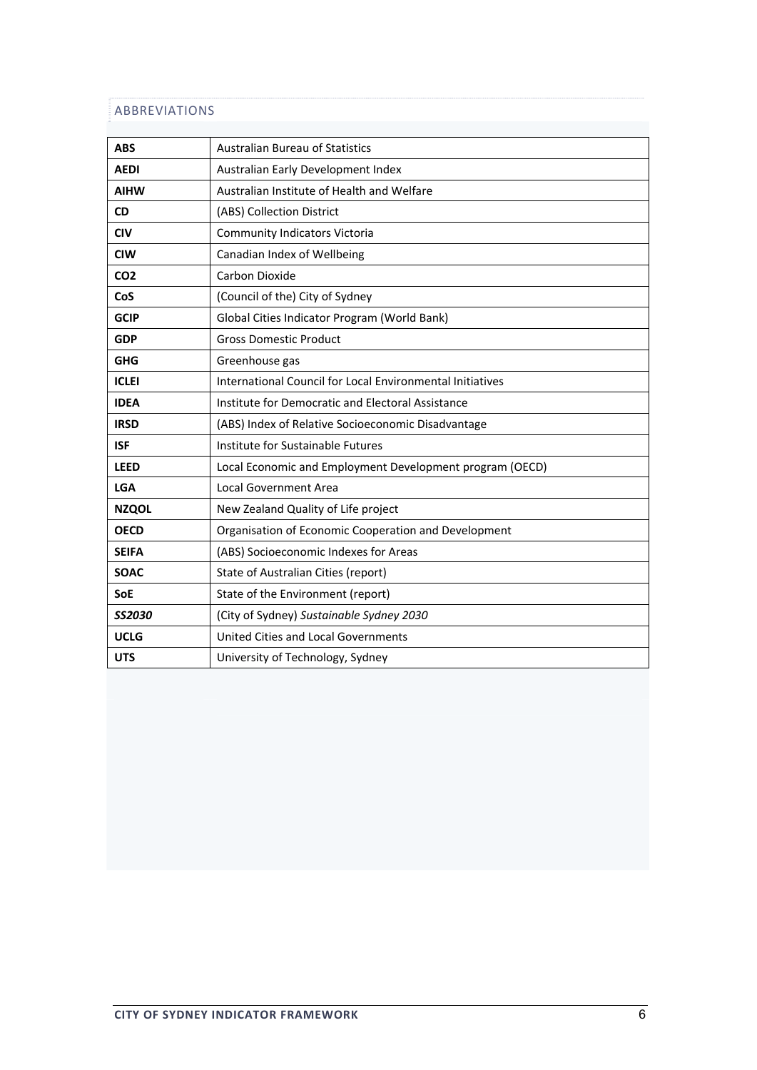# ABBREVIATIONS

| <b>ABS</b>      | <b>Australian Bureau of Statistics</b>                    |  |
|-----------------|-----------------------------------------------------------|--|
| <b>AEDI</b>     | Australian Early Development Index                        |  |
| <b>AIHW</b>     | Australian Institute of Health and Welfare                |  |
| <b>CD</b>       | (ABS) Collection District                                 |  |
| <b>CIV</b>      | <b>Community Indicators Victoria</b>                      |  |
| <b>CIW</b>      | Canadian Index of Wellbeing                               |  |
| CO <sub>2</sub> | Carbon Dioxide                                            |  |
| CoS             | (Council of the) City of Sydney                           |  |
| <b>GCIP</b>     | Global Cities Indicator Program (World Bank)              |  |
| <b>GDP</b>      | <b>Gross Domestic Product</b>                             |  |
| <b>GHG</b>      | Greenhouse gas                                            |  |
| <b>ICLEI</b>    | International Council for Local Environmental Initiatives |  |
| <b>IDEA</b>     | Institute for Democratic and Electoral Assistance         |  |
| <b>IRSD</b>     | (ABS) Index of Relative Socioeconomic Disadvantage        |  |
| <b>ISF</b>      | Institute for Sustainable Futures                         |  |
| <b>LEED</b>     | Local Economic and Employment Development program (OECD)  |  |
| <b>LGA</b>      | <b>Local Government Area</b>                              |  |
| <b>NZQOL</b>    | New Zealand Quality of Life project                       |  |
| <b>OECD</b>     | Organisation of Economic Cooperation and Development      |  |
| <b>SEIFA</b>    | (ABS) Socioeconomic Indexes for Areas                     |  |
| <b>SOAC</b>     | State of Australian Cities (report)                       |  |
| <b>SoE</b>      | State of the Environment (report)                         |  |
| <b>SS2030</b>   | (City of Sydney) Sustainable Sydney 2030                  |  |
| <b>UCLG</b>     | <b>United Cities and Local Governments</b>                |  |
| <b>UTS</b>      | University of Technology, Sydney                          |  |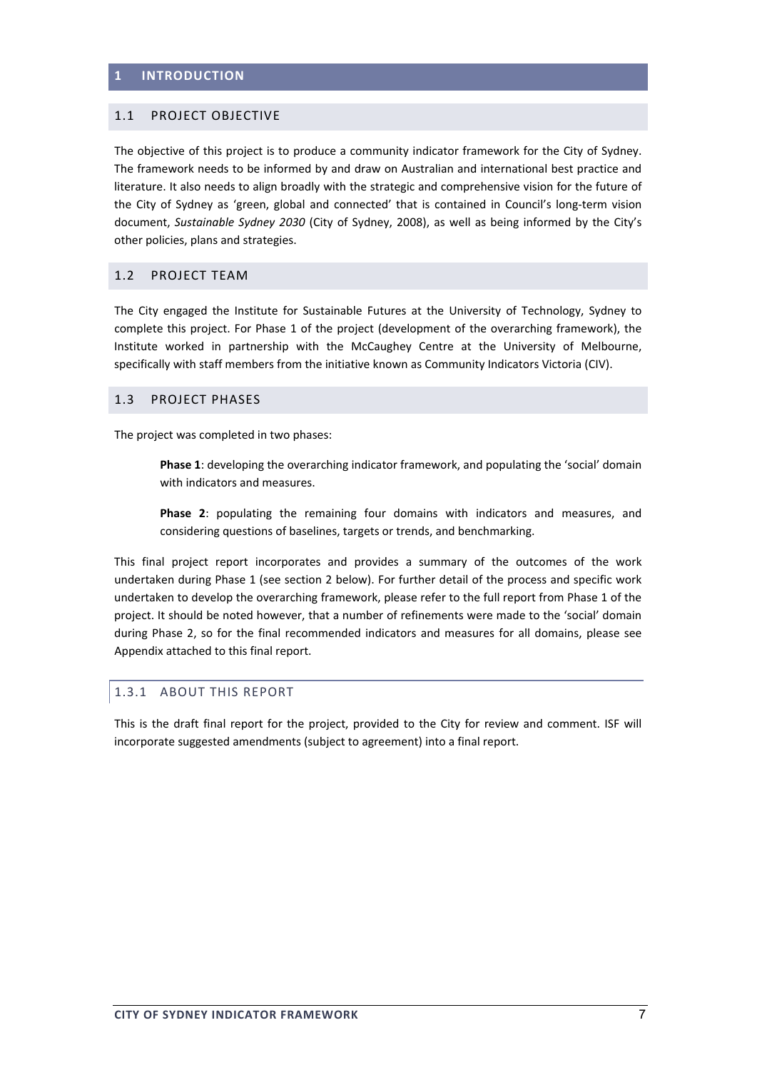### **1 INTRODUCTION**

#### 1.1 PROJECT OBJECTIVE

The objective of this project is to produce a community indicator framework for the City of Sydney. The framework needs to be informed by and draw on Australian and international best practice and literature. It also needs to align broadly with the strategic and comprehensive vision for the future of the City of Sydney as 'green, global and connected' that is contained in Council's long-term vision document, *Sustainable Sydney 2030* (City of Sydney, 2008), as well as being informed by the City's other policies, plans and strategies.

#### 1.2 PROJECT TEAM

The City engaged the Institute for Sustainable Futures at the University of Technology, Sydney to complete this project. For Phase 1 of the project (development of the overarching framework), the Institute worked in partnership with the McCaughey Centre at the University of Melbourne, specifically with staff members from the initiative known as Community Indicators Victoria (CIV).

#### 1.3 PROJECT PHASES

The project was completed in two phases:

**Phase 1**: developing the overarching indicator framework, and populating the 'social' domain with indicators and measures.

**Phase 2**: populating the remaining four domains with indicators and measures, and considering questions of baselines, targets or trends, and benchmarking.

This final project report incorporates and provides a summary of the outcomes of the work undertaken during Phase 1 (see section 2 below). For further detail of the process and specific work undertaken to develop the overarching framework, please refer to the full report from Phase 1 of the project. It should be noted however, that a number of refinements were made to the 'social' domain during Phase 2, so for the final recommended indicators and measures for all domains, please see Appendix attached to this final report.

## 1.3.1 ABOUT THIS REPORT

This is the draft final report for the project, provided to the City for review and comment. ISF will incorporate suggested amendments (subject to agreement) into a final report.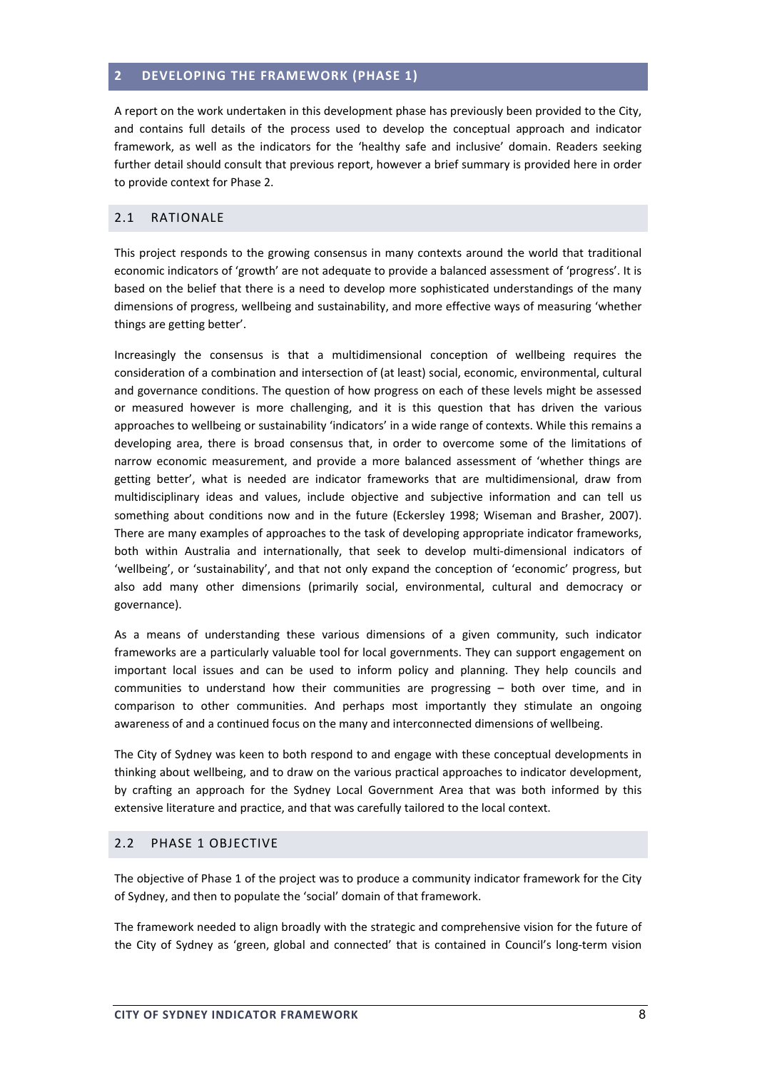#### **2 DEVELOPING THE FRAMEWORK (PHASE 1)**

A report on the work undertaken in this development phase has previously been provided to the City, and contains full details of the process used to develop the conceptual approach and indicator framework, as well as the indicators for the 'healthy safe and inclusive' domain. Readers seeking further detail should consult that previous report, however a brief summary is provided here in order to provide context for Phase 2.

#### 2.1 RATIONALE

This project responds to the growing consensus in many contexts around the world that traditional economic indicators of 'growth' are not adequate to provide a balanced assessment of 'progress'. It is based on the belief that there is a need to develop more sophisticated understandings of the many dimensions of progress, wellbeing and sustainability, and more effective ways of measuring 'whether things are getting better'.

Increasingly the consensus is that a multidimensional conception of wellbeing requires the consideration of a combination and intersection of (at least) social, economic, environmental, cultural and governance conditions. The question of how progress on each of these levels might be assessed or measured however is more challenging, and it is this question that has driven the various approaches to wellbeing or sustainability 'indicators' in a wide range of contexts. While this remains a developing area, there is broad consensus that, in order to overcome some of the limitations of narrow economic measurement, and provide a more balanced assessment of 'whether things are getting better', what is needed are indicator frameworks that are multidimensional, draw from multidisciplinary ideas and values, include objective and subjective information and can tell us something about conditions now and in the future (Eckersley 1998; Wiseman and Brasher, 2007). There are many examples of approaches to the task of developing appropriate indicator frameworks, both within Australia and internationally, that seek to develop multi-dimensional indicators of 'wellbeing', or 'sustainability', and that not only expand the conception of 'economic' progress, but also add many other dimensions (primarily social, environmental, cultural and democracy or governance).

As a means of understanding these various dimensions of a given community, such indicator frameworks are a particularly valuable tool for local governments. They can support engagement on important local issues and can be used to inform policy and planning. They help councils and communities to understand how their communities are progressing – both over time, and in comparison to other communities. And perhaps most importantly they stimulate an ongoing awareness of and a continued focus on the many and interconnected dimensions of wellbeing.

The City of Sydney was keen to both respond to and engage with these conceptual developments in thinking about wellbeing, and to draw on the various practical approaches to indicator development, by crafting an approach for the Sydney Local Government Area that was both informed by this extensive literature and practice, and that was carefully tailored to the local context.

## 2.2 PHASE 1 OBJECTIVE

The objective of Phase 1 of the project was to produce a community indicator framework for the City of Sydney, and then to populate the 'social' domain of that framework.

The framework needed to align broadly with the strategic and comprehensive vision for the future of the City of Sydney as 'green, global and connected' that is contained in Council's long-term vision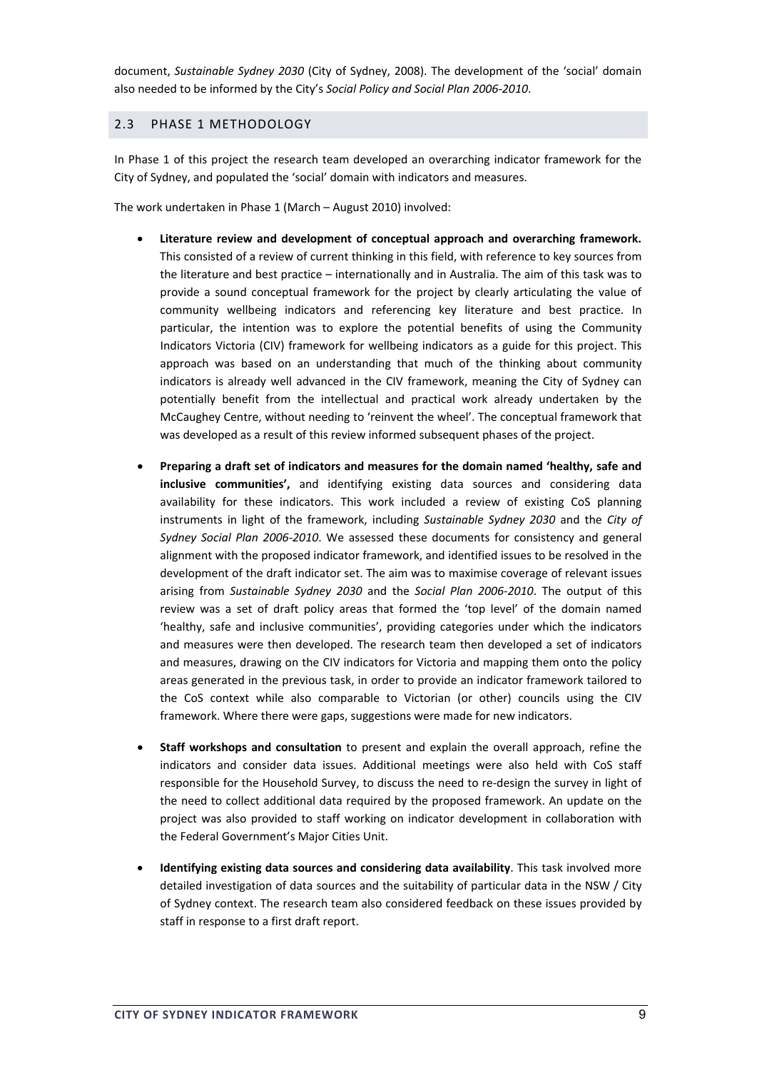document, *Sustainable Sydney 2030* (City of Sydney, 2008). The development of the 'social' domain also needed to be informed by the City's *Social Policy and Social Plan 2006‐2010*.

## 2.3 PHASE 1 METHODOLOGY

In Phase 1 of this project the research team developed an overarching indicator framework for the City of Sydney, and populated the 'social' domain with indicators and measures.

The work undertaken in Phase 1 (March – August 2010) involved:

- **Literature review and development of conceptual approach and overarching framework.** This consisted of a review of current thinking in this field, with reference to key sources from the literature and best practice – internationally and in Australia. The aim of this task was to provide a sound conceptual framework for the project by clearly articulating the value of community wellbeing indicators and referencing key literature and best practice. In particular, the intention was to explore the potential benefits of using the Community Indicators Victoria (CIV) framework for wellbeing indicators as a guide for this project. This approach was based on an understanding that much of the thinking about community indicators is already well advanced in the CIV framework, meaning the City of Sydney can potentially benefit from the intellectual and practical work already undertaken by the McCaughey Centre, without needing to 'reinvent the wheel'. The conceptual framework that was developed as a result of this review informed subsequent phases of the project.
- **Preparing a draft set of indicators and measures for the domain named 'healthy, safe and inclusive communities',** and identifying existing data sources and considering data availability for these indicators. This work included a review of existing CoS planning instruments in light of the framework, including *Sustainable Sydney 2030* and the *City of Sydney Social Plan 2006‐2010*. We assessed these documents for consistency and general alignment with the proposed indicator framework, and identified issues to be resolved in the development of the draft indicator set. The aim was to maximise coverage of relevant issues arising from *Sustainable Sydney 2030* and the *Social Plan 2006‐2010*. The output of this review was a set of draft policy areas that formed the 'top level' of the domain named 'healthy, safe and inclusive communities', providing categories under which the indicators and measures were then developed. The research team then developed a set of indicators and measures, drawing on the CIV indicators for Victoria and mapping them onto the policy areas generated in the previous task, in order to provide an indicator framework tailored to the CoS context while also comparable to Victorian (or other) councils using the CIV framework. Where there were gaps, suggestions were made for new indicators.
- **Staff workshops and consultation** to present and explain the overall approach, refine the indicators and consider data issues. Additional meetings were also held with CoS staff responsible for the Household Survey, to discuss the need to re-design the survey in light of the need to collect additional data required by the proposed framework. An update on the project was also provided to staff working on indicator development in collaboration with the Federal Government's Major Cities Unit.
- **Identifying existing data sources and considering data availability**. This task involved more detailed investigation of data sources and the suitability of particular data in the NSW / City of Sydney context. The research team also considered feedback on these issues provided by staff in response to a first draft report.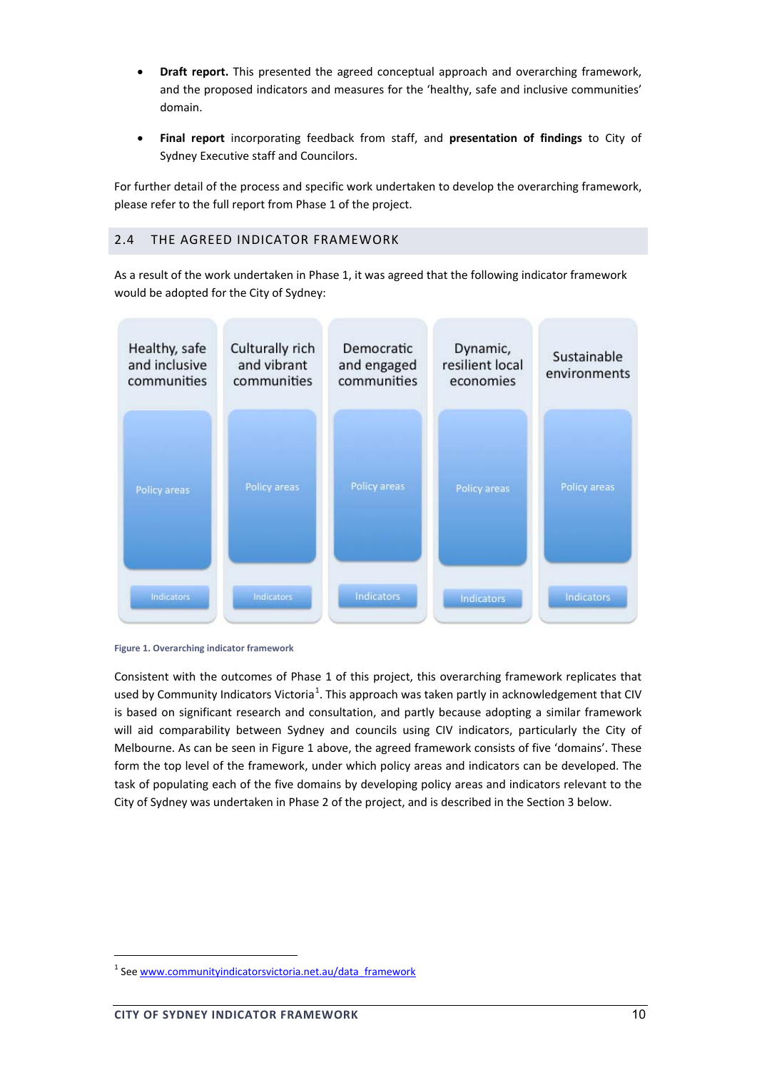- **Draft report.** This presented the agreed conceptual approach and overarching framework, and the proposed indicators and measures for the 'healthy, safe and inclusive communities' domain.
- **Final report** incorporating feedback from staff, and **presentation of findings** to City of Sydney Executive staff and Councilors.

For further detail of the process and specific work undertaken to develop the overarching framework, please refer to the full report from Phase 1 of the project.

## 2.4 THE AGREED INDICATOR FRAMEWORK

As a result of the work undertaken in Phase 1, it was agreed that the following indicator framework would be adopted for the City of Sydney:





Consistent with the outcomes of Phase 1 of this project, this overarching framework replicates that used by Community Indicators Victoria<sup>1</sup>. This approach was taken partly in acknowledgement that CIV is based on significant research and consultation, and partly because adopting a similar framework will aid comparability between Sydney and councils using CIV indicators, particularly the City of Melbourne. As can be seen in Figure 1 above, the agreed framework consists of five 'domains'. These form the top level of the framework, under which policy areas and indicators can be developed. The task of populating each of the five domains by developing policy areas and indicators relevant to the City of Sydney was undertaken in Phase 2 of the project, and is described in the Section 3 below.

<sup>&</sup>lt;sup>1</sup> See www.communityindicatorsvictoria.net.au/data\_framework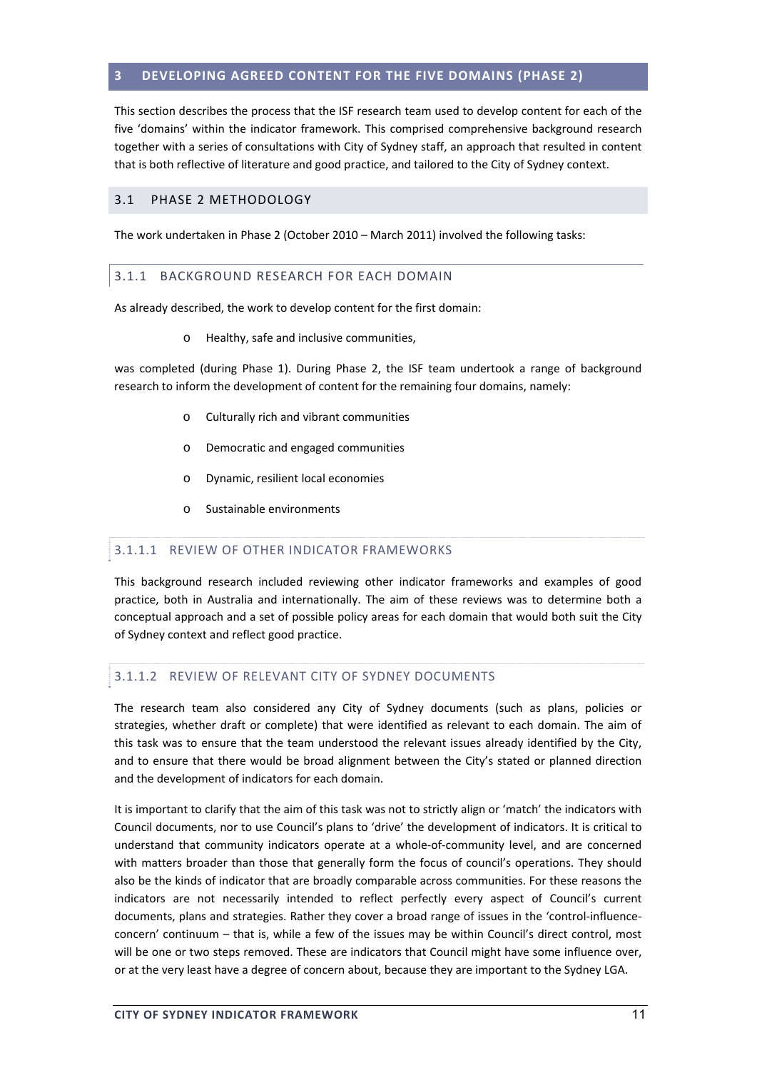## <span id="page-10-0"></span>**3 DEVELOPING AGREED CONTENT FOR THE FIVE DOMAINS (PHASE 2)**

This section describes the process that the ISF research team used to develop content for each of the five 'domains' within the indicator framework. This comprised comprehensive background research together with a series of consultations with City of Sydney staff, an approach that resulted in content that is both reflective of literature and good practice, and tailored to the City of Sydney context.

#### 3.1 PHASE 2 METHODOLOGY

The work undertaken in Phase 2 (October 2010 – March 2011) involved the following tasks:

#### 3.1.1 BACKGROUND RESEARCH FOR EACH DOMAIN

As already described, the work to develop content for the first domain:

o Healthy, safe and inclusive communities,

was completed (during Phase 1). During Phase 2, the ISF team undertook a range of background research to inform the development of content for the remaining four domains, namely:

- o Culturally rich and vibrant communities
- o Democratic and engaged communities
- o Dynamic, resilient local economies
- o Sustainable environments

#### 3.1.1.1 REVIEW OF OTHER INDICATOR FRAMEWORKS

This background research included reviewing other indicator frameworks and examples of good practice, both in Australia and internationally. The aim of these reviews was to determine both a conceptual approach and a set of possible policy areas for each domain that would both suit the City of Sydney context and reflect good practice.

#### 3.1.1.2 REVIEW OF RELEVANT CITY OF SYDNEY DOCUMENTS

The research team also considered any City of Sydney documents (such as plans, policies or strategies, whether draft or complete) that were identified as relevant to each domain. The aim of this task was to ensure that the team understood the relevant issues already identified by the City, and to ensure that there would be broad alignment between the City's stated or planned direction and the development of indicators for each domain.

It is important to clarify that the aim of this task was not to strictly align or 'match' the indicators with Council documents, nor to use Council's plans to 'drive' the development of indicators. It is critical to understand that community indicators operate at a whole‐of‐community level, and are concerned with matters broader than those that generally form the focus of council's operations. They should also be the kinds of indicator that are broadly comparable across communities. For these reasons the indicators are not necessarily intended to reflect perfectly every aspect of Council's current documents, plans and strategies. Rather they cover a broad range of issues in the 'control-influenceconcern' continuum – that is, while a few of the issues may be within Council's direct control, most will be one or two steps removed. These are indicators that Council might have some influence over, or at the very least have a degree of concern about, because they are important to the Sydney LGA.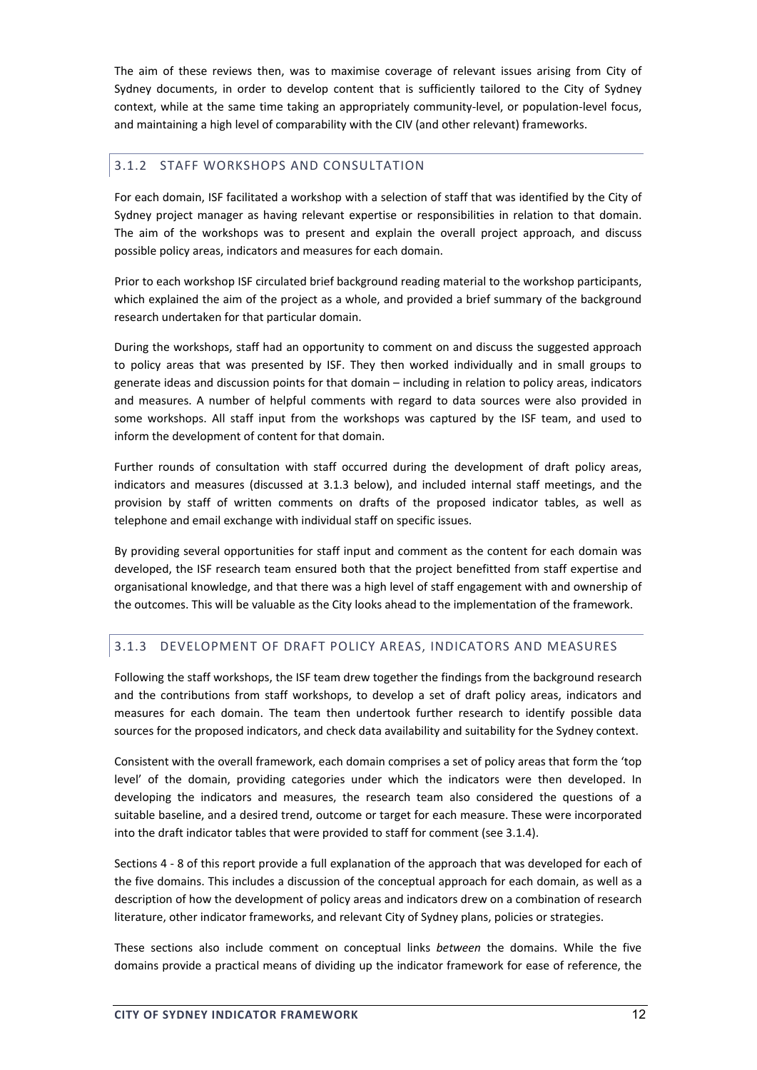<span id="page-11-0"></span>The aim of these reviews then, was to maximise coverage of relevant issues arising from City of Sydney documents, in order to develop content that is sufficiently tailored to the City of Sydney context, while at the same time taking an appropriately community-level, or population-level focus, and maintaining a high level of comparability with the CIV (and other relevant) frameworks.

## 3.1.2 STAFF WORKSHOPS AND CONSULTATION

For each domain, ISF facilitated a workshop with a selection of staff that was identified by the City of Sydney project manager as having relevant expertise or responsibilities in relation to that domain. The aim of the workshops was to present and explain the overall project approach, and discuss possible policy areas, indicators and measures for each domain.

Prior to each workshop ISF circulated brief background reading material to the workshop participants, which explained the aim of the project as a whole, and provided a brief summary of the background research undertaken for that particular domain.

During the workshops, staff had an opportunity to comment on and discuss the suggested approach to policy areas that was presented by ISF. They then worked individually and in small groups to generate ideas and discussion points for that domain – including in relation to policy areas, indicators and measures. A number of helpful comments with regard to data sources were also provided in some workshops. All staff input from the workshops was captured by the ISF team, and used to inform the development of content for that domain.

Further rounds of consultation with staff occurred during the development of draft policy areas, indicators and measures (discussed at 3.1.3 below), and included internal staff meetings, and the provision by staff of written comments on drafts of the proposed indicator tables, as well as telephone and email exchange with individual staff on specific issues.

By providing several opportunities for staff input and comment as the content for each domain was developed, the ISF research team ensured both that the project benefitted from staff expertise and organisational knowledge, and that there was a high level of staff engagement with and ownership of the outcomes. This will be valuable as the City looks ahead to the implementation of the framework.

# 3.1.3 DEVELOPMENT OF DRAFT POLICY AREAS, INDICATORS AND MEASURES

Following the staff workshops, the ISF team drew together the findings from the background research and the contributions from staff workshops, to develop a set of draft policy areas, indicators and measures for each domain. The team then undertook further research to identify possible data sources for the proposed indicators, and check data availability and suitability for the Sydney context.

Consistent with the overall framework, each domain comprises a set of policy areas that form the 'top level' of the domain, providing categories under which the indicators were then developed. In developing the indicators and measures, the research team also considered the questions of a suitable baseline, and a desired trend, outcome or target for each measure. These were incorporated into the draft indicator tables that were provided to staff for comment (see 3.1.4).

Sections 4 ‐ 8 of this report provide a full explanation of the approach that was developed for each of the five domains. This includes a discussion of the conceptual approach for each domain, as well as a description of how the development of policy areas and indicators drew on a combination of research literature, other indicator frameworks, and relevant City of Sydney plans, policies or strategies.

These sections also include comment on conceptual links *between* the domains. While the five domains provide a practical means of dividing up the indicator framework for ease of reference, the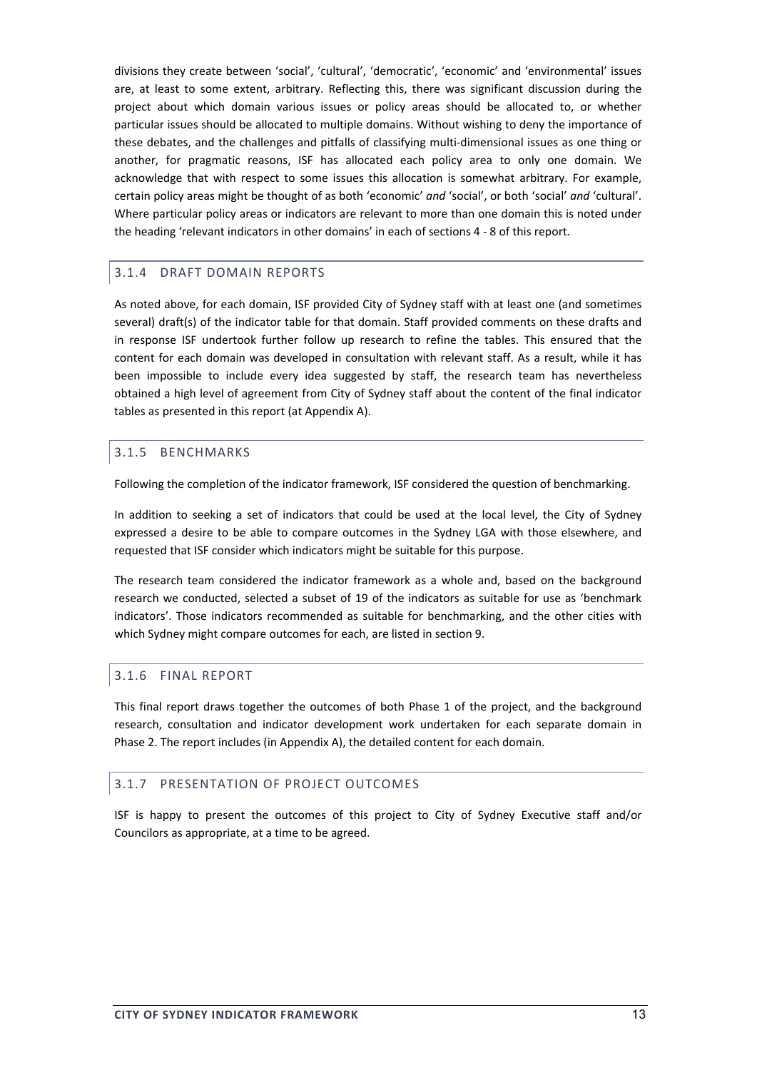divisions they create between 'social', 'cultural', 'democratic', 'economic' and 'environmental' issues are, at least to some extent, arbitrary. Reflecting this, there was significant discussion during the project about which domain various issues or policy areas should be allocated to, or whether particular issues should be allocated to multiple domains. Without wishing to deny the importance of these debates, and the challenges and pitfalls of classifying multi‐dimensional issues as one thing or another, for pragmatic reasons, ISF has allocated each policy area to only one domain. We acknowledge that with respect to some issues this allocation is somewhat arbitrary. For example, certain policy areas might be thought of as both 'economic' *and* 'social', or both 'social' *and* 'cultural'. Where particular policy areas or indicators are relevant to more than one domain this is noted under the heading 'relevant indicators in other domains' in each of sections 4 ‐ 8 of this report.

#### 3.1.4 DRAFT DOMAIN REPORTS

As noted above, for each domain, ISF provided City of Sydney staff with at least one (and sometimes several) draft(s) of the indicator table for that domain. Staff provided comments on these drafts and in response ISF undertook further follow up research to refine the tables. This ensured that the content for each domain was developed in consultation with relevant staff. As a result, while it has been impossible to include every idea suggested by staff, the research team has nevertheless obtained a high level of agreement from City of Sydney staff about the content of the final indicator tables as presented in this report (at Appendix A).

#### 3.1.5 BENCHMARKS

Following the completion of the indicator framework, ISF considered the question of benchmarking.

In addition to seeking a set of indicators that could be used at the local level, the City of Sydney expressed a desire to be able to compare outcomes in the Sydney LGA with those elsewhere, and requested that ISF consider which indicators might be suitable for this purpose.

The research team considered the indicator framework as a whole and, based on the background research we conducted, selected a subset of 19 of the indicators as suitable for use as 'benchmark indicators'. Those indicators recommended as suitable for benchmarking, and the other cities with which Sydney might compare outcomes for each, are listed in section 9.

#### 3.1.6 FINAL REPORT

This final report draws together the outcomes of both Phase 1 of the project, and the background research, consultation and indicator development work undertaken for each separate domain in Phase 2. The report includes (in Appendix A), the detailed content for each domain.

## 3.1.7 PRESENTATION OF PROJECT OUTCOMES

ISF is happy to present the outcomes of this project to City of Sydney Executive staff and/or Councilors as appropriate, at a time to be agreed.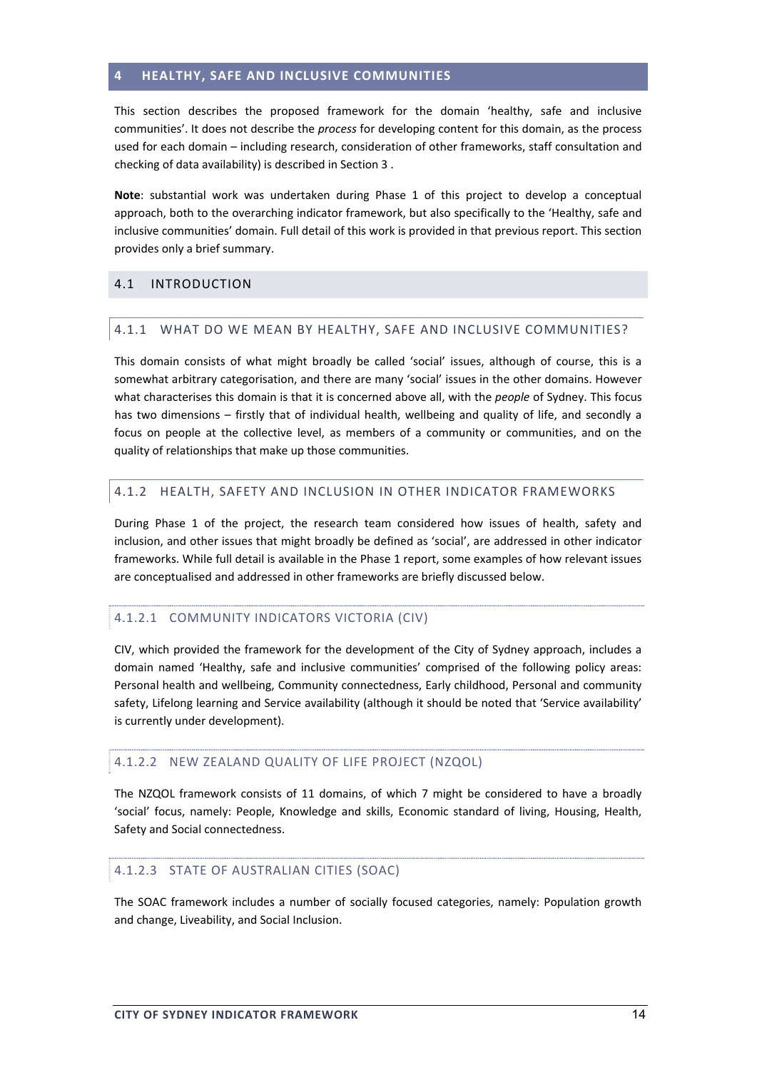#### <span id="page-13-0"></span>**4 HEALTHY, SAFE AND INCLUSIVE COMMUNITIES**

This section describes the proposed framework for the domain 'healthy, safe and inclusive communities'. It does not describe the *process* for developing content for this domain, as the process used for each domain – including research, consideration of other frameworks, staff consultation and checking of data availability) is described in Section 3 .

**Note**: substantial work was undertaken during Phase 1 of this project to develop a conceptual approach, both to the overarching indicator framework, but also specifically to the 'Healthy, safe and inclusive communities' domain. Full detail of this work is provided in that previous report. This section provides only a brief summary.

## 4.1 INTRODUCTION

#### 4.1.1 WHAT DO WE MEAN BY HEALTHY, SAFE AND INCLUSIVE COMMUNITIES?

This domain consists of what might broadly be called 'social' issues, although of course, this is a somewhat arbitrary categorisation, and there are many 'social' issues in the other domains. However what characterises this domain is that it is concerned above all, with the *people* of Sydney. This focus has two dimensions – firstly that of individual health, wellbeing and quality of life, and secondly a focus on people at the collective level, as members of a community or communities, and on the quality of relationships that make up those communities.

#### 4.1.2 HEALTH, SAFETY AND INCLUSION IN OTHER INDICATOR FRAMEWORKS

During Phase 1 of the project, the research team considered how issues of health, safety and inclusion, and other issues that might broadly be defined as 'social', are addressed in other indicator frameworks. While full detail is available in the Phase 1 report, some examples of how relevant issues are conceptualised and addressed in other frameworks are briefly discussed below.

## 4.1.2.1 COMMUNITY INDICATORS VICTORIA (CIV)

CIV, which provided the framework for the development of the City of Sydney approach, includes a domain named 'Healthy, safe and inclusive communities' comprised of the following policy areas: Personal health and wellbeing, Community connectedness, Early childhood, Personal and community safety, Lifelong learning and Service availability (although it should be noted that 'Service availability' is currently under development).

## 4.1.2.2 NEW ZEALAND QUALITY OF LIFE PROJECT (NZQOL)

The NZQOL framework consists of 11 domains, of which 7 might be considered to have a broadly 'social' focus, namely: People, Knowledge and skills, Economic standard of living, Housing, Health, Safety and Social connectedness.

#### 4.1.2.3 STATE OF AUSTRALIAN CITIES (SOAC)

The SOAC framework includes a number of socially focused categories, namely: Population growth and change, Liveability, and Social Inclusion.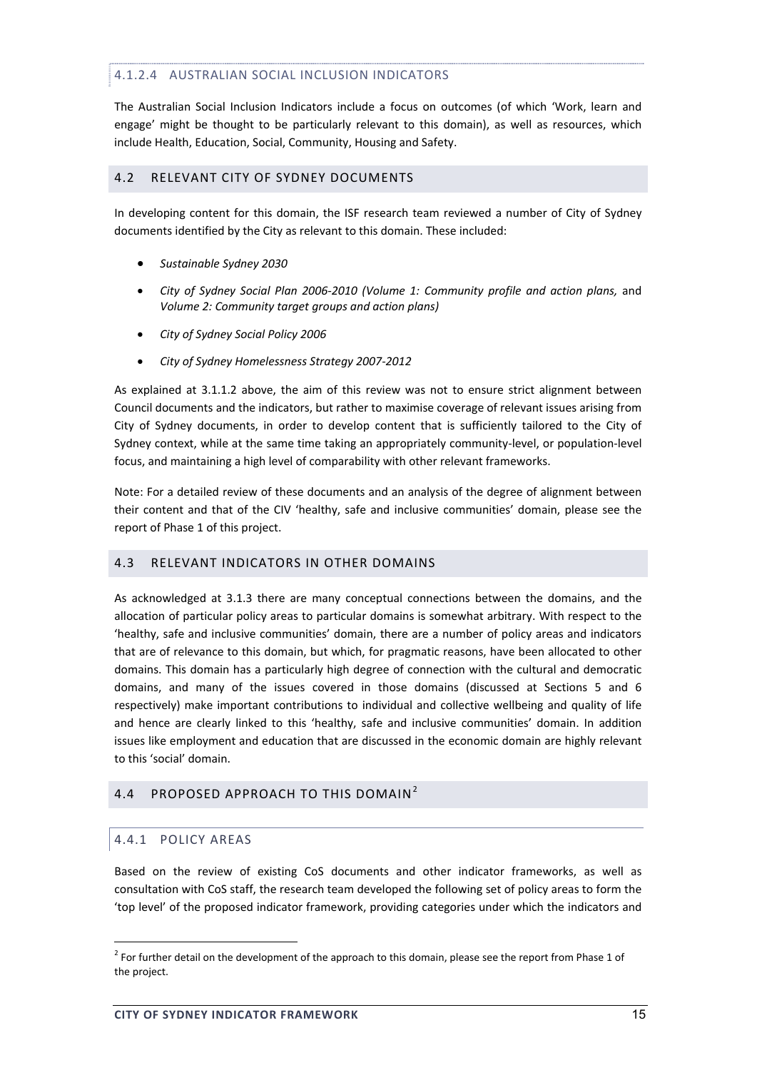## 4.1.2.4 AUSTRALIAN SOCIAL INCLUSION INDICATORS

The Australian Social Inclusion Indicators include a focus on outcomes (of which 'Work, learn and engage' might be thought to be particularly relevant to this domain), as well as resources, which include Health, Education, Social, Community, Housing and Safety.

## 4.2 RELEVANT CITY OF SYDNEY DOCUMENTS

In developing content for this domain, the ISF research team reviewed a number of City of Sydney documents identified by the City as relevant to this domain. These included:

- *Sustainable Sydney 2030*
- *City of Sydney Social Plan 2006‐2010 (Volume 1: Community profile and action plans,* and *Volume 2: Community target groups and action plans)*
- *City of Sydney Social Policy 2006*
- *City of Sydney Homelessness Strategy 2007‐2012*

As explained at 3.1.1.2 above, the aim of this review was not to ensure strict alignment between Council documents and the indicators, but rather to maximise coverage of relevant issues arising from City of Sydney documents, in order to develop content that is sufficiently tailored to the City of Sydney context, while at the same time taking an appropriately community‐level, or population‐level focus, and maintaining a high level of comparability with other relevant frameworks.

Note: For a detailed review of these documents and an analysis of the degree of alignment between their content and that of the CIV 'healthy, safe and inclusive communities' domain, please see the report of Phase 1 of this project.

## 4.3 RELEVANT INDICATORS IN OTHER DOMAINS

As acknowledged at 3.1.3 there are many conceptual connections between the domains, and the allocation of particular policy areas to particular domains is somewhat arbitrary. With respect to the 'healthy, safe and inclusive communities' domain, there are a number of policy areas and indicators that are of relevance to this domain, but which, for pragmatic reasons, have been allocated to other domains. This domain has a particularly high degree of connection with the cultural and democratic domains, and many of the issues covered in those domains (discussed at Sections 5 and 6 respectively) make important contributions to individual and collective wellbeing and quality of life and hence are clearly linked to this 'healthy, safe and inclusive communities' domain. In addition issues like employment and education that are discussed in the economic domain are highly relevant to this 'social' domain.

# 4.4 PROPOSED APPROACH TO THIS DOMAIN<sup>2</sup>

# 4.4.1 POLICY AREAS

<u> Andrew Maria (1989)</u>

Based on the review of existing CoS documents and other indicator frameworks, as well as consultation with CoS staff, the research team developed the following set of policy areas to form the 'top level' of the proposed indicator framework, providing categories under which the indicators and

 $2$  For further detail on the development of the approach to this domain, please see the report from Phase 1 of the project.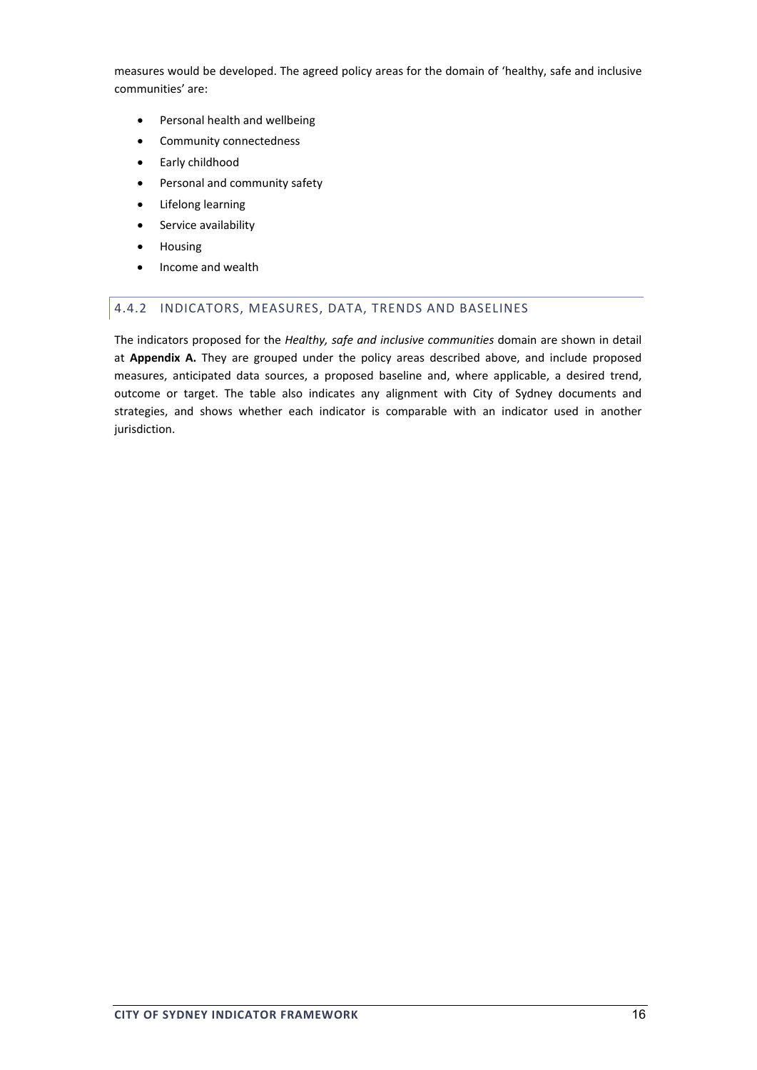measures would be developed. The agreed policy areas for the domain of 'healthy, safe and inclusive communities' are:

- Personal health and wellbeing
- Community connectedness
- Early childhood
- Personal and community safety
- Lifelong learning
- Service availability
- Housing
- Income and wealth

#### 4.4.2 INDICATORS, MEASURES, DATA, TRENDS AND BASELINES

The indicators proposed for the *Healthy, safe and inclusive communities* domain are shown in detail at **Appendix A.** They are grouped under the policy areas described above, and include proposed measures, anticipated data sources, a proposed baseline and, where applicable, a desired trend, outcome or target. The table also indicates any alignment with City of Sydney documents and strategies, and shows whether each indicator is comparable with an indicator used in another jurisdiction.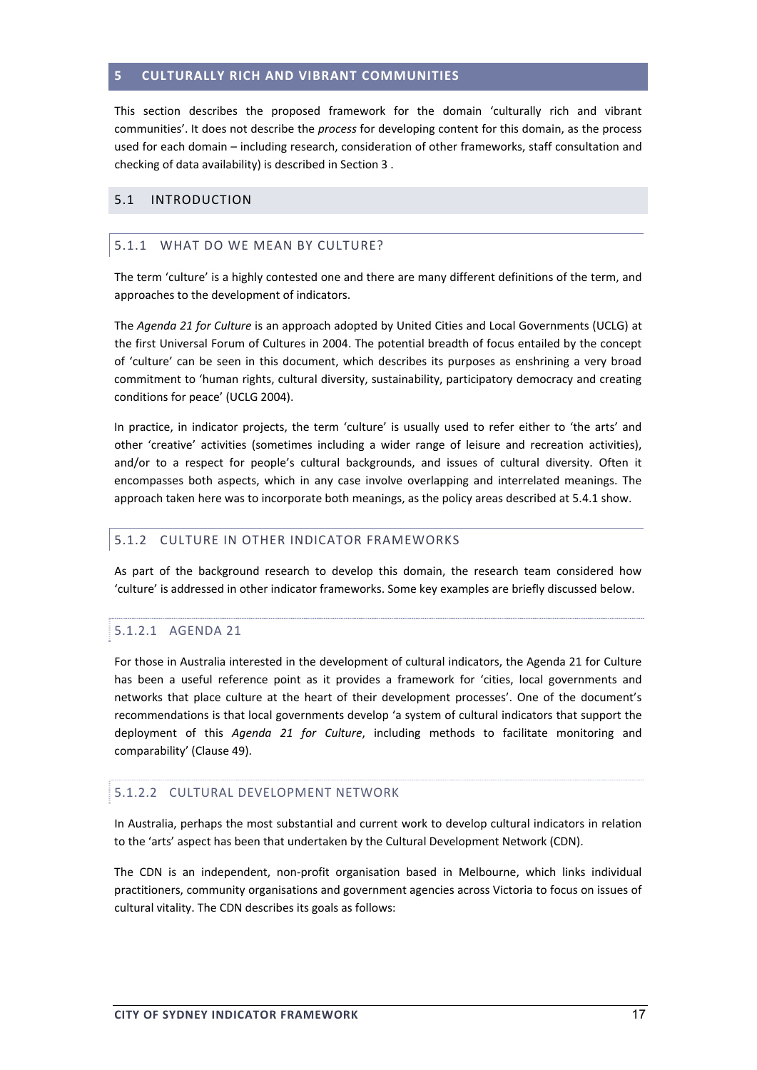#### **5 CULTURALLY RICH AND VIBRANT COMMUNITIES**

This section describes the proposed framework for the domain 'culturally rich and vibrant communities'. It does not describe the *process* for developing content for this domain, as the process used for each domain – including research, consideration of other frameworks, staff consultation and checking of data availability) is described in Section 3 .

#### 5.1 INTRODUCTION

#### 5.1.1 WHAT DO WE MEAN BY CULTURE?

The term 'culture' is a highly contested one and there are many different definitions of the term, and approaches to the development of indicators.

The *Agenda 21 for Culture* is an approach adopted by United Cities and Local Governments (UCLG) at the first Universal Forum of Cultures in 2004. The potential breadth of focus entailed by the concept of 'culture' can be seen in this document, which describes its purposes as enshrining a very broad commitment to 'human rights, cultural diversity, sustainability, participatory democracy and creating conditions for peace' (UCLG 2004).

In practice, in indicator projects, the term 'culture' is usually used to refer either to 'the arts' and other 'creative' activities (sometimes including a wider range of leisure and recreation activities), and/or to a respect for people's cultural backgrounds, and issues of cultural diversity. Often it encompasses both aspects, which in any case involve overlapping and interrelated meanings. The approach taken here was to incorporate both meanings, as the policy areas described at 5.4.1 show.

#### 5.1.2 CULTURE IN OTHER INDICATOR FRAMEWORKS

As part of the background research to develop this domain, the research team considered how 'culture' is addressed in other indicator frameworks. Some key examples are briefly discussed below.

#### 5.1.2.1 AGENDA 21

For those in Australia interested in the development of cultural indicators, the Agenda 21 for Culture has been a useful reference point as it provides a framework for 'cities, local governments and networks that place culture at the heart of their development processes'. One of the document's recommendations is that local governments develop 'a system of cultural indicators that support the deployment of this *Agenda 21 for Culture*, including methods to facilitate monitoring and comparability' (Clause 49).

#### 5.1.2.2 CULTURAL DEVELOPMENT NETWORK

In Australia, perhaps the most substantial and current work to develop cultural indicators in relation to the 'arts' aspect has been that undertaken by the Cultural Development Network (CDN).

The CDN is an independent, non‐profit organisation based in Melbourne, which links individual practitioners, community organisations and government agencies across Victoria to focus on issues of cultural vitality. The CDN describes its goals as follows: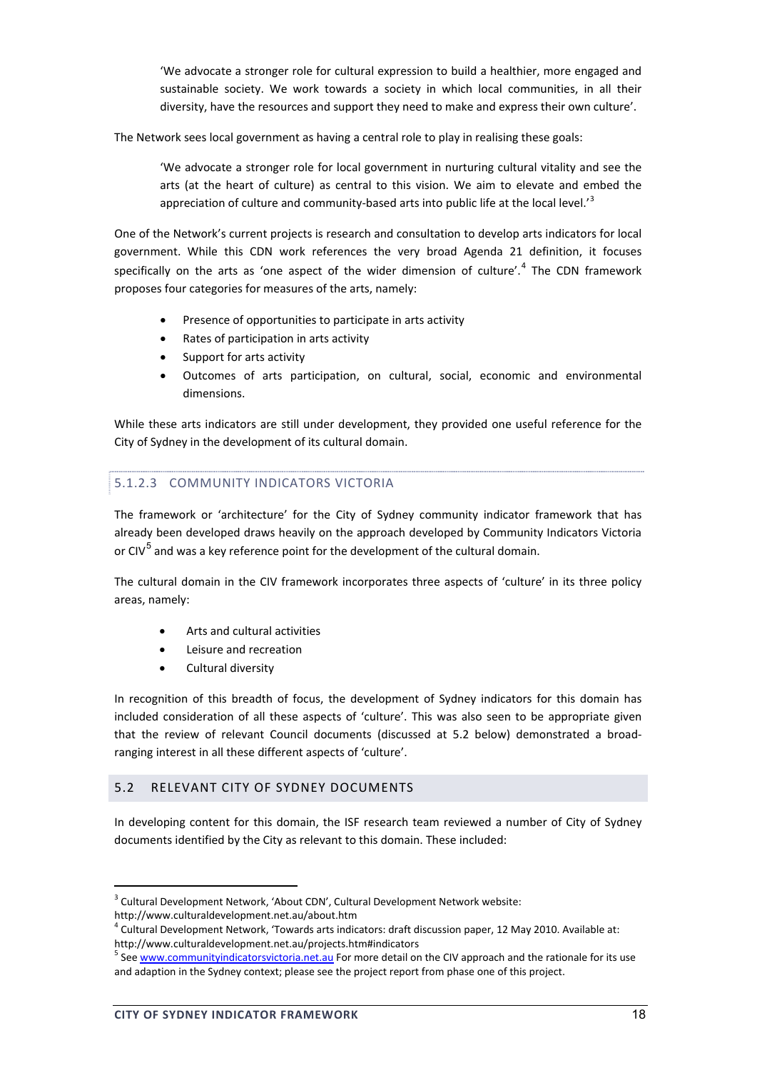'We advocate a stronger role for cultural expression to build a healthier, more engaged and sustainable society. We work towards a society in which local communities, in all their diversity, have the resources and support they need to make and express their own culture'.

The Network sees local government as having a central role to play in realising these goals:

'We advocate a stronger role for local government in nurturing cultural vitality and see the arts (at the heart of culture) as central to this vision. We aim to elevate and embed the appreciation of culture and community-based arts into public life at the local level. $i<sup>3</sup>$ 

One of the Network's current projects is research and consultation to develop arts indicators for local government. While this CDN work references the very broad Agenda 21 definition, it focuses specifically on the arts as 'one aspect of the wider dimension of culture'.<sup>4</sup> The CDN framework proposes four categories for measures of the arts, namely:

- Presence of opportunities to participate in arts activity
- Rates of participation in arts activity
- Support for arts activity
- Outcomes of arts participation, on cultural, social, economic and environmental dimensions.

While these arts indicators are still under development, they provided one useful reference for the City of Sydney in the development of its cultural domain.

# 5.1.2.3 COMMUNITY INDICATORS VICTORIA

The framework or 'architecture' for the City of Sydney community indicator framework that has already been developed draws heavily on the approach developed by Community Indicators Victoria or  $\text{CIV}^5$  and was a key reference point for the development of the cultural domain.

The cultural domain in the CIV framework incorporates three aspects of 'culture' in its three policy areas, namely:

- Arts and cultural activities
- Leisure and recreation
- Cultural diversity

In recognition of this breadth of focus, the development of Sydney indicators for this domain has included consideration of all these aspects of 'culture'. This was also seen to be appropriate given that the review of relevant Council documents (discussed at 5.2 below) demonstrated a broad‐ ranging interest in all these different aspects of 'culture'.

## 5.2 RELEVANT CITY OF SYDNEY DOCUMENTS

In developing content for this domain, the ISF research team reviewed a number of City of Sydney documents identified by the City as relevant to this domain. These included:

<sup>&</sup>lt;sup>3</sup> Cultural Development Network, 'About CDN', Cultural Development Network website:

http://www.culturaldevelopment.net.au/about.htm

<sup>4</sup> Cultural Development Network, 'Towards arts indicators: draft discussion paper, 12 May 2010. Available at:

http://www.culturaldevelopment.net.au/projects.htm#indicators<br><sup>5</sup> See www.communityindicatorsvictoria.net.au For more detail on the CIV approach and the rationale for its use and adaption in the Sydney context; please see the project report from phase one of this project.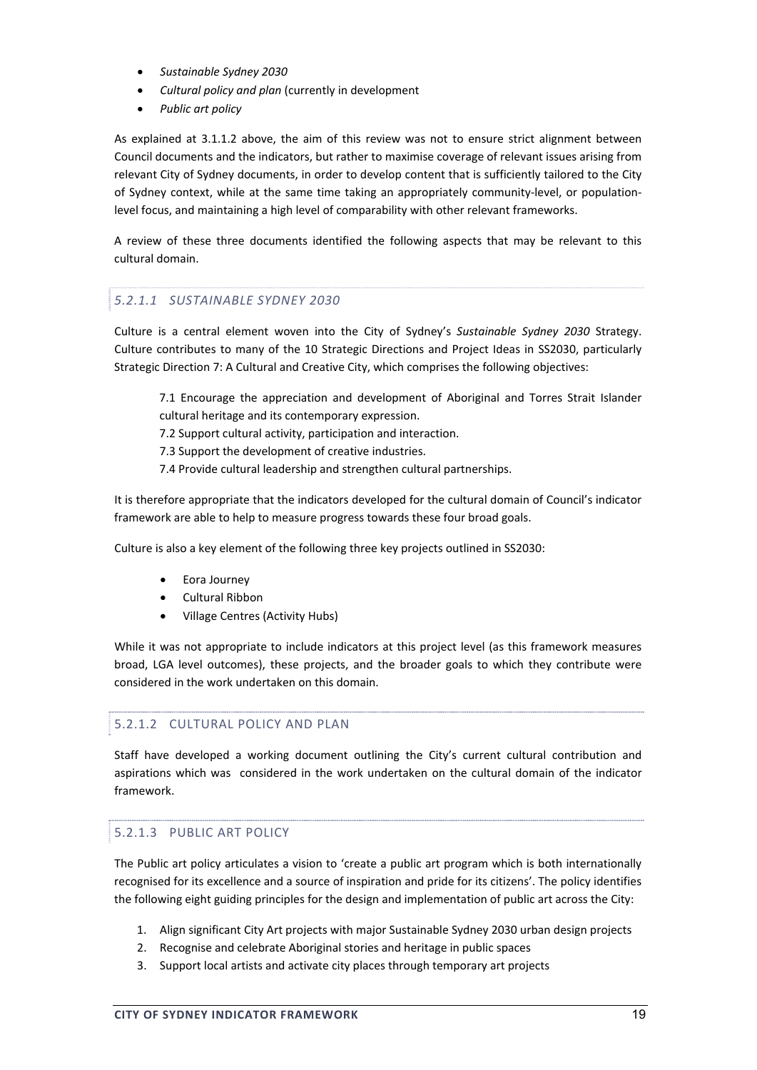- *Sustainable Sydney 2030*
- *Cultural policy and plan* (currently in development
- *Public art policy*

As explained at 3.1.1.2 above, the aim of this review was not to ensure strict alignment between Council documents and the indicators, but rather to maximise coverage of relevant issues arising from relevant City of Sydney documents, in order to develop content that is sufficiently tailored to the City of Sydney context, while at the same time taking an appropriately community-level, or populationlevel focus, and maintaining a high level of comparability with other relevant frameworks.

A review of these three documents identified the following aspects that may be relevant to this cultural domain.

## *5.2.1.1 SUSTAINABLE SYDNEY 2030*

Culture is a central element woven into the City of Sydney's *Sustainable Sydney 2030* Strategy. Culture contributes to many of the 10 Strategic Directions and Project Ideas in SS2030, particularly Strategic Direction 7: A Cultural and Creative City, which comprises the following objectives:

7.1 Encourage the appreciation and development of Aboriginal and Torres Strait Islander cultural heritage and its contemporary expression.

7.2 Support cultural activity, participation and interaction.

7.3 Support the development of creative industries.

7.4 Provide cultural leadership and strengthen cultural partnerships.

It is therefore appropriate that the indicators developed for the cultural domain of Council's indicator framework are able to help to measure progress towards these four broad goals.

Culture is also a key element of the following three key projects outlined in SS2030:

- Eora Journey
- Cultural Ribbon
- Village Centres (Activity Hubs)

While it was not appropriate to include indicators at this project level (as this framework measures broad, LGA level outcomes), these projects, and the broader goals to which they contribute were considered in the work undertaken on this domain.

#### 5.2.1.2 CULTURAL POLICY AND PLAN

Staff have developed a working document outlining the City's current cultural contribution and aspirations which was considered in the work undertaken on the cultural domain of the indicator framework.

## 5.2.1.3 PUBLIC ART POLICY

The Public art policy articulates a vision to 'create a public art program which is both internationally recognised for its excellence and a source of inspiration and pride for its citizens'. The policy identifies the following eight guiding principles for the design and implementation of public art across the City:

- 1. Align significant City Art projects with major Sustainable Sydney 2030 urban design projects
- 2. Recognise and celebrate Aboriginal stories and heritage in public spaces
- 3. Support local artists and activate city places through temporary art projects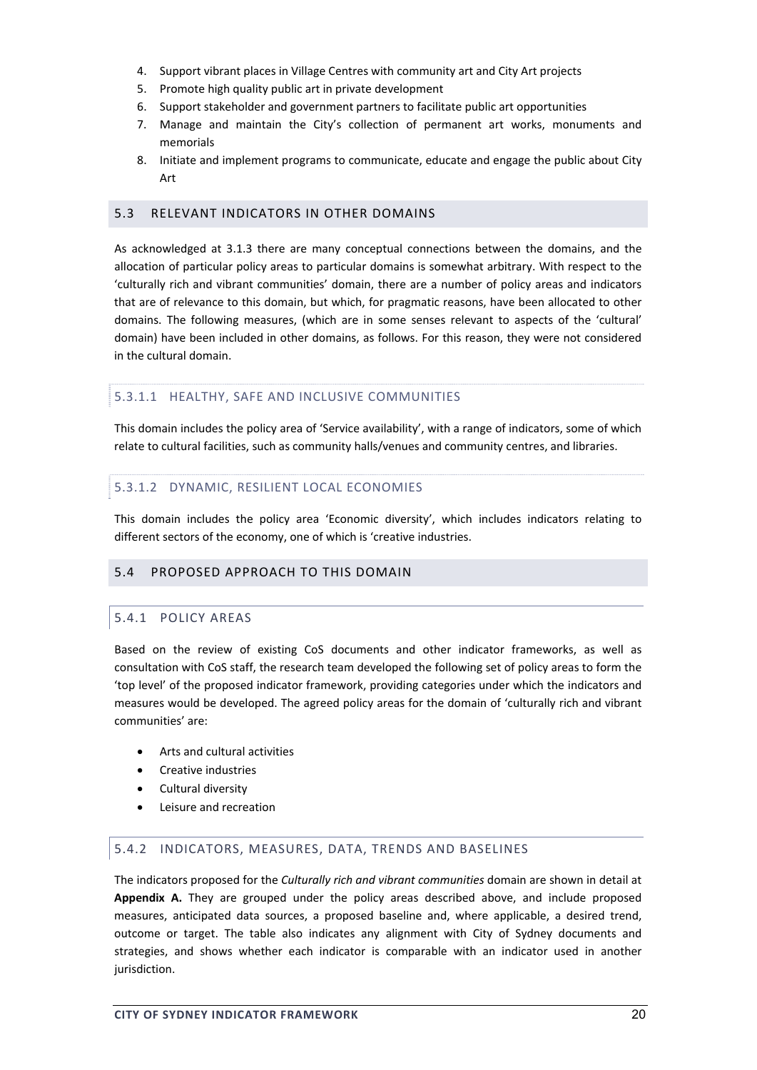- 4. Support vibrant places in Village Centres with community art and City Art projects
- 5. Promote high quality public art in private development
- 6. Support stakeholder and government partners to facilitate public art opportunities
- 7. Manage and maintain the City's collection of permanent art works, monuments and memorials
- 8. Initiate and implement programs to communicate, educate and engage the public about City Art

## 5.3 RELEVANT INDICATORS IN OTHER DOMAINS

As acknowledged at 3.1.3 there are many conceptual connections between the domains, and the allocation of particular policy areas to particular domains is somewhat arbitrary. With respect to the 'culturally rich and vibrant communities' domain, there are a number of policy areas and indicators that are of relevance to this domain, but which, for pragmatic reasons, have been allocated to other domains. The following measures, (which are in some senses relevant to aspects of the 'cultural' domain) have been included in other domains, as follows. For this reason, they were not considered in the cultural domain.

## 5.3.1.1 HEALTHY, SAFE AND INCLUSIVE COMMUNITIES

This domain includes the policy area of 'Service availability', with a range of indicators, some of which relate to cultural facilities, such as community halls/venues and community centres, and libraries.

## 5.3.1.2 DYNAMIC, RESILIENT LOCAL ECONOMIES

This domain includes the policy area 'Economic diversity', which includes indicators relating to different sectors of the economy, one of which is 'creative industries.

## 5.4 PROPOSED APPROACH TO THIS DOMAIN

## 5.4.1 POLICY AREAS

Based on the review of existing CoS documents and other indicator frameworks, as well as consultation with CoS staff, the research team developed the following set of policy areas to form the 'top level' of the proposed indicator framework, providing categories under which the indicators and measures would be developed. The agreed policy areas for the domain of 'culturally rich and vibrant communities' are:

- Arts and cultural activities
- Creative industries
- Cultural diversity
- Leisure and recreation

## 5.4.2 INDICATORS, MEASURES, DATA, TRENDS AND BASELINES

The indicators proposed for the *Culturally rich and vibrant communities* domain are shown in detail at **Appendix A.** They are grouped under the policy areas described above, and include proposed measures, anticipated data sources, a proposed baseline and, where applicable, a desired trend, outcome or target. The table also indicates any alignment with City of Sydney documents and strategies, and shows whether each indicator is comparable with an indicator used in another jurisdiction.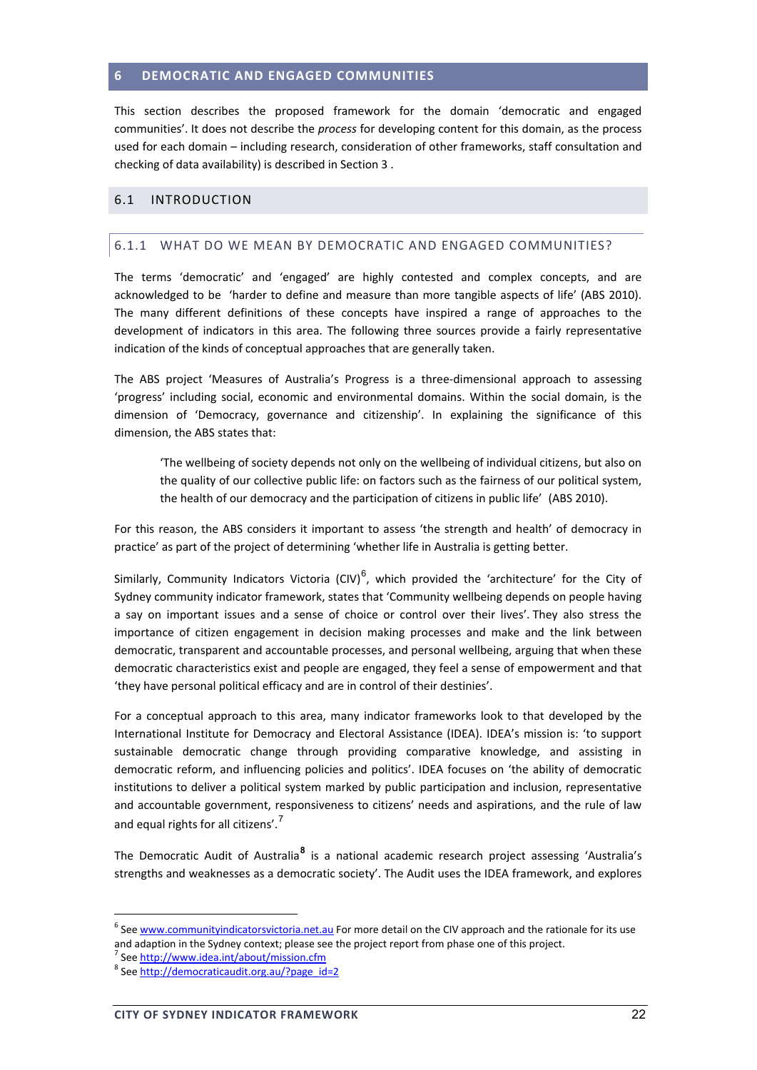#### **6 DEMOCRATIC AND ENGAGED COMMUNITIES**

This section describes the proposed framework for the domain 'democratic and engaged communities'. It does not describe the *process* for developing content for this domain, as the process used for each domain – including research, consideration of other frameworks, staff consultation and checking of data availability) is described in Section 3 .

#### 6.1 INTRODUCTION

#### 6.1.1 WHAT DO WE MEAN BY DEMOCRATIC AND ENGAGED COMMUNITIES?

The terms 'democratic' and 'engaged' are highly contested and complex concepts, and are acknowledged to be 'harder to define and measure than more tangible aspects of life' (ABS 2010). The many different definitions of these concepts have inspired a range of approaches to the development of indicators in this area. The following three sources provide a fairly representative indication of the kinds of conceptual approaches that are generally taken.

The ABS project 'Measures of Australia's Progress is a three‐dimensional approach to assessing 'progress' including social, economic and environmental domains. Within the social domain, is the dimension of 'Democracy, governance and citizenship'. In explaining the significance of this dimension, the ABS states that:

'The wellbeing of society depends not only on the wellbeing of individual citizens, but also on the quality of our collective public life: on factors such as the fairness of our political system, the health of our democracy and the participation of citizens in public life'(ABS 2010).

For this reason, the ABS considers it important to assess 'the strength and health' of democracy in practice' as part of the project of determining 'whether life in Australia is getting better.

Similarly, Community Indicators Victoria (CIV)<sup>6</sup>, which provided the 'architecture' for the City of Sydney community indicator framework, states that 'Community wellbeing depends on people having a say on important issues and a sense of choice or control over their lives'. They also stress the importance of citizen engagement in decision making processes and make and the link between democratic, transparent and accountable processes, and personal wellbeing, arguing that when these democratic characteristics exist and people are engaged, they feel a sense of empowerment and that 'they have personal political efficacy and are in control of their destinies'.

For a conceptual approach to this area, many indicator frameworks look to that developed by the International Institute for Democracy and Electoral Assistance (IDEA). IDEA's mission is: 'to support sustainable democratic change through providing comparative knowledge, and assisting in democratic reform, and influencing policies and politics'. IDEA focuses on 'the ability of democratic institutions to deliver a political system marked by public participation and inclusion, representative and accountable government, responsiveness to citizens' needs and aspirations, and the rule of law and equal rights for all citizens'.<sup>7</sup>

The Democratic Audit of Australia**<sup>8</sup>** is a national academic research project assessing 'Australia's strengths and weaknesses as a democratic society'. The Audit uses the IDEA framework, and explores

 $6$  See  $www.communityindicatorsvictoria.net.au$  For more detail on the CIV approach and the rationale for its use</u> and adaption in the Sydney context; please see the project report from phase one of this project.<br>
<sup>7</sup> See http://www.idea.int/about/mission.cfm<br>
<sup>8</sup> See http://democraticaudit.org.au/?page\_id=2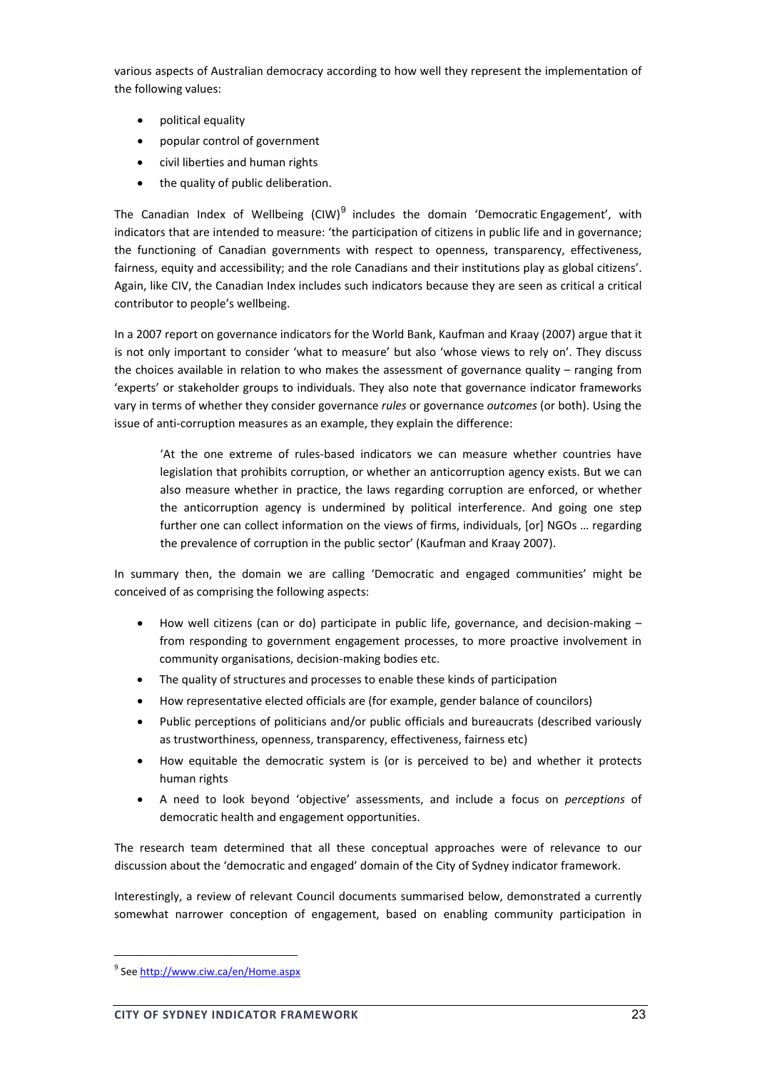various aspects of Australian democracy according to how well they represent the implementation of the following values:

- political equality
- popular control of government
- civil liberties and human rights
- the quality of public deliberation.

The Canadian Index of Wellbeing (CIW)<sup>9</sup> includes the domain 'Democratic Engagement', with indicators that are intended to measure: 'the participation of citizens in public life and in governance; the functioning of Canadian governments with respect to openness, transparency, effectiveness, fairness, equity and accessibility; and the role Canadians and their institutions play as global citizens'. Again, like CIV, the Canadian Index includes such indicators because they are seen as critical a critical contributor to people's wellbeing.

In a 2007 report on governance indicators for the World Bank, Kaufman and Kraay (2007) argue that it is not only important to consider 'what to measure' but also 'whose views to rely on'. They discuss the choices available in relation to who makes the assessment of governance quality – ranging from 'experts' or stakeholder groups to individuals. They also note that governance indicator frameworks vary in terms of whether they consider governance *rules* or governance *outcomes* (or both). Using the issue of anti-corruption measures as an example, they explain the difference:

'At the one extreme of rules‐based indicators we can measure whether countries have legislation that prohibits corruption, or whether an anticorruption agency exists. But we can also measure whether in practice, the laws regarding corruption are enforced, or whether the anticorruption agency is undermined by political interference. And going one step further one can collect information on the views of firms, individuals, [or] NGOs ... regarding the prevalence of corruption in the public sector' (Kaufman and Kraay 2007).

In summary then, the domain we are calling 'Democratic and engaged communities' might be conceived of as comprising the following aspects:

- How well citizens (can or do) participate in public life, governance, and decision‐making from responding to government engagement processes, to more proactive involvement in community organisations, decision‐making bodies etc.
- The quality of structures and processes to enable these kinds of participation
- How representative elected officials are (for example, gender balance of councilors)
- Public perceptions of politicians and/or public officials and bureaucrats (described variously as trustworthiness, openness, transparency, effectiveness, fairness etc)
- How equitable the democratic system is (or is perceived to be) and whether it protects human rights
- A need to look beyond 'objective' assessments, and include a focus on *perceptions* of democratic health and engagement opportunities.

The research team determined that all these conceptual approaches were of relevance to our discussion about the 'democratic and engaged' domain of the City of Sydney indicator framework.

Interestingly, a review of relevant Council documents summarised below, demonstrated a currently somewhat narrower conception of engagement, based on enabling community participation in

<sup>&</sup>lt;u> Andrew Maria (1989)</u> <sup>9</sup> See http://www.ciw.ca/en/Home.aspx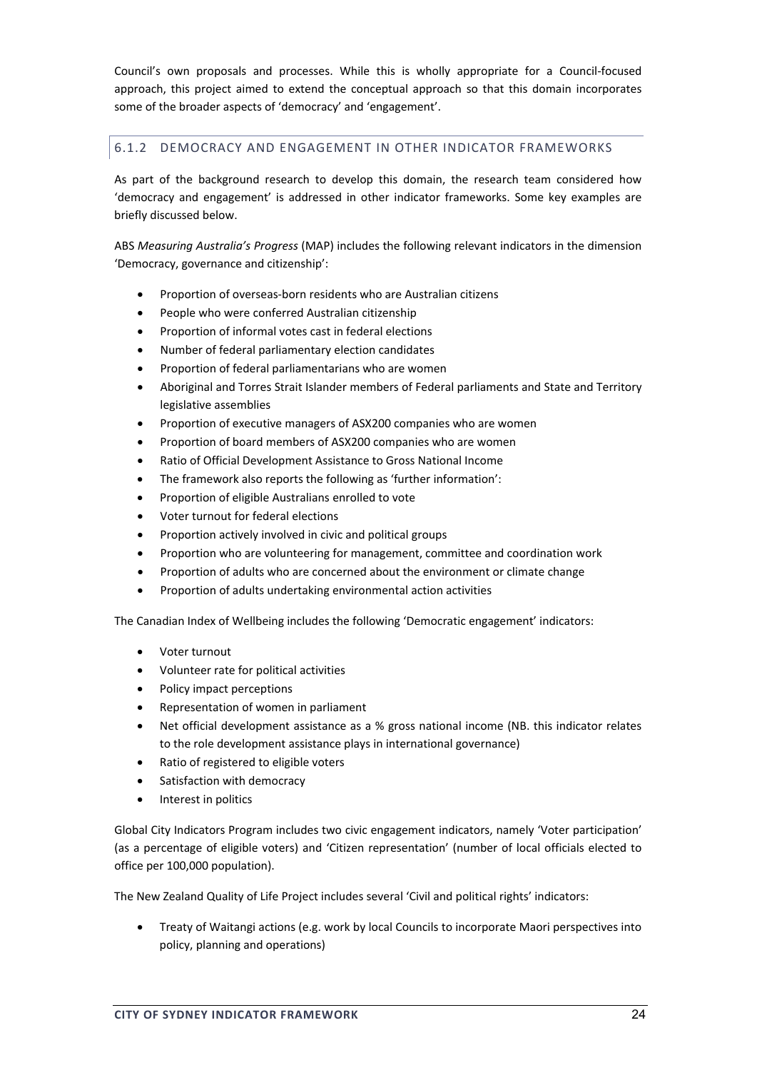Council's own proposals and processes. While this is wholly appropriate for a Council‐focused approach, this project aimed to extend the conceptual approach so that this domain incorporates some of the broader aspects of 'democracy' and 'engagement'.

# 6.1.2 DEMOCRACY AND ENGAGEMENT IN OTHER INDICATOR FRAMEWORKS

As part of the background research to develop this domain, the research team considered how 'democracy and engagement' is addressed in other indicator frameworks. Some key examples are briefly discussed below.

ABS *Measuring Australia's Progress* (MAP) includes the following relevant indicators in the dimension 'Democracy, governance and citizenship':

- Proportion of overseas‐born residents who are Australian citizens
- People who were conferred Australian citizenship
- Proportion of informal votes cast in federal elections
- Number of federal parliamentary election candidates
- Proportion of federal parliamentarians who are women
- Aboriginal and Torres Strait Islander members of Federal parliaments and State and Territory legislative assemblies
- Proportion of executive managers of ASX200 companies who are women
- Proportion of board members of ASX200 companies who are women
- Ratio of Official Development Assistance to Gross National Income
- The framework also reports the following as 'further information':
- Proportion of eligible Australians enrolled to vote
- Voter turnout for federal elections
- Proportion actively involved in civic and political groups
- Proportion who are volunteering for management, committee and coordination work
- Proportion of adults who are concerned about the environment or climate change
- Proportion of adults undertaking environmental action activities

The Canadian Index of Wellbeing includes the following 'Democratic engagement' indicators:

- Voter turnout
- Volunteer rate for political activities
- Policy impact perceptions
- Representation of women in parliament
- Net official development assistance as a % gross national income (NB. this indicator relates to the role development assistance plays in international governance)
- Ratio of registered to eligible voters
- Satisfaction with democracy
- Interest in politics

Global City Indicators Program includes two civic engagement indicators, namely 'Voter participation' (as a percentage of eligible voters) and 'Citizen representation' (number of local officials elected to office per 100,000 population).

The New Zealand Quality of Life Project includes several 'Civil and political rights' indicators:

• Treaty of Waitangi actions (e.g. work by local Councils to incorporate Maori perspectives into policy, planning and operations)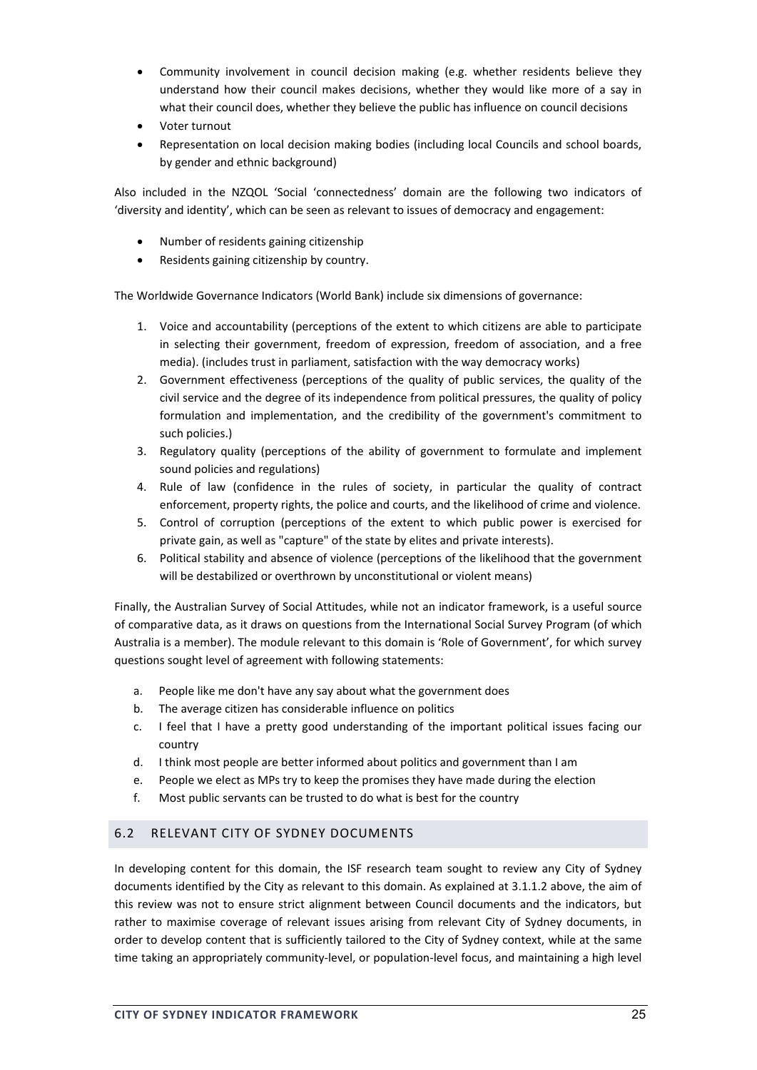- Community involvement in council decision making (e.g. whether residents believe they understand how their council makes decisions, whether they would like more of a say in what their council does, whether they believe the public has influence on council decisions
- Voter turnout
- Representation on local decision making bodies (including local Councils and school boards, by gender and ethnic background)

Also included in the NZQOL 'Social 'connectedness' domain are the following two indicators of 'diversity and identity', which can be seen as relevant to issues of democracy and engagement:

- Number of residents gaining citizenship
- Residents gaining citizenship by country.

The Worldwide Governance Indicators (World Bank) include six dimensions of governance:

- 1. Voice and accountability (perceptions of the extent to which citizens are able to participate in selecting their government, freedom of expression, freedom of association, and a free media). (includes trust in parliament, satisfaction with the way democracy works)
- 2. Government effectiveness (perceptions of the quality of public services, the quality of the civil service and the degree of its independence from political pressures, the quality of policy formulation and implementation, and the credibility of the government's commitment to such policies.)
- 3. Regulatory quality (perceptions of the ability of government to formulate and implement sound policies and regulations)
- 4. Rule of law (confidence in the rules of society, in particular the quality of contract enforcement, property rights, the police and courts, and the likelihood of crime and violence.
- 5. Control of corruption (perceptions of the extent to which public power is exercised for private gain, as well as "capture" of the state by elites and private interests).
- 6. Political stability and absence of violence (perceptions of the likelihood that the government will be destabilized or overthrown by unconstitutional or violent means)

Finally, the Australian Survey of Social Attitudes, while not an indicator framework, is a useful source of comparative data, as it draws on questions from the International Social Survey Program (of which Australia is a member). The module relevant to this domain is 'Role of Government', for which survey questions sought level of agreement with following statements:

- a. People like me don't have any say about what the government does
- b. The average citizen has considerable influence on politics
- c. I feel that I have a pretty good understanding of the important political issues facing our country
- d. I think most people are better informed about politics and government than I am
- e. People we elect as MPs try to keep the promises they have made during the election
- f. Most public servants can be trusted to do what is best for the country

## 6.2 RELEVANT CITY OF SYDNEY DOCUMENTS

In developing content for this domain, the ISF research team sought to review any City of Sydney documents identified by the City as relevant to this domain. As explained at 3.1.1.2 above, the aim of this review was not to ensure strict alignment between Council documents and the indicators, but rather to maximise coverage of relevant issues arising from relevant City of Sydney documents, in order to develop content that is sufficiently tailored to the City of Sydney context, while at the same time taking an appropriately community-level, or population-level focus, and maintaining a high level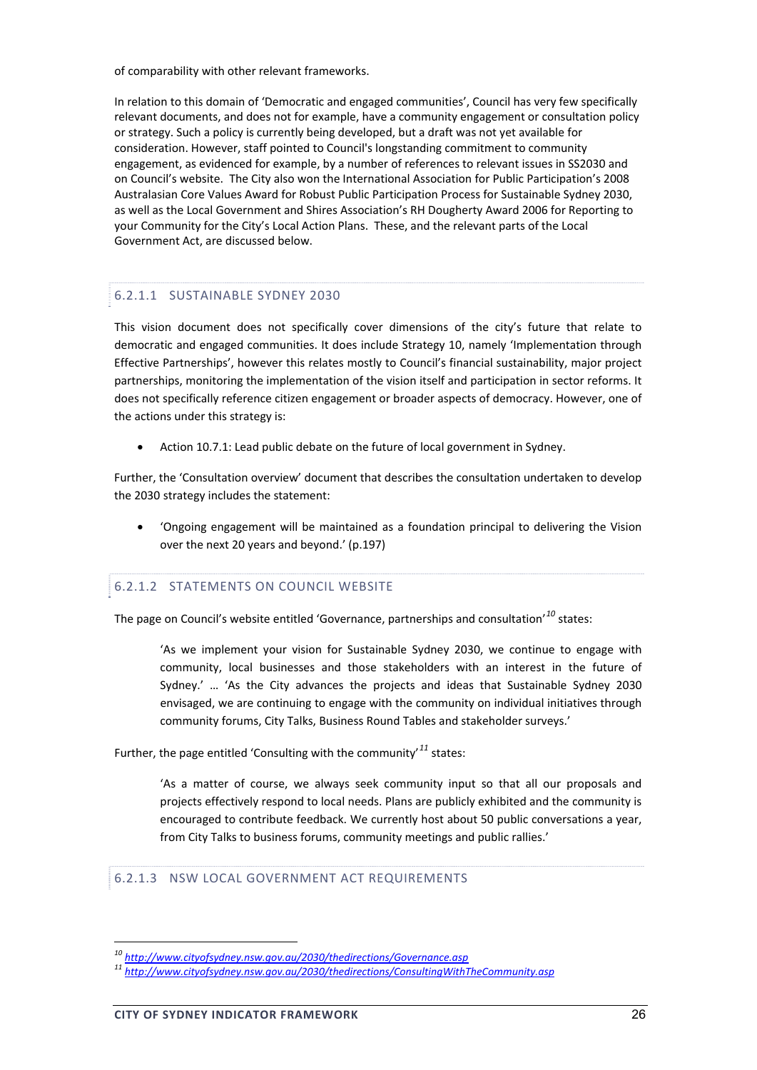of comparability with other relevant frameworks.

In relation to this domain of 'Democratic and engaged communities', Council has very few specifically relevant documents, and does not for example, have a community engagement or consultation policy or strategy. Such a policy is currently being developed, but a draft was not yet available for consideration. However, staff pointed to Council's longstanding commitment to community engagement, as evidenced for example, by a number of references to relevant issues in SS2030 and on Council's website. The City also won the International Association for Public Participation's 2008 Australasian Core Values Award for Robust Public Participation Process for Sustainable Sydney 2030, as well as the Local Government and Shires Association's RH Dougherty Award 2006 for Reporting to your Community for the City's Local Action Plans. These, and the relevant parts of the Local Government Act, are discussed below.

## 6.2.1.1 SUSTAINABLE SYDNEY 2030

This vision document does not specifically cover dimensions of the city's future that relate to democratic and engaged communities. It does include Strategy 10, namely 'Implementation through Effective Partnerships', however this relates mostly to Council's financial sustainability, major project partnerships, monitoring the implementation of the vision itself and participation in sector reforms. It does not specifically reference citizen engagement or broader aspects of democracy. However, one of the actions under this strategy is:

Action 10.7.1: Lead public debate on the future of local government in Sydney.

Further, the 'Consultation overview' document that describes the consultation undertaken to develop the 2030 strategy includes the statement:

• 'Ongoing engagement will be maintained as a foundation principal to delivering the Vision over the next 20 years and beyond.' (p.197)

## 6.2.1.2 STATEMENTS ON COUNCIL WEBSITE

The page on Council's website entitled 'Governance, partnerships and consultation'*<sup>10</sup>* states:

'As we implement your vision for Sustainable Sydney 2030, we continue to engage with community, local businesses and those stakeholders with an interest in the future of Sydney.' … 'As the City advances the projects and ideas that Sustainable Sydney 2030 envisaged, we are continuing to engage with the community on individual initiatives through community forums, City Talks, Business Round Tables and stakeholder surveys.'

Further, the page entitled 'Consulting with the community'*<sup>11</sup>* states:

'As a matter of course, we always seek community input so that all our proposals and projects effectively respond to local needs. Plans are publicly exhibited and the community is encouraged to contribute feedback. We currently host about 50 public conversations a year, from City Talks to business forums, community meetings and public rallies.'

#### 6.2.1.3 NSW LOCAL GOVERNMENT ACT REQUIREMENTS

*<sup>10</sup> http://www.cityofsydney.nsw.gov.au/2030/thedirections/Governance.asp <sup>11</sup> http://www.cityofsydney.nsw.gov.au/2030/thedirections/ConsultingWithTheCommunity.asp*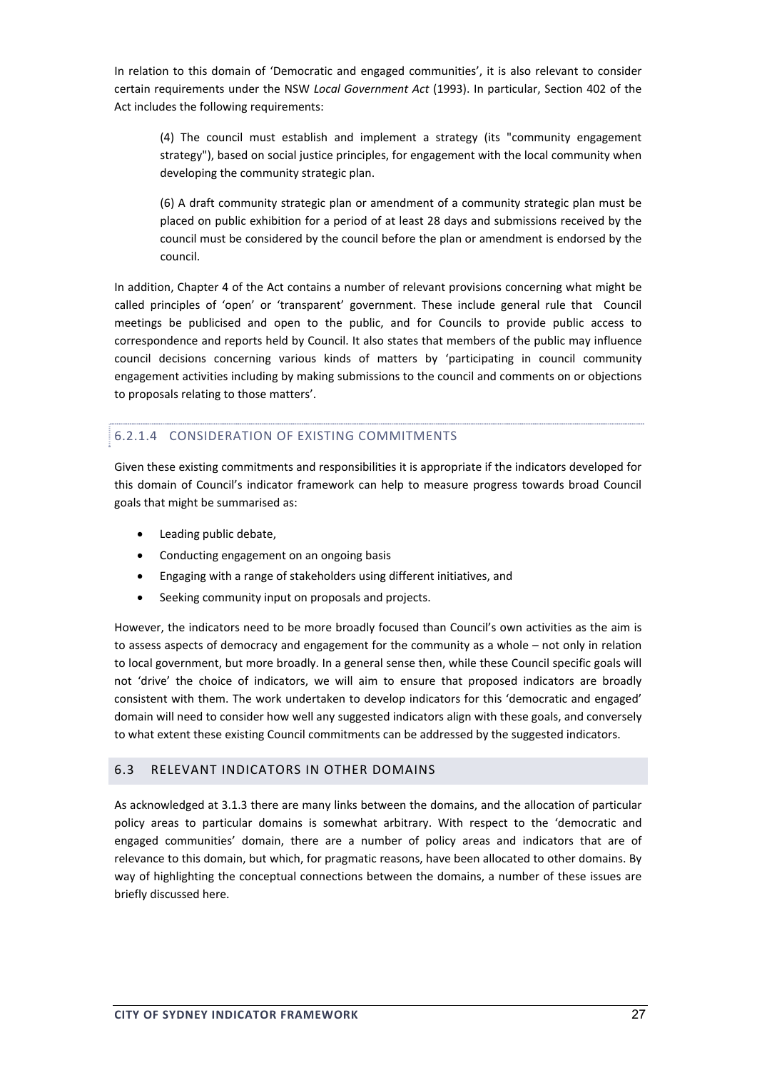In relation to this domain of 'Democratic and engaged communities', it is also relevant to consider certain requirements under the NSW *Local Government Act* (1993). In particular, Section 402 of the Act includes the following requirements:

(4) The council must establish and implement a strategy (its "community engagement strategy"), based on social justice principles, for engagement with the local community when developing the community strategic plan.

(6) A draft community strategic plan or amendment of a community strategic plan must be placed on public exhibition for a period of at least 28 days and submissions received by the council must be considered by the council before the plan or amendment is endorsed by the council.

In addition, Chapter 4 of the Act contains a number of relevant provisions concerning what might be called principles of 'open' or 'transparent' government. These include general rule that Council meetings be publicised and open to the public, and for Councils to provide public access to correspondence and reports held by Council. It also states that members of the public may influence council decisions concerning various kinds of matters by 'participating in council community engagement activities including by making submissions to the council and comments on or objections to proposals relating to those matters'.

## 6.2.1.4 CONSIDERATION OF EXISTING COMMITMENTS

Given these existing commitments and responsibilities it is appropriate if the indicators developed for this domain of Council's indicator framework can help to measure progress towards broad Council goals that might be summarised as:

- Leading public debate,
- Conducting engagement on an ongoing basis
- Engaging with a range of stakeholders using different initiatives, and
- Seeking community input on proposals and projects.

However, the indicators need to be more broadly focused than Council's own activities as the aim is to assess aspects of democracy and engagement for the community as a whole – not only in relation to local government, but more broadly. In a general sense then, while these Council specific goals will not 'drive' the choice of indicators, we will aim to ensure that proposed indicators are broadly consistent with them. The work undertaken to develop indicators for this 'democratic and engaged' domain will need to consider how well any suggested indicators align with these goals, and conversely to what extent these existing Council commitments can be addressed by the suggested indicators.

#### 6.3 RELEVANT INDICATORS IN OTHER DOMAINS

As acknowledged at 3.1.3 there are many links between the domains, and the allocation of particular policy areas to particular domains is somewhat arbitrary. With respect to the 'democratic and engaged communities' domain, there are a number of policy areas and indicators that are of relevance to this domain, but which, for pragmatic reasons, have been allocated to other domains. By way of highlighting the conceptual connections between the domains, a number of these issues are briefly discussed here.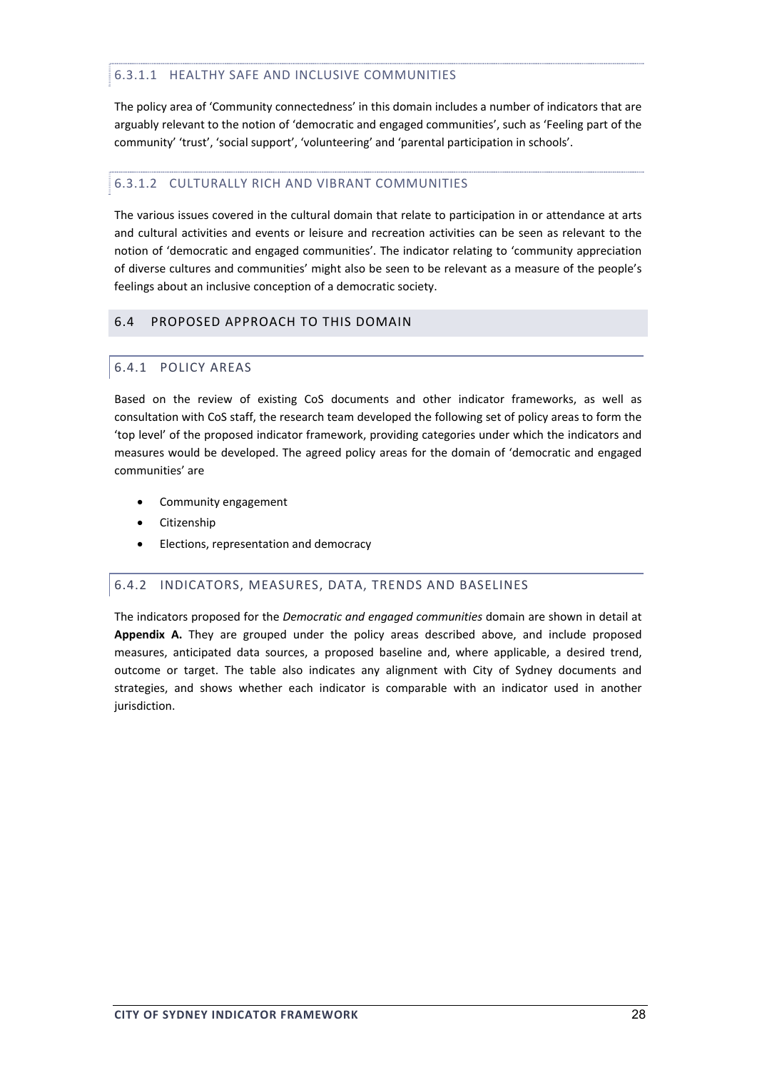## 6.3.1.1 HEALTHY SAFE AND INCLUSIVE COMMUNITIES

The policy area of 'Community connectedness' in this domain includes a number of indicators that are arguably relevant to the notion of 'democratic and engaged communities', such as 'Feeling part of the community' 'trust', 'social support', 'volunteering' and 'parental participation in schools'.

## 6.3.1.2 CULTURALLY RICH AND VIBRANT COMMUNITIES

The various issues covered in the cultural domain that relate to participation in or attendance at arts and cultural activities and events or leisure and recreation activities can be seen as relevant to the notion of 'democratic and engaged communities'. The indicator relating to 'community appreciation of diverse cultures and communities' might also be seen to be relevant as a measure of the people's feelings about an inclusive conception of a democratic society.

## 6.4 PROPOSED APPROACH TO THIS DOMAIN

## 6.4.1 POLICY AREAS

Based on the review of existing CoS documents and other indicator frameworks, as well as consultation with CoS staff, the research team developed the following set of policy areas to form the 'top level' of the proposed indicator framework, providing categories under which the indicators and measures would be developed. The agreed policy areas for the domain of 'democratic and engaged communities' are

- Community engagement
- Citizenship
- Elections, representation and democracy

# 6.4.2 INDICATORS, MEASURES, DATA, TRENDS AND BASELINES

The indicators proposed for the *Democratic and engaged communities* domain are shown in detail at **Appendix A.** They are grouped under the policy areas described above, and include proposed measures, anticipated data sources, a proposed baseline and, where applicable, a desired trend, outcome or target. The table also indicates any alignment with City of Sydney documents and strategies, and shows whether each indicator is comparable with an indicator used in another jurisdiction.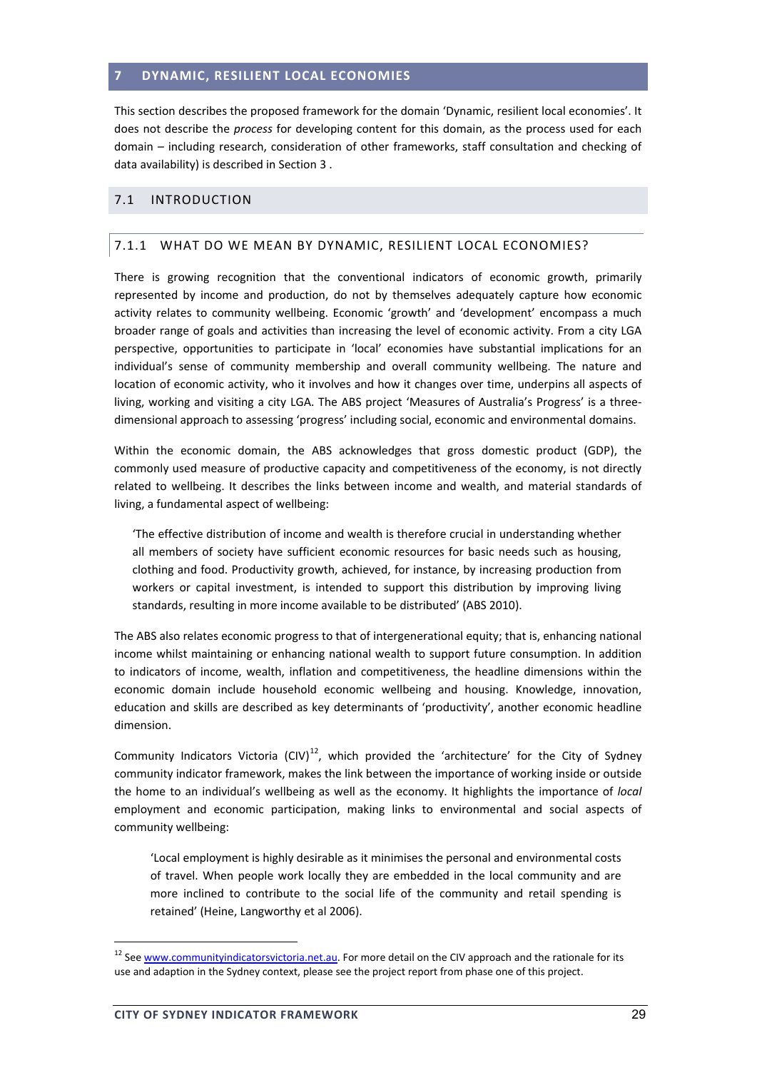#### **7 DYNAMIC, RESILIENT LOCAL ECONOMIES**

This section describes the proposed framework for the domain 'Dynamic, resilient local economies'. It does not describe the *process* for developing content for this domain, as the process used for each domain – including research, consideration of other frameworks, staff consultation and checking of data availability) is described in Section 3 .

#### 7.1 INTRODUCTION

## 7.1.1 WHAT DO WE MEAN BY DYNAMIC, RESILIENT LOCAL ECONOMIES?

There is growing recognition that the conventional indicators of economic growth, primarily represented by income and production, do not by themselves adequately capture how economic activity relates to community wellbeing. Economic 'growth' and 'development' encompass a much broader range of goals and activities than increasing the level of economic activity. From a city LGA perspective, opportunities to participate in 'local' economies have substantial implications for an individual's sense of community membership and overall community wellbeing. The nature and location of economic activity, who it involves and how it changes over time, underpins all aspects of living, working and visiting a city LGA. The ABS project 'Measures of Australia's Progress' is a three‐ dimensional approach to assessing 'progress' including social, economic and environmental domains.

Within the economic domain, the ABS acknowledges that gross domestic product (GDP), the commonly used measure of productive capacity and competitiveness of the economy, is not directly related to wellbeing. It describes the links between income and wealth, and material standards of living, a fundamental aspect of wellbeing:

'The effective distribution of income and wealth is therefore crucial in understanding whether all members of society have sufficient economic resources for basic needs such as housing, clothing and food. Productivity growth, achieved, for instance, by increasing production from workers or capital investment, is intended to support this distribution by improving living standards, resulting in more income available to be distributed' (ABS 2010).

The ABS also relates economic progress to that of intergenerational equity; that is, enhancing national income whilst maintaining or enhancing national wealth to support future consumption. In addition to indicators of income, wealth, inflation and competitiveness, the headline dimensions within the economic domain include household economic wellbeing and housing. Knowledge, innovation, education and skills are described as key determinants of 'productivity', another economic headline dimension.

Community Indicators Victoria (CIV)<sup>12</sup>, which provided the 'architecture' for the City of Sydney community indicator framework, makes the link between the importance of working inside or outside the home to an individual's wellbeing as well as the economy. It highlights the importance of *local* employment and economic participation, making links to environmental and social aspects of community wellbeing:

'Local employment is highly desirable as it minimises the personal and environmental costs of travel. When people work locally they are embedded in the local community and are more inclined to contribute to the social life of the community and retail spending is retained' (Heine, Langworthy et al 2006).

<sup>&</sup>lt;sup>12</sup> See www.communityindicatorsvictoria.net.au</u>. For more detail on the CIV approach and the rationale for its use and adaption in the Sydney context, please see the project report from phase one of this project.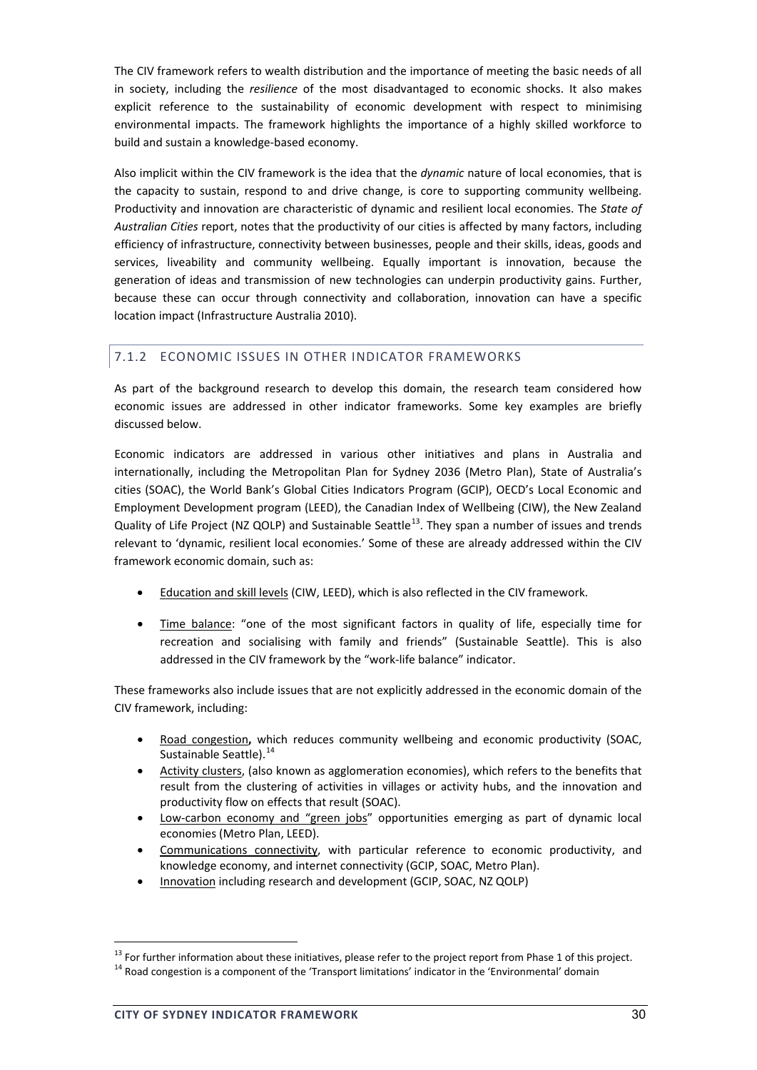The CIV framework refers to wealth distribution and the importance of meeting the basic needs of all in society, including the *resilience* of the most disadvantaged to economic shocks. It also makes explicit reference to the sustainability of economic development with respect to minimising environmental impacts. The framework highlights the importance of a highly skilled workforce to build and sustain a knowledge‐based economy.

Also implicit within the CIV framework is the idea that the *dynamic* nature of local economies, that is the capacity to sustain, respond to and drive change, is core to supporting community wellbeing. Productivity and innovation are characteristic of dynamic and resilient local economies. The *State of Australian Cities* report, notes that the productivity of our cities is affected by many factors, including efficiency of infrastructure, connectivity between businesses, people and their skills, ideas, goods and services, liveability and community wellbeing. Equally important is innovation, because the generation of ideas and transmission of new technologies can underpin productivity gains. Further, because these can occur through connectivity and collaboration, innovation can have a specific location impact (Infrastructure Australia 2010).

## 7.1.2 ECONOMIC ISSUES IN OTHER INDICATOR FRAMEWORKS

As part of the background research to develop this domain, the research team considered how economic issues are addressed in other indicator frameworks. Some key examples are briefly discussed below.

Economic indicators are addressed in various other initiatives and plans in Australia and internationally, including the Metropolitan Plan for Sydney 2036 (Metro Plan), State of Australia's cities (SOAC), the World Bank's Global Cities Indicators Program (GCIP), OECD's Local Economic and Employment Development program (LEED), the Canadian Index of Wellbeing (CIW), the New Zealand Quality of Life Project (NZ QOLP) and Sustainable Seattle<sup>13</sup>. They span a number of issues and trends relevant to 'dynamic, resilient local economies.' Some of these are already addressed within the CIV framework economic domain, such as:

- Education and skill levels (CIW, LEED), which is also reflected in the CIV framework.
- Time balance: "one of the most significant factors in quality of life, especially time for recreation and socialising with family and friends" (Sustainable Seattle). This is also addressed in the CIV framework by the "work‐life balance" indicator.

These frameworks also include issues that are not explicitly addressed in the economic domain of the CIV framework, including:

- Road congestion**,** which reduces community wellbeing and economic productivity (SOAC, Sustainable Seattle).<sup>14</sup>
- Activity clusters, (also known as agglomeration economies), which refers to the benefits that result from the clustering of activities in villages or activity hubs, and the innovation and productivity flow on effects that result (SOAC).
- Low-carbon economy and "green jobs" opportunities emerging as part of dynamic local economies (Metro Plan, LEED).
- Communications connectivity, with particular reference to economic productivity, and knowledge economy, and internet connectivity (GCIP, SOAC, Metro Plan).
- Innovation including research and development (GCIP, SOAC, NZ QOLP)

<sup>&</sup>lt;sup>13</sup> For further information about these initiatives, please refer to the project report from Phase 1 of this project.  $14$  Road congestion is a component of the 'Transport limitations' indicator in the 'Environmental' do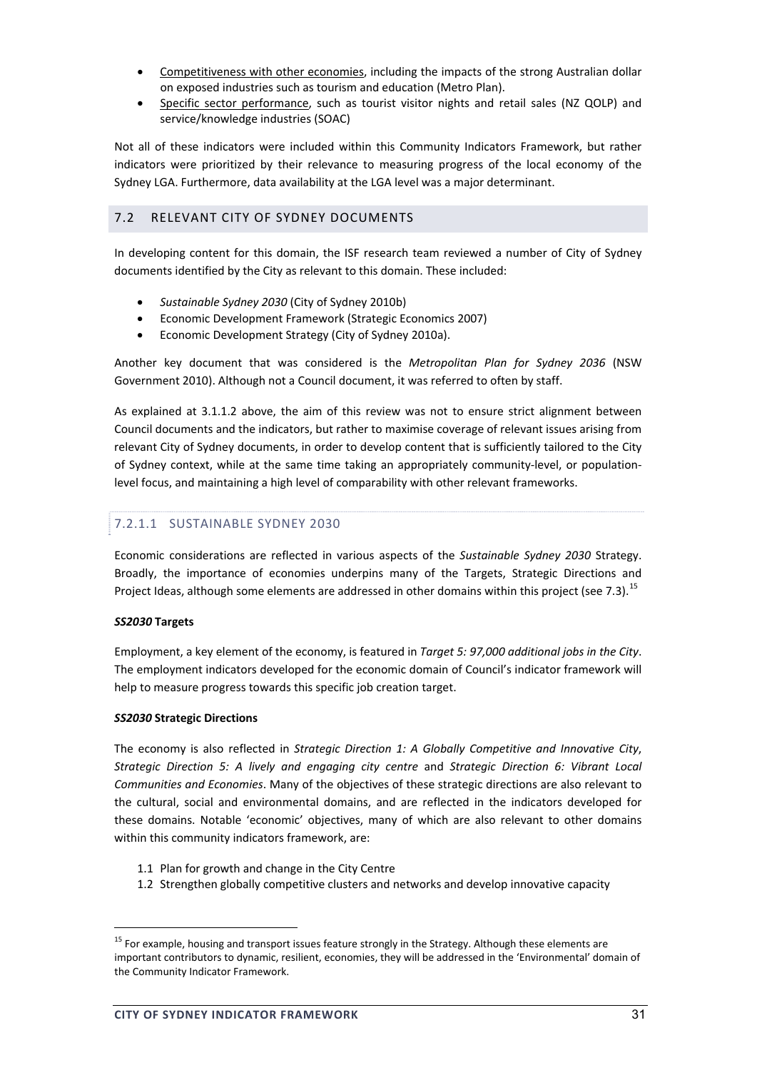- Competitiveness with other economies, including the impacts of the strong Australian dollar on exposed industries such as tourism and education (Metro Plan).
- Specific sector performance, such as tourist visitor nights and retail sales (NZ QOLP) and service/knowledge industries (SOAC)

Not all of these indicators were included within this Community Indicators Framework, but rather indicators were prioritized by their relevance to measuring progress of the local economy of the Sydney LGA. Furthermore, data availability at the LGA level was a major determinant.

## 7.2 RELEVANT CITY OF SYDNEY DOCUMENTS

In developing content for this domain, the ISF research team reviewed a number of City of Sydney documents identified by the City as relevant to this domain. These included:

- *Sustainable Sydney 2030* (City of Sydney 2010b)
- Economic Development Framework (Strategic Economics 2007)
- Economic Development Strategy (City of Sydney 2010a).

Another key document that was considered is the *Metropolitan Plan for Sydney 2036* (NSW Government 2010). Although not a Council document, it was referred to often by staff.

As explained at 3.1.1.2 above, the aim of this review was not to ensure strict alignment between Council documents and the indicators, but rather to maximise coverage of relevant issues arising from relevant City of Sydney documents, in order to develop content that is sufficiently tailored to the City of Sydney context, while at the same time taking an appropriately community-level, or populationlevel focus, and maintaining a high level of comparability with other relevant frameworks.

# 7.2.1.1 SUSTAINABLE SYDNEY 2030

Economic considerations are reflected in various aspects of the *Sustainable Sydney 2030* Strategy. Broadly, the importance of economies underpins many of the Targets, Strategic Directions and Project Ideas, although some elements are addressed in other domains within this project (see 7.3).<sup>15</sup>

#### *SS2030* **Targets**

Employment, a key element of the economy, is featured in *Target 5: 97,000 additional jobs in the City*. The employment indicators developed for the economic domain of Council's indicator framework will help to measure progress towards this specific job creation target.

#### *SS2030* **Strategic Directions**

The economy is also reflected in *Strategic Direction 1: A Globally Competitive and Innovative City*, *Strategic Direction 5: A lively and engaging city centre* and *Strategic Direction 6: Vibrant Local Communities and Economies*. Many of the objectives of these strategic directions are also relevant to the cultural, social and environmental domains, and are reflected in the indicators developed for these domains. Notable 'economic' objectives, many of which are also relevant to other domains within this community indicators framework, are:

- 1.1 Plan for growth and change in the City Centre
- 1.2 Strengthen globally competitive clusters and networks and develop innovative capacity

<sup>&</sup>lt;sup>15</sup> For example, housing and transport issues feature strongly in the Strategy. Although these elements are important contributors to dynamic, resilient, economies, they will be addressed in the 'Environmental' domain of the Community Indicator Framework.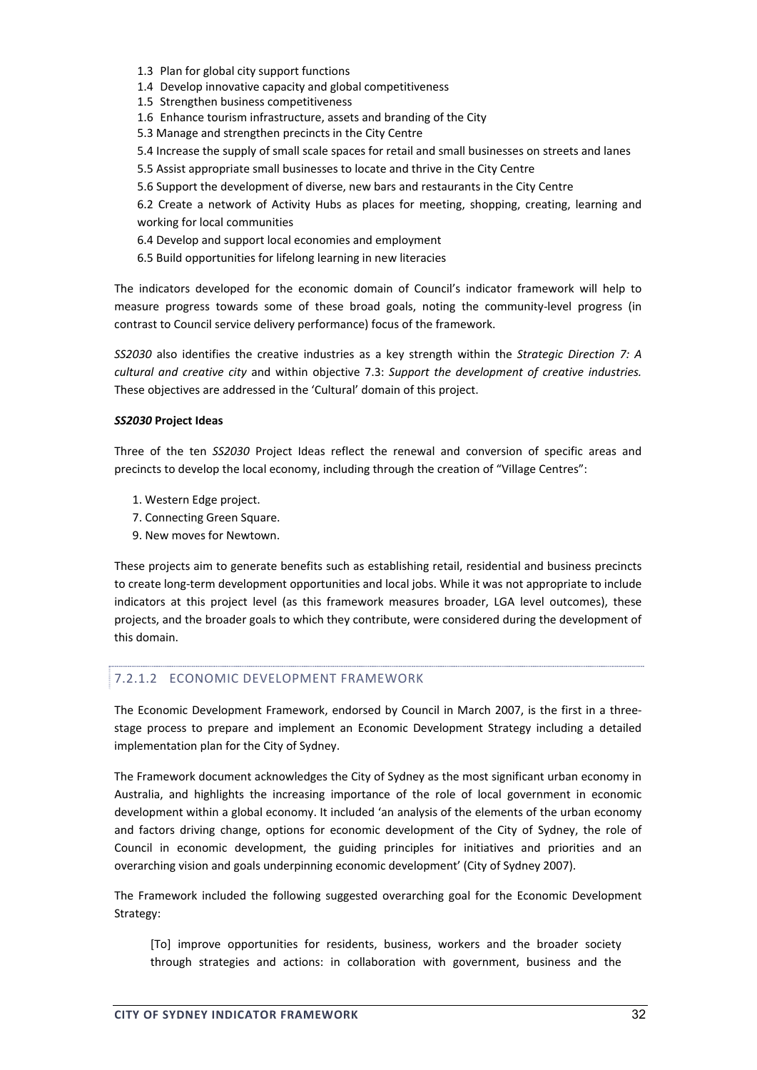- 1.3 Plan for global city support functions
- 1.4 Develop innovative capacity and global competitiveness
- 1.5 Strengthen business competitiveness
- 1.6 Enhance tourism infrastructure, assets and branding of the City
- 5.3 Manage and strengthen precincts in the City Centre
- 5.4 Increase the supply of small scale spaces for retail and small businesses on streets and lanes
- 5.5 Assist appropriate small businesses to locate and thrive in the City Centre
- 5.6 Support the development of diverse, new bars and restaurants in the City Centre

6.2 Create a network of Activity Hubs as places for meeting, shopping, creating, learning and working for local communities

- 6.4 Develop and support local economies and employment
- 6.5 Build opportunities for lifelong learning in new literacies

The indicators developed for the economic domain of Council's indicator framework will help to measure progress towards some of these broad goals, noting the community-level progress (in contrast to Council service delivery performance) focus of the framework.

*SS2030* also identifies the creative industries as a key strength within the *Strategic Direction 7: A cultural and creative city* and within objective 7.3: *Support the development of creative industries.* These objectives are addressed in the 'Cultural' domain of this project.

#### *SS2030* **Project Ideas**

Three of the ten *SS2030* Project Ideas reflect the renewal and conversion of specific areas and precincts to develop the local economy, including through the creation of "Village Centres":

- 1. Western Edge project.
- 7. Connecting Green Square.
- 9. New moves for Newtown.

These projects aim to generate benefits such as establishing retail, residential and business precincts to create long‐term development opportunities and local jobs. While it was not appropriate to include indicators at this project level (as this framework measures broader, LGA level outcomes), these projects, and the broader goals to which they contribute, were considered during the development of this domain.

#### 7.2.1.2 ECONOMIC DEVELOPMENT FRAMEWORK

The Economic Development Framework, endorsed by Council in March 2007, is the first in a three‐ stage process to prepare and implement an Economic Development Strategy including a detailed implementation plan for the City of Sydney.

The Framework document acknowledges the City of Sydney as the most significant urban economy in Australia, and highlights the increasing importance of the role of local government in economic development within a global economy. It included 'an analysis of the elements of the urban economy and factors driving change, options for economic development of the City of Sydney, the role of Council in economic development, the guiding principles for initiatives and priorities and an overarching vision and goals underpinning economic development' (City of Sydney 2007).

The Framework included the following suggested overarching goal for the Economic Development Strategy:

[To] improve opportunities for residents, business, workers and the broader society through strategies and actions: in collaboration with government, business and the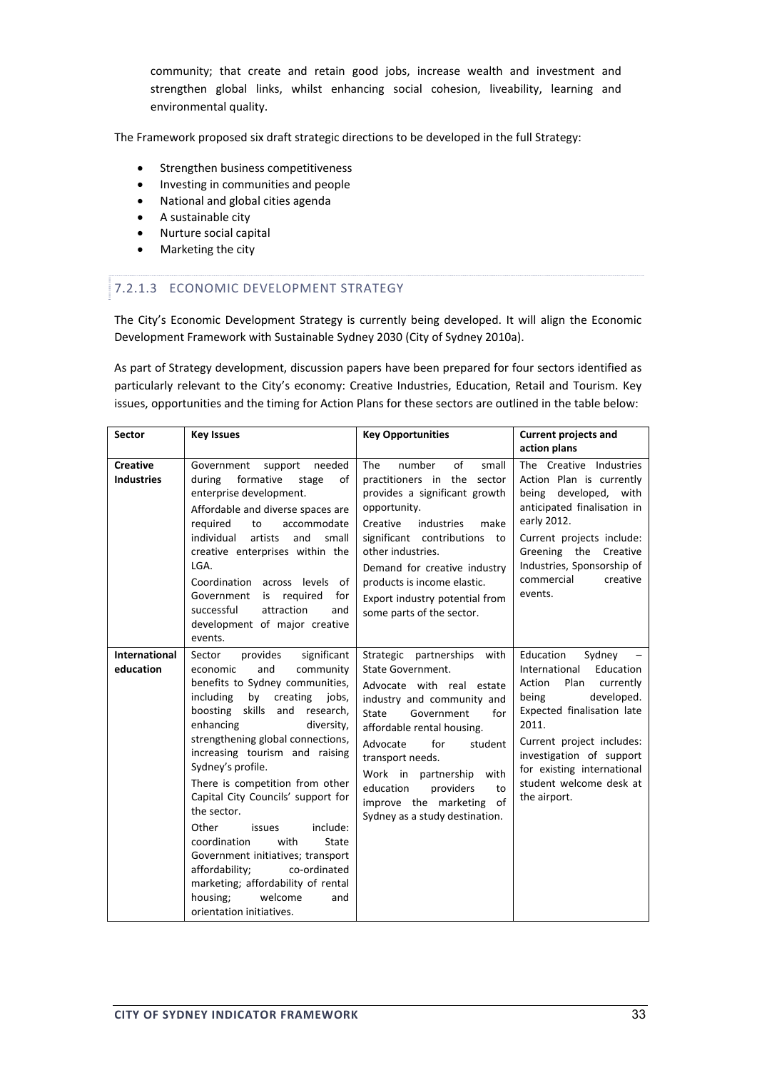community; that create and retain good jobs, increase wealth and investment and strengthen global links, whilst enhancing social cohesion, liveability, learning and environmental quality.

The Framework proposed six draft strategic directions to be developed in the full Strategy:

- Strengthen business competitiveness
- Investing in communities and people
- National and global cities agenda
- A sustainable city
- Nurture social capital
- Marketing the city

## 7.2.1.3 ECONOMIC DEVELOPMENT STRATEGY

The City's Economic Development Strategy is currently being developed. It will align the Economic Development Framework with Sustainable Sydney 2030 (City of Sydney 2010a).

As part of Strategy development, discussion papers have been prepared for four sectors identified as particularly relevant to the City's economy: Creative Industries, Education, Retail and Tourism. Key issues, opportunities and the timing for Action Plans for these sectors are outlined in the table below:

| <b>Sector</b>                        | <b>Key Issues</b>                                                                                                                                                                                                                                                                                                                                                                                                                                                                                                                                                                                                                   | <b>Key Opportunities</b>                                                                                                                                                                                                                                                                                                                                      | <b>Current projects and</b>                                                                                                                                                                                                                                                      |
|--------------------------------------|-------------------------------------------------------------------------------------------------------------------------------------------------------------------------------------------------------------------------------------------------------------------------------------------------------------------------------------------------------------------------------------------------------------------------------------------------------------------------------------------------------------------------------------------------------------------------------------------------------------------------------------|---------------------------------------------------------------------------------------------------------------------------------------------------------------------------------------------------------------------------------------------------------------------------------------------------------------------------------------------------------------|----------------------------------------------------------------------------------------------------------------------------------------------------------------------------------------------------------------------------------------------------------------------------------|
|                                      |                                                                                                                                                                                                                                                                                                                                                                                                                                                                                                                                                                                                                                     |                                                                                                                                                                                                                                                                                                                                                               | action plans                                                                                                                                                                                                                                                                     |
| <b>Creative</b><br><b>Industries</b> | Government<br>needed<br>support<br>during<br>formative<br>of<br>stage<br>enterprise development.<br>Affordable and diverse spaces are<br>required<br>to<br>accommodate<br>individual<br>artists<br>and<br>small<br>creative enterprises within the<br>LGA.<br>Coordination across levels of<br>Government<br>is required<br>for<br>successful<br>attraction<br>and<br>development of major creative<br>events.                                                                                                                                                                                                                      | of<br><b>The</b><br>number<br>small<br>practitioners in the sector<br>provides a significant growth<br>opportunity.<br>industries<br>Creative<br>make<br>significant contributions to<br>other industries.<br>Demand for creative industry<br>products is income elastic.<br>Export industry potential from<br>some parts of the sector.                      | The Creative Industries<br>Action Plan is currently<br>being developed, with<br>anticipated finalisation in<br>early 2012.<br>Current projects include:<br>Greening the Creative<br>Industries, Sponsorship of<br>commercial<br>creative<br>events.                              |
| <b>International</b><br>education    | Sector<br>provides<br>significant<br>community<br>and<br>economic<br>benefits to Sydney communities,<br>including<br>by creating<br>jobs,<br>boosting skills<br>and research,<br>enhancing<br>diversity,<br>strengthening global connections,<br>increasing tourism and raising<br>Sydney's profile.<br>There is competition from other<br>Capital City Councils' support for<br>the sector.<br>include:<br>Other<br>issues<br>coordination<br>with<br>State<br>Government initiatives; transport<br>affordability;<br>co-ordinated<br>marketing; affordability of rental<br>welcome<br>housing;<br>and<br>orientation initiatives. | Strategic partnerships<br>with<br>State Government.<br>Advocate with real estate<br>industry and community and<br>Government<br><b>State</b><br>for<br>affordable rental housing.<br>for<br>Advocate<br>student<br>transport needs.<br>Work in partnership with<br>education<br>providers<br>to<br>improve the marketing of<br>Sydney as a study destination. | Education<br>Sydney<br>International<br>Education<br>Action<br>Plan<br>currently<br>developed.<br>being<br>Expected finalisation late<br>2011.<br>Current project includes:<br>investigation of support<br>for existing international<br>student welcome desk at<br>the airport. |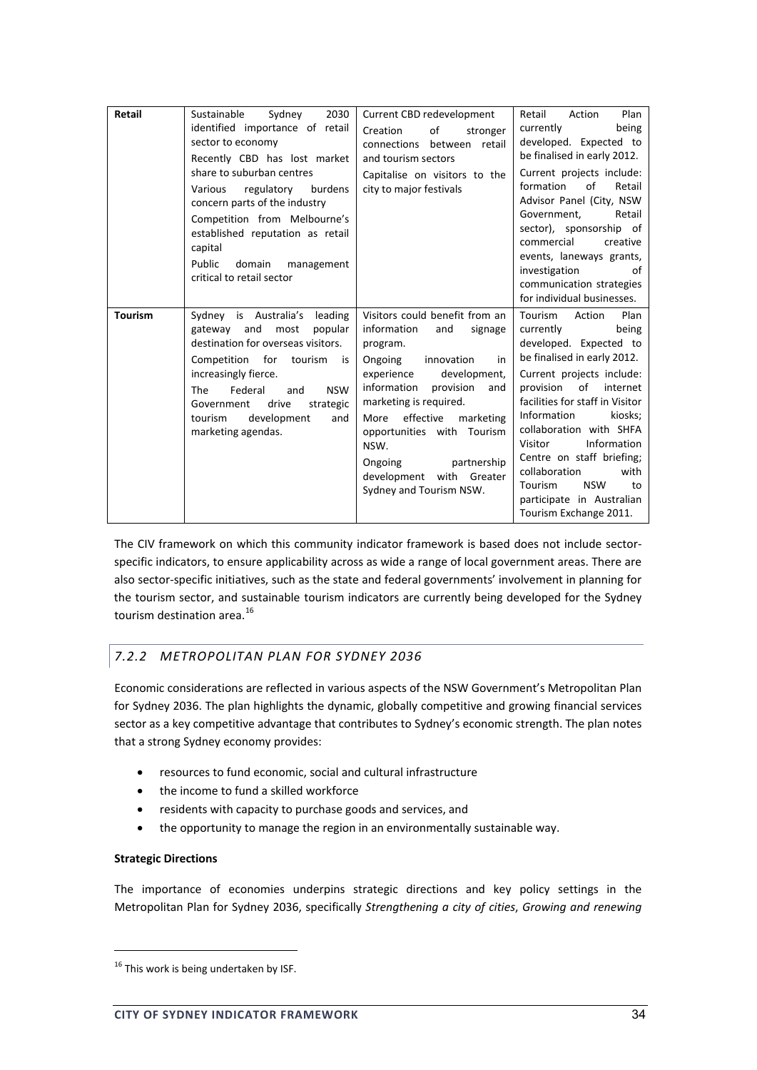| Retail         | 2030<br>Sustainable<br>Sydney<br>identified importance of retail<br>sector to economy<br>Recently CBD has lost market<br>share to suburban centres<br>burdens<br>regulatory<br>Various<br>concern parts of the industry<br>Competition from Melbourne's<br>established reputation as retail<br>capital<br>Public<br>domain<br>management<br>critical to retail sector | Current CBD redevelopment<br>of<br>Creation<br>stronger<br>connections between retail<br>and tourism sectors<br>Capitalise on visitors to the<br>city to major festivals                                                                                                                                                                                       | Retail<br>Plan<br>Action<br>being<br>currently<br>developed. Expected to<br>be finalised in early 2012.<br>Current projects include:<br>formation<br>of<br>Retail<br>Advisor Panel (City, NSW<br>Retail<br>Government,<br>sector), sponsorship of<br>commercial<br>creative<br>events, laneways grants,<br>investigation<br>of<br>communication strategies<br>for individual businesses.                                           |
|----------------|-----------------------------------------------------------------------------------------------------------------------------------------------------------------------------------------------------------------------------------------------------------------------------------------------------------------------------------------------------------------------|----------------------------------------------------------------------------------------------------------------------------------------------------------------------------------------------------------------------------------------------------------------------------------------------------------------------------------------------------------------|------------------------------------------------------------------------------------------------------------------------------------------------------------------------------------------------------------------------------------------------------------------------------------------------------------------------------------------------------------------------------------------------------------------------------------|
| <b>Tourism</b> | Sydney is Australia's leading<br>gateway and<br>most<br>popular<br>destination for overseas visitors.<br>Competition for tourism<br>is<br>increasingly fierce.<br>Federal<br><b>NSW</b><br>The<br>and<br>drive<br>Government<br>strategic<br>development<br>tourism<br>and<br>marketing agendas.                                                                      | Visitors could benefit from an<br>information<br>and<br>signage<br>program.<br>Ongoing<br>innovation<br>in<br>development,<br>experience<br>information<br>provision<br>and<br>marketing is required.<br>effective<br>marketing<br>More<br>opportunities with Tourism<br>NSW.<br>partnership<br>Ongoing<br>development with Greater<br>Sydney and Tourism NSW. | Plan<br>Tourism<br>Action<br>currently<br>being<br>developed. Expected to<br>be finalised in early 2012.<br>Current projects include:<br>of<br>provision<br>internet<br>facilities for staff in Visitor<br>Information<br>kiosks;<br>collaboration with SHFA<br>Visitor<br>Information<br>Centre on staff briefing;<br>collaboration<br>with<br>Tourism<br><b>NSW</b><br>to<br>participate in Australian<br>Tourism Exchange 2011. |

The CIV framework on which this community indicator framework is based does not include sector‐ specific indicators, to ensure applicability across as wide a range of local government areas. There are also sector‐specific initiatives, such as the state and federal governments' involvement in planning for the tourism sector, and sustainable tourism indicators are currently being developed for the Sydney tourism destination area.<sup>16</sup>

# *7.2.2 METROPOLITAN PLAN FOR SYDNEY 2036*

Economic considerations are reflected in various aspects of the NSW Government's Metropolitan Plan for Sydney 2036. The plan highlights the dynamic, globally competitive and growing financial services sector as a key competitive advantage that contributes to Sydney's economic strength. The plan notes that a strong Sydney economy provides:

- resources to fund economic, social and cultural infrastructure
- the income to fund a skilled workforce
- residents with capacity to purchase goods and services, and
- the opportunity to manage the region in an environmentally sustainable way.

## **Strategic Directions**

The importance of economies underpins strategic directions and key policy settings in the Metropolitan Plan for Sydney 2036, specifically *Strengthening a city of cities*, *Growing and renewing*

<sup>&</sup>lt;u> Andrew Maria (1989)</u> <sup>16</sup> This work is being undertaken by ISF.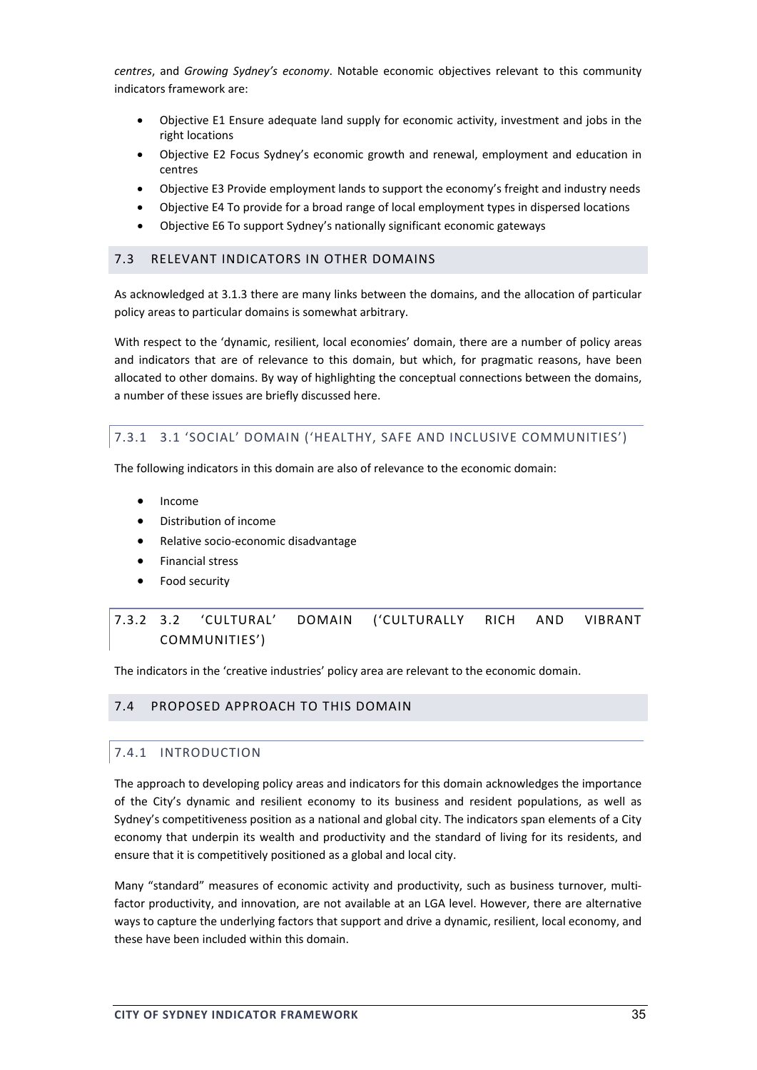*centres*, and *Growing Sydney's economy*. Notable economic objectives relevant to this community indicators framework are:

- Objective E1 Ensure adequate land supply for economic activity, investment and jobs in the right locations
- Objective E2 Focus Sydney's economic growth and renewal, employment and education in centres
- Objective E3 Provide employment lands to support the economy's freight and industry needs
- Objective E4 To provide for a broad range of local employment types in dispersed locations
- Objective E6 To support Sydney's nationally significant economic gateways

## 7.3 RELEVANT INDICATORS IN OTHER DOMAINS

As acknowledged at 3.1.3 there are many links between the domains, and the allocation of particular policy areas to particular domains is somewhat arbitrary.

With respect to the 'dynamic, resilient, local economies' domain, there are a number of policy areas and indicators that are of relevance to this domain, but which, for pragmatic reasons, have been allocated to other domains. By way of highlighting the conceptual connections between the domains, a number of these issues are briefly discussed here.

# 7.3.1 3.1 'SOCIAL' DOMAIN ('HEALTHY, SAFE AND INCLUSIVE COMMUNITIES')

The following indicators in this domain are also of relevance to the economic domain:

- Income
- Distribution of income
- Relative socio‐economic disadvantage
- Financial stress
- Food security

# 7.3.2 3.2 'CULTURAL' DOMAIN ('CULTURALLY RICH AND VIBRANT COMMUNITIES')

The indicators in the 'creative industries' policy area are relevant to the economic domain.

## 7.4 PROPOSED APPROACH TO THIS DOMAIN

## 7.4.1 INTRODUCTION

The approach to developing policy areas and indicators for this domain acknowledges the importance of the City's dynamic and resilient economy to its business and resident populations, as well as Sydney's competitiveness position as a national and global city. The indicators span elements of a City economy that underpin its wealth and productivity and the standard of living for its residents, and ensure that it is competitively positioned as a global and local city.

Many "standard" measures of economic activity and productivity, such as business turnover, multifactor productivity, and innovation, are not available at an LGA level. However, there are alternative ways to capture the underlying factors that support and drive a dynamic, resilient, local economy, and these have been included within this domain.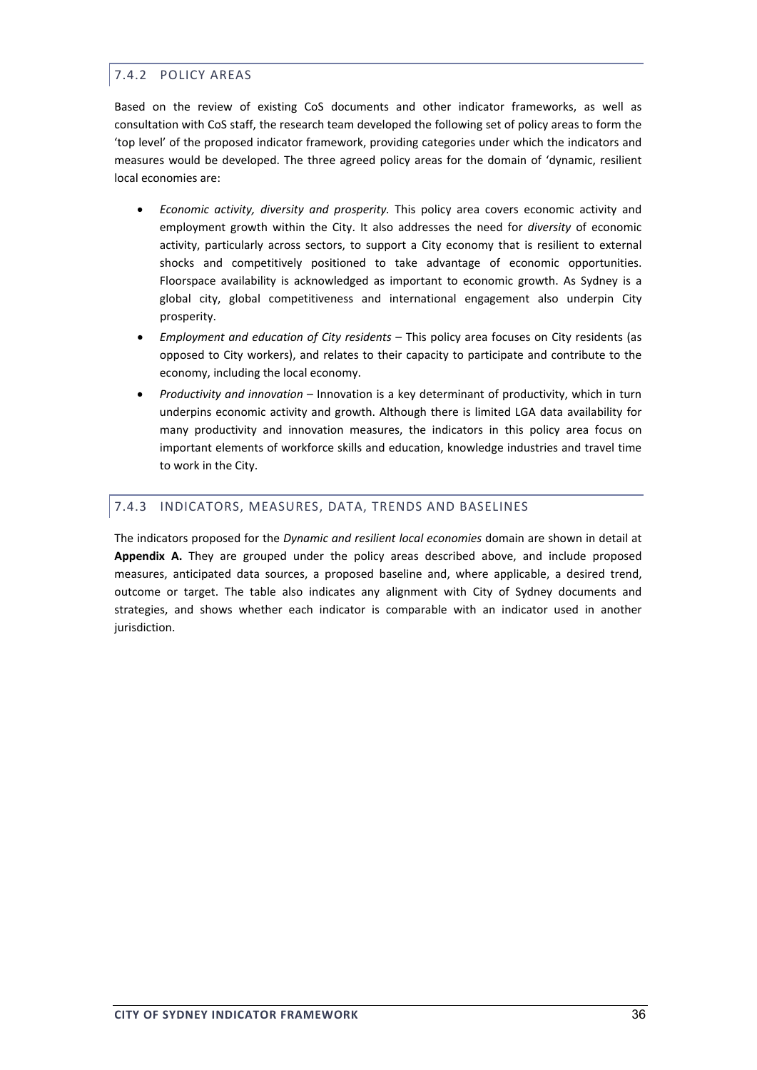# 7.4.2 POLICY AREAS

Based on the review of existing CoS documents and other indicator frameworks, as well as consultation with CoS staff, the research team developed the following set of policy areas to form the 'top level' of the proposed indicator framework, providing categories under which the indicators and measures would be developed. The three agreed policy areas for the domain of 'dynamic, resilient local economies are:

- *Economic activity, diversity and prosperity.* This policy area covers economic activity and employment growth within the City. It also addresses the need for *diversity* of economic activity, particularly across sectors, to support a City economy that is resilient to external shocks and competitively positioned to take advantage of economic opportunities. Floorspace availability is acknowledged as important to economic growth. As Sydney is a global city, global competitiveness and international engagement also underpin City prosperity.
- *Employment and education of City residents* This policy area focuses on City residents (as opposed to City workers), and relates to their capacity to participate and contribute to the economy, including the local economy.
- *Productivity and innovation* Innovation is a key determinant of productivity, which in turn underpins economic activity and growth. Although there is limited LGA data availability for many productivity and innovation measures, the indicators in this policy area focus on important elements of workforce skills and education, knowledge industries and travel time to work in the City.

## 7.4.3 INDICATORS, MEASURES, DATA, TRENDS AND BASELINES

The indicators proposed for the *Dynamic and resilient local economies* domain are shown in detail at **Appendix A.** They are grouped under the policy areas described above, and include proposed measures, anticipated data sources, a proposed baseline and, where applicable, a desired trend, outcome or target. The table also indicates any alignment with City of Sydney documents and strategies, and shows whether each indicator is comparable with an indicator used in another jurisdiction.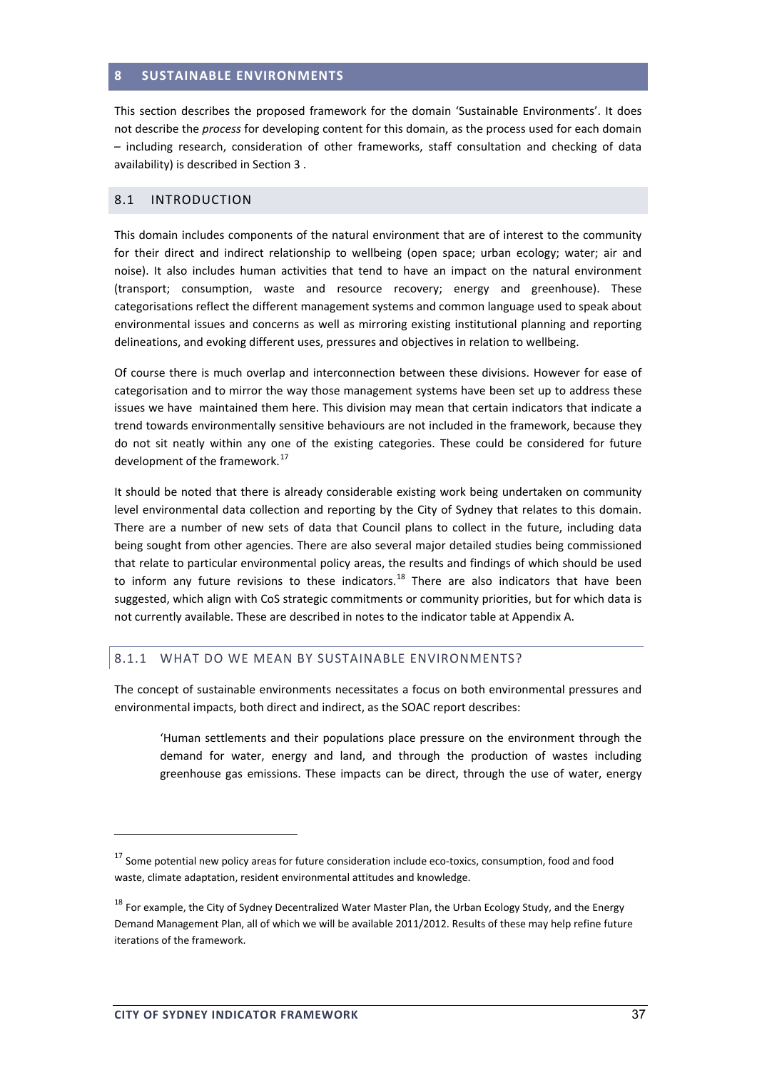#### **8 SUSTAINABLE ENVIRONMENTS**

This section describes the proposed framework for the domain 'Sustainable Environments'. It does not describe the *process* for developing content for this domain, as the process used for each domain – including research, consideration of other frameworks, staff consultation and checking of data availability) is described in Section 3 .

#### 8.1 INTRODUCTION

This domain includes components of the natural environment that are of interest to the community for their direct and indirect relationship to wellbeing (open space; urban ecology; water; air and noise). It also includes human activities that tend to have an impact on the natural environment (transport; consumption, waste and resource recovery; energy and greenhouse). These categorisations reflect the different management systems and common language used to speak about environmental issues and concerns as well as mirroring existing institutional planning and reporting delineations, and evoking different uses, pressures and objectives in relation to wellbeing.

Of course there is much overlap and interconnection between these divisions. However for ease of categorisation and to mirror the way those management systems have been set up to address these issues we have maintained them here. This division may mean that certain indicators that indicate a trend towards environmentally sensitive behaviours are not included in the framework, because they do not sit neatly within any one of the existing categories. These could be considered for future development of the framework.<sup>17</sup>

It should be noted that there is already considerable existing work being undertaken on community level environmental data collection and reporting by the City of Sydney that relates to this domain. There are a number of new sets of data that Council plans to collect in the future, including data being sought from other agencies. There are also several major detailed studies being commissioned that relate to particular environmental policy areas, the results and findings of which should be used to inform any future revisions to these indicators.<sup>18</sup> There are also indicators that have been suggested, which align with CoS strategic commitments or community priorities, but for which data is not currently available. These are described in notes to the indicator table at Appendix A.

#### 8.1.1 WHAT DO WE MEAN BY SUSTAINABLE ENVIRONMENTS?

The concept of sustainable environments necessitates a focus on both environmental pressures and environmental impacts, both direct and indirect, as the SOAC report describes:

'Human settlements and their populations place pressure on the environment through the demand for water, energy and land, and through the production of wastes including greenhouse gas emissions. These impacts can be direct, through the use of water, energy

<sup>&</sup>lt;sup>17</sup> Some potential new policy areas for future consideration include eco-toxics, consumption, food and food waste, climate adaptation, resident environmental attitudes and knowledge.

<sup>&</sup>lt;sup>18</sup> For example, the City of Sydney Decentralized Water Master Plan, the Urban Ecology Study, and the Energy Demand Management Plan, all of which we will be available 2011/2012. Results of these may help refine future iterations of the framework.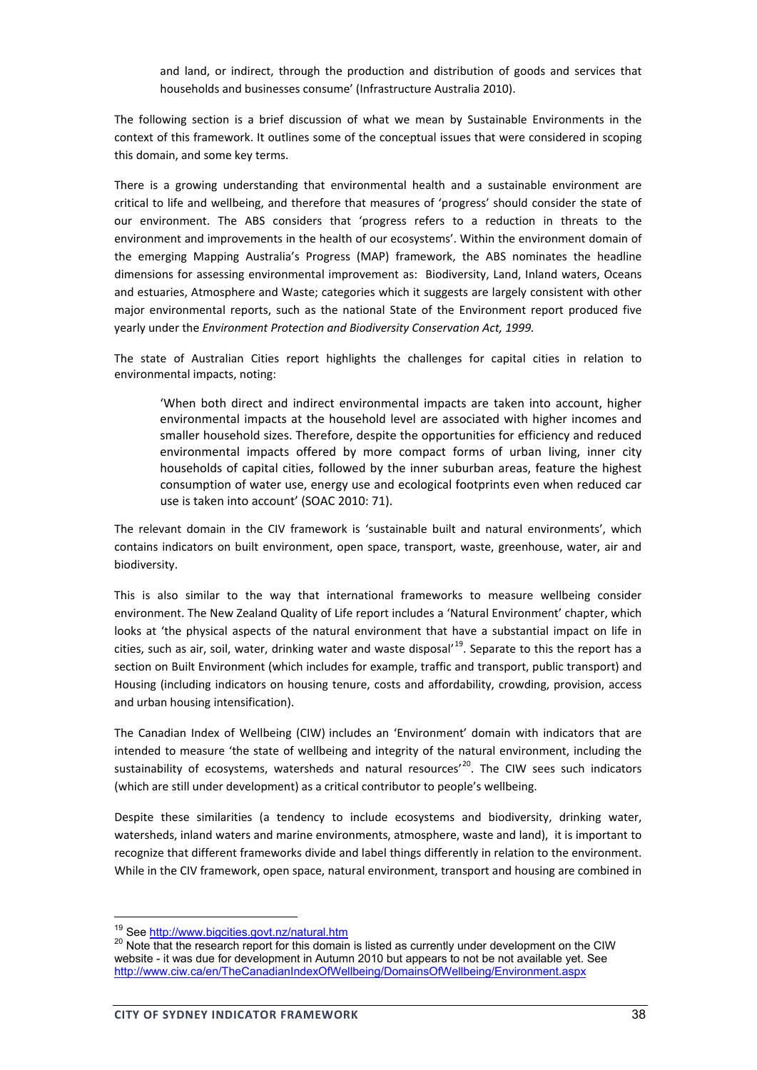and land, or indirect, through the production and distribution of goods and services that households and businesses consume' (Infrastructure Australia 2010).

The following section is a brief discussion of what we mean by Sustainable Environments in the context of this framework. It outlines some of the conceptual issues that were considered in scoping this domain, and some key terms.

There is a growing understanding that environmental health and a sustainable environment are critical to life and wellbeing, and therefore that measures of 'progress' should consider the state of our environment. The ABS considers that 'progress refers to a reduction in threats to the environment and improvements in the health of our ecosystems'. Within the environment domain of the emerging Mapping Australia's Progress (MAP) framework, the ABS nominates the headline dimensions for assessing environmental improvement as: Biodiversity, Land, Inland waters, Oceans and estuaries, Atmosphere and Waste; categories which it suggests are largely consistent with other major environmental reports, such as the national State of the Environment report produced five yearly under the *Environment Protection and Biodiversity Conservation Act, 1999.*

The state of Australian Cities report highlights the challenges for capital cities in relation to environmental impacts, noting:

'When both direct and indirect environmental impacts are taken into account, higher environmental impacts at the household level are associated with higher incomes and smaller household sizes. Therefore, despite the opportunities for efficiency and reduced environmental impacts offered by more compact forms of urban living, inner city households of capital cities, followed by the inner suburban areas, feature the highest consumption of water use, energy use and ecological footprints even when reduced car use is taken into account' (SOAC 2010: 71).

The relevant domain in the CIV framework is 'sustainable built and natural environments', which contains indicators on built environment, open space, transport, waste, greenhouse, water, air and biodiversity.

This is also similar to the way that international frameworks to measure wellbeing consider environment. The New Zealand Quality of Life report includes a 'Natural Environment' chapter, which looks at 'the physical aspects of the natural environment that have a substantial impact on life in cities, such as air, soil, water, drinking water and waste disposal<sup>'19</sup>. Separate to this the report has a section on Built Environment (which includes for example, traffic and transport, public transport) and Housing (including indicators on housing tenure, costs and affordability, crowding, provision, access and urban housing intensification).

The Canadian Index of Wellbeing (CIW) includes an 'Environment' domain with indicators that are intended to measure 'the state of wellbeing and integrity of the natural environment, including the sustainability of ecosystems, watersheds and natural resources<sup>'20</sup>. The CIW sees such indicators (which are still under development) as a critical contributor to people's wellbeing.

Despite these similarities (a tendency to include ecosystems and biodiversity, drinking water, watersheds, inland waters and marine environments, atmosphere, waste and land), it is important to recognize that different frameworks divide and label things differently in relation to the environment. While in the CIV framework, open space, natural environment, transport and housing are combined in

<sup>&</sup>lt;sup>19</sup> See http://www.bigcities.govt.nz/natural.htm<br><sup>20</sup> Note that the research report for this domain is listed as currently under development on the CIW website - it was due for development in Autumn 2010 but appears to not be not available yet. See http://www.ciw.ca/en/TheCanadianIndexOfWellbeing/DomainsOfWellbeing/Environment.aspx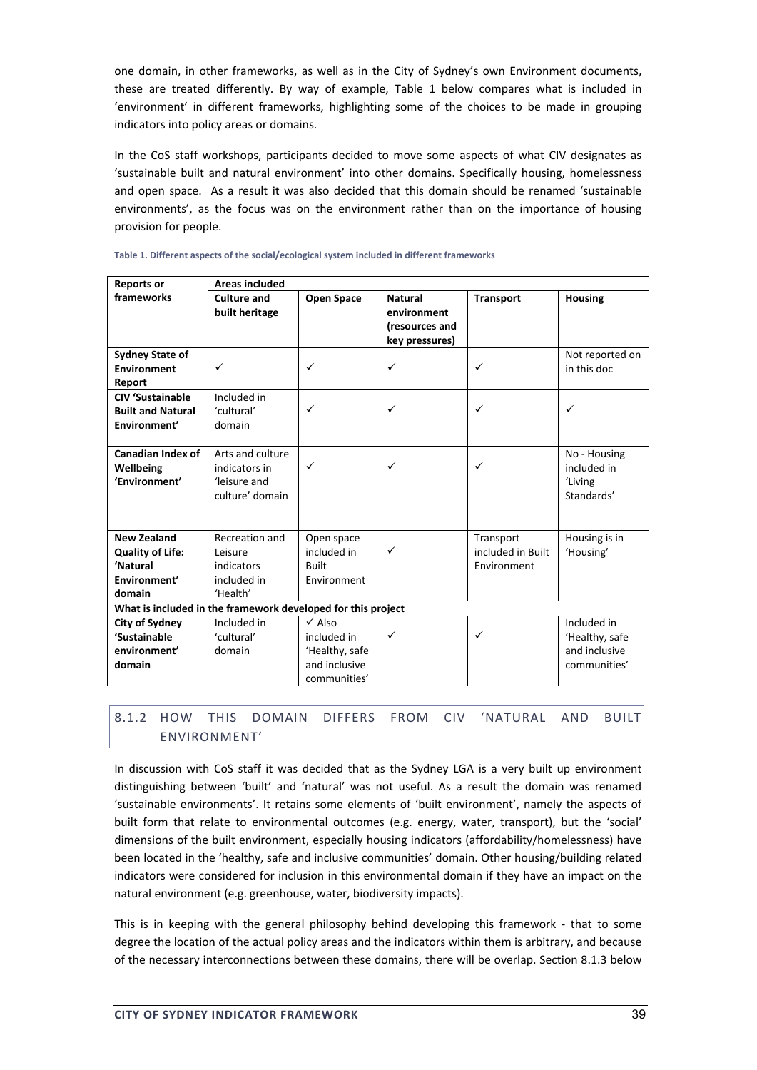one domain, in other frameworks, as well as in the City of Sydney's own Environment documents, these are treated differently. By way of example, Table 1 below compares what is included in 'environment' in different frameworks, highlighting some of the choices to be made in grouping indicators into policy areas or domains.

In the CoS staff workshops, participants decided to move some aspects of what CIV designates as 'sustainable built and natural environment' into other domains. Specifically housing, homelessness and open space. As a result it was also decided that this domain should be renamed 'sustainable environments', as the focus was on the environment rather than on the importance of housing provision for people.

| <b>Reports or</b>                                            | <b>Areas included</b> |                   |                                  |                   |                 |  |
|--------------------------------------------------------------|-----------------------|-------------------|----------------------------------|-------------------|-----------------|--|
| frameworks                                                   | <b>Culture and</b>    | <b>Open Space</b> | <b>Natural</b>                   | <b>Transport</b>  | <b>Housing</b>  |  |
|                                                              | built heritage        |                   | environment                      |                   |                 |  |
|                                                              |                       |                   | (resources and<br>key pressures) |                   |                 |  |
| <b>Sydney State of</b>                                       |                       |                   |                                  |                   | Not reported on |  |
| <b>Environment</b>                                           | ✓                     | ✓                 | $\checkmark$                     | ✓                 | in this doc     |  |
| Report                                                       |                       |                   |                                  |                   |                 |  |
| <b>CIV</b> 'Sustainable                                      | Included in           |                   |                                  |                   |                 |  |
| <b>Built and Natural</b>                                     | 'cultural'            | $\checkmark$      | ✓                                | ✓                 | ✓               |  |
| Environment'                                                 | domain                |                   |                                  |                   |                 |  |
|                                                              |                       |                   |                                  |                   |                 |  |
| Canadian Index of                                            | Arts and culture      |                   |                                  |                   | No - Housing    |  |
| Wellbeing                                                    | indicators in         | ✓                 | ✓                                | ✓                 | included in     |  |
| 'Environment'                                                | 'leisure and          |                   |                                  |                   | 'Living         |  |
|                                                              | culture' domain       |                   |                                  |                   | Standards'      |  |
|                                                              |                       |                   |                                  |                   |                 |  |
| <b>New Zealand</b>                                           | Recreation and        | Open space        |                                  | Transport         | Housing is in   |  |
| <b>Quality of Life:</b>                                      | Leisure               | included in       | $\checkmark$                     | included in Built | 'Housing'       |  |
| 'Natural                                                     | indicators            | <b>Built</b>      |                                  | Environment       |                 |  |
| Environment'                                                 | included in           | Environment       |                                  |                   |                 |  |
| domain                                                       | 'Health'              |                   |                                  |                   |                 |  |
| What is included in the framework developed for this project |                       |                   |                                  |                   |                 |  |
| <b>City of Sydney</b>                                        | Included in           | $\checkmark$ Also |                                  |                   | Included in     |  |
| 'Sustainable                                                 | 'cultural'            | included in       | $\checkmark$                     | $\checkmark$      | 'Healthy, safe  |  |
| environment'                                                 | domain                | 'Healthy, safe    |                                  |                   | and inclusive   |  |
| domain                                                       |                       | and inclusive     |                                  |                   | communities'    |  |
|                                                              |                       | communities'      |                                  |                   |                 |  |

**Table 1. Different aspects of the social/ecological system included in different frameworks**

# 8.1.2 HOW THIS DOMAIN DIFFERS FROM CIV 'NATURAL AND BUILT ENVIRONMENT'

In discussion with CoS staff it was decided that as the Sydney LGA is a very built up environment distinguishing between 'built' and 'natural' was not useful. As a result the domain was renamed 'sustainable environments'. It retains some elements of 'built environment', namely the aspects of built form that relate to environmental outcomes (e.g. energy, water, transport), but the 'social' dimensions of the built environment, especially housing indicators (affordability/homelessness) have been located in the 'healthy, safe and inclusive communities' domain. Other housing/building related indicators were considered for inclusion in this environmental domain if they have an impact on the natural environment (e.g. greenhouse, water, biodiversity impacts).

This is in keeping with the general philosophy behind developing this framework - that to some degree the location of the actual policy areas and the indicators within them is arbitrary, and because of the necessary interconnections between these domains, there will be overlap. Section 8.1.3 below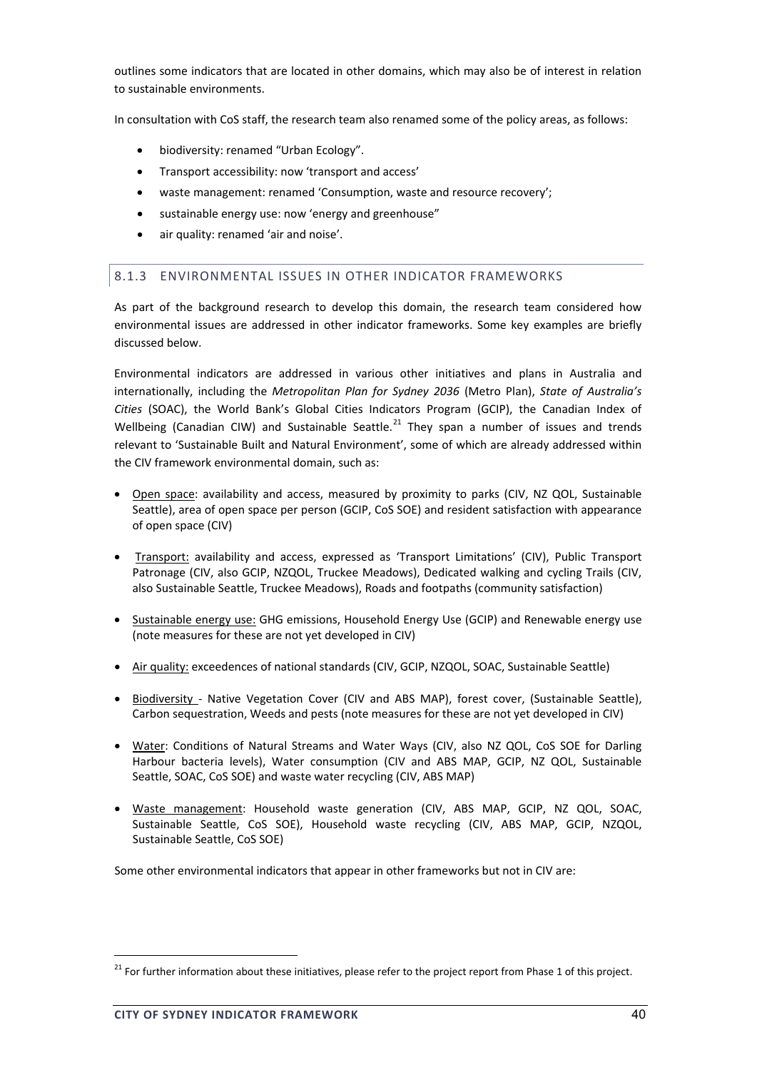outlines some indicators that are located in other domains, which may also be of interest in relation to sustainable environments.

In consultation with CoS staff, the research team also renamed some of the policy areas, as follows:

- biodiversity: renamed "Urban Ecology".
- Transport accessibility: now 'transport and access'
- waste management: renamed 'Consumption, waste and resource recovery';
- sustainable energy use: now 'energy and greenhouse"
- air quality: renamed 'air and noise'.

#### 8.1.3 ENVIRONMENTAL ISSUES IN OTHER INDICATOR FRAMEWORKS

As part of the background research to develop this domain, the research team considered how environmental issues are addressed in other indicator frameworks. Some key examples are briefly discussed below.

Environmental indicators are addressed in various other initiatives and plans in Australia and internationally, including the *Metropolitan Plan for Sydney 2036* (Metro Plan), *State of Australia's Cities* (SOAC), the World Bank's Global Cities Indicators Program (GCIP), the Canadian Index of Wellbeing (Canadian CIW) and Sustainable Seattle.<sup>21</sup> They span a number of issues and trends relevant to 'Sustainable Built and Natural Environment', some of which are already addressed within the CIV framework environmental domain, such as:

- Open space: availability and access, measured by proximity to parks (CIV, NZ QOL, Sustainable Seattle), area of open space per person (GCIP, CoS SOE) and resident satisfaction with appearance of open space (CIV)
- Transport: availability and access, expressed as 'Transport Limitations' (CIV), Public Transport Patronage (CIV, also GCIP, NZQOL, Truckee Meadows), Dedicated walking and cycling Trails (CIV, also Sustainable Seattle, Truckee Meadows), Roads and footpaths (community satisfaction)
- Sustainable energy use: GHG emissions, Household Energy Use (GCIP) and Renewable energy use (note measures for these are not yet developed in CIV)
- Air quality: exceedences of national standards (CIV, GCIP, NZQOL, SOAC, Sustainable Seattle)
- Biodiversity Native Vegetation Cover (CIV and ABS MAP), forest cover, (Sustainable Seattle), Carbon sequestration, Weeds and pests (note measures for these are not yet developed in CIV)
- Water: Conditions of Natural Streams and Water Ways (CIV, also NZ QOL, CoS SOE for Darling Harbour bacteria levels), Water consumption (CIV and ABS MAP, GCIP, NZ QOL, Sustainable Seattle, SOAC, CoS SOE) and waste water recycling (CIV, ABS MAP)
- Waste management: Household waste generation (CIV, ABS MAP, GCIP, NZ QOL, SOAC, Sustainable Seattle, CoS SOE), Household waste recycling (CIV, ABS MAP, GCIP, NZQOL, Sustainable Seattle, CoS SOE)

Some other environmental indicators that appear in other frameworks but not in CIV are:

<sup>&</sup>lt;sup>21</sup> For further information about these initiatives, please refer to the project report from Phase 1 of this project.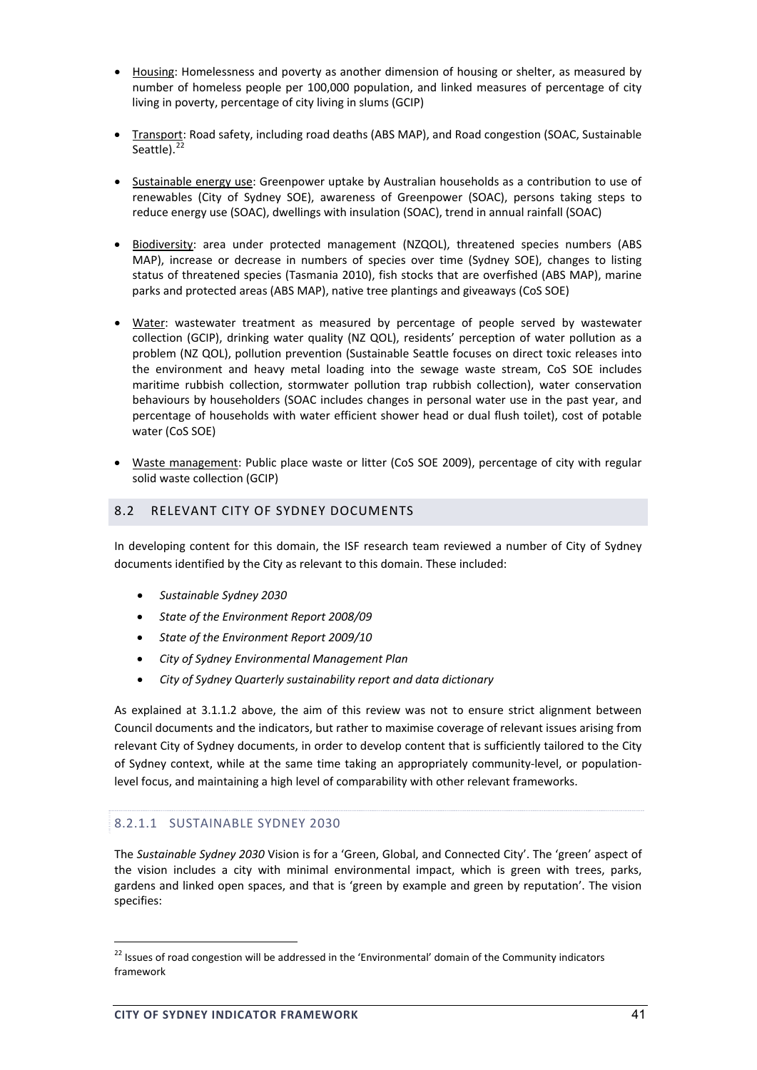- Housing: Homelessness and poverty as another dimension of housing or shelter, as measured by number of homeless people per 100,000 population, and linked measures of percentage of city living in poverty, percentage of city living in slums (GCIP)
- Transport: Road safety, including road deaths (ABS MAP), and Road congestion (SOAC, Sustainable Seattle). $22$
- Sustainable energy use: Greenpower uptake by Australian households as a contribution to use of renewables (City of Sydney SOE), awareness of Greenpower (SOAC), persons taking steps to reduce energy use (SOAC), dwellings with insulation (SOAC), trend in annual rainfall (SOAC)
- Biodiversity: area under protected management (NZQOL), threatened species numbers (ABS MAP), increase or decrease in numbers of species over time (Sydney SOE), changes to listing status of threatened species (Tasmania 2010), fish stocks that are overfished (ABS MAP), marine parks and protected areas (ABS MAP), native tree plantings and giveaways (CoS SOE)
- Water: wastewater treatment as measured by percentage of people served by wastewater collection (GCIP), drinking water quality (NZ QOL), residents' perception of water pollution as a problem (NZ QOL), pollution prevention (Sustainable Seattle focuses on direct toxic releases into the environment and heavy metal loading into the sewage waste stream, CoS SOE includes maritime rubbish collection, stormwater pollution trap rubbish collection), water conservation behaviours by householders (SOAC includes changes in personal water use in the past year, and percentage of households with water efficient shower head or dual flush toilet), cost of potable water (CoS SOE)
- Waste management: Public place waste or litter (CoS SOE 2009), percentage of city with regular solid waste collection (GCIP)

# 8.2 RELEVANT CITY OF SYDNEY DOCUMENTS

In developing content for this domain, the ISF research team reviewed a number of City of Sydney documents identified by the City as relevant to this domain. These included:

- *Sustainable Sydney 2030*
- *State of the Environment Report 2008/09*
- *State of the Environment Report 2009/10*
- *City of Sydney Environmental Management Plan*
- *City of Sydney Quarterly sustainability report and data dictionary*

As explained at 3.1.1.2 above, the aim of this review was not to ensure strict alignment between Council documents and the indicators, but rather to maximise coverage of relevant issues arising from relevant City of Sydney documents, in order to develop content that is sufficiently tailored to the City of Sydney context, while at the same time taking an appropriately community-level, or populationlevel focus, and maintaining a high level of comparability with other relevant frameworks.

# 8.2.1.1 SUSTAINABLE SYDNEY 2030

The *Sustainable Sydney 2030* Vision is for a 'Green, Global, and Connected City'. The 'green' aspect of the vision includes a city with minimal environmental impact, which is green with trees, parks, gardens and linked open spaces, and that is 'green by example and green by reputation'. The vision specifies:

<sup>&</sup>lt;sup>22</sup> Issues of road congestion will be addressed in the 'Environmental' domain of the Community indicators framework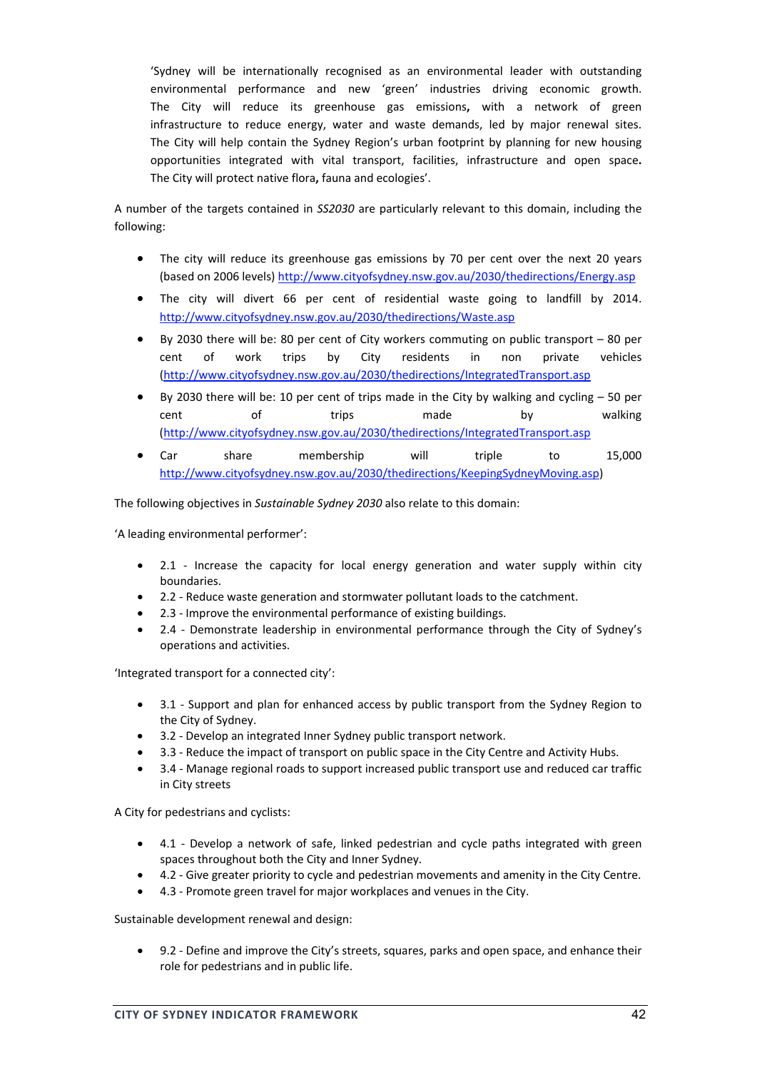'Sydney will be internationally recognised as an environmental leader with outstanding environmental performance and new 'green' industries driving economic growth. The City will reduce its greenhouse gas emissions**,** with a network of green infrastructure to reduce energy, water and waste demands, led by major renewal sites. The City will help contain the Sydney Region's urban footprint by planning for new housing opportunities integrated with vital transport, facilities, infrastructure and open space**.** The City will protect native flora**,** fauna and ecologies'.

A number of the targets contained in *SS2030* are particularly relevant to this domain, including the following:

- The city will reduce its greenhouse gas emissions by 70 per cent over the next 20 years (based on 2006 levels) http://www.cityofsydney.nsw.gov.au/2030/thedirections/Energy.asp
- The city will divert 66 per cent of residential waste going to landfill by 2014. http://www.cityofsydney.nsw.gov.au/2030/thedirections/Waste.asp
- By 2030 there will be: 80 per cent of City workers commuting on public transport 80 per cent of work trips by City residents in non private vehicles (http://www.cityofsydney.nsw.gov.au/2030/thedirections/IntegratedTransport.asp
- By 2030 there will be: 10 per cent of trips made in the City by walking and cycling 50 per cent of trips made by walking (http://www.cityofsydney.nsw.gov.au/2030/thedirections/IntegratedTransport.asp
- Car share membership will triple to 15,000 http://www.cityofsydney.nsw.gov.au/2030/thedirections/KeepingSydneyMoving.asp)

The following objectives in *Sustainable Sydney 2030* also relate to this domain:

'A leading environmental performer':

- 2.1 Increase the capacity for local energy generation and water supply within city boundaries.
- 2.2 ‐ Reduce waste generation and stormwater pollutant loads to the catchment.
- 2.3 ‐ Improve the environmental performance of existing buildings.
- 2.4 Demonstrate leadership in environmental performance through the City of Sydney's operations and activities.

'Integrated transport for a connected city':

- 3.1 Support and plan for enhanced access by public transport from the Sydney Region to the City of Sydney.
- 3.2 ‐ Develop an integrated Inner Sydney public transport network.
- 3.3 ‐ Reduce the impact of transport on public space in the City Centre and Activity Hubs.
- 3.4 ‐ Manage regional roads to support increased public transport use and reduced car traffic in City streets.

A City for pedestrians and cyclists:

- 4.1 Develop a network of safe, linked pedestrian and cycle paths integrated with green spaces throughout both the City and Inner Sydney.
- 4.2 Give greater priority to cycle and pedestrian movements and amenity in the City Centre.
- 4.3 ‐ Promote green travel for major workplaces and venues in the City.

Sustainable development renewal and design:

• 9.2 ‐ Define and improve the City's streets, squares, parks and open space, and enhance their role for pedestrians and in public life.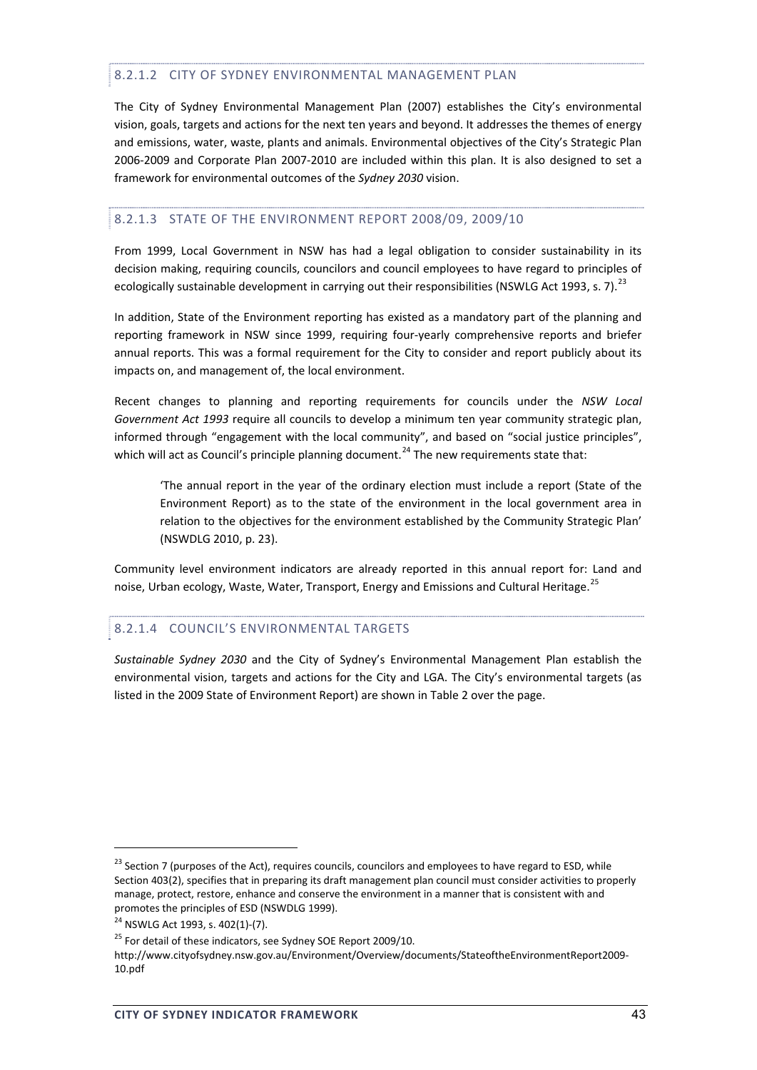## 8.2.1.2 CITY OF SYDNEY ENVIRONMENTAL MANAGEMENT PLAN

The City of Sydney Environmental Management Plan (2007) establishes the City's environmental vision, goals, targets and actions for the next ten years and beyond. It addresses the themes of energy and emissions, water, waste, plants and animals. Environmental objectives of the City's Strategic Plan 2006‐2009 and Corporate Plan 2007‐2010 are included within this plan. It is also designed to set a framework for environmental outcomes of the *Sydney 2030* vision.

# 8.2.1.3 STATE OF THE ENVIRONMENT REPORT 2008/09, 2009/10

From 1999, Local Government in NSW has had a legal obligation to consider sustainability in its decision making, requiring councils, councilors and council employees to have regard to principles of ecologically sustainable development in carrying out their responsibilities (NSWLG Act 1993, s. 7).<sup>23</sup>

In addition, State of the Environment reporting has existed as a mandatory part of the planning and reporting framework in NSW since 1999, requiring four‐yearly comprehensive reports and briefer annual reports. This was a formal requirement for the City to consider and report publicly about its impacts on, and management of, the local environment.

Recent changes to planning and reporting requirements for councils under the *NSW Local Government Act 1993* require all councils to develop a minimum ten year community strategic plan, informed through "engagement with the local community", and based on "social justice principles", which will act as Council's principle planning document.<sup>24</sup> The new requirements state that:

'The annual report in the year of the ordinary election must include a report (State of the Environment Report) as to the state of the environment in the local government area in relation to the objectives for the environment established by the Community Strategic Plan' (NSWDLG 2010, p. 23).

Community level environment indicators are already reported in this annual report for: Land and noise, Urban ecology, Waste, Water, Transport, Energy and Emissions and Cultural Heritage.<sup>25</sup>

# 8.2.1.4 COUNCIL'S ENVIRONMENTAL TARGETS

*Sustainable Sydney 2030* and the City of Sydney's Environmental Management Plan establish the environmental vision, targets and actions for the City and LGA. The City's environmental targets (as listed in the 2009 State of Environment Report) are shown in Table 2 over the page.

<sup>&</sup>lt;sup>23</sup> Section 7 (purposes of the Act), requires councils, councilors and employees to have regard to ESD, while Section 403(2), specifies that in preparing its draft management plan council must consider activities to properly manage, protect, restore, enhance and conserve the environment in a manner that is consistent with and promotes the principles of ESD (NSWDLG 1999).

<sup>24</sup> NSWLG Act 1993, s. 402(1)‐(7).

<sup>&</sup>lt;sup>25</sup> For detail of these indicators, see Sydney SOE Report 2009/10.

http://www.cityofsydney.nsw.gov.au/Environment/Overview/documents/StateoftheEnvironmentReport2009‐ 10.pdf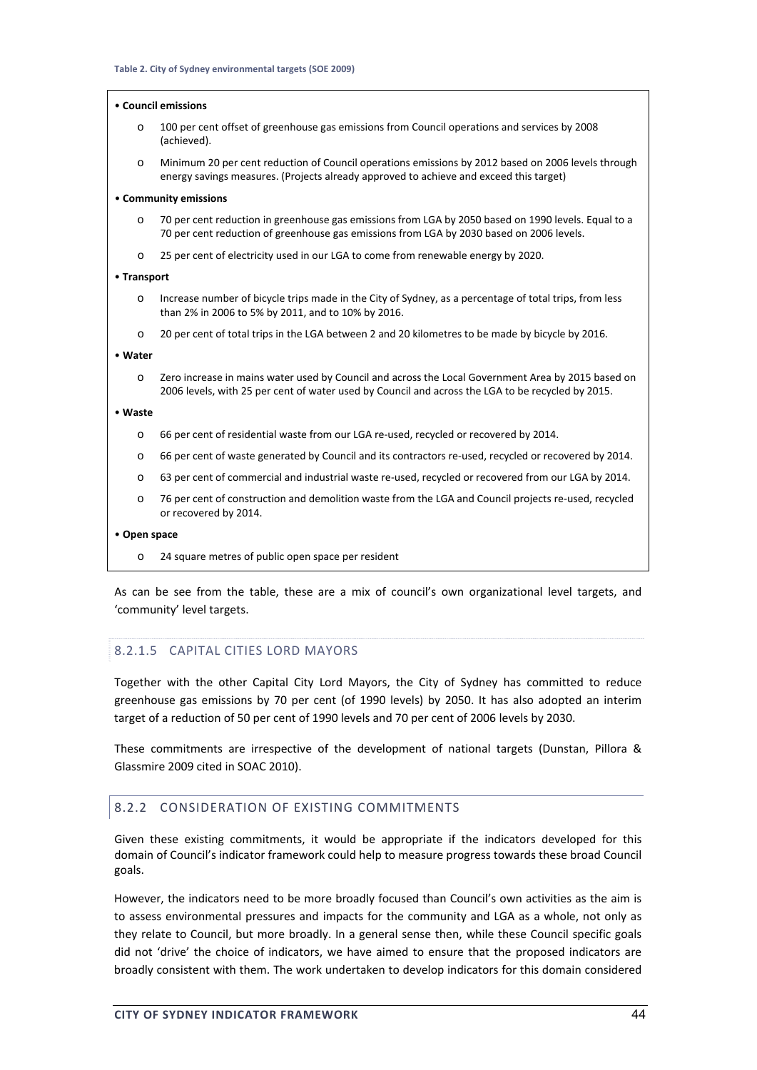#### • **Council emissions**

- 100 per cent offset of greenhouse gas emissions from Council operations and services by 2008 (achieved).
- o Minimum 20 per cent reduction of Council operations emissions by 2012 based on 2006 levels through energy savings measures. (Projects already approved to achieve and exceed this target)

#### • **Community emissions**

- 70 per cent reduction in greenhouse gas emissions from LGA by 2050 based on 1990 levels. Equal to a 70 per cent reduction of greenhouse gas emissions from LGA by 2030 based on 2006 levels.
- o 25 per cent of electricity used in our LGA to come from renewable energy by 2020.

#### • **Transport**

- o Increase number of bicycle trips made in the City of Sydney, as a percentage of total trips, from less than 2% in 2006 to 5% by 2011, and to 10% by 2016.
- o 20 per cent of total trips in the LGA between 2 and 20 kilometres to be made by bicycle by 2016.

#### • **Water**

Zero increase in mains water used by Council and across the Local Government Area by 2015 based on 2006 levels, with 25 per cent of water used by Council and across the LGA to be recycled by 2015.

#### • **Waste**

- o 66 per cent of residential waste from our LGA re‐used, recycled or recovered by 2014.
- o 66 per cent of waste generated by Council and its contractors re‐used, recycled or recovered by 2014.
- o 63 per cent of commercial and industrial waste re‐used, recycled or recovered from our LGA by 2014.
- o 76 per cent of construction and demolition waste from the LGA and Council projects re‐used, recycled or recovered by 2014.

#### • **Open space**

o 24 square metres of public open space per resident

As can be see from the table, these are a mix of council's own organizational level targets, and 'community' level targets.

#### 8.2.1.5 CAPITAL CITIES LORD MAYORS

Together with the other Capital City Lord Mayors, the City of Sydney has committed to reduce greenhouse gas emissions by 70 per cent (of 1990 levels) by 2050. It has also adopted an interim target of a reduction of 50 per cent of 1990 levels and 70 per cent of 2006 levels by 2030.

These commitments are irrespective of the development of national targets (Dunstan, Pillora & Glassmire 2009 cited in SOAC 2010).

#### 8.2.2 CONSIDERATION OF EXISTING COMMITMENTS

Given these existing commitments, it would be appropriate if the indicators developed for this domain of Council's indicator framework could help to measure progress towards these broad Council goals.

However, the indicators need to be more broadly focused than Council's own activities as the aim is to assess environmental pressures and impacts for the community and LGA as a whole, not only as they relate to Council, but more broadly. In a general sense then, while these Council specific goals did not 'drive' the choice of indicators, we have aimed to ensure that the proposed indicators are broadly consistent with them. The work undertaken to develop indicators for this domain considered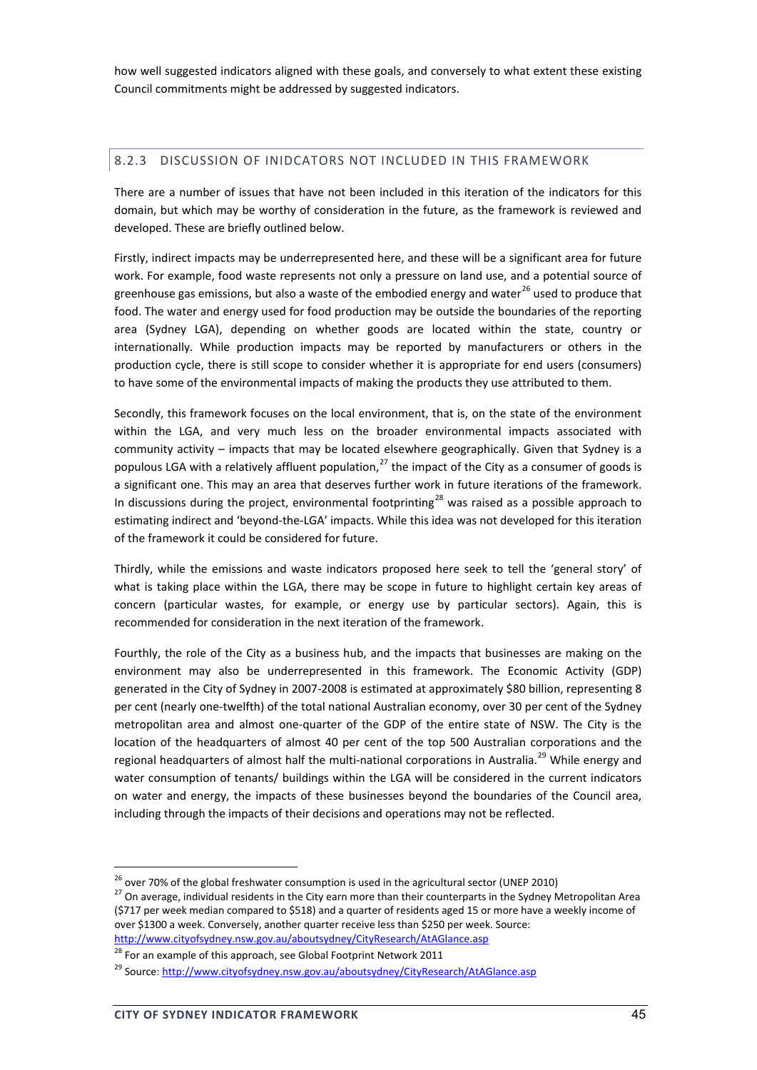how well suggested indicators aligned with these goals, and conversely to what extent these existing Council commitments might be addressed by suggested indicators.

#### 8.2.3 DISCUSSION OF INIDCATORS NOT INCLUDED IN THIS FRAMEWORK

There are a number of issues that have not been included in this iteration of the indicators for this domain, but which may be worthy of consideration in the future, as the framework is reviewed and developed. These are briefly outlined below.

Firstly, indirect impacts may be underrepresented here, and these will be a significant area for future work. For example, food waste represents not only a pressure on land use, and a potential source of greenhouse gas emissions, but also a waste of the embodied energy and water<sup>26</sup> used to produce that food. The water and energy used for food production may be outside the boundaries of the reporting area (Sydney LGA), depending on whether goods are located within the state, country or internationally. While production impacts may be reported by manufacturers or others in the production cycle, there is still scope to consider whether it is appropriate for end users (consumers) to have some of the environmental impacts of making the products they use attributed to them.

Secondly, this framework focuses on the local environment, that is, on the state of the environment within the LGA, and very much less on the broader environmental impacts associated with community activity – impacts that may be located elsewhere geographically. Given that Sydney is a populous LGA with a relatively affluent population.<sup>27</sup> the impact of the City as a consumer of goods is a significant one. This may an area that deserves further work in future iterations of the framework. In discussions during the project, environmental footprinting<sup>28</sup> was raised as a possible approach to estimating indirect and 'beyond-the-LGA' impacts. While this idea was not developed for this iteration of the framework it could be considered for future.

Thirdly, while the emissions and waste indicators proposed here seek to tell the 'general story' of what is taking place within the LGA, there may be scope in future to highlight certain key areas of concern (particular wastes, for example, or energy use by particular sectors). Again, this is recommended for consideration in the next iteration of the framework.

Fourthly, the role of the City as a business hub, and the impacts that businesses are making on the environment may also be underrepresented in this framework. The Economic Activity (GDP) generated in the City of Sydney in 2007‐2008 is estimated at approximately \$80 billion, representing 8 per cent (nearly one-twelfth) of the total national Australian economy, over 30 per cent of the Sydney metropolitan area and almost one‐quarter of the GDP of the entire state of NSW. The City is the location of the headquarters of almost 40 per cent of the top 500 Australian corporations and the regional headquarters of almost half the multi-national corporations in Australia.<sup>29</sup> While energy and water consumption of tenants/ buildings within the LGA will be considered in the current indicators on water and energy, the impacts of these businesses beyond the boundaries of the Council area, including through the impacts of their decisions and operations may not be reflected.

<sup>&</sup>lt;sup>26</sup> over 70% of the global freshwater consumption is used in the agricultural sector (UNEP 2010)<br><sup>27</sup> On average, individual residents in the City earn more than their counterparts in the Sydney Metropolitan Area (\$717 per week median compared to \$518) and a quarter of residents aged 15 or more have a weekly income of over \$1300 a week. Conversely, another quarter receive less than \$250 per week. Source:

http://www.cityofsydney.nsw.gov.au/aboutsydney/CityResearch/AtAGlance.asp

 $^{28}$  For an example of this approach, see Global Footprint Network 2011

<sup>&</sup>lt;sup>29</sup> Source: http://www.cityofsydney.nsw.gov.au/aboutsydney/CityResearch/AtAGlance.asp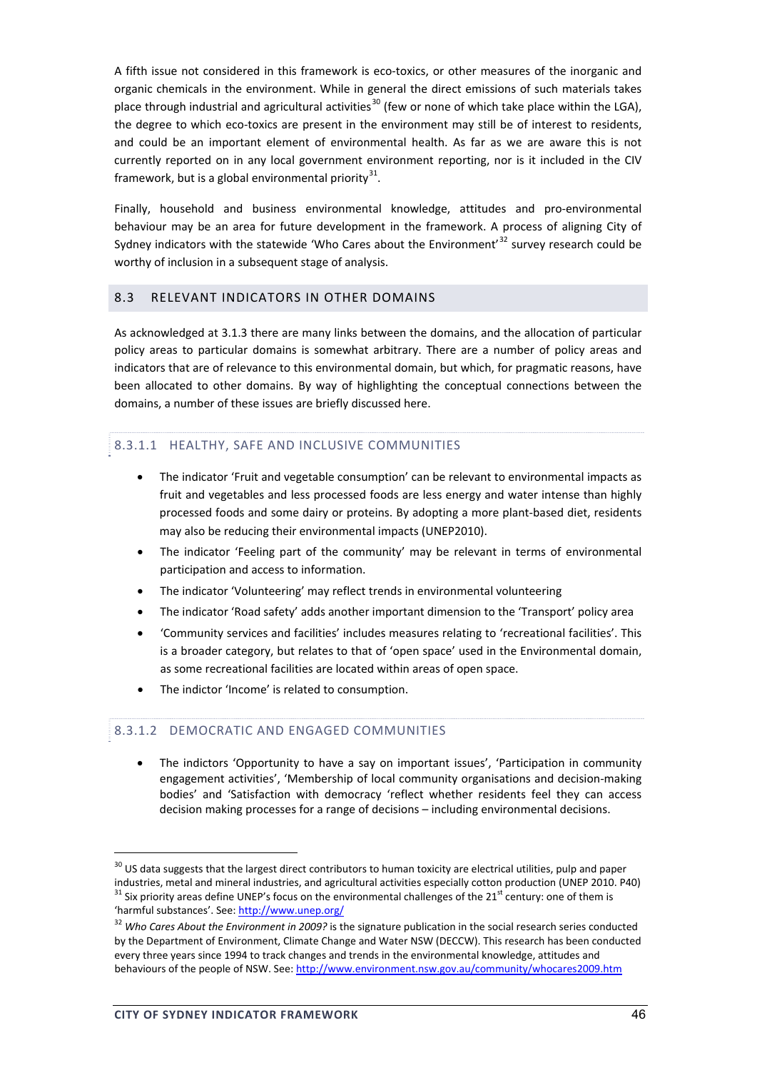A fifth issue not considered in this framework is eco-toxics, or other measures of the inorganic and organic chemicals in the environment. While in general the direct emissions of such materials takes place through industrial and agricultural activities<sup>30</sup> (few or none of which take place within the LGA), the degree to which eco-toxics are present in the environment may still be of interest to residents, and could be an important element of environmental health. As far as we are aware this is not currently reported on in any local government environment reporting, nor is it included in the CIV framework, but is a global environmental priority $31$ .

Finally, household and business environmental knowledge, attitudes and pro-environmental behaviour may be an area for future development in the framework. A process of aligning City of Sydney indicators with the statewide 'Who Cares about the Environment' $^{32}$  survey research could be worthy of inclusion in a subsequent stage of analysis.

## 8.3 RELEVANT INDICATORS IN OTHER DOMAINS

As acknowledged at 3.1.3 there are many links between the domains, and the allocation of particular policy areas to particular domains is somewhat arbitrary. There are a number of policy areas and indicators that are of relevance to this environmental domain, but which, for pragmatic reasons, have been allocated to other domains. By way of highlighting the conceptual connections between the domains, a number of these issues are briefly discussed here.

## 8.3.1.1 HEALTHY, SAFE AND INCLUSIVE COMMUNITIES

- The indicator 'Fruit and vegetable consumption' can be relevant to environmental impacts as fruit and vegetables and less processed foods are less energy and water intense than highly processed foods and some dairy or proteins. By adopting a more plant‐based diet, residents may also be reducing their environmental impacts (UNEP2010).
- The indicator 'Feeling part of the community' may be relevant in terms of environmental participation and access to information.
- The indicator 'Volunteering' may reflect trends in environmental volunteering
- The indicator 'Road safety' adds another important dimension to the 'Transport' policy area
- 'Community services and facilities' includes measures relating to 'recreational facilities'. This is a broader category, but relates to that of 'open space' used in the Environmental domain, as some recreational facilities are located within areas of open space.
- The indictor 'Income' is related to consumption.

## 8.3.1.2 DEMOCRATIC AND ENGAGED COMMUNITIES

• The indictors 'Opportunity to have a say on important issues', 'Participation in community engagement activities', 'Membership of local community organisations and decision‐making bodies' and 'Satisfaction with democracy 'reflect whether residents feel they can access decision making processes for a range of decisions – including environmental decisions.

 $30$  US data suggests that the largest direct contributors to human toxicity are electrical utilities, pulp and paper industries, metal and mineral industries, and agricultural activities especially cotton production (UNEP 2010. P40)  $^{31}$  Six priority areas define UNEP's focus on the environmental challenges of the 21<sup>st</sup> century: one 'harmful substances'. See: http://www.unep.org/

<sup>32</sup> *Who Cares About the Environment in 2009?* is the signature publication in the social research series conducted by the Department of Environment, Climate Change and Water NSW (DECCW). This research has been conducted every three years since 1994 to track changes and trends in the environmental knowledge, attitudes and behaviours of the people of NSW. See: http://www.environment.nsw.gov.au/community/whocares2009.htm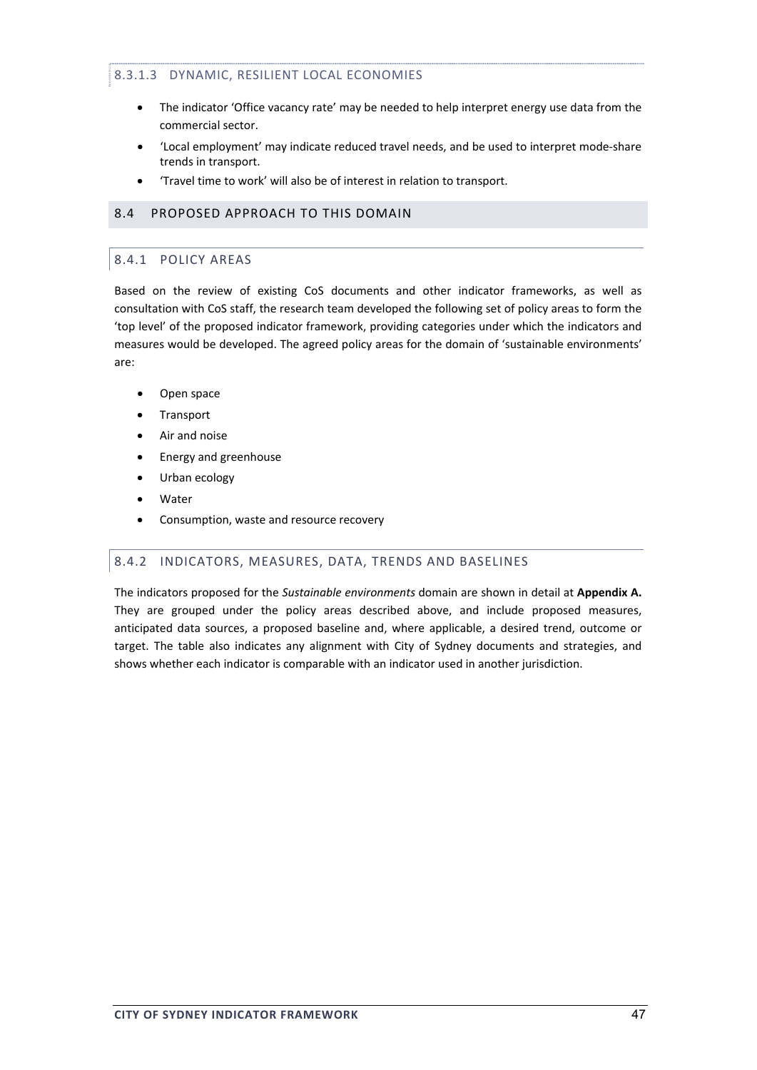# 8.3.1.3 DYNAMIC, RESILIENT LOCAL ECONOMIES

- The indicator 'Office vacancy rate' may be needed to help interpret energy use data from the commercial sector.
- 'Local employment' may indicate reduced travel needs, and be used to interpret mode‐share trends in transport.
- 'Travel time to work' will also be of interest in relation to transport.

## 8.4 PROPOSED APPROACH TO THIS DOMAIN

## 8.4.1 POLICY AREAS

Based on the review of existing CoS documents and other indicator frameworks, as well as consultation with CoS staff, the research team developed the following set of policy areas to form the 'top level' of the proposed indicator framework, providing categories under which the indicators and measures would be developed. The agreed policy areas for the domain of 'sustainable environments' are:

- Open space
- **Transport**
- Air and noise
- Energy and greenhouse
- Urban ecology
- **Water**
- Consumption, waste and resource recovery

## 8.4.2 INDICATORS, MEASURES, DATA, TRENDS AND BASELINES

The indicators proposed for the *Sustainable environments* domain are shown in detail at **Appendix A.** They are grouped under the policy areas described above, and include proposed measures, anticipated data sources, a proposed baseline and, where applicable, a desired trend, outcome or target. The table also indicates any alignment with City of Sydney documents and strategies, and shows whether each indicator is comparable with an indicator used in another jurisdiction.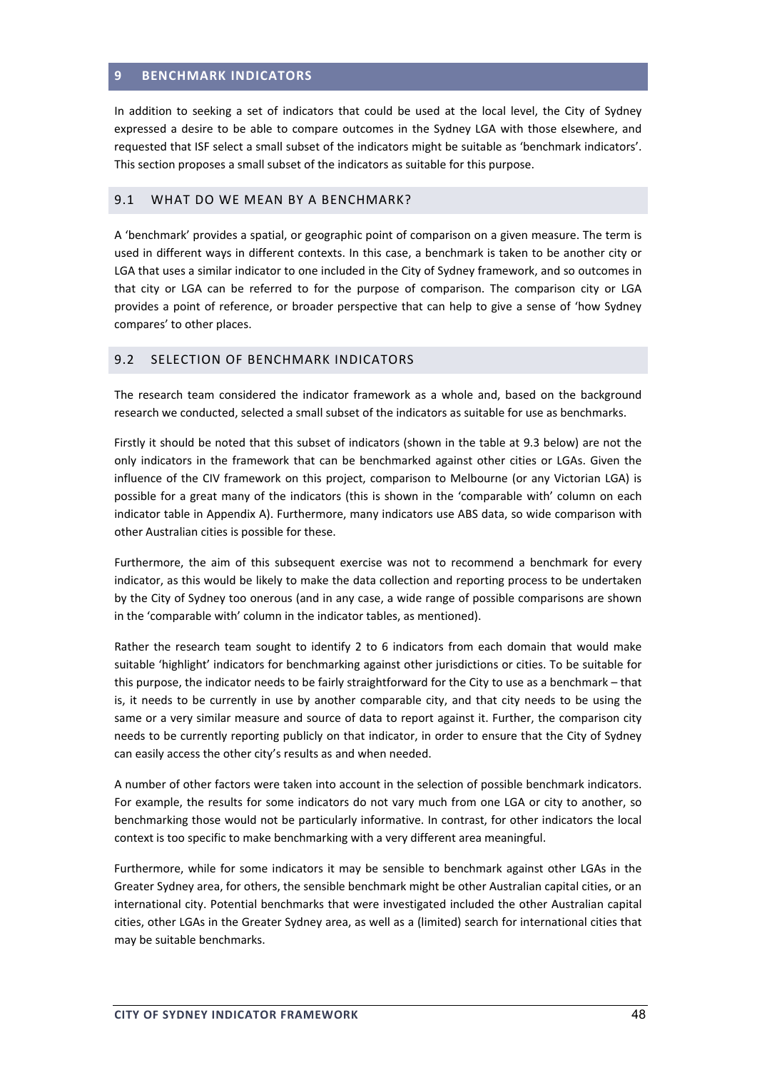## **9 BENCHMARK INDICATORS**

In addition to seeking a set of indicators that could be used at the local level, the City of Sydney expressed a desire to be able to compare outcomes in the Sydney LGA with those elsewhere, and requested that ISF select a small subset of the indicators might be suitable as 'benchmark indicators'. This section proposes a small subset of the indicators as suitable for this purpose.

#### 9.1 WHAT DO WE MEAN BY A BENCHMARK?

A 'benchmark' provides a spatial, or geographic point of comparison on a given measure. The term is used in different ways in different contexts. In this case, a benchmark is taken to be another city or LGA that uses a similar indicator to one included in the City of Sydney framework, and so outcomes in that city or LGA can be referred to for the purpose of comparison. The comparison city or LGA provides a point of reference, or broader perspective that can help to give a sense of 'how Sydney compares' to other places.

## 9.2 SELECTION OF BENCHMARK INDICATORS

The research team considered the indicator framework as a whole and, based on the background research we conducted, selected a small subset of the indicators as suitable for use as benchmarks.

Firstly it should be noted that this subset of indicators (shown in the table at 9.3 below) are not the only indicators in the framework that can be benchmarked against other cities or LGAs. Given the influence of the CIV framework on this project, comparison to Melbourne (or any Victorian LGA) is possible for a great many of the indicators (this is shown in the 'comparable with' column on each indicator table in Appendix A). Furthermore, many indicators use ABS data, so wide comparison with other Australian cities is possible for these.

Furthermore, the aim of this subsequent exercise was not to recommend a benchmark for every indicator, as this would be likely to make the data collection and reporting process to be undertaken by the City of Sydney too onerous (and in any case, a wide range of possible comparisons are shown in the 'comparable with' column in the indicator tables, as mentioned).

Rather the research team sought to identify 2 to 6 indicators from each domain that would make suitable 'highlight' indicators for benchmarking against other jurisdictions or cities. To be suitable for this purpose, the indicator needs to be fairly straightforward for the City to use as a benchmark – that is, it needs to be currently in use by another comparable city, and that city needs to be using the same or a very similar measure and source of data to report against it. Further, the comparison city needs to be currently reporting publicly on that indicator, in order to ensure that the City of Sydney can easily access the other city's results as and when needed.

A number of other factors were taken into account in the selection of possible benchmark indicators. For example, the results for some indicators do not vary much from one LGA or city to another, so benchmarking those would not be particularly informative. In contrast, for other indicators the local context is too specific to make benchmarking with a very different area meaningful.

Furthermore, while for some indicators it may be sensible to benchmark against other LGAs in the Greater Sydney area, for others, the sensible benchmark might be other Australian capital cities, or an international city. Potential benchmarks that were investigated included the other Australian capital cities, other LGAs in the Greater Sydney area, as well as a (limited) search for international cities that may be suitable benchmarks.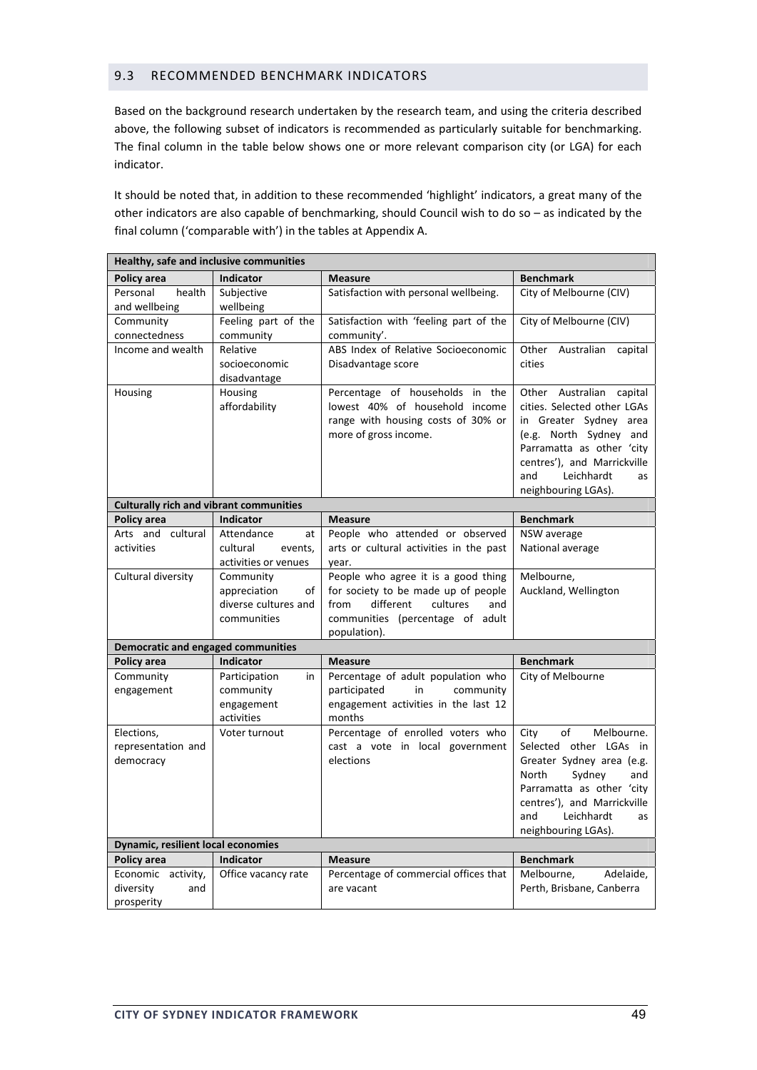## 9.3 RECOMMENDED BENCHMARK INDICATORS

Based on the background research undertaken by the research team, and using the criteria described above, the following subset of indicators is recommended as particularly suitable for benchmarking. The final column in the table below shows one or more relevant comparison city (or LGA) for each indicator.

It should be noted that, in addition to these recommended 'highlight' indicators, a great many of the other indicators are also capable of benchmarking, should Council wish to do so – as indicated by the final column ('comparable with') in the tables at Appendix A.

|                                                                     | Healthy, safe and inclusive communities                                |                                                                                                                                                                        |                                                                                                                                                                                                                                |  |  |  |  |  |
|---------------------------------------------------------------------|------------------------------------------------------------------------|------------------------------------------------------------------------------------------------------------------------------------------------------------------------|--------------------------------------------------------------------------------------------------------------------------------------------------------------------------------------------------------------------------------|--|--|--|--|--|
| <b>Policy area</b>                                                  | <b>Indicator</b>                                                       | <b>Measure</b>                                                                                                                                                         | <b>Benchmark</b>                                                                                                                                                                                                               |  |  |  |  |  |
| Personal<br>health<br>and wellbeing                                 | Subjective<br>wellbeing                                                | Satisfaction with personal wellbeing.                                                                                                                                  | City of Melbourne (CIV)                                                                                                                                                                                                        |  |  |  |  |  |
| Community<br>connectedness                                          | Feeling part of the<br>community                                       | Satisfaction with 'feeling part of the<br>community'.                                                                                                                  | City of Melbourne (CIV)                                                                                                                                                                                                        |  |  |  |  |  |
| Income and wealth                                                   | Relative<br>socioeconomic<br>disadvantage                              | ABS Index of Relative Socioeconomic<br>Disadvantage score                                                                                                              | Other<br>Australian<br>capital<br>cities                                                                                                                                                                                       |  |  |  |  |  |
| Housing                                                             | Housing<br>affordability                                               | Percentage of households in the<br>lowest 40% of household income<br>range with housing costs of 30% or<br>more of gross income.                                       | Other Australian capital<br>cities. Selected other LGAs<br>in Greater Sydney area<br>(e.g. North Sydney and<br>Parramatta as other 'city<br>centres'), and Marrickville<br>Leichhardt<br>and<br>as<br>neighbouring LGAs).      |  |  |  |  |  |
| <b>Culturally rich and vibrant communities</b>                      |                                                                        |                                                                                                                                                                        |                                                                                                                                                                                                                                |  |  |  |  |  |
| Policy area                                                         | <b>Indicator</b>                                                       | <b>Measure</b>                                                                                                                                                         | <b>Benchmark</b>                                                                                                                                                                                                               |  |  |  |  |  |
| Arts and cultural<br>activities                                     | Attendance<br>at<br>cultural<br>events,<br>activities or venues        | People who attended or observed<br>arts or cultural activities in the past<br>year.                                                                                    | NSW average<br>National average                                                                                                                                                                                                |  |  |  |  |  |
| Cultural diversity                                                  | Community<br>appreciation<br>οf<br>diverse cultures and<br>communities | People who agree it is a good thing<br>for society to be made up of people<br>from<br>different<br>cultures<br>and<br>communities (percentage of adult<br>population). | Melbourne,<br>Auckland, Wellington                                                                                                                                                                                             |  |  |  |  |  |
| Democratic and engaged communities                                  |                                                                        |                                                                                                                                                                        |                                                                                                                                                                                                                                |  |  |  |  |  |
| Policy area                                                         | Indicator                                                              | <b>Measure</b>                                                                                                                                                         | <b>Benchmark</b>                                                                                                                                                                                                               |  |  |  |  |  |
| Community<br>engagement                                             | Participation<br>in<br>community<br>engagement<br>activities           | Percentage of adult population who<br>participated<br>in<br>community<br>engagement activities in the last 12<br>months                                                | City of Melbourne                                                                                                                                                                                                              |  |  |  |  |  |
| Elections,<br>representation and<br>democracy                       | Voter turnout                                                          | Percentage of enrolled voters who<br>cast a vote in local government<br>elections                                                                                      | City<br>of<br>Melbourne.<br>Selected other LGAs in<br>Greater Sydney area (e.g.<br>North<br>Sydney<br>and<br>Parramatta as other 'city<br>centres'), and Marrickville<br>Leichhardt<br>and<br><b>as</b><br>neighbouring LGAs). |  |  |  |  |  |
| <b>Dynamic, resilient local economies</b>                           |                                                                        |                                                                                                                                                                        |                                                                                                                                                                                                                                |  |  |  |  |  |
| Policy area<br>Economic activity,<br>diversity<br>and<br>prosperity | Indicator<br>Office vacancy rate                                       | <b>Measure</b><br>Percentage of commercial offices that<br>are vacant                                                                                                  | <b>Benchmark</b><br>Melbourne,<br>Adelaide,<br>Perth, Brisbane, Canberra                                                                                                                                                       |  |  |  |  |  |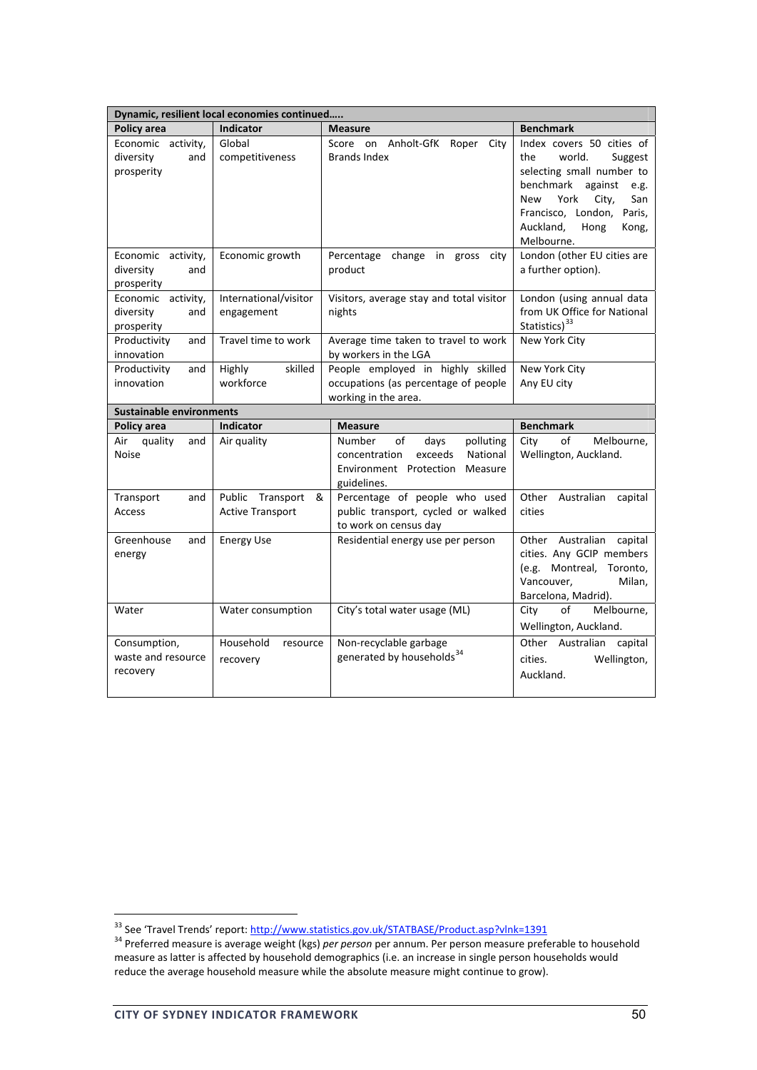|                                                      | Dynamic, resilient local economies continued     |                                                                                                                               |                                                                                                                                                                                                                               |  |  |  |  |
|------------------------------------------------------|--------------------------------------------------|-------------------------------------------------------------------------------------------------------------------------------|-------------------------------------------------------------------------------------------------------------------------------------------------------------------------------------------------------------------------------|--|--|--|--|
| Policy area                                          | <b>Indicator</b>                                 | <b>Measure</b>                                                                                                                | <b>Benchmark</b>                                                                                                                                                                                                              |  |  |  |  |
| Economic activity,<br>diversity<br>and<br>prosperity | Global<br>competitiveness                        | on Anholt-GfK Roper<br>Score<br>City<br><b>Brands Index</b>                                                                   | Index covers 50 cities of<br>world.<br>the<br>Suggest<br>selecting small number to<br>benchmark<br>against<br>e.g.<br>York<br>City,<br>San<br>New<br>Francisco, London,<br>Paris,<br>Auckland,<br>Hong<br>Kong,<br>Melbourne. |  |  |  |  |
| Economic activity,<br>diversity<br>and<br>prosperity | Economic growth                                  | Percentage change in gross city<br>product                                                                                    | London (other EU cities are<br>a further option).                                                                                                                                                                             |  |  |  |  |
| Economic activity,<br>diversity<br>and<br>prosperity | International/visitor<br>engagement              | Visitors, average stay and total visitor<br>nights                                                                            | London (using annual data<br>from UK Office for National<br>Statistics) <sup>33</sup>                                                                                                                                         |  |  |  |  |
| Productivity<br>and<br>innovation                    | Travel time to work                              | Average time taken to travel to work<br>by workers in the LGA                                                                 | New York City                                                                                                                                                                                                                 |  |  |  |  |
| Productivity<br>and<br>innovation                    | skilled<br>Highly<br>workforce                   | People employed in highly skilled<br>occupations (as percentage of people<br>working in the area.                             | New York City<br>Any EU city                                                                                                                                                                                                  |  |  |  |  |
| <b>Sustainable environments</b>                      |                                                  |                                                                                                                               |                                                                                                                                                                                                                               |  |  |  |  |
| Policy area                                          | <b>Indicator</b>                                 | <b>Measure</b>                                                                                                                | <b>Benchmark</b>                                                                                                                                                                                                              |  |  |  |  |
| quality<br>Air<br>and<br><b>Noise</b>                | Air quality                                      | of<br>Number<br>days<br>polluting<br>exceeds<br>National<br>concentration<br>Environment Protection<br>Measure<br>guidelines. | of<br>Melbourne,<br>City<br>Wellington, Auckland.                                                                                                                                                                             |  |  |  |  |
| Transport<br>and<br><b>Access</b>                    | Public Transport<br>&<br><b>Active Transport</b> | Percentage of people who used<br>public transport, cycled or walked<br>to work on census day                                  | Other<br>Australian<br>capital<br>cities                                                                                                                                                                                      |  |  |  |  |
| Greenhouse<br>and<br>energy                          | <b>Energy Use</b>                                | Residential energy use per person                                                                                             | Other<br>Australian capital<br>cities. Any GCIP members<br>(e.g. Montreal,<br>Toronto,<br>Vancouver,<br>Milan.<br>Barcelona, Madrid).                                                                                         |  |  |  |  |
| Water                                                | Water consumption                                | City's total water usage (ML)                                                                                                 | Melbourne,<br>City<br>οf<br>Wellington, Auckland.                                                                                                                                                                             |  |  |  |  |
| Consumption,<br>waste and resource<br>recovery       | Household<br>resource<br>recovery                | Non-recyclable garbage<br>generated by households <sup>34</sup>                                                               | Other Australian capital<br>cities.<br>Wellington,<br>Auckland.                                                                                                                                                               |  |  |  |  |

<sup>&</sup>lt;sup>33</sup> See 'Travel Trends' report: <u>http://www.statistics.gov.uk/STATBASE/Product.asp?vlnk=1391</u><br><sup>34</sup> Preferred measure is average weight (kgs) *per person* per annum. Per person measure preferable to household measure as latter is affected by household demographics (i.e. an increase in single person households would reduce the average household measure while the absolute measure might continue to grow).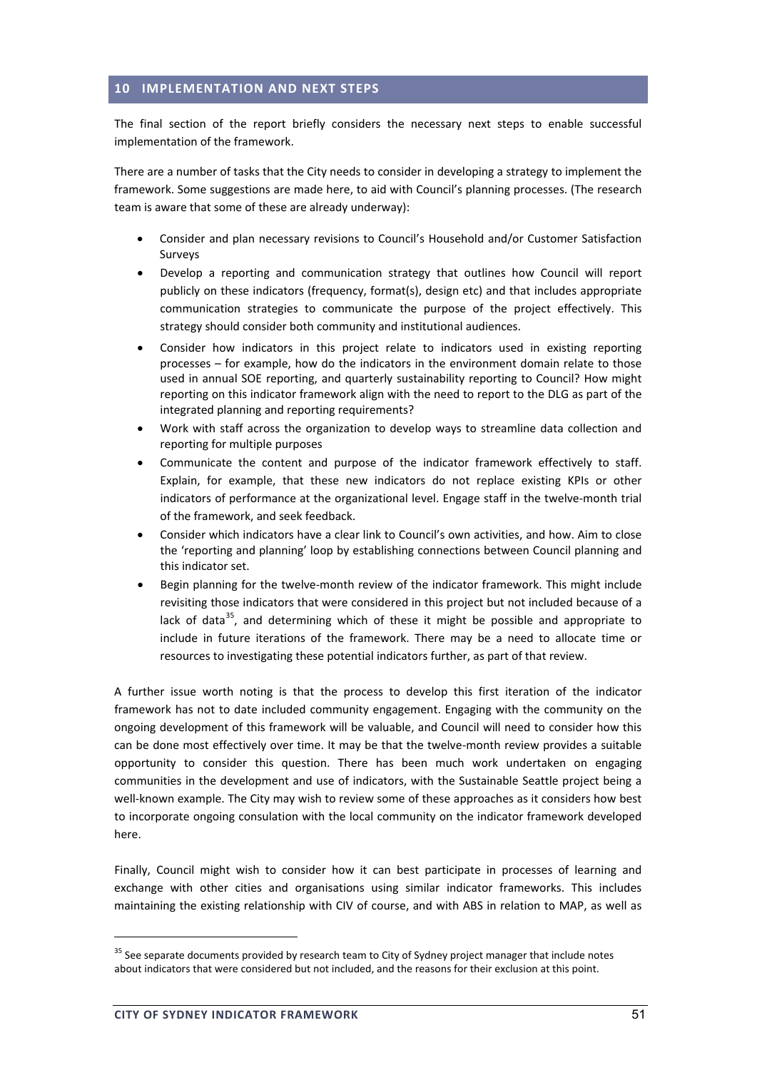## **10 IMPLEMENTATION AND NEXT STEPS**

The final section of the report briefly considers the necessary next steps to enable successful implementation of the framework.

There are a number of tasks that the City needs to consider in developing a strategy to implement the framework. Some suggestions are made here, to aid with Council's planning processes. (The research team is aware that some of these are already underway):

- Consider and plan necessary revisions to Council's Household and/or Customer Satisfaction Surveys
- Develop a reporting and communication strategy that outlines how Council will report publicly on these indicators (frequency, format(s), design etc) and that includes appropriate communication strategies to communicate the purpose of the project effectively. This strategy should consider both community and institutional audiences.
- Consider how indicators in this project relate to indicators used in existing reporting processes – for example, how do the indicators in the environment domain relate to those used in annual SOE reporting, and quarterly sustainability reporting to Council? How might reporting on this indicator framework align with the need to report to the DLG as part of the integrated planning and reporting requirements?
- Work with staff across the organization to develop ways to streamline data collection and reporting for multiple purposes
- Communicate the content and purpose of the indicator framework effectively to staff. Explain, for example, that these new indicators do not replace existing KPIs or other indicators of performance at the organizational level. Engage staff in the twelve-month trial of the framework, and seek feedback.
- Consider which indicators have a clear link to Council's own activities, and how. Aim to close the 'reporting and planning' loop by establishing connections between Council planning and this indicator set.
- Begin planning for the twelve-month review of the indicator framework. This might include revisiting those indicators that were considered in this project but not included because of a lack of data<sup>35</sup>, and determining which of these it might be possible and appropriate to include in future iterations of the framework. There may be a need to allocate time or resources to investigating these potential indicators further, as part of that review.

A further issue worth noting is that the process to develop this first iteration of the indicator framework has not to date included community engagement. Engaging with the community on the ongoing development of this framework will be valuable, and Council will need to consider how this can be done most effectively over time. It may be that the twelve-month review provides a suitable opportunity to consider this question. There has been much work undertaken on engaging communities in the development and use of indicators, with the Sustainable Seattle project being a well-known example. The City may wish to review some of these approaches as it considers how best to incorporate ongoing consulation with the local community on the indicator framework developed here.

Finally, Council might wish to consider how it can best participate in processes of learning and exchange with other cities and organisations using similar indicator frameworks. This includes maintaining the existing relationship with CIV of course, and with ABS in relation to MAP, as well as

<sup>&</sup>lt;sup>35</sup> See separate documents provided by research team to City of Sydney project manager that include notes about indicators that were considered but not included, and the reasons for their exclusion at this point.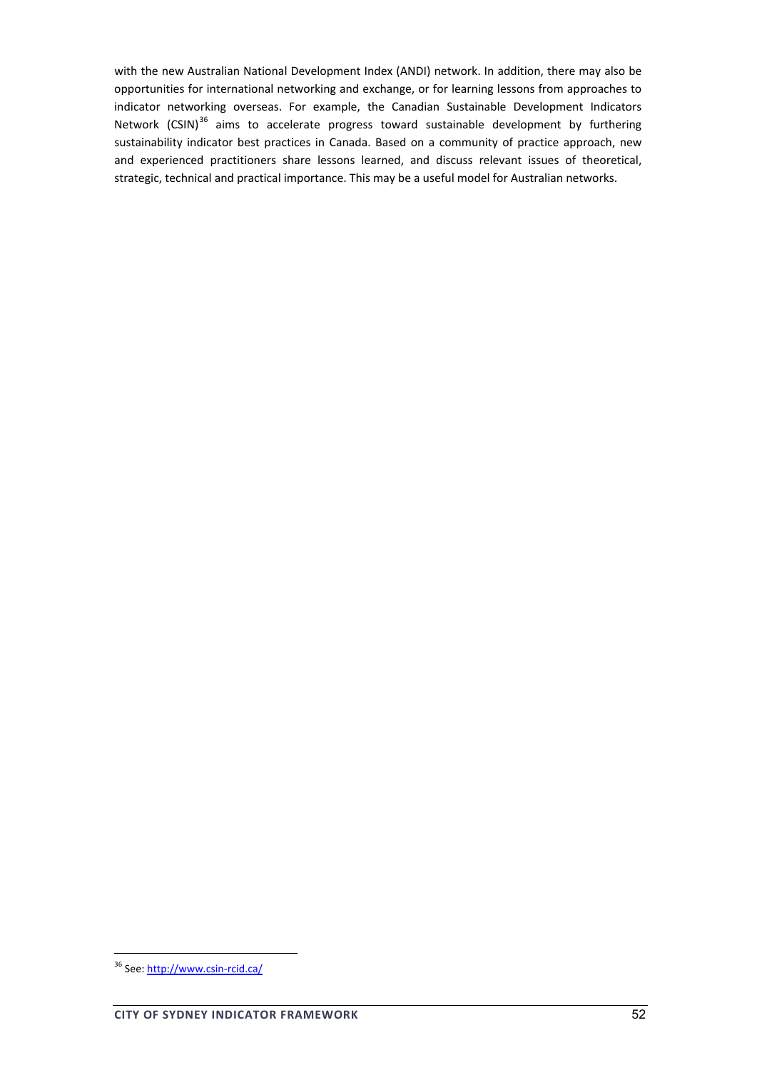with the new Australian National Development Index (ANDI) network. In addition, there may also be opportunities for international networking and exchange, or for learning lessons from approaches to indicator networking overseas. For example, the Canadian Sustainable Development Indicators Network (CSIN)<sup>36</sup> aims to accelerate progress toward sustainable development by furthering sustainability indicator best practices in Canada. Based on a community of practice approach, new and experienced practitioners share lessons learned, and discuss relevant issues of theoretical, strategic, technical and practical importance. This may be a useful model for Australian networks.

<sup>36</sup> See: http://www.csin-rcid.ca/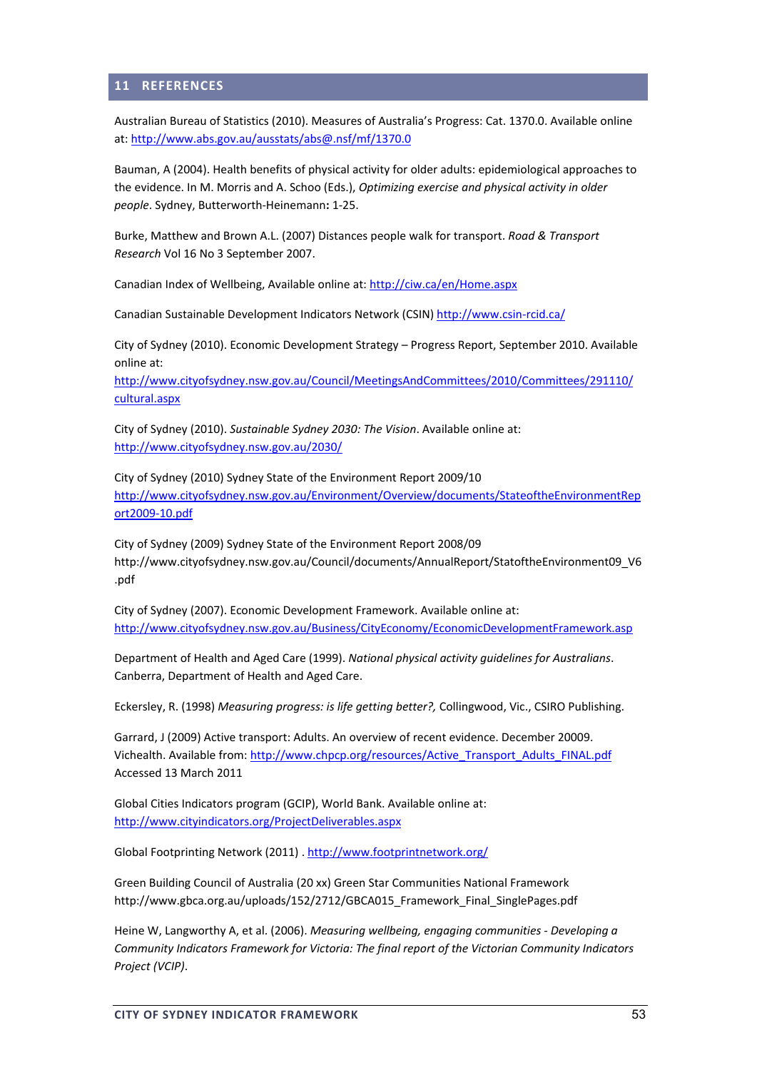#### **11 REFERENCES**

Australian Bureau of Statistics (2010). Measures of Australia's Progress: Cat. 1370.0. Available online at: http://www.abs.gov.au/ausstats/abs@.nsf/mf/1370.0

Bauman, A (2004). Health benefits of physical activity for older adults: epidemiological approaches to the evidence. In M. Morris and A. Schoo (Eds.), *Optimizing exercise and physical activity in older people*. Sydney, Butterworth‐Heinemann**:** 1‐25.

Burke, Matthew and Brown A.L. (2007) Distances people walk for transport. *Road & Transport Research* Vol 16 No 3 September 2007.

Canadian Index of Wellbeing, Available online at: http://ciw.ca/en/Home.aspx

Canadian Sustainable Development Indicators Network (CSIN) http://www.csin‐rcid.ca/

City of Sydney (2010). Economic Development Strategy – Progress Report, September 2010. Available online at:

http://www.cityofsydney.nsw.gov.au/Council/MeetingsAndCommittees/2010/Committees/291110/ cultural.aspx

City of Sydney (2010). *Sustainable Sydney 2030: The Vision*. Available online at: http://www.cityofsydney.nsw.gov.au/2030/

City of Sydney (2010) Sydney State of the Environment Report 2009/10 http://www.cityofsydney.nsw.gov.au/Environment/Overview/documents/StateoftheEnvironmentRep ort2009‐10.pdf

City of Sydney (2009) Sydney State of the Environment Report 2008/09 http://www.cityofsydney.nsw.gov.au/Council/documents/AnnualReport/StatoftheEnvironment09\_V6 .pdf

City of Sydney (2007). Economic Development Framework. Available online at: http://www.cityofsydney.nsw.gov.au/Business/CityEconomy/EconomicDevelopmentFramework.asp

Department of Health and Aged Care (1999). *National physical activity guidelines for Australians*. Canberra, Department of Health and Aged Care.

Eckersley, R. (1998) *Measuring progress: is life getting better?,* Collingwood, Vic., CSIRO Publishing.

Garrard, J (2009) Active transport: Adults. An overview of recent evidence. December 20009. Vichealth. Available from: http://www.chpcp.org/resources/Active\_Transport\_Adults\_FINAL.pdf Accessed 13 March 2011

Global Cities Indicators program (GCIP), World Bank. Available online at: http://www.cityindicators.org/ProjectDeliverables.aspx

Global Footprinting Network (2011) . http://www.footprintnetwork.org/

Green Building Council of Australia (20 xx) Green Star Communities National Framework http://www.gbca.org.au/uploads/152/2712/GBCA015\_Framework\_Final\_SinglePages.pdf

Heine W, Langworthy A, et al. (2006). *Measuring wellbeing, engaging communities ‐ Developing a Community Indicators Framework for Victoria: The final report of the Victorian Community Indicators Project (VCIP)*.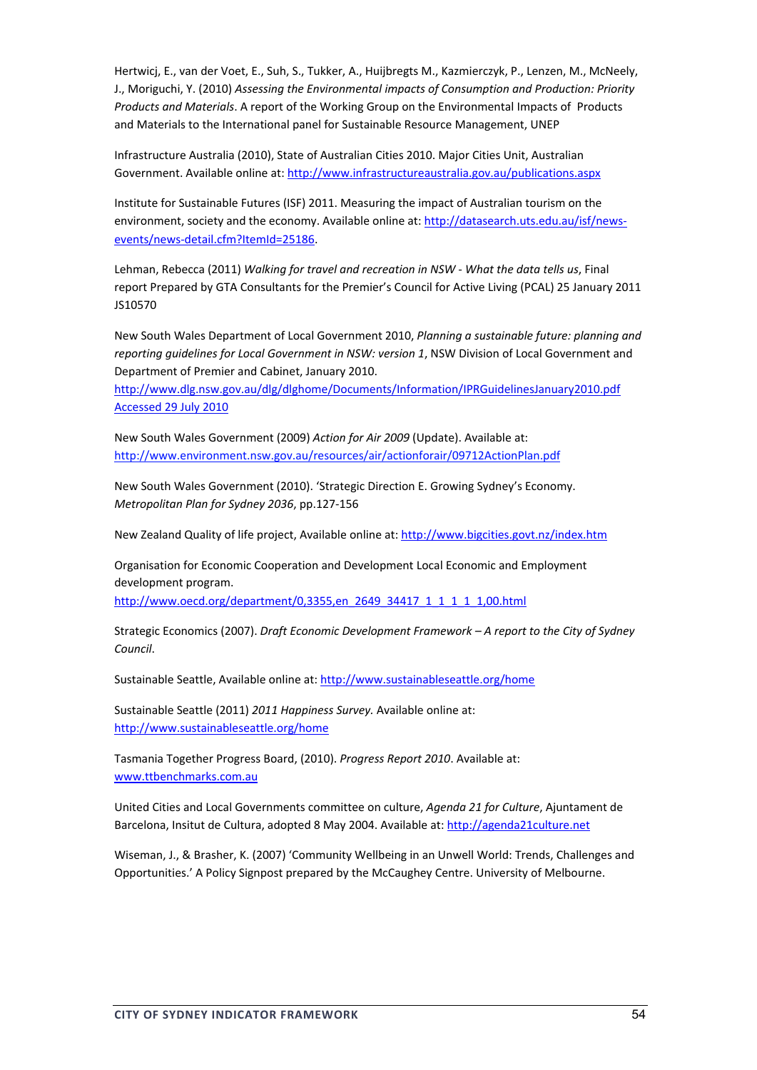Hertwicj, E., van der Voet, E., Suh, S., Tukker, A., Huijbregts M., Kazmierczyk, P., Lenzen, M., McNeely, J., Moriguchi, Y. (2010) *Assessing the Environmental impacts of Consumption and Production: Priority Products and Materials*. A report of the Working Group on the Environmental Impacts of Products and Materials to the International panel for Sustainable Resource Management, UNEP

Infrastructure Australia (2010), State of Australian Cities 2010. Major Cities Unit, Australian Government. Available online at: http://www.infrastructureaustralia.gov.au/publications.aspx

Institute for Sustainable Futures (ISF) 2011. Measuring the impact of Australian tourism on the environment, society and the economy. Available online at: http://datasearch.uts.edu.au/isf/newsevents/news‐detail.cfm?ItemId=25186.

Lehman, Rebecca (2011) *Walking for travel and recreation in NSW ‐ What the data tells us*, Final report Prepared by GTA Consultants for the Premier's Council for Active Living (PCAL) 25 January 2011 JS10570

New South Wales Department of Local Government 2010, *Planning a sustainable future: planning and reporting guidelines for Local Government in NSW: version 1*, NSW Division of Local Government and Department of Premier and Cabinet, January 2010.

http://www.dlg.nsw.gov.au/dlg/dlghome/Documents/Information/IPRGuidelinesJanuary2010.pdf Accessed 29 July 2010

New South Wales Government (2009) *Action for Air 2009* (Update). Available at: http://www.environment.nsw.gov.au/resources/air/actionforair/09712ActionPlan.pdf

New South Wales Government (2010). 'Strategic Direction E. Growing Sydney's Economy. *Metropolitan Plan for Sydney 2036*, pp.127‐156

New Zealand Quality of life project, Available online at: http://www.bigcities.govt.nz/index.htm

Organisation for Economic Cooperation and Development Local Economic and Employment development program.

http://www.oecd.org/department/0,3355,en\_2649\_34417\_1\_1\_1\_1\_1,00.html

Strategic Economics (2007). *Draft Economic Development Framework – A report to the City of Sydney Council*.

Sustainable Seattle, Available online at: http://www.sustainableseattle.org/home

Sustainable Seattle (2011) *2011 Happiness Survey.* Available online at: http://www.sustainableseattle.org/home

Tasmania Together Progress Board, (2010). *Progress Report 2010*. Available at: www.ttbenchmarks.com.au

United Cities and Local Governments committee on culture, *Agenda 21 for Culture*, Ajuntament de Barcelona, Insitut de Cultura, adopted 8 May 2004. Available at: http://agenda21culture.net

Wiseman, J., & Brasher, K. (2007) 'Community Wellbeing in an Unwell World: Trends, Challenges and Opportunities.' A Policy Signpost prepared by the McCaughey Centre. University of Melbourne.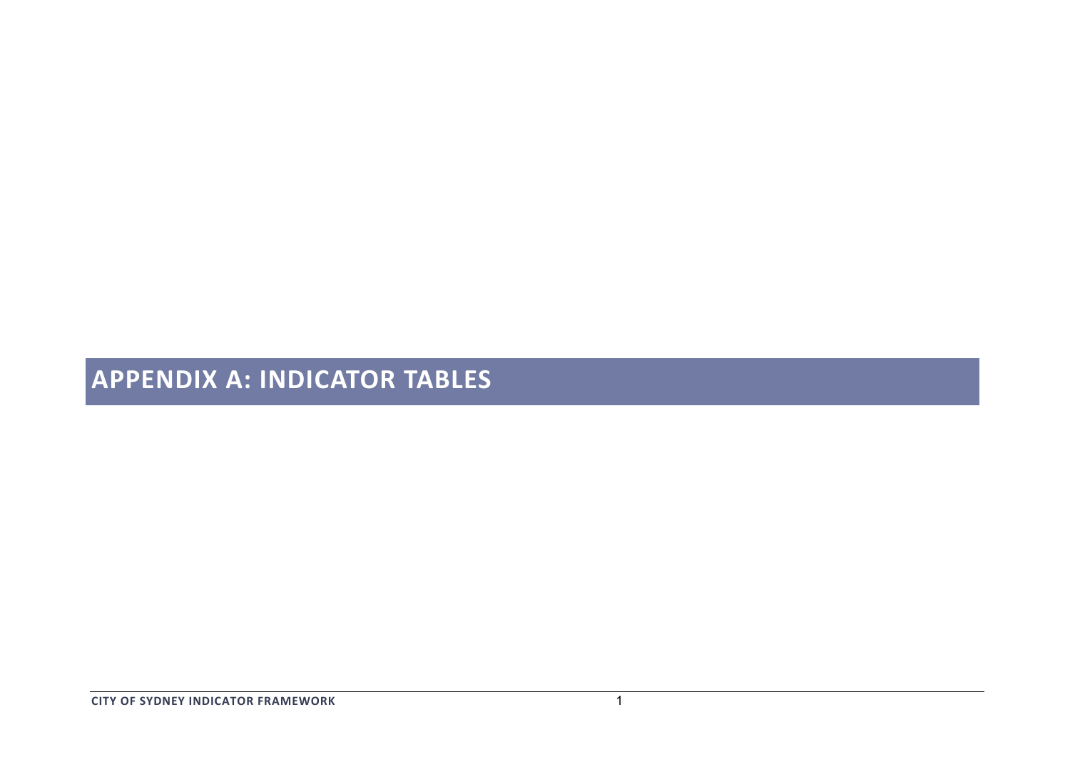# **APPENDIX A: INDICATOR TABLES**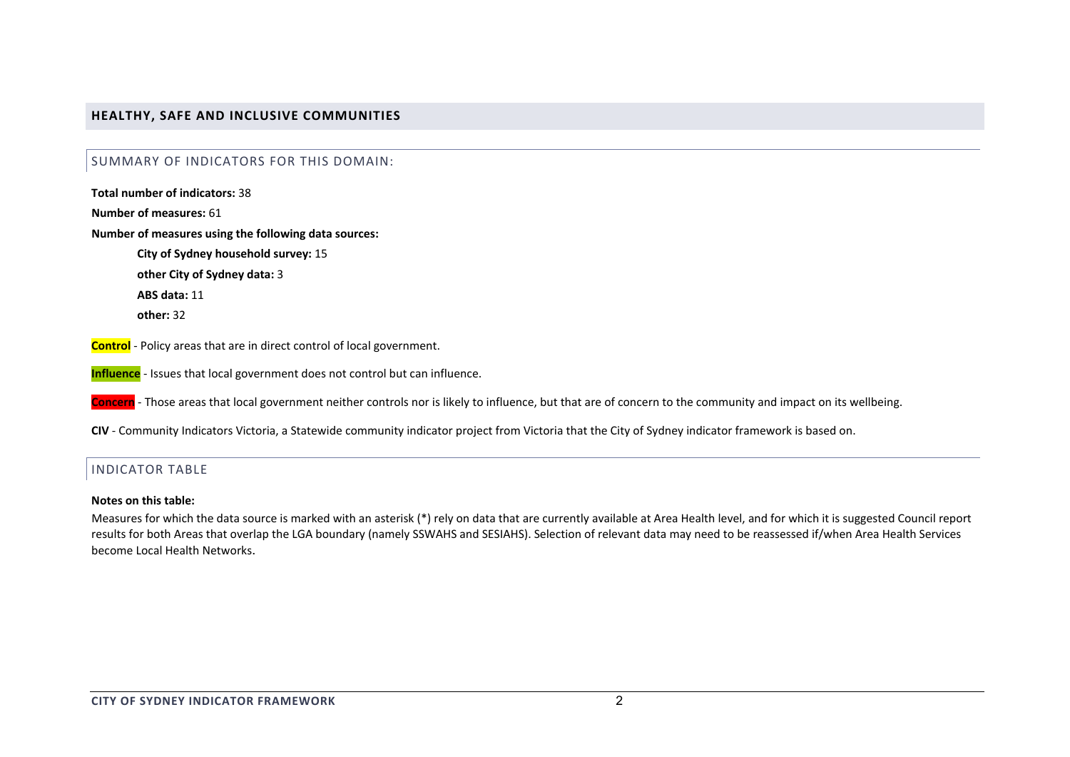## **HEALTHY, SAFE AND INCLUSIVE COMMUNITIES**

#### SUMMARY OF INDICATORS FOR THIS DOMAIN:

**Total number of indicators:** 38

**Number of measures:** 61

**Number of measures using the following data sources:**

**City of Sydney household survey:** 15

**other City of Sydney data:** 3

**ABS data:** 11

**other:** 32

**Control** ‐ Policy areas that are in direct control of local government.

**Influence** ‐ Issues that local government does not control but can influence.

**Concern** ‐ Those areas that local government neither controls nor is likely to influence, but that are of concern to the community and impact on its wellbeing.

**CIV** ‐ Community Indicators Victoria, <sup>a</sup> Statewide community indicator project from Victoria that the City of Sydney indicator framework is based on.

## INDICATOR TABLE

#### **Notes on this table:**

Measures for which the data source is marked with an asterisk (\*) rely on data that are currently available at Area Health level, and for which it is suggested Council report results for both Areas that overlap the LGA boundary (namely SSWAHS and SESIAHS). Selection of relevant data may need to be reassessed if/when Area Health Services become Local Health Networks.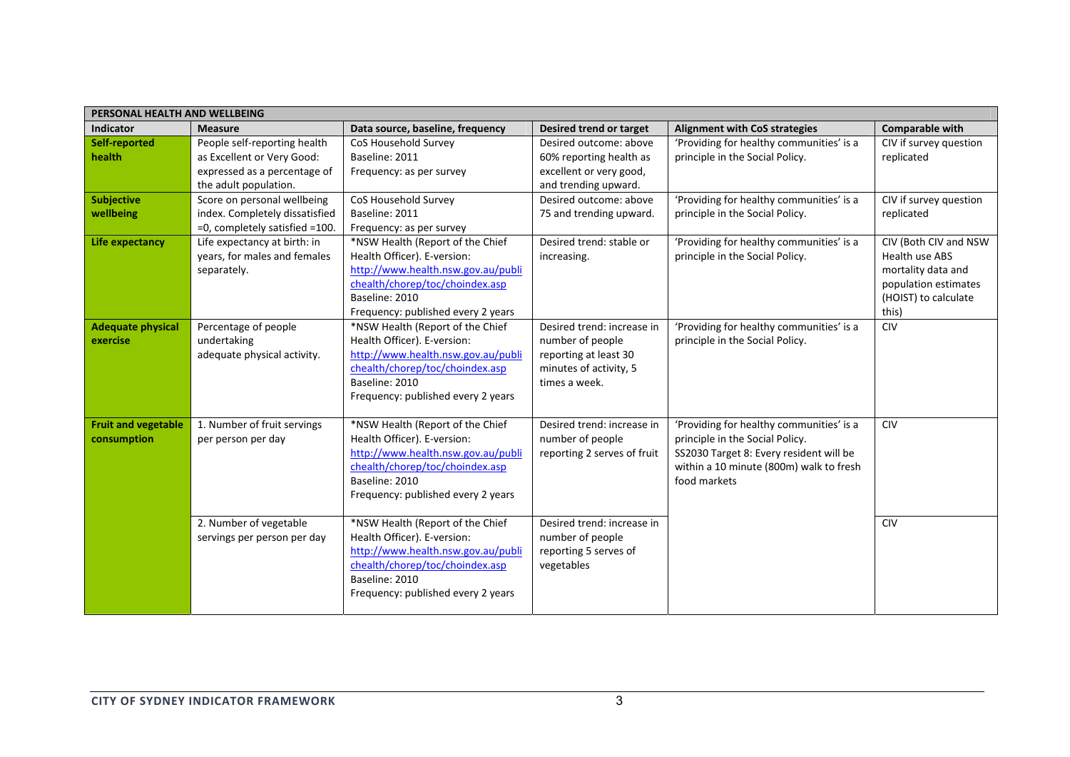| PERSONAL HEALTH AND WELLBEING             |                                                                                                                     |                                                                                                                                                                                                  |                                                                                                                    |                                                                                                                                                                                   |                                                                                                                        |  |
|-------------------------------------------|---------------------------------------------------------------------------------------------------------------------|--------------------------------------------------------------------------------------------------------------------------------------------------------------------------------------------------|--------------------------------------------------------------------------------------------------------------------|-----------------------------------------------------------------------------------------------------------------------------------------------------------------------------------|------------------------------------------------------------------------------------------------------------------------|--|
| <b>Indicator</b>                          | <b>Measure</b>                                                                                                      | Data source, baseline, frequency                                                                                                                                                                 | Desired trend or target                                                                                            | <b>Alignment with CoS strategies</b>                                                                                                                                              | Comparable with                                                                                                        |  |
| Self-reported<br>health                   | People self-reporting health<br>as Excellent or Very Good:<br>expressed as a percentage of<br>the adult population. | CoS Household Survey<br>Baseline: 2011<br>Frequency: as per survey                                                                                                                               | Desired outcome: above<br>60% reporting health as<br>excellent or very good,<br>and trending upward.               | 'Providing for healthy communities' is a<br>principle in the Social Policy.                                                                                                       | CIV if survey question<br>replicated                                                                                   |  |
| <b>Subjective</b><br>wellbeing            | Score on personal wellbeing<br>index. Completely dissatisfied<br>=0, completely satisfied =100.                     | CoS Household Survey<br>Baseline: 2011<br>Frequency: as per survey                                                                                                                               | Desired outcome: above<br>75 and trending upward.                                                                  | 'Providing for healthy communities' is a<br>principle in the Social Policy.                                                                                                       | CIV if survey question<br>replicated                                                                                   |  |
| Life expectancy                           | Life expectancy at birth: in<br>years, for males and females<br>separately.                                         | *NSW Health (Report of the Chief<br>Health Officer). E-version:<br>http://www.health.nsw.gov.au/publi<br>chealth/chorep/toc/choindex.asp<br>Baseline: 2010<br>Frequency: published every 2 years | Desired trend: stable or<br>increasing.                                                                            | 'Providing for healthy communities' is a<br>principle in the Social Policy.                                                                                                       | CIV (Both CIV and NSW<br>Health use ABS<br>mortality data and<br>population estimates<br>(HOIST) to calculate<br>this) |  |
| <b>Adequate physical</b><br>exercise      | Percentage of people<br>undertaking<br>adequate physical activity.                                                  | *NSW Health (Report of the Chief<br>Health Officer). E-version:<br>http://www.health.nsw.gov.au/publi<br>chealth/chorep/toc/choindex.asp<br>Baseline: 2010<br>Frequency: published every 2 years | Desired trend: increase in<br>number of people<br>reporting at least 30<br>minutes of activity, 5<br>times a week. | 'Providing for healthy communities' is a<br>principle in the Social Policy.                                                                                                       | <b>CIV</b>                                                                                                             |  |
| <b>Fruit and vegetable</b><br>consumption | 1. Number of fruit servings<br>per person per day                                                                   | *NSW Health (Report of the Chief<br>Health Officer). E-version:<br>http://www.health.nsw.gov.au/publi<br>chealth/chorep/toc/choindex.asp<br>Baseline: 2010<br>Frequency: published every 2 years | Desired trend: increase in<br>number of people<br>reporting 2 serves of fruit                                      | 'Providing for healthy communities' is a<br>principle in the Social Policy.<br>SS2030 Target 8: Every resident will be<br>within a 10 minute (800m) walk to fresh<br>food markets | <b>CIV</b>                                                                                                             |  |
|                                           | 2. Number of vegetable<br>servings per person per day                                                               | *NSW Health (Report of the Chief<br>Health Officer). E-version:<br>http://www.health.nsw.gov.au/publi<br>chealth/chorep/toc/choindex.asp<br>Baseline: 2010<br>Frequency: published every 2 years | Desired trend: increase in<br>number of people<br>reporting 5 serves of<br>vegetables                              |                                                                                                                                                                                   | <b>CIV</b>                                                                                                             |  |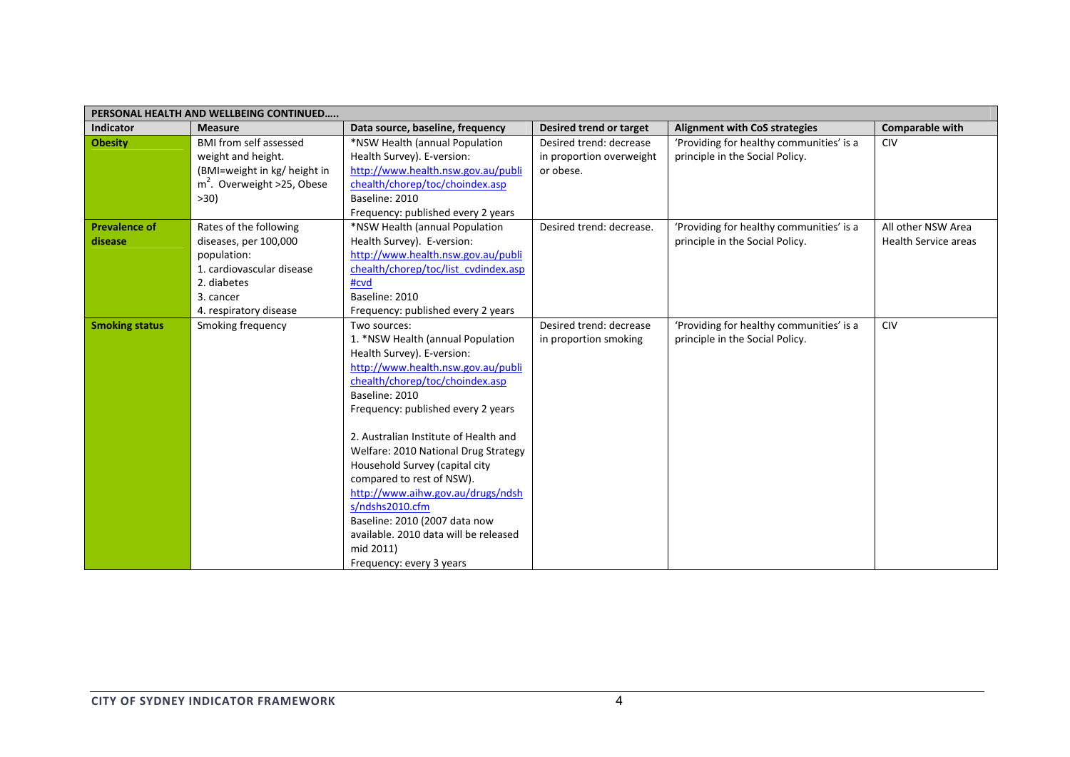| PERSONAL HEALTH AND WELLBEING CONTINUED |                               |                                       |                          |                                          |                             |  |  |
|-----------------------------------------|-------------------------------|---------------------------------------|--------------------------|------------------------------------------|-----------------------------|--|--|
| <b>Indicator</b>                        | <b>Measure</b>                | Data source, baseline, frequency      | Desired trend or target  | <b>Alignment with CoS strategies</b>     | <b>Comparable with</b>      |  |  |
| <b>Obesity</b>                          | <b>BMI from self assessed</b> | *NSW Health (annual Population        | Desired trend: decrease  | 'Providing for healthy communities' is a | <b>CIV</b>                  |  |  |
|                                         | weight and height.            | Health Survey). E-version:            | in proportion overweight | principle in the Social Policy.          |                             |  |  |
|                                         | (BMI=weight in kg/ height in  | http://www.health.nsw.gov.au/publi    | or obese.                |                                          |                             |  |  |
|                                         | $m2$ . Overweight >25, Obese  | chealth/chorep/toc/choindex.asp       |                          |                                          |                             |  |  |
|                                         | $>30$ )                       | Baseline: 2010                        |                          |                                          |                             |  |  |
|                                         |                               | Frequency: published every 2 years    |                          |                                          |                             |  |  |
| <b>Prevalence of</b>                    | Rates of the following        | *NSW Health (annual Population        | Desired trend: decrease. | 'Providing for healthy communities' is a | All other NSW Area          |  |  |
| disease                                 | diseases, per 100,000         | Health Survey). E-version:            |                          | principle in the Social Policy.          | <b>Health Service areas</b> |  |  |
|                                         | population:                   | http://www.health.nsw.gov.au/publi    |                          |                                          |                             |  |  |
|                                         | 1. cardiovascular disease     | chealth/chorep/toc/list cvdindex.asp  |                          |                                          |                             |  |  |
|                                         | 2. diabetes                   | #cvd                                  |                          |                                          |                             |  |  |
|                                         | 3. cancer                     | Baseline: 2010                        |                          |                                          |                             |  |  |
|                                         | 4. respiratory disease        | Frequency: published every 2 years    |                          |                                          |                             |  |  |
| <b>Smoking status</b>                   | Smoking frequency             | Two sources:                          | Desired trend: decrease  | 'Providing for healthy communities' is a | <b>CIV</b>                  |  |  |
|                                         |                               | 1. *NSW Health (annual Population     | in proportion smoking    | principle in the Social Policy.          |                             |  |  |
|                                         |                               | Health Survey). E-version:            |                          |                                          |                             |  |  |
|                                         |                               | http://www.health.nsw.gov.au/publi    |                          |                                          |                             |  |  |
|                                         |                               | chealth/chorep/toc/choindex.asp       |                          |                                          |                             |  |  |
|                                         |                               | Baseline: 2010                        |                          |                                          |                             |  |  |
|                                         |                               | Frequency: published every 2 years    |                          |                                          |                             |  |  |
|                                         |                               | 2. Australian Institute of Health and |                          |                                          |                             |  |  |
|                                         |                               | Welfare: 2010 National Drug Strategy  |                          |                                          |                             |  |  |
|                                         |                               | Household Survey (capital city        |                          |                                          |                             |  |  |
|                                         |                               | compared to rest of NSW).             |                          |                                          |                             |  |  |
|                                         |                               | http://www.aihw.gov.au/drugs/ndsh     |                          |                                          |                             |  |  |
|                                         |                               | s/ndshs2010.cfm                       |                          |                                          |                             |  |  |
|                                         |                               | Baseline: 2010 (2007 data now         |                          |                                          |                             |  |  |
|                                         |                               | available. 2010 data will be released |                          |                                          |                             |  |  |
|                                         |                               | mid 2011)                             |                          |                                          |                             |  |  |
|                                         |                               | Frequency: every 3 years              |                          |                                          |                             |  |  |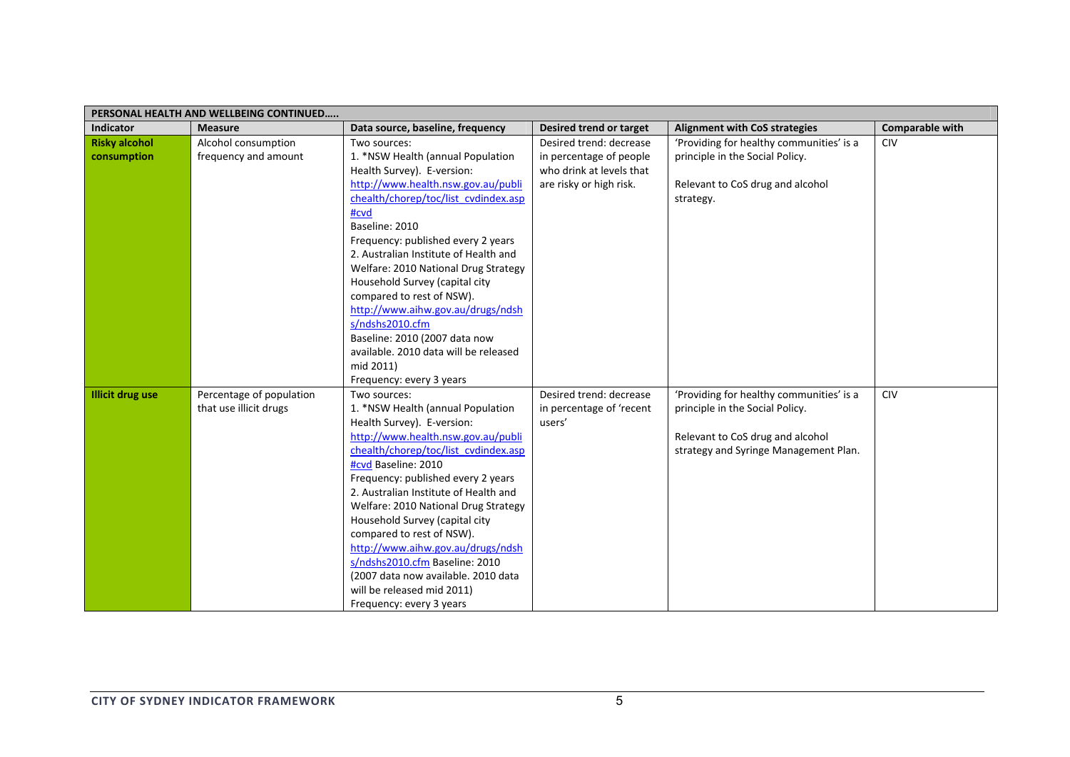| PERSONAL HEALTH AND WELLBEING CONTINUED |                                                    |                                                                                                                                                                                                                                                                                                                                                                                                                                                                                                                                                    |                                                                                                           |                                                                                                                                                          |                        |  |
|-----------------------------------------|----------------------------------------------------|----------------------------------------------------------------------------------------------------------------------------------------------------------------------------------------------------------------------------------------------------------------------------------------------------------------------------------------------------------------------------------------------------------------------------------------------------------------------------------------------------------------------------------------------------|-----------------------------------------------------------------------------------------------------------|----------------------------------------------------------------------------------------------------------------------------------------------------------|------------------------|--|
| Indicator                               | <b>Measure</b>                                     | Data source, baseline, frequency                                                                                                                                                                                                                                                                                                                                                                                                                                                                                                                   | Desired trend or target                                                                                   | <b>Alignment with CoS strategies</b>                                                                                                                     | <b>Comparable with</b> |  |
| <b>Risky alcohol</b><br>consumption     | Alcohol consumption<br>frequency and amount        | Two sources:<br>1. *NSW Health (annual Population<br>Health Survey). E-version:<br>http://www.health.nsw.gov.au/publi                                                                                                                                                                                                                                                                                                                                                                                                                              | Desired trend: decrease<br>in percentage of people<br>who drink at levels that<br>are risky or high risk. | 'Providing for healthy communities' is a<br>principle in the Social Policy.<br>Relevant to CoS drug and alcohol                                          | <b>CIV</b>             |  |
|                                         |                                                    | chealth/chorep/toc/list cvdindex.asp<br>#cvd<br>Baseline: 2010<br>Frequency: published every 2 years<br>2. Australian Institute of Health and<br>Welfare: 2010 National Drug Strategy<br>Household Survey (capital city<br>compared to rest of NSW).<br>http://www.aihw.gov.au/drugs/ndsh<br>s/ndshs2010.cfm<br>Baseline: 2010 (2007 data now<br>available. 2010 data will be released                                                                                                                                                             |                                                                                                           | strategy.                                                                                                                                                |                        |  |
|                                         |                                                    | mid 2011)<br>Frequency: every 3 years                                                                                                                                                                                                                                                                                                                                                                                                                                                                                                              |                                                                                                           |                                                                                                                                                          |                        |  |
| <b>Illicit drug use</b>                 | Percentage of population<br>that use illicit drugs | Two sources:<br>1. *NSW Health (annual Population<br>Health Survey). E-version:<br>http://www.health.nsw.gov.au/publi<br>chealth/chorep/toc/list cvdindex.asp<br>#cvd Baseline: 2010<br>Frequency: published every 2 years<br>2. Australian Institute of Health and<br>Welfare: 2010 National Drug Strategy<br>Household Survey (capital city<br>compared to rest of NSW).<br>http://www.aihw.gov.au/drugs/ndsh<br>s/ndshs2010.cfm Baseline: 2010<br>(2007 data now available. 2010 data<br>will be released mid 2011)<br>Frequency: every 3 years | Desired trend: decrease<br>in percentage of 'recent<br>users'                                             | 'Providing for healthy communities' is a<br>principle in the Social Policy.<br>Relevant to CoS drug and alcohol<br>strategy and Syringe Management Plan. | CIV                    |  |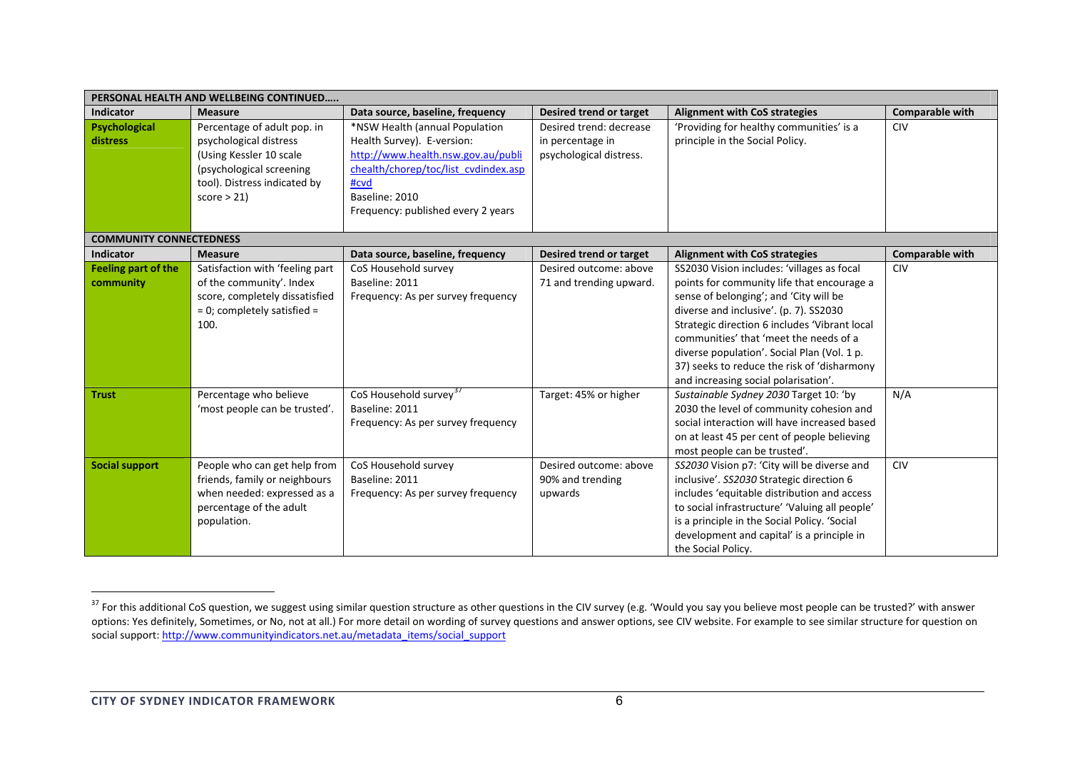| PERSONAL HEALTH AND WELLBEING CONTINUED |                                                                                                                                                             |                                                                                                                                                                                                            |                                                                        |                                                                                                                                                                                                                                                                                                                                                                                                               |                        |  |
|-----------------------------------------|-------------------------------------------------------------------------------------------------------------------------------------------------------------|------------------------------------------------------------------------------------------------------------------------------------------------------------------------------------------------------------|------------------------------------------------------------------------|---------------------------------------------------------------------------------------------------------------------------------------------------------------------------------------------------------------------------------------------------------------------------------------------------------------------------------------------------------------------------------------------------------------|------------------------|--|
| <b>Indicator</b>                        | <b>Measure</b>                                                                                                                                              | Data source, baseline, frequency                                                                                                                                                                           | Desired trend or target                                                | <b>Alignment with CoS strategies</b>                                                                                                                                                                                                                                                                                                                                                                          | <b>Comparable with</b> |  |
| <b>Psychological</b><br><b>distress</b> | Percentage of adult pop. in<br>psychological distress<br>(Using Kessler 10 scale)<br>(psychological screening<br>tool). Distress indicated by<br>score > 21 | *NSW Health (annual Population<br>Health Survey). E-version:<br>http://www.health.nsw.gov.au/publi<br>chealth/chorep/toc/list cydindex.asp<br>#cvd<br>Baseline: 2010<br>Frequency: published every 2 years | Desired trend: decrease<br>in percentage in<br>psychological distress. | 'Providing for healthy communities' is a<br>principle in the Social Policy.                                                                                                                                                                                                                                                                                                                                   | <b>CIV</b>             |  |
| <b>COMMUNITY CONNECTEDNESS</b>          |                                                                                                                                                             |                                                                                                                                                                                                            |                                                                        |                                                                                                                                                                                                                                                                                                                                                                                                               |                        |  |
| <b>Indicator</b>                        | <b>Measure</b>                                                                                                                                              | Data source, baseline, frequency                                                                                                                                                                           | Desired trend or target                                                | <b>Alignment with CoS strategies</b>                                                                                                                                                                                                                                                                                                                                                                          | <b>Comparable with</b> |  |
| <b>Feeling part of the</b><br>community | Satisfaction with 'feeling part<br>of the community'. Index<br>score, completely dissatisfied<br>$= 0$ ; completely satisfied $=$<br>100.                   | CoS Household survey<br>Baseline: 2011<br>Frequency: As per survey frequency                                                                                                                               | Desired outcome: above<br>71 and trending upward.                      | SS2030 Vision includes: 'villages as focal<br>points for community life that encourage a<br>sense of belonging'; and 'City will be<br>diverse and inclusive'. (p. 7). SS2030<br>Strategic direction 6 includes 'Vibrant local<br>communities' that 'meet the needs of a<br>diverse population'. Social Plan (Vol. 1 p.<br>37) seeks to reduce the risk of 'disharmony<br>and increasing social polarisation'. | <b>CIV</b>             |  |
| <b>Trust</b>                            | Percentage who believe<br>'most people can be trusted'.                                                                                                     | CoS Household survey <sup>37</sup><br>Baseline: 2011<br>Frequency: As per survey frequency                                                                                                                 | Target: 45% or higher                                                  | Sustainable Sydney 2030 Target 10: 'by<br>2030 the level of community cohesion and<br>social interaction will have increased based<br>on at least 45 per cent of people believing<br>most people can be trusted'.                                                                                                                                                                                             | N/A                    |  |
| <b>Social support</b>                   | People who can get help from<br>friends, family or neighbours<br>when needed: expressed as a<br>percentage of the adult<br>population.                      | CoS Household survey<br>Baseline: 2011<br>Frequency: As per survey frequency                                                                                                                               | Desired outcome: above<br>90% and trending<br>upwards                  | SS2030 Vision p7: 'City will be diverse and<br>inclusive'. SS2030 Strategic direction 6<br>includes 'equitable distribution and access<br>to social infrastructure' 'Valuing all people'<br>is a principle in the Social Policy. 'Social<br>development and capital' is a principle in<br>the Social Policy.                                                                                                  | <b>CIV</b>             |  |

 $37$  For this additional CoS question, we suggest using similar question structure as other questions in the CIV survey (e.g. 'Would you say you believe most people can be trusted?' with answer options: Yes definitely, Sometimes, or No, not at all.) For more detail on wording of survey questions and answer options, see CIV website. For example to see similar structure for question on social support: http://www.communityindicators.net.au/metadata\_items/social\_support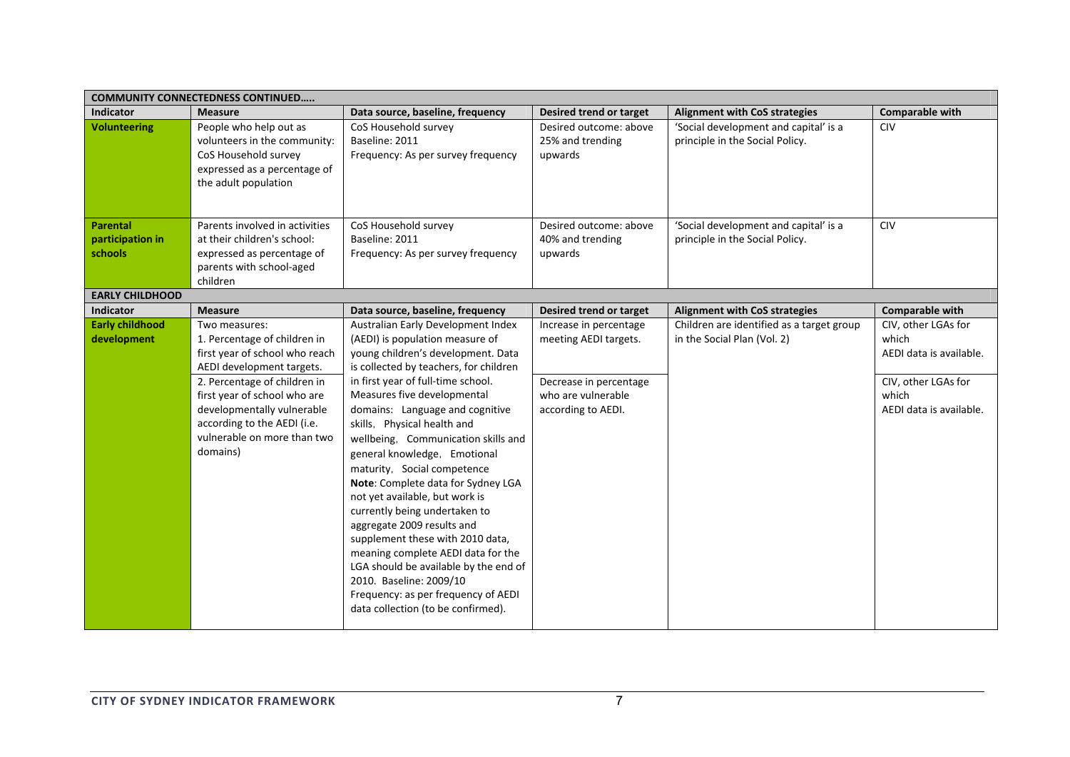| <b>COMMUNITY CONNECTEDNESS CONTINUED</b> |                                                                                                                                                                                                   |                                                                                                                                                                                                                                                                                                                                                                                                                                                                                                                                                                                                                                                       |                                                                    |                                                                          |                                                         |  |
|------------------------------------------|---------------------------------------------------------------------------------------------------------------------------------------------------------------------------------------------------|-------------------------------------------------------------------------------------------------------------------------------------------------------------------------------------------------------------------------------------------------------------------------------------------------------------------------------------------------------------------------------------------------------------------------------------------------------------------------------------------------------------------------------------------------------------------------------------------------------------------------------------------------------|--------------------------------------------------------------------|--------------------------------------------------------------------------|---------------------------------------------------------|--|
| <b>Indicator</b>                         | <b>Measure</b>                                                                                                                                                                                    | Data source, baseline, frequency                                                                                                                                                                                                                                                                                                                                                                                                                                                                                                                                                                                                                      | Desired trend or target                                            | <b>Alignment with CoS strategies</b>                                     | <b>Comparable with</b>                                  |  |
| <b>Volunteering</b>                      | People who help out as<br>volunteers in the community:<br>CoS Household survey<br>expressed as a percentage of<br>the adult population                                                            | CoS Household survey<br>Baseline: 2011<br>Frequency: As per survey frequency                                                                                                                                                                                                                                                                                                                                                                                                                                                                                                                                                                          | Desired outcome: above<br>25% and trending<br>upwards              | 'Social development and capital' is a<br>principle in the Social Policy. | <b>CIV</b>                                              |  |
| <b>Parental</b>                          | Parents involved in activities                                                                                                                                                                    | CoS Household survey                                                                                                                                                                                                                                                                                                                                                                                                                                                                                                                                                                                                                                  | Desired outcome: above                                             | 'Social development and capital' is a                                    | <b>CIV</b>                                              |  |
| participation in                         | at their children's school:                                                                                                                                                                       | Baseline: 2011                                                                                                                                                                                                                                                                                                                                                                                                                                                                                                                                                                                                                                        | 40% and trending                                                   | principle in the Social Policy.                                          |                                                         |  |
| schools                                  | expressed as percentage of<br>parents with school-aged<br>children                                                                                                                                | Frequency: As per survey frequency                                                                                                                                                                                                                                                                                                                                                                                                                                                                                                                                                                                                                    | upwards                                                            |                                                                          |                                                         |  |
| <b>EARLY CHILDHOOD</b>                   |                                                                                                                                                                                                   |                                                                                                                                                                                                                                                                                                                                                                                                                                                                                                                                                                                                                                                       |                                                                    |                                                                          |                                                         |  |
| <b>Indicator</b>                         | <b>Measure</b>                                                                                                                                                                                    | Data source, baseline, frequency                                                                                                                                                                                                                                                                                                                                                                                                                                                                                                                                                                                                                      | Desired trend or target                                            | <b>Alignment with CoS strategies</b>                                     | <b>Comparable with</b>                                  |  |
| <b>Early childhood</b><br>development    | Two measures:<br>1. Percentage of children in<br>first year of school who reach                                                                                                                   | Australian Early Development Index<br>(AEDI) is population measure of<br>young children's development. Data                                                                                                                                                                                                                                                                                                                                                                                                                                                                                                                                           | Increase in percentage<br>meeting AEDI targets.                    | Children are identified as a target group<br>in the Social Plan (Vol. 2) | CIV, other LGAs for<br>which<br>AEDI data is available. |  |
|                                          | AEDI development targets.<br>2. Percentage of children in<br>first year of school who are<br>developmentally vulnerable<br>according to the AEDI (i.e.<br>vulnerable on more than two<br>domains) | is collected by teachers, for children<br>in first year of full-time school.<br>Measures five developmental<br>domains: Language and cognitive<br>skills, Physical health and<br>wellbeing, Communication skills and<br>general knowledge, Emotional<br>maturity, Social competence<br>Note: Complete data for Sydney LGA<br>not yet available, but work is<br>currently being undertaken to<br>aggregate 2009 results and<br>supplement these with 2010 data,<br>meaning complete AEDI data for the<br>LGA should be available by the end of<br>2010. Baseline: 2009/10<br>Frequency: as per frequency of AEDI<br>data collection (to be confirmed). | Decrease in percentage<br>who are vulnerable<br>according to AEDI. |                                                                          | CIV, other LGAs for<br>which<br>AEDI data is available. |  |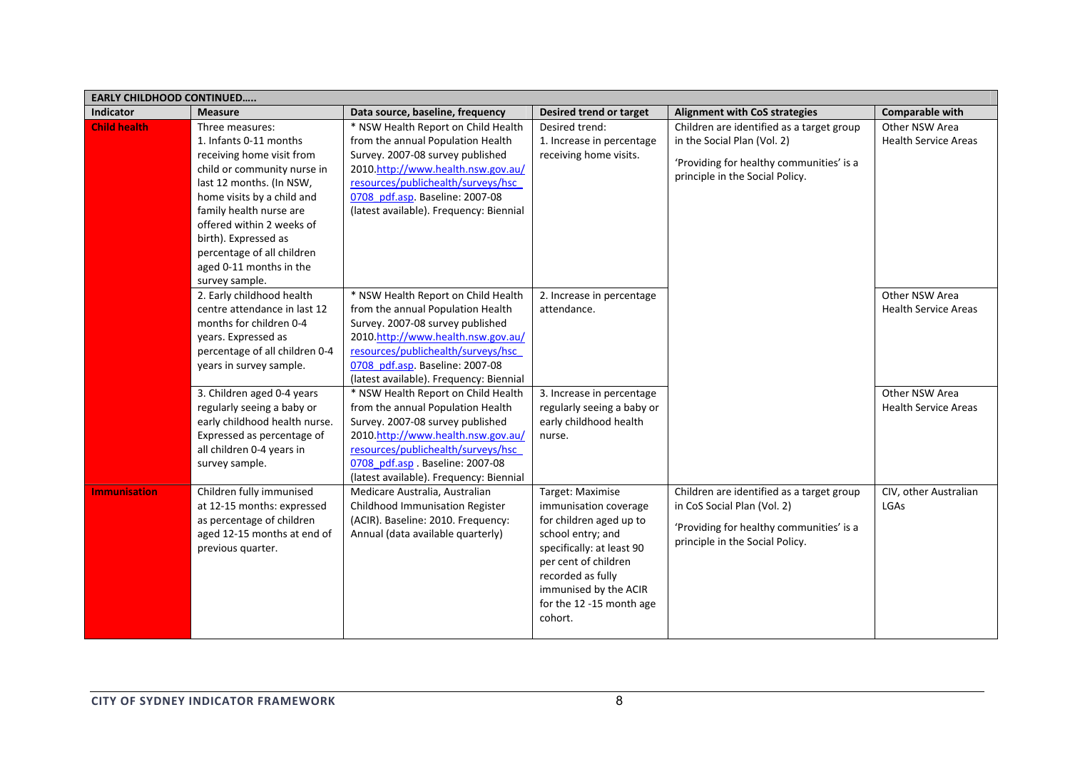| <b>EARLY CHILDHOOD CONTINUED</b> |                                |                                                                       |                            |                                           |                             |
|----------------------------------|--------------------------------|-----------------------------------------------------------------------|----------------------------|-------------------------------------------|-----------------------------|
| <b>Indicator</b>                 | <b>Measure</b>                 | Data source, baseline, frequency                                      | Desired trend or target    | <b>Alignment with CoS strategies</b>      | <b>Comparable with</b>      |
| <b>Child health</b>              | Three measures:                | * NSW Health Report on Child Health                                   | Desired trend:             | Children are identified as a target group | Other NSW Area              |
|                                  | 1. Infants 0-11 months         | from the annual Population Health                                     | 1. Increase in percentage  | in the Social Plan (Vol. 2)               | <b>Health Service Areas</b> |
|                                  | receiving home visit from      | Survey. 2007-08 survey published                                      | receiving home visits.     | 'Providing for healthy communities' is a  |                             |
|                                  | child or community nurse in    | 2010.http://www.health.nsw.gov.au/                                    |                            | principle in the Social Policy.           |                             |
|                                  | last 12 months. (In NSW,       | resources/publichealth/surveys/hsc                                    |                            |                                           |                             |
|                                  | home visits by a child and     | 0708 pdf.asp. Baseline: 2007-08                                       |                            |                                           |                             |
|                                  | family health nurse are        | (latest available). Frequency: Biennial                               |                            |                                           |                             |
|                                  | offered within 2 weeks of      |                                                                       |                            |                                           |                             |
|                                  | birth). Expressed as           |                                                                       |                            |                                           |                             |
|                                  | percentage of all children     |                                                                       |                            |                                           |                             |
|                                  | aged 0-11 months in the        |                                                                       |                            |                                           |                             |
|                                  | survey sample.                 |                                                                       |                            |                                           |                             |
|                                  | 2. Early childhood health      | * NSW Health Report on Child Health                                   | 2. Increase in percentage  |                                           | Other NSW Area              |
|                                  | centre attendance in last 12   | from the annual Population Health                                     | attendance.                |                                           | <b>Health Service Areas</b> |
|                                  | months for children 0-4        | Survey. 2007-08 survey published                                      |                            |                                           |                             |
|                                  | years. Expressed as            | 2010.http://www.health.nsw.gov.au/                                    |                            |                                           |                             |
|                                  | percentage of all children 0-4 | resources/publichealth/surveys/hsc<br>0708 pdf.asp. Baseline: 2007-08 |                            |                                           |                             |
|                                  | years in survey sample.        | (latest available). Frequency: Biennial                               |                            |                                           |                             |
|                                  | 3. Children aged 0-4 years     | * NSW Health Report on Child Health                                   | 3. Increase in percentage  |                                           | Other NSW Area              |
|                                  | regularly seeing a baby or     | from the annual Population Health                                     | regularly seeing a baby or |                                           | <b>Health Service Areas</b> |
|                                  | early childhood health nurse.  | Survey. 2007-08 survey published                                      | early childhood health     |                                           |                             |
|                                  | Expressed as percentage of     | 2010.http://www.health.nsw.gov.au/                                    | nurse.                     |                                           |                             |
|                                  | all children 0-4 years in      | resources/publichealth/surveys/hsc                                    |                            |                                           |                             |
|                                  | survey sample.                 | 0708 pdf.asp. Baseline: 2007-08                                       |                            |                                           |                             |
|                                  |                                | (latest available). Frequency: Biennial                               |                            |                                           |                             |
| <b>Immunisation</b>              | Children fully immunised       | Medicare Australia, Australian                                        | Target: Maximise           | Children are identified as a target group | CIV, other Australian       |
|                                  | at 12-15 months: expressed     | Childhood Immunisation Register                                       | immunisation coverage      | in CoS Social Plan (Vol. 2)               | LGAs                        |
|                                  | as percentage of children      | (ACIR). Baseline: 2010. Frequency:                                    | for children aged up to    |                                           |                             |
|                                  | aged 12-15 months at end of    | Annual (data available quarterly)                                     | school entry; and          | 'Providing for healthy communities' is a  |                             |
|                                  | previous quarter.              |                                                                       | specifically: at least 90  | principle in the Social Policy.           |                             |
|                                  |                                |                                                                       | per cent of children       |                                           |                             |
|                                  |                                |                                                                       | recorded as fully          |                                           |                             |
|                                  |                                |                                                                       | immunised by the ACIR      |                                           |                             |
|                                  |                                |                                                                       | for the 12 -15 month age   |                                           |                             |
|                                  |                                |                                                                       | cohort.                    |                                           |                             |
|                                  |                                |                                                                       |                            |                                           |                             |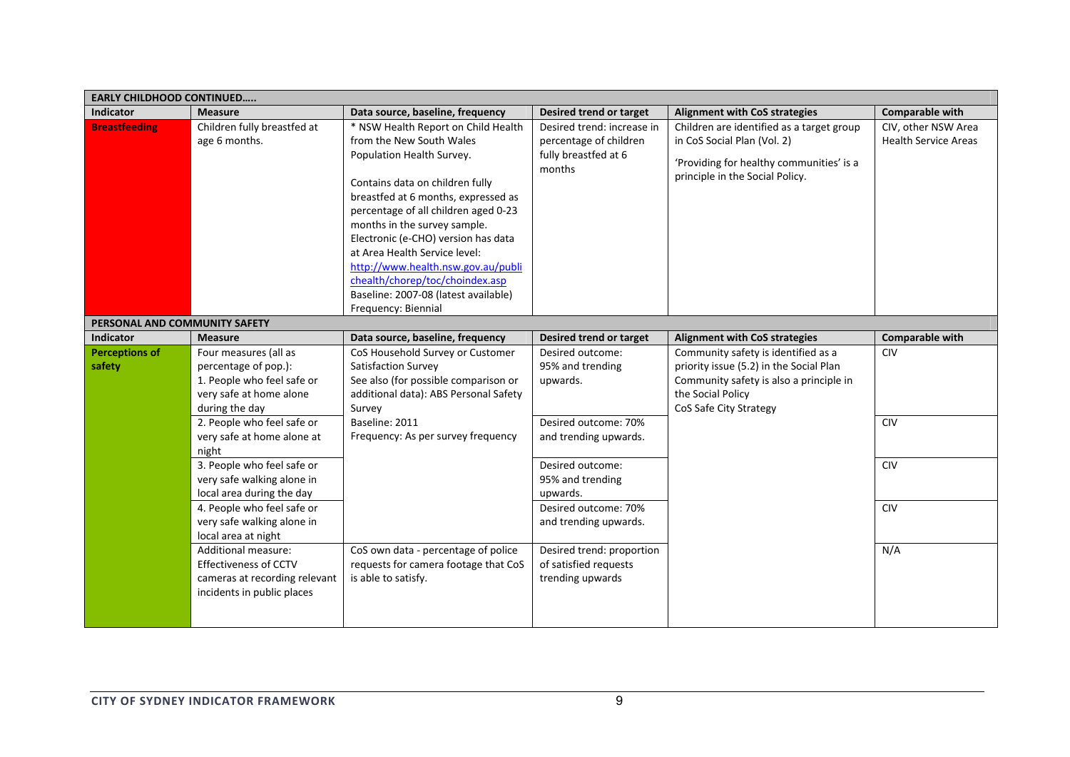| <b>EARLY CHILDHOOD CONTINUED</b> |                                                                                                                          |                                                                                                                                                                                                                                                                                                                                                                                                                                                                |                                                                                        |                                                                                                                                                                          |                                                    |
|----------------------------------|--------------------------------------------------------------------------------------------------------------------------|----------------------------------------------------------------------------------------------------------------------------------------------------------------------------------------------------------------------------------------------------------------------------------------------------------------------------------------------------------------------------------------------------------------------------------------------------------------|----------------------------------------------------------------------------------------|--------------------------------------------------------------------------------------------------------------------------------------------------------------------------|----------------------------------------------------|
| <b>Indicator</b>                 | <b>Measure</b>                                                                                                           | Data source, baseline, frequency                                                                                                                                                                                                                                                                                                                                                                                                                               | Desired trend or target                                                                | <b>Alignment with CoS strategies</b>                                                                                                                                     | <b>Comparable with</b>                             |
| <b>Breastfeeding</b>             | Children fully breastfed at<br>age 6 months.                                                                             | * NSW Health Report on Child Health<br>from the New South Wales<br>Population Health Survey.<br>Contains data on children fully<br>breastfed at 6 months, expressed as<br>percentage of all children aged 0-23<br>months in the survey sample.<br>Electronic (e-CHO) version has data<br>at Area Health Service level:<br>http://www.health.nsw.gov.au/publi<br>chealth/chorep/toc/choindex.asp<br>Baseline: 2007-08 (latest available)<br>Frequency: Biennial | Desired trend: increase in<br>percentage of children<br>fully breastfed at 6<br>months | Children are identified as a target group<br>in CoS Social Plan (Vol. 2)<br>'Providing for healthy communities' is a<br>principle in the Social Policy.                  | CIV, other NSW Area<br><b>Health Service Areas</b> |
| PERSONAL AND COMMUNITY SAFETY    |                                                                                                                          |                                                                                                                                                                                                                                                                                                                                                                                                                                                                |                                                                                        |                                                                                                                                                                          |                                                    |
| <b>Indicator</b>                 | <b>Measure</b>                                                                                                           | Data source, baseline, frequency                                                                                                                                                                                                                                                                                                                                                                                                                               | Desired trend or target                                                                | <b>Alignment with CoS strategies</b>                                                                                                                                     | <b>Comparable with</b>                             |
| <b>Perceptions of</b><br>safety  | Four measures (all as<br>percentage of pop.):<br>1. People who feel safe or<br>very safe at home alone<br>during the day | CoS Household Survey or Customer<br>Satisfaction Survey<br>See also (for possible comparison or<br>additional data): ABS Personal Safety<br>Survey                                                                                                                                                                                                                                                                                                             | Desired outcome:<br>95% and trending<br>upwards.                                       | Community safety is identified as a<br>priority issue (5.2) in the Social Plan<br>Community safety is also a principle in<br>the Social Policy<br>CoS Safe City Strategy | <b>CIV</b>                                         |
|                                  | 2. People who feel safe or<br>very safe at home alone at<br>night                                                        | Baseline: 2011<br>Frequency: As per survey frequency                                                                                                                                                                                                                                                                                                                                                                                                           | Desired outcome: 70%<br>and trending upwards.                                          |                                                                                                                                                                          | <b>CIV</b>                                         |
|                                  | 3. People who feel safe or<br>very safe walking alone in<br>local area during the day                                    |                                                                                                                                                                                                                                                                                                                                                                                                                                                                | Desired outcome:<br>95% and trending<br>upwards.                                       |                                                                                                                                                                          | <b>CIV</b>                                         |
|                                  | 4. People who feel safe or<br>very safe walking alone in<br>local area at night                                          |                                                                                                                                                                                                                                                                                                                                                                                                                                                                | Desired outcome: 70%<br>and trending upwards.                                          |                                                                                                                                                                          | <b>CIV</b>                                         |
|                                  | Additional measure:<br><b>Effectiveness of CCTV</b><br>cameras at recording relevant<br>incidents in public places       | CoS own data - percentage of police<br>requests for camera footage that CoS<br>is able to satisfy.                                                                                                                                                                                                                                                                                                                                                             | Desired trend: proportion<br>of satisfied requests<br>trending upwards                 |                                                                                                                                                                          | N/A                                                |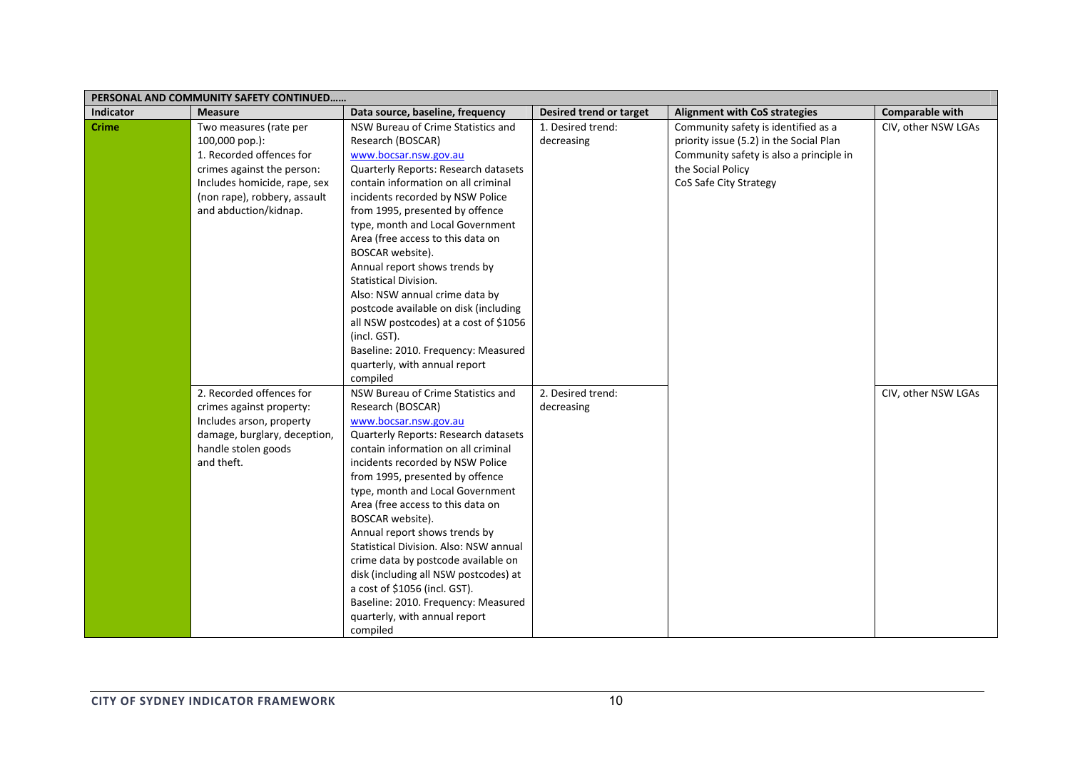|                  | PERSONAL AND COMMUNITY SAFETY CONTINUED                                                                                                                                                       |                                                                                                                                                                                                                                                                                                                                                                                                                                                                                                                                                                                                                                 |                                 |                                                                                                                                                                          |                        |
|------------------|-----------------------------------------------------------------------------------------------------------------------------------------------------------------------------------------------|---------------------------------------------------------------------------------------------------------------------------------------------------------------------------------------------------------------------------------------------------------------------------------------------------------------------------------------------------------------------------------------------------------------------------------------------------------------------------------------------------------------------------------------------------------------------------------------------------------------------------------|---------------------------------|--------------------------------------------------------------------------------------------------------------------------------------------------------------------------|------------------------|
| <b>Indicator</b> | <b>Measure</b>                                                                                                                                                                                | Data source, baseline, frequency                                                                                                                                                                                                                                                                                                                                                                                                                                                                                                                                                                                                | Desired trend or target         | <b>Alignment with CoS strategies</b>                                                                                                                                     | <b>Comparable with</b> |
| <b>Crime</b>     | Two measures (rate per<br>$100,000$ pop.):<br>1. Recorded offences for<br>crimes against the person:<br>Includes homicide, rape, sex<br>(non rape), robbery, assault<br>and abduction/kidnap. | NSW Bureau of Crime Statistics and<br>Research (BOSCAR)<br>www.bocsar.nsw.gov.au<br>Quarterly Reports: Research datasets<br>contain information on all criminal<br>incidents recorded by NSW Police<br>from 1995, presented by offence<br>type, month and Local Government<br>Area (free access to this data on<br>BOSCAR website).<br>Annual report shows trends by<br><b>Statistical Division.</b><br>Also: NSW annual crime data by<br>postcode available on disk (including<br>all NSW postcodes) at a cost of \$1056<br>(incl. GST).<br>Baseline: 2010. Frequency: Measured<br>quarterly, with annual report               | 1. Desired trend:<br>decreasing | Community safety is identified as a<br>priority issue (5.2) in the Social Plan<br>Community safety is also a principle in<br>the Social Policy<br>CoS Safe City Strategy | CIV, other NSW LGAs    |
|                  | 2. Recorded offences for<br>crimes against property:<br>Includes arson, property<br>damage, burglary, deception,<br>handle stolen goods<br>and theft.                                         | compiled<br>NSW Bureau of Crime Statistics and<br>Research (BOSCAR)<br>www.bocsar.nsw.gov.au<br>Quarterly Reports: Research datasets<br>contain information on all criminal<br>incidents recorded by NSW Police<br>from 1995, presented by offence<br>type, month and Local Government<br>Area (free access to this data on<br>BOSCAR website).<br>Annual report shows trends by<br>Statistical Division. Also: NSW annual<br>crime data by postcode available on<br>disk (including all NSW postcodes) at<br>a cost of \$1056 (incl. GST).<br>Baseline: 2010. Frequency: Measured<br>quarterly, with annual report<br>compiled | 2. Desired trend:<br>decreasing |                                                                                                                                                                          | CIV, other NSW LGAs    |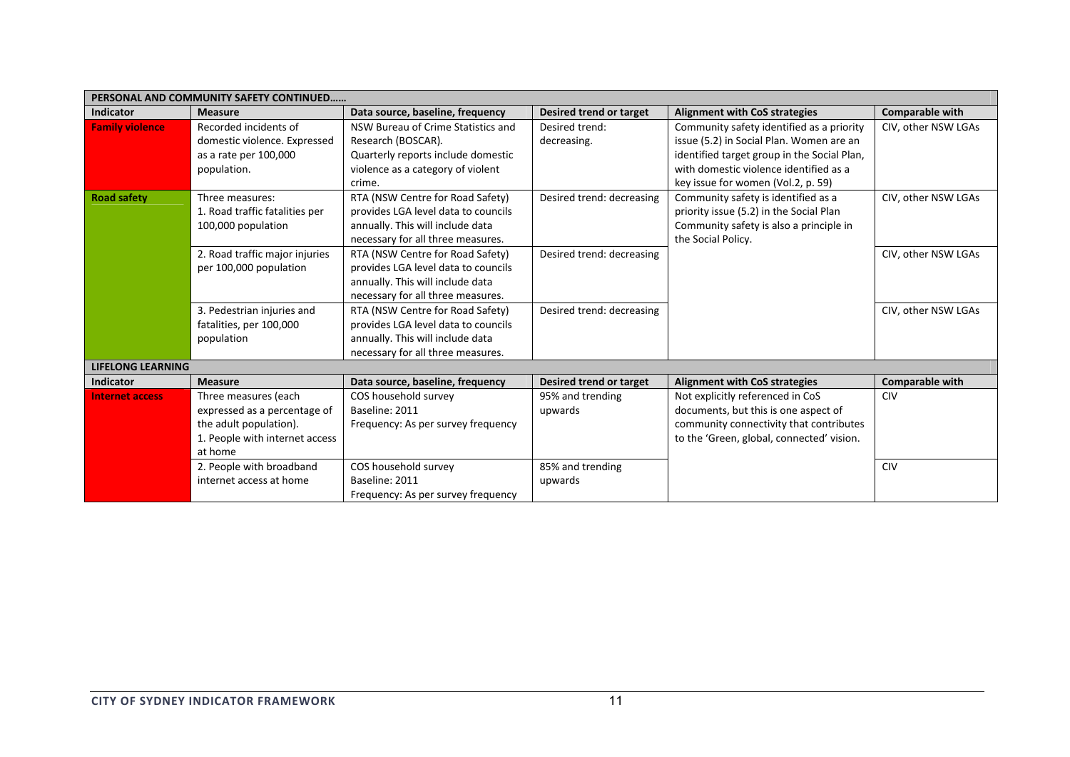| PERSONAL AND COMMUNITY SAFETY CONTINUED |                                |                                     |                           |                                             |                        |  |  |
|-----------------------------------------|--------------------------------|-------------------------------------|---------------------------|---------------------------------------------|------------------------|--|--|
| <b>Indicator</b>                        | <b>Measure</b>                 | Data source, baseline, frequency    | Desired trend or target   | <b>Alignment with CoS strategies</b>        | <b>Comparable with</b> |  |  |
| <b>Family violence</b>                  | Recorded incidents of          | NSW Bureau of Crime Statistics and  | Desired trend:            | Community safety identified as a priority   | CIV, other NSW LGAs    |  |  |
|                                         | domestic violence. Expressed   | Research (BOSCAR).                  | decreasing.               | issue (5.2) in Social Plan. Women are an    |                        |  |  |
|                                         | as a rate per 100,000          | Quarterly reports include domestic  |                           | identified target group in the Social Plan, |                        |  |  |
|                                         | population.                    | violence as a category of violent   |                           | with domestic violence identified as a      |                        |  |  |
|                                         |                                | crime.                              |                           | key issue for women (Vol.2, p. 59)          |                        |  |  |
| <b>Road safety</b>                      | Three measures:                | RTA (NSW Centre for Road Safety)    | Desired trend: decreasing | Community safety is identified as a         | CIV, other NSW LGAs    |  |  |
|                                         | 1. Road traffic fatalities per | provides LGA level data to councils |                           | priority issue (5.2) in the Social Plan     |                        |  |  |
|                                         | 100,000 population             | annually. This will include data    |                           | Community safety is also a principle in     |                        |  |  |
|                                         |                                | necessary for all three measures.   |                           | the Social Policy.                          |                        |  |  |
|                                         | 2. Road traffic major injuries | RTA (NSW Centre for Road Safety)    | Desired trend: decreasing |                                             | CIV, other NSW LGAs    |  |  |
|                                         | per 100,000 population         | provides LGA level data to councils |                           |                                             |                        |  |  |
|                                         |                                | annually. This will include data    |                           |                                             |                        |  |  |
|                                         |                                | necessary for all three measures.   |                           |                                             |                        |  |  |
|                                         | 3. Pedestrian injuries and     | RTA (NSW Centre for Road Safety)    | Desired trend: decreasing |                                             | CIV, other NSW LGAs    |  |  |
|                                         | fatalities, per 100,000        | provides LGA level data to councils |                           |                                             |                        |  |  |
|                                         | population                     | annually. This will include data    |                           |                                             |                        |  |  |
|                                         |                                | necessary for all three measures.   |                           |                                             |                        |  |  |
| <b>LIFELONG LEARNING</b>                |                                |                                     |                           |                                             |                        |  |  |
| <b>Indicator</b>                        | <b>Measure</b>                 | Data source, baseline, frequency    | Desired trend or target   | <b>Alignment with CoS strategies</b>        | <b>Comparable with</b> |  |  |
| <b>Internet access</b>                  | Three measures (each           | COS household survey                | 95% and trending          | Not explicitly referenced in CoS            | <b>CIV</b>             |  |  |
|                                         | expressed as a percentage of   | Baseline: 2011                      | upwards                   | documents, but this is one aspect of        |                        |  |  |
|                                         | the adult population).         | Frequency: As per survey frequency  |                           | community connectivity that contributes     |                        |  |  |
|                                         | 1. People with internet access |                                     |                           | to the 'Green, global, connected' vision.   |                        |  |  |
|                                         | at home                        |                                     |                           |                                             |                        |  |  |
|                                         | 2. People with broadband       | COS household survey                | 85% and trending          |                                             | <b>CIV</b>             |  |  |
|                                         | internet access at home        | Baseline: 2011                      | upwards                   |                                             |                        |  |  |
|                                         |                                | Frequency: As per survey frequency  |                           |                                             |                        |  |  |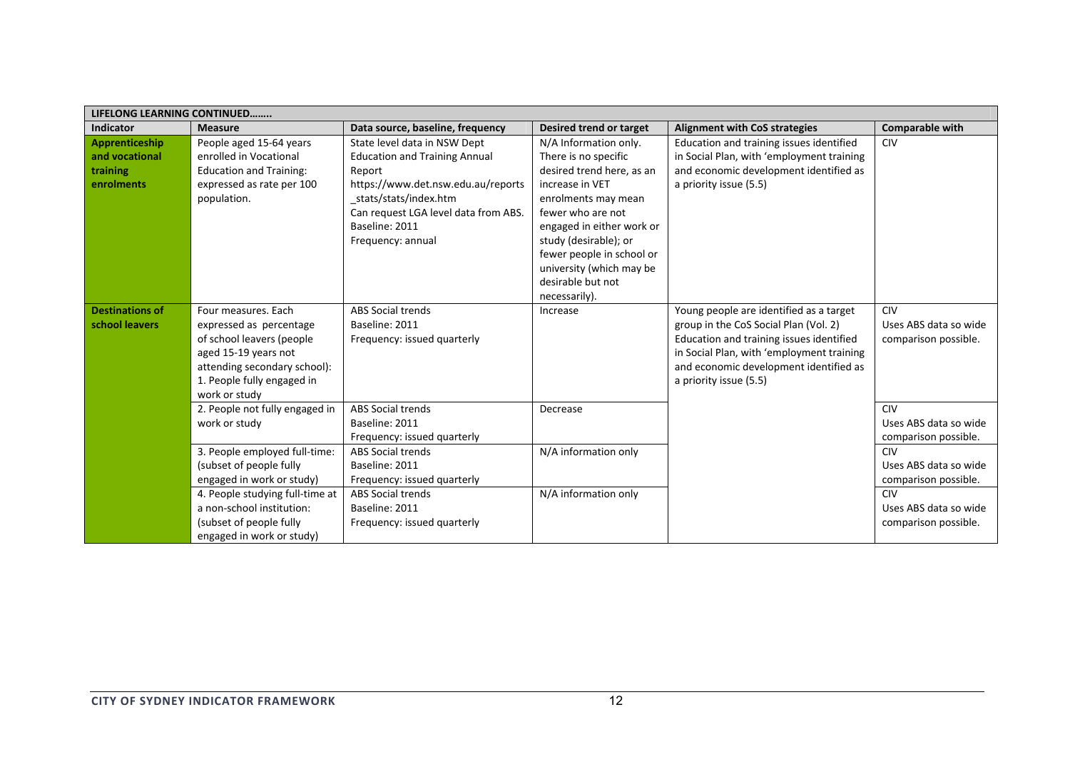| <b>LIFELONG LEARNING CONTINUED</b>                         |                                                                                                                                                                                    |                                                                                                                                                                                                                               |                                                                                                                                                                                                                                                                                                |                                                                                                                                                                                                                                               |                                                             |  |
|------------------------------------------------------------|------------------------------------------------------------------------------------------------------------------------------------------------------------------------------------|-------------------------------------------------------------------------------------------------------------------------------------------------------------------------------------------------------------------------------|------------------------------------------------------------------------------------------------------------------------------------------------------------------------------------------------------------------------------------------------------------------------------------------------|-----------------------------------------------------------------------------------------------------------------------------------------------------------------------------------------------------------------------------------------------|-------------------------------------------------------------|--|
| <b>Indicator</b>                                           | <b>Measure</b>                                                                                                                                                                     | Data source, baseline, frequency                                                                                                                                                                                              | Desired trend or target                                                                                                                                                                                                                                                                        | <b>Alignment with CoS strategies</b>                                                                                                                                                                                                          | <b>Comparable with</b>                                      |  |
| Apprenticeship<br>and vocational<br>training<br>enrolments | People aged 15-64 years<br>enrolled in Vocational<br><b>Education and Training:</b><br>expressed as rate per 100<br>population.                                                    | State level data in NSW Dept<br><b>Education and Training Annual</b><br>Report<br>https://www.det.nsw.edu.au/reports<br>_stats/stats/index.htm<br>Can request LGA level data from ABS.<br>Baseline: 2011<br>Frequency: annual | N/A Information only.<br>There is no specific<br>desired trend here, as an<br>increase in VET<br>enrolments may mean<br>fewer who are not<br>engaged in either work or<br>study (desirable); or<br>fewer people in school or<br>university (which may be<br>desirable but not<br>necessarily). | Education and training issues identified<br>in Social Plan, with 'employment training<br>and economic development identified as<br>a priority issue (5.5)                                                                                     | <b>CIV</b>                                                  |  |
| <b>Destinations of</b><br>school leavers                   | Four measures. Each<br>expressed as percentage<br>of school leavers (people<br>aged 15-19 years not<br>attending secondary school):<br>1. People fully engaged in<br>work or study | <b>ABS Social trends</b><br>Baseline: 2011<br>Frequency: issued quarterly                                                                                                                                                     | Increase                                                                                                                                                                                                                                                                                       | Young people are identified as a target<br>group in the CoS Social Plan (Vol. 2)<br>Education and training issues identified<br>in Social Plan, with 'employment training<br>and economic development identified as<br>a priority issue (5.5) | <b>CIV</b><br>Uses ABS data so wide<br>comparison possible. |  |
|                                                            | 2. People not fully engaged in<br>work or study                                                                                                                                    | <b>ABS Social trends</b><br>Baseline: 2011<br>Frequency: issued quarterly                                                                                                                                                     | Decrease                                                                                                                                                                                                                                                                                       |                                                                                                                                                                                                                                               | <b>CIV</b><br>Uses ABS data so wide<br>comparison possible. |  |
|                                                            | 3. People employed full-time:<br>(subset of people fully<br>engaged in work or study)                                                                                              | <b>ABS Social trends</b><br>Baseline: 2011<br>Frequency: issued quarterly                                                                                                                                                     | N/A information only                                                                                                                                                                                                                                                                           |                                                                                                                                                                                                                                               | CIV<br>Uses ABS data so wide<br>comparison possible.        |  |
|                                                            | 4. People studying full-time at<br>a non-school institution:<br>(subset of people fully)<br>engaged in work or study)                                                              | <b>ABS Social trends</b><br>Baseline: 2011<br>Frequency: issued quarterly                                                                                                                                                     | N/A information only                                                                                                                                                                                                                                                                           |                                                                                                                                                                                                                                               | CIV<br>Uses ABS data so wide<br>comparison possible.        |  |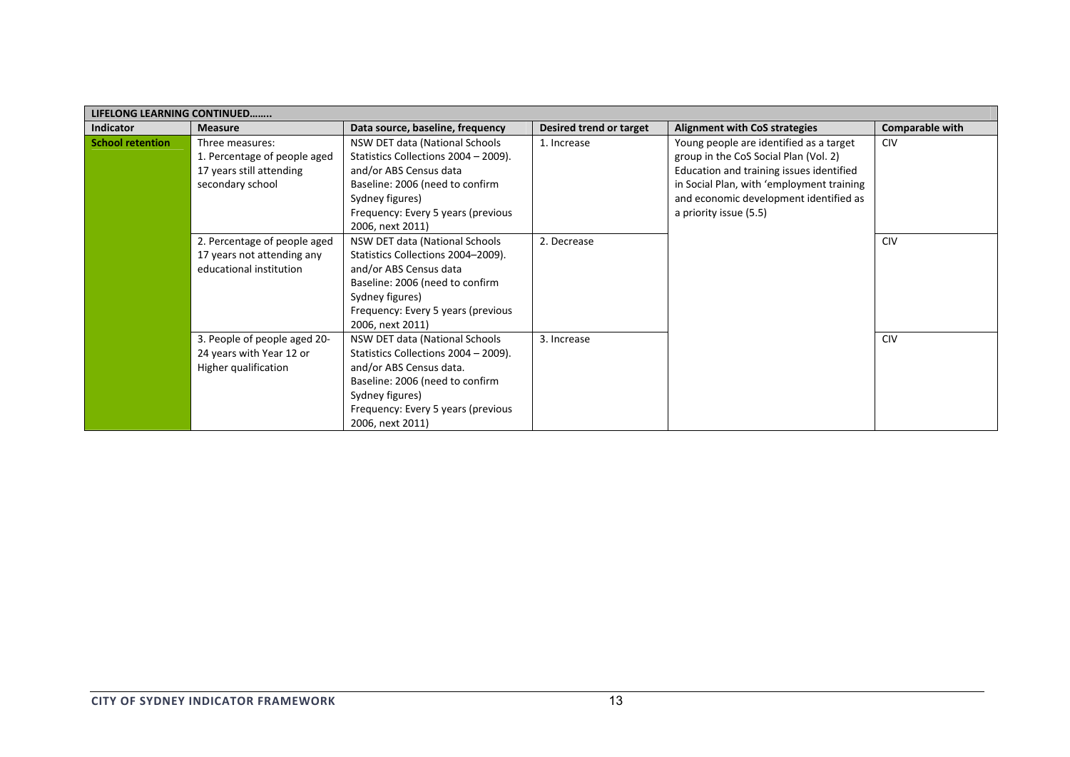| <b>LIFELONG LEARNING CONTINUED</b> |                                                                                                 |                                                                                                                                                                                                                   |                         |                                                                                                                                                                                                                                               |                        |  |
|------------------------------------|-------------------------------------------------------------------------------------------------|-------------------------------------------------------------------------------------------------------------------------------------------------------------------------------------------------------------------|-------------------------|-----------------------------------------------------------------------------------------------------------------------------------------------------------------------------------------------------------------------------------------------|------------------------|--|
| <b>Indicator</b>                   | <b>Measure</b>                                                                                  | Data source, baseline, frequency                                                                                                                                                                                  | Desired trend or target | <b>Alignment with CoS strategies</b>                                                                                                                                                                                                          | <b>Comparable with</b> |  |
| <b>School retention</b>            | Three measures:<br>1. Percentage of people aged<br>17 years still attending<br>secondary school | NSW DET data (National Schools<br>Statistics Collections 2004 - 2009).<br>and/or ABS Census data<br>Baseline: 2006 (need to confirm<br>Sydney figures)<br>Frequency: Every 5 years (previous<br>2006, next 2011)  | 1. Increase             | Young people are identified as a target<br>group in the CoS Social Plan (Vol. 2)<br>Education and training issues identified<br>in Social Plan, with 'employment training<br>and economic development identified as<br>a priority issue (5.5) | <b>CIV</b>             |  |
|                                    | 2. Percentage of people aged<br>17 years not attending any<br>educational institution           | NSW DET data (National Schools<br>Statistics Collections 2004-2009).<br>and/or ABS Census data<br>Baseline: 2006 (need to confirm<br>Sydney figures)<br>Frequency: Every 5 years (previous<br>2006, next 2011)    | 2. Decrease             |                                                                                                                                                                                                                                               | <b>CIV</b>             |  |
|                                    | 3. People of people aged 20-<br>24 years with Year 12 or<br>Higher qualification                | NSW DET data (National Schools<br>Statistics Collections 2004 - 2009).<br>and/or ABS Census data.<br>Baseline: 2006 (need to confirm<br>Sydney figures)<br>Frequency: Every 5 years (previous<br>2006, next 2011) | 3. Increase             |                                                                                                                                                                                                                                               | <b>CIV</b>             |  |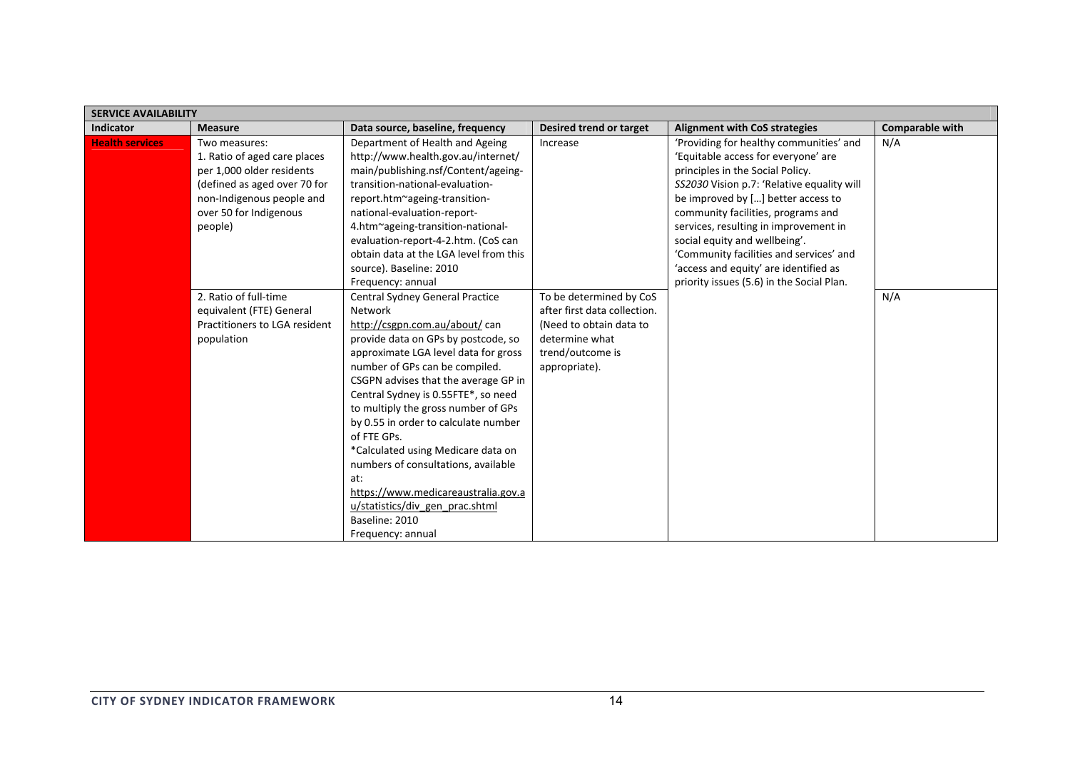| <b>SERVICE AVAILABILITY</b> |                                                                                                                                                                              |                                                                                                                                                                                                                                                                                                                                                                                                                                                                                                                                                                                        |                                                                                                                                           |                                                                                                                                                                                                                                                                                                                                                                                                                                                         |                        |  |
|-----------------------------|------------------------------------------------------------------------------------------------------------------------------------------------------------------------------|----------------------------------------------------------------------------------------------------------------------------------------------------------------------------------------------------------------------------------------------------------------------------------------------------------------------------------------------------------------------------------------------------------------------------------------------------------------------------------------------------------------------------------------------------------------------------------------|-------------------------------------------------------------------------------------------------------------------------------------------|---------------------------------------------------------------------------------------------------------------------------------------------------------------------------------------------------------------------------------------------------------------------------------------------------------------------------------------------------------------------------------------------------------------------------------------------------------|------------------------|--|
| <b>Indicator</b>            | <b>Measure</b>                                                                                                                                                               | Data source, baseline, frequency                                                                                                                                                                                                                                                                                                                                                                                                                                                                                                                                                       | Desired trend or target                                                                                                                   | <b>Alignment with CoS strategies</b>                                                                                                                                                                                                                                                                                                                                                                                                                    | <b>Comparable with</b> |  |
| <b>Health services</b>      | Two measures:<br>1. Ratio of aged care places<br>per 1,000 older residents<br>(defined as aged over 70 for<br>non-Indigenous people and<br>over 50 for Indigenous<br>people) | Department of Health and Ageing<br>http://www.health.gov.au/internet/<br>main/publishing.nsf/Content/ageing-<br>transition-national-evaluation-<br>report.htm~ageing-transition-<br>national-evaluation-report-<br>4.htm~ageing-transition-national-<br>evaluation-report-4-2.htm. (CoS can<br>obtain data at the LGA level from this<br>source). Baseline: 2010<br>Frequency: annual                                                                                                                                                                                                  | Increase                                                                                                                                  | 'Providing for healthy communities' and<br>'Equitable access for everyone' are<br>principles in the Social Policy.<br>SS2030 Vision p.7: 'Relative equality will<br>be improved by [] better access to<br>community facilities, programs and<br>services, resulting in improvement in<br>social equity and wellbeing'.<br>'Community facilities and services' and<br>'access and equity' are identified as<br>priority issues (5.6) in the Social Plan. | N/A                    |  |
|                             | 2. Ratio of full-time<br>equivalent (FTE) General<br>Practitioners to LGA resident<br>population                                                                             | <b>Central Sydney General Practice</b><br>Network<br>http://csgpn.com.au/about/ can<br>provide data on GPs by postcode, so<br>approximate LGA level data for gross<br>number of GPs can be compiled.<br>CSGPN advises that the average GP in<br>Central Sydney is 0.55FTE*, so need<br>to multiply the gross number of GPs<br>by 0.55 in order to calculate number<br>of FTE GPs.<br>*Calculated using Medicare data on<br>numbers of consultations, available<br>at:<br>https://www.medicareaustralia.gov.a<br>u/statistics/div gen prac.shtml<br>Baseline: 2010<br>Frequency: annual | To be determined by CoS<br>after first data collection.<br>(Need to obtain data to<br>determine what<br>trend/outcome is<br>appropriate). |                                                                                                                                                                                                                                                                                                                                                                                                                                                         | N/A                    |  |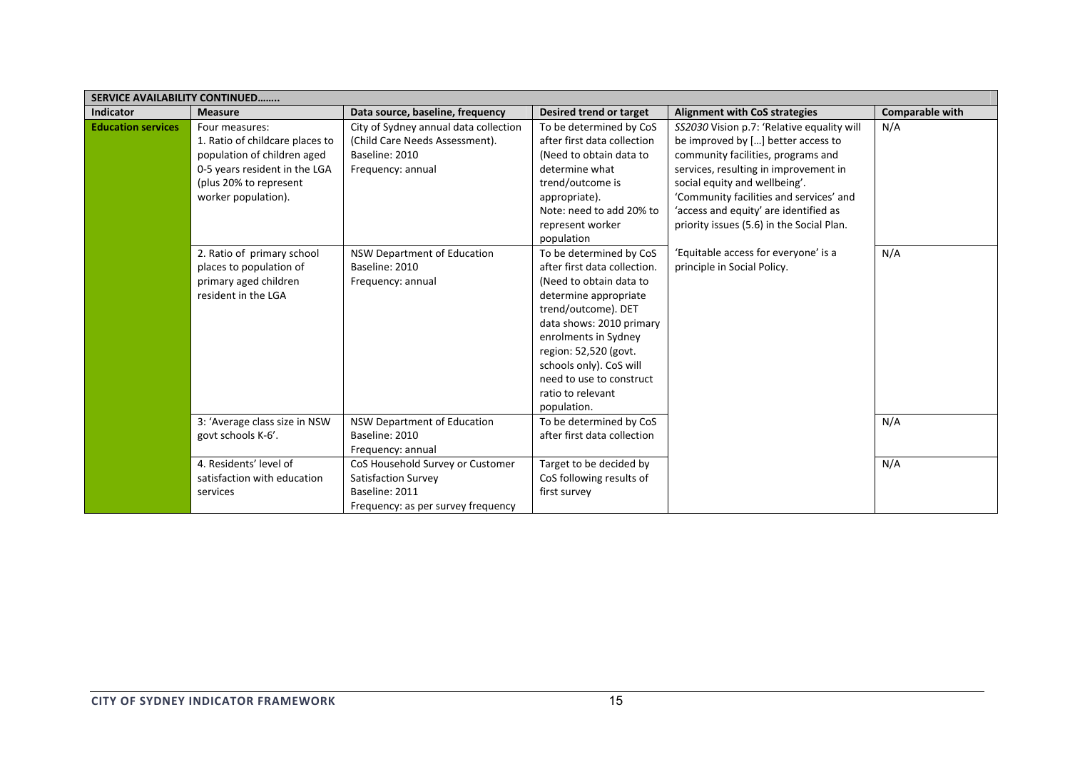| <b>SERVICE AVAILABILITY CONTINUED</b> |                                                                                                                                                                    |                                                                                                                 |                                                                                                                                                                                                                                                                                                            |                                                                                                                                                                                                                                                                                                                                   |                        |
|---------------------------------------|--------------------------------------------------------------------------------------------------------------------------------------------------------------------|-----------------------------------------------------------------------------------------------------------------|------------------------------------------------------------------------------------------------------------------------------------------------------------------------------------------------------------------------------------------------------------------------------------------------------------|-----------------------------------------------------------------------------------------------------------------------------------------------------------------------------------------------------------------------------------------------------------------------------------------------------------------------------------|------------------------|
| <b>Indicator</b>                      | <b>Measure</b>                                                                                                                                                     | Data source, baseline, frequency                                                                                | Desired trend or target                                                                                                                                                                                                                                                                                    | <b>Alignment with CoS strategies</b>                                                                                                                                                                                                                                                                                              | <b>Comparable with</b> |
| <b>Education services</b>             | Four measures:<br>1. Ratio of childcare places to<br>population of children aged<br>0-5 years resident in the LGA<br>(plus 20% to represent<br>worker population). | City of Sydney annual data collection<br>(Child Care Needs Assessment).<br>Baseline: 2010<br>Frequency: annual  | To be determined by CoS<br>after first data collection<br>(Need to obtain data to<br>determine what<br>trend/outcome is<br>appropriate).<br>Note: need to add 20% to<br>represent worker<br>population                                                                                                     | SS2030 Vision p.7: 'Relative equality will<br>be improved by [] better access to<br>community facilities, programs and<br>services, resulting in improvement in<br>social equity and wellbeing'.<br>'Community facilities and services' and<br>'access and equity' are identified as<br>priority issues (5.6) in the Social Plan. | N/A                    |
|                                       | 2. Ratio of primary school<br>places to population of<br>primary aged children<br>resident in the LGA                                                              | <b>NSW Department of Education</b><br>Baseline: 2010<br>Frequency: annual                                       | To be determined by CoS<br>after first data collection.<br>(Need to obtain data to<br>determine appropriate<br>trend/outcome). DET<br>data shows: 2010 primary<br>enrolments in Sydney<br>region: 52,520 (govt.<br>schools only). CoS will<br>need to use to construct<br>ratio to relevant<br>population. | 'Equitable access for everyone' is a<br>principle in Social Policy.                                                                                                                                                                                                                                                               | N/A                    |
|                                       | 3: 'Average class size in NSW<br>govt schools K-6'.                                                                                                                | NSW Department of Education<br>Baseline: 2010<br>Frequency: annual                                              | To be determined by CoS<br>after first data collection                                                                                                                                                                                                                                                     |                                                                                                                                                                                                                                                                                                                                   | N/A                    |
|                                       | 4. Residents' level of<br>satisfaction with education<br>services                                                                                                  | CoS Household Survey or Customer<br>Satisfaction Survey<br>Baseline: 2011<br>Frequency: as per survey frequency | Target to be decided by<br>CoS following results of<br>first survey                                                                                                                                                                                                                                        |                                                                                                                                                                                                                                                                                                                                   | N/A                    |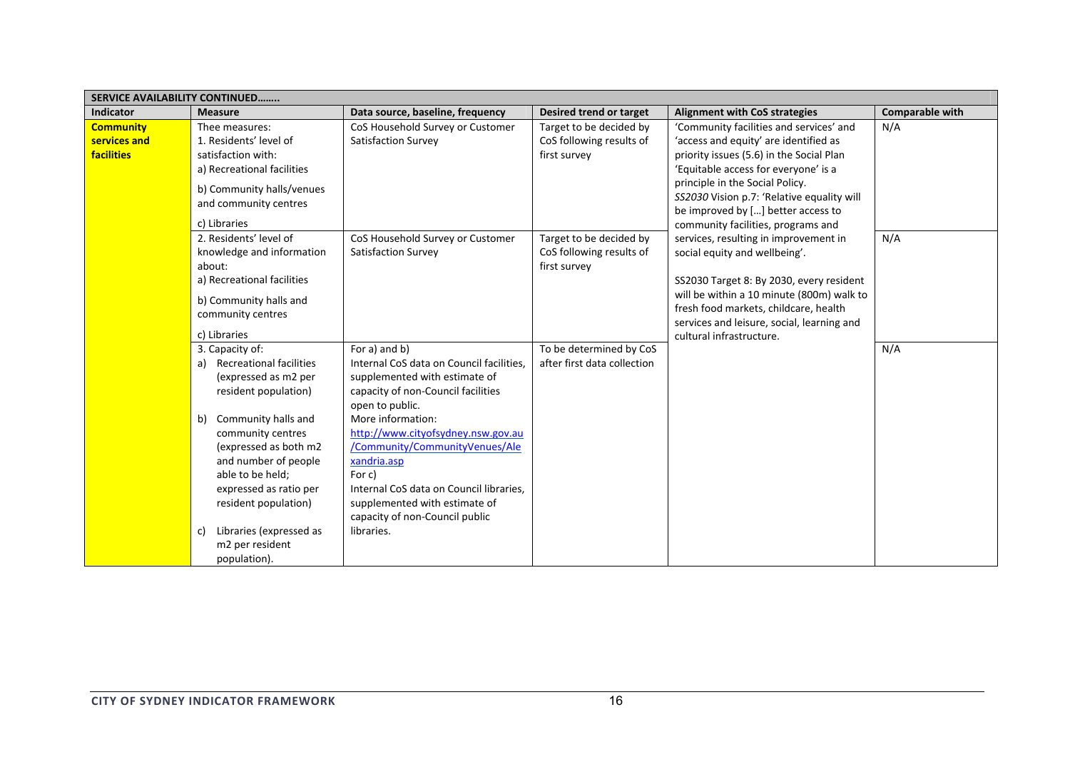| <b>SERVICE AVAILABILITY CONTINUED</b>                 |                                                                                                                                                                                                                                                                                                                                               |                                                                                                                                                                                                                                                                                                                                                                                                       |                                                                     |                                                                                                                                                                                                                                                                                                                                                                                                                                                                                                                                                                                                                         |                 |  |  |
|-------------------------------------------------------|-----------------------------------------------------------------------------------------------------------------------------------------------------------------------------------------------------------------------------------------------------------------------------------------------------------------------------------------------|-------------------------------------------------------------------------------------------------------------------------------------------------------------------------------------------------------------------------------------------------------------------------------------------------------------------------------------------------------------------------------------------------------|---------------------------------------------------------------------|-------------------------------------------------------------------------------------------------------------------------------------------------------------------------------------------------------------------------------------------------------------------------------------------------------------------------------------------------------------------------------------------------------------------------------------------------------------------------------------------------------------------------------------------------------------------------------------------------------------------------|-----------------|--|--|
| <b>Indicator</b>                                      | <b>Measure</b>                                                                                                                                                                                                                                                                                                                                | Data source, baseline, frequency                                                                                                                                                                                                                                                                                                                                                                      | <b>Desired trend or target</b>                                      | <b>Alignment with CoS strategies</b>                                                                                                                                                                                                                                                                                                                                                                                                                                                                                                                                                                                    | Comparable with |  |  |
| <b>Community</b><br>services and<br><b>facilities</b> | Thee measures:<br>1. Residents' level of<br>satisfaction with:<br>a) Recreational facilities<br>b) Community halls/venues<br>and community centres<br>c) Libraries                                                                                                                                                                            | CoS Household Survey or Customer<br><b>Satisfaction Survey</b>                                                                                                                                                                                                                                                                                                                                        | Target to be decided by<br>CoS following results of<br>first survey | 'Community facilities and services' and<br>'access and equity' are identified as<br>priority issues (5.6) in the Social Plan<br>'Equitable access for everyone' is a<br>principle in the Social Policy.<br>SS2030 Vision p.7: 'Relative equality will<br>be improved by [] better access to<br>community facilities, programs and<br>services, resulting in improvement in<br>social equity and wellbeing'.<br>SS2030 Target 8: By 2030, every resident<br>will be within a 10 minute (800m) walk to<br>fresh food markets, childcare, health<br>services and leisure, social, learning and<br>cultural infrastructure. | N/A             |  |  |
|                                                       | 2. Residents' level of<br>knowledge and information<br>about:<br>a) Recreational facilities<br>b) Community halls and<br>community centres<br>c) Libraries                                                                                                                                                                                    | CoS Household Survey or Customer<br><b>Satisfaction Survey</b>                                                                                                                                                                                                                                                                                                                                        | Target to be decided by<br>CoS following results of<br>first survey |                                                                                                                                                                                                                                                                                                                                                                                                                                                                                                                                                                                                                         | N/A             |  |  |
|                                                       | 3. Capacity of:<br>Recreational facilities<br>a)<br>(expressed as m2 per<br>resident population)<br>Community halls and<br>b)<br>community centres<br>(expressed as both m2<br>and number of people<br>able to be held;<br>expressed as ratio per<br>resident population)<br>Libraries (expressed as<br>c)<br>m2 per resident<br>population). | For a) and b)<br>Internal CoS data on Council facilities,<br>supplemented with estimate of<br>capacity of non-Council facilities<br>open to public.<br>More information:<br>http://www.cityofsydney.nsw.gov.au<br>/Community/CommunityVenues/Ale<br>xandria.asp<br>For c)<br>Internal CoS data on Council libraries,<br>supplemented with estimate of<br>capacity of non-Council public<br>libraries. | To be determined by CoS<br>after first data collection              |                                                                                                                                                                                                                                                                                                                                                                                                                                                                                                                                                                                                                         | N/A             |  |  |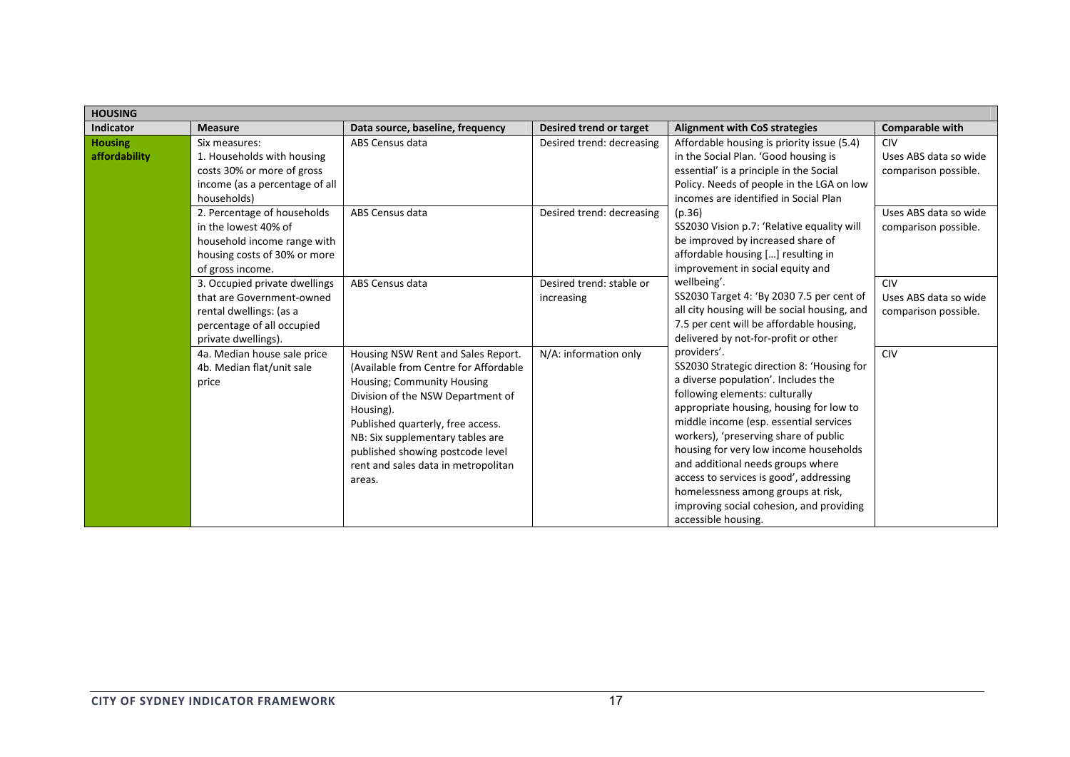| <b>HOUSING</b>                  |                                                                                                                                            |                                                                                                                                                                                                                                                                                                                           |                                        |                                                                                                                                                                                                                                                                                                                                                                                                                                                                                                     |                                                             |  |
|---------------------------------|--------------------------------------------------------------------------------------------------------------------------------------------|---------------------------------------------------------------------------------------------------------------------------------------------------------------------------------------------------------------------------------------------------------------------------------------------------------------------------|----------------------------------------|-----------------------------------------------------------------------------------------------------------------------------------------------------------------------------------------------------------------------------------------------------------------------------------------------------------------------------------------------------------------------------------------------------------------------------------------------------------------------------------------------------|-------------------------------------------------------------|--|
| <b>Indicator</b>                | <b>Measure</b>                                                                                                                             | Data source, baseline, frequency                                                                                                                                                                                                                                                                                          | Desired trend or target                | <b>Alignment with CoS strategies</b>                                                                                                                                                                                                                                                                                                                                                                                                                                                                | <b>Comparable with</b>                                      |  |
| <b>Housing</b><br>affordability | Six measures:<br>1. Households with housing<br>costs 30% or more of gross<br>income (as a percentage of all<br>households)                 | ABS Census data                                                                                                                                                                                                                                                                                                           | Desired trend: decreasing              | Affordable housing is priority issue (5.4)<br>in the Social Plan. 'Good housing is<br>essential' is a principle in the Social<br>Policy. Needs of people in the LGA on low<br>incomes are identified in Social Plan<br>(p.36)<br>SS2030 Vision p.7: 'Relative equality will<br>be improved by increased share of<br>affordable housing [] resulting in<br>improvement in social equity and                                                                                                          | <b>CIV</b><br>Uses ABS data so wide<br>comparison possible. |  |
|                                 | 2. Percentage of households<br>in the lowest 40% of<br>household income range with<br>housing costs of 30% or more<br>of gross income.     | ABS Census data                                                                                                                                                                                                                                                                                                           | Desired trend: decreasing              |                                                                                                                                                                                                                                                                                                                                                                                                                                                                                                     | Uses ABS data so wide<br>comparison possible.               |  |
|                                 | 3. Occupied private dwellings<br>that are Government-owned<br>rental dwellings: (as a<br>percentage of all occupied<br>private dwellings). | ABS Census data                                                                                                                                                                                                                                                                                                           | Desired trend: stable or<br>increasing | wellbeing'.<br>SS2030 Target 4: 'By 2030 7.5 per cent of<br>all city housing will be social housing, and<br>7.5 per cent will be affordable housing,<br>delivered by not-for-profit or other                                                                                                                                                                                                                                                                                                        | CIV<br>Uses ABS data so wide<br>comparison possible.        |  |
|                                 | 4a. Median house sale price<br>4b. Median flat/unit sale<br>price                                                                          | Housing NSW Rent and Sales Report.<br>(Available from Centre for Affordable<br>Housing; Community Housing<br>Division of the NSW Department of<br>Housing).<br>Published quarterly, free access.<br>NB: Six supplementary tables are<br>published showing postcode level<br>rent and sales data in metropolitan<br>areas. | N/A: information only                  | providers'.<br>SS2030 Strategic direction 8: 'Housing for<br>a diverse population'. Includes the<br>following elements: culturally<br>appropriate housing, housing for low to<br>middle income (esp. essential services<br>workers), 'preserving share of public<br>housing for very low income households<br>and additional needs groups where<br>access to services is good', addressing<br>homelessness among groups at risk,<br>improving social cohesion, and providing<br>accessible housing. | <b>CIV</b>                                                  |  |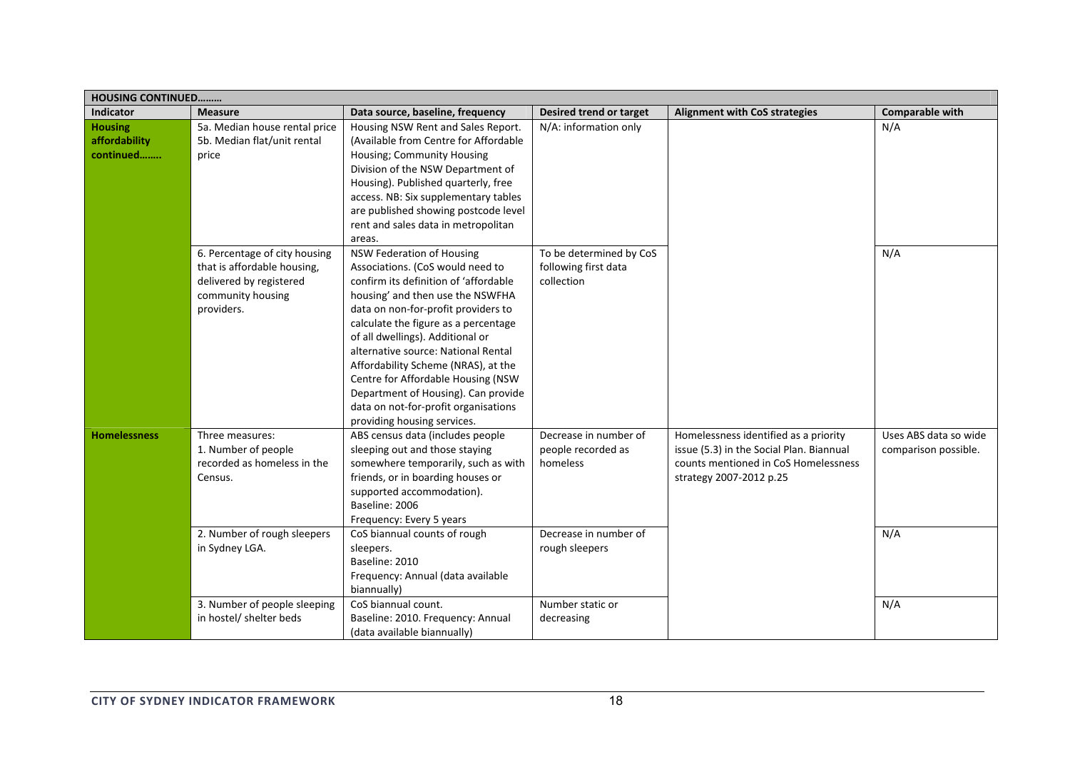| <b>HOUSING CONTINUED</b>                     |                                                                                                                            |                                                                                                                                                                                                                                                                                                                                                                                                                                                                                                 |                                                                                  |                                                                                                                                                      |                                               |
|----------------------------------------------|----------------------------------------------------------------------------------------------------------------------------|-------------------------------------------------------------------------------------------------------------------------------------------------------------------------------------------------------------------------------------------------------------------------------------------------------------------------------------------------------------------------------------------------------------------------------------------------------------------------------------------------|----------------------------------------------------------------------------------|------------------------------------------------------------------------------------------------------------------------------------------------------|-----------------------------------------------|
| <b>Indicator</b>                             | <b>Measure</b>                                                                                                             | Data source, baseline, frequency                                                                                                                                                                                                                                                                                                                                                                                                                                                                | Desired trend or target                                                          | <b>Alignment with CoS strategies</b>                                                                                                                 | <b>Comparable with</b>                        |
| <b>Housing</b><br>affordability<br>continued | 5a. Median house rental price<br>5b. Median flat/unit rental<br>price                                                      | Housing NSW Rent and Sales Report.<br>(Available from Centre for Affordable<br>Housing; Community Housing<br>Division of the NSW Department of<br>Housing). Published quarterly, free<br>access. NB: Six supplementary tables<br>are published showing postcode level<br>rent and sales data in metropolitan<br>areas.                                                                                                                                                                          | N/A: information only                                                            |                                                                                                                                                      | N/A                                           |
|                                              | 6. Percentage of city housing<br>that is affordable housing,<br>delivered by registered<br>community housing<br>providers. | NSW Federation of Housing<br>Associations. (CoS would need to<br>confirm its definition of 'affordable<br>housing' and then use the NSWFHA<br>data on non-for-profit providers to<br>calculate the figure as a percentage<br>of all dwellings). Additional or<br>alternative source: National Rental<br>Affordability Scheme (NRAS), at the<br>Centre for Affordable Housing (NSW<br>Department of Housing). Can provide<br>data on not-for-profit organisations<br>providing housing services. | To be determined by CoS<br>following first data<br>collection                    |                                                                                                                                                      | N/A                                           |
| <b>Homelessness</b>                          | Three measures:<br>1. Number of people<br>recorded as homeless in the<br>Census.                                           | ABS census data (includes people<br>sleeping out and those staying<br>somewhere temporarily, such as with<br>friends, or in boarding houses or<br>supported accommodation).<br>Baseline: 2006<br>Frequency: Every 5 years                                                                                                                                                                                                                                                                       | Decrease in number of<br>people recorded as<br>homeless<br>Decrease in number of | Homelessness identified as a priority<br>issue (5.3) in the Social Plan. Biannual<br>counts mentioned in CoS Homelessness<br>strategy 2007-2012 p.25 | Uses ABS data so wide<br>comparison possible. |
|                                              | 2. Number of rough sleepers<br>in Sydney LGA.                                                                              | CoS biannual counts of rough<br>sleepers.<br>Baseline: 2010<br>Frequency: Annual (data available<br>biannually)                                                                                                                                                                                                                                                                                                                                                                                 | rough sleepers                                                                   |                                                                                                                                                      | N/A                                           |
|                                              | 3. Number of people sleeping<br>in hostel/ shelter beds                                                                    | CoS biannual count.<br>Baseline: 2010. Frequency: Annual<br>(data available biannually)                                                                                                                                                                                                                                                                                                                                                                                                         | Number static or<br>decreasing                                                   |                                                                                                                                                      | N/A                                           |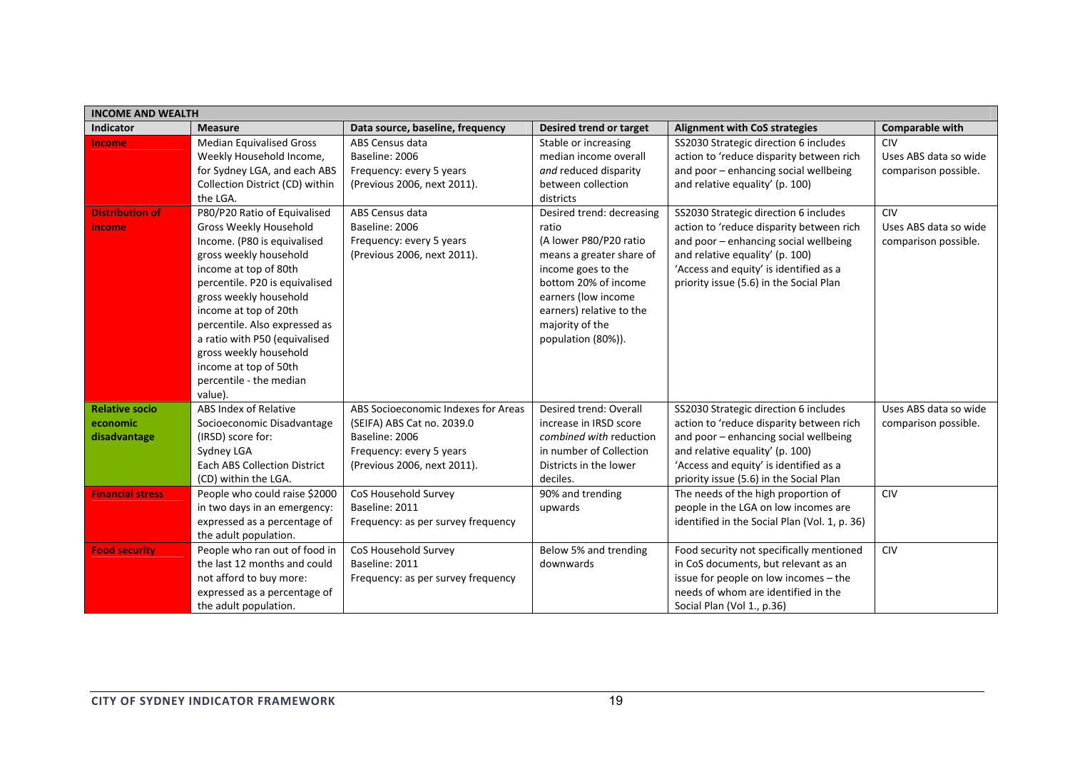| <b>INCOME AND WEALTH</b> |                                                 |                                     |                           |                                               |                       |  |  |
|--------------------------|-------------------------------------------------|-------------------------------------|---------------------------|-----------------------------------------------|-----------------------|--|--|
| Indicator                | <b>Measure</b>                                  | Data source, baseline, frequency    | Desired trend or target   | <b>Alignment with CoS strategies</b>          | Comparable with       |  |  |
| <b>Income</b>            | <b>Median Equivalised Gross</b>                 | ABS Census data                     | Stable or increasing      | SS2030 Strategic direction 6 includes         | CIV                   |  |  |
|                          | Weekly Household Income,                        | Baseline: 2006                      | median income overall     | action to 'reduce disparity between rich      | Uses ABS data so wide |  |  |
|                          | for Sydney LGA, and each ABS                    | Frequency: every 5 years            | and reduced disparity     | and poor - enhancing social wellbeing         | comparison possible.  |  |  |
|                          | Collection District (CD) within                 | (Previous 2006, next 2011).         | between collection        | and relative equality' (p. 100)               |                       |  |  |
|                          | the LGA.                                        |                                     | districts                 |                                               |                       |  |  |
| <b>Distribution of</b>   | P80/P20 Ratio of Equivalised                    | ABS Census data                     | Desired trend: decreasing | SS2030 Strategic direction 6 includes         | <b>CIV</b>            |  |  |
| income                   | Gross Weekly Household                          | Baseline: 2006                      | ratio                     | action to 'reduce disparity between rich      | Uses ABS data so wide |  |  |
|                          | Income. (P80 is equivalised                     | Frequency: every 5 years            | (A lower P80/P20 ratio    | and poor - enhancing social wellbeing         | comparison possible.  |  |  |
|                          | gross weekly household                          | (Previous 2006, next 2011).         | means a greater share of  | and relative equality' (p. 100)               |                       |  |  |
|                          | income at top of 80th                           |                                     | income goes to the        | 'Access and equity' is identified as a        |                       |  |  |
|                          | percentile. P20 is equivalised                  |                                     | bottom 20% of income      | priority issue (5.6) in the Social Plan       |                       |  |  |
|                          | gross weekly household                          |                                     | earners (low income       |                                               |                       |  |  |
|                          | income at top of 20th                           |                                     | earners) relative to the  |                                               |                       |  |  |
|                          | percentile. Also expressed as                   |                                     | majority of the           |                                               |                       |  |  |
|                          | a ratio with P50 (equivalised                   |                                     | population (80%)).        |                                               |                       |  |  |
|                          | gross weekly household<br>income at top of 50th |                                     |                           |                                               |                       |  |  |
|                          | percentile - the median                         |                                     |                           |                                               |                       |  |  |
|                          | value).                                         |                                     |                           |                                               |                       |  |  |
| <b>Relative socio</b>    | ABS Index of Relative                           | ABS Socioeconomic Indexes for Areas | Desired trend: Overall    | SS2030 Strategic direction 6 includes         | Uses ABS data so wide |  |  |
| economic                 | Socioeconomic Disadvantage                      | (SEIFA) ABS Cat no. 2039.0          | increase in IRSD score    | action to 'reduce disparity between rich      | comparison possible.  |  |  |
| disadvantage             | (IRSD) score for:                               | Baseline: 2006                      | combined with reduction   | and poor - enhancing social wellbeing         |                       |  |  |
|                          | Sydney LGA                                      | Frequency: every 5 years            | in number of Collection   | and relative equality' (p. 100)               |                       |  |  |
|                          | <b>Each ABS Collection District</b>             | (Previous 2006, next 2011).         | Districts in the lower    | 'Access and equity' is identified as a        |                       |  |  |
|                          | (CD) within the LGA.                            |                                     | deciles.                  | priority issue (5.6) in the Social Plan       |                       |  |  |
| <b>Financial stress</b>  | People who could raise \$2000                   | CoS Household Survey                | 90% and trending          | The needs of the high proportion of           | <b>CIV</b>            |  |  |
|                          | in two days in an emergency:                    | Baseline: 2011                      | upwards                   | people in the LGA on low incomes are          |                       |  |  |
|                          | expressed as a percentage of                    | Frequency: as per survey frequency  |                           | identified in the Social Plan (Vol. 1, p. 36) |                       |  |  |
|                          | the adult population.                           |                                     |                           |                                               |                       |  |  |
| <b>Food security</b>     | People who ran out of food in                   | CoS Household Survey                | Below 5% and trending     | Food security not specifically mentioned      | <b>CIV</b>            |  |  |
|                          | the last 12 months and could                    | Baseline: 2011                      | downwards                 | in CoS documents, but relevant as an          |                       |  |  |
|                          | not afford to buy more:                         | Frequency: as per survey frequency  |                           | issue for people on low incomes - the         |                       |  |  |
|                          | expressed as a percentage of                    |                                     |                           | needs of whom are identified in the           |                       |  |  |
|                          | the adult population.                           |                                     |                           | Social Plan (Vol 1., p.36)                    |                       |  |  |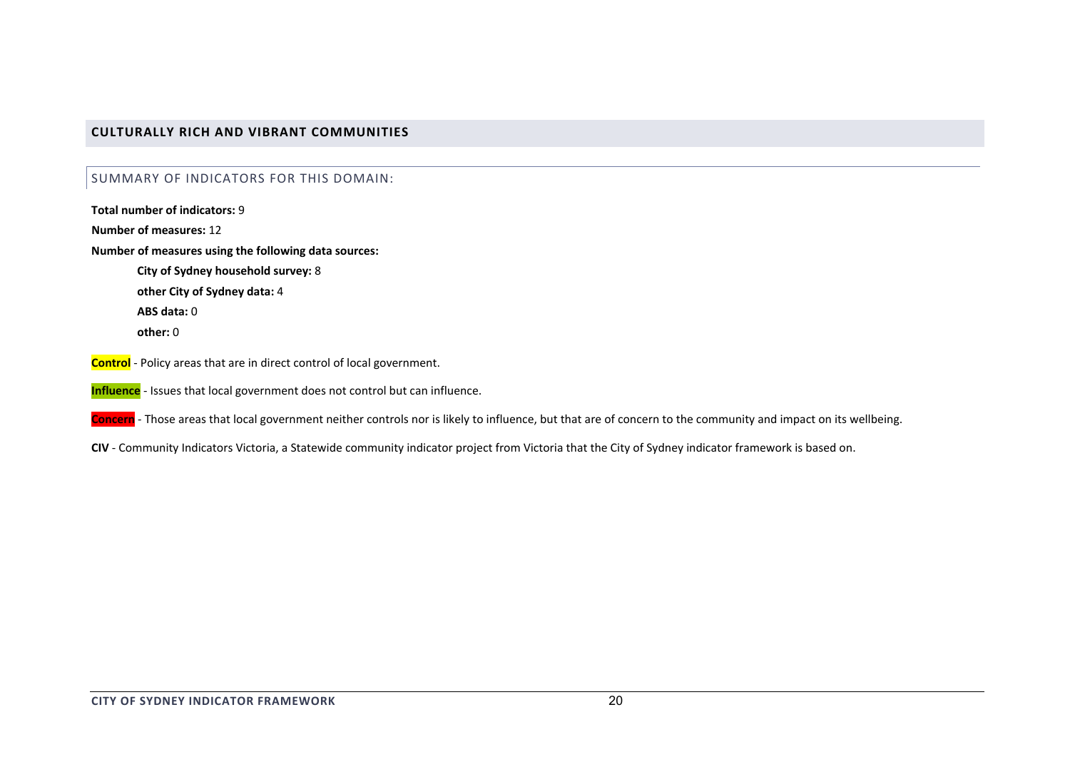### **CULTURALLY RICH AND VIBRANT COMMUNITIES**

#### SUMMARY OF INDICATORS FOR THIS DOMAIN:

**Total number of indicators:** 9**Number of measures:** 12**Number of measures using the following data sources: City of Sydney household survey:** 8 **other City of Sydney data:** 4 **ABS data:** 0**other:** 0**Control** ‐ Policy areas that are in direct control of local government.

**Influence** ‐ Issues that local government does not control but can influence.

**Concern** ‐ Those areas that local government neither controls nor is likely to influence, but that are of concern to the community and impact on its wellbeing.

**CIV** ‐ Community Indicators Victoria, <sup>a</sup> Statewide community indicator project from Victoria that the City of Sydney indicator framework is based on.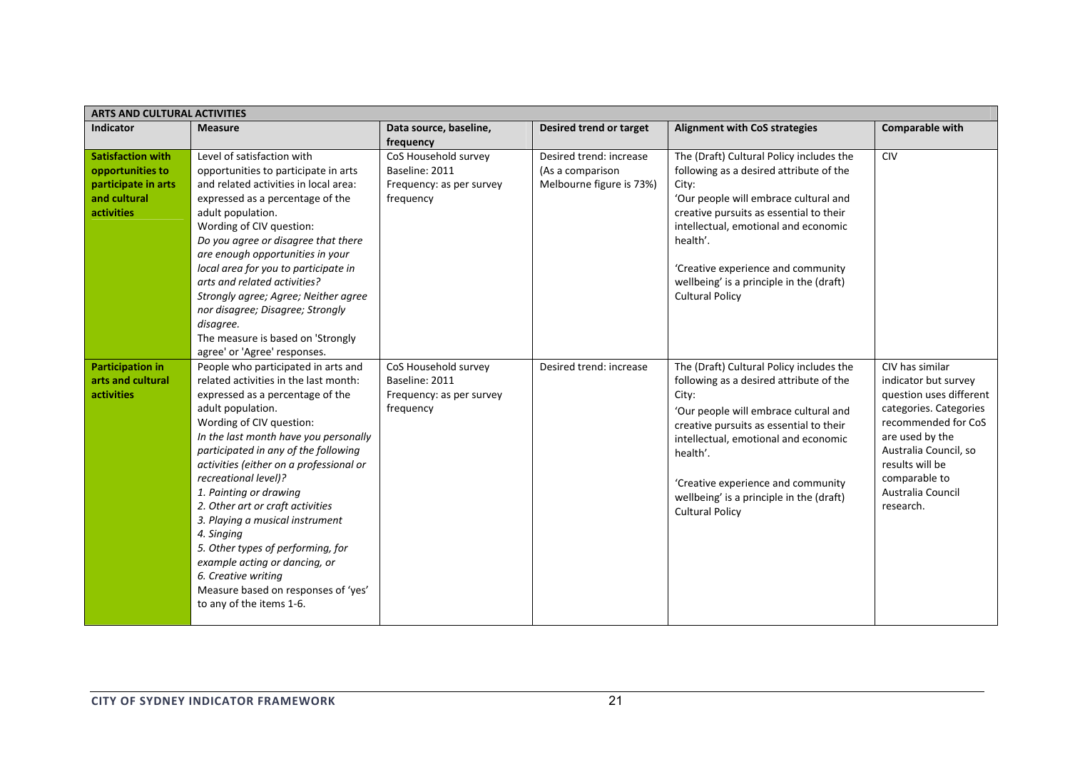| <b>ARTS AND CULTURAL ACTIVITIES</b>                                                               |                                                                                                                                                                                                                                                                                                                                                                                                                                                                                                                                                                                                      |                                                                                 |                                                                         |                                                                                                                                                                                                                                                                                                                                                  |                                                                                                                                                                                                                                       |  |  |
|---------------------------------------------------------------------------------------------------|------------------------------------------------------------------------------------------------------------------------------------------------------------------------------------------------------------------------------------------------------------------------------------------------------------------------------------------------------------------------------------------------------------------------------------------------------------------------------------------------------------------------------------------------------------------------------------------------------|---------------------------------------------------------------------------------|-------------------------------------------------------------------------|--------------------------------------------------------------------------------------------------------------------------------------------------------------------------------------------------------------------------------------------------------------------------------------------------------------------------------------------------|---------------------------------------------------------------------------------------------------------------------------------------------------------------------------------------------------------------------------------------|--|--|
| <b>Indicator</b>                                                                                  | <b>Measure</b>                                                                                                                                                                                                                                                                                                                                                                                                                                                                                                                                                                                       | Data source, baseline,<br>frequency                                             | Desired trend or target                                                 | <b>Alignment with CoS strategies</b>                                                                                                                                                                                                                                                                                                             | Comparable with                                                                                                                                                                                                                       |  |  |
| <b>Satisfaction with</b><br>opportunities to<br>participate in arts<br>and cultural<br>activities | Level of satisfaction with<br>opportunities to participate in arts<br>and related activities in local area:<br>expressed as a percentage of the<br>adult population.<br>Wording of CIV question:<br>Do you agree or disagree that there<br>are enough opportunities in your<br>local area for you to participate in<br>arts and related activities?<br>Strongly agree; Agree; Neither agree<br>nor disagree; Disagree; Strongly<br>disagree.<br>The measure is based on 'Strongly<br>agree' or 'Agree' responses.                                                                                    | CoS Household survey<br>Baseline: 2011<br>Frequency: as per survey<br>frequency | Desired trend: increase<br>(As a comparison<br>Melbourne figure is 73%) | The (Draft) Cultural Policy includes the<br>following as a desired attribute of the<br>City:<br>'Our people will embrace cultural and<br>creative pursuits as essential to their<br>intellectual, emotional and economic<br>health'.<br>'Creative experience and community<br>wellbeing' is a principle in the (draft)<br><b>Cultural Policy</b> | <b>CIV</b>                                                                                                                                                                                                                            |  |  |
| <b>Participation in</b><br>arts and cultural<br>activities                                        | People who participated in arts and<br>related activities in the last month:<br>expressed as a percentage of the<br>adult population.<br>Wording of CIV question:<br>In the last month have you personally<br>participated in any of the following<br>activities (either on a professional or<br>recreational level)?<br>1. Painting or drawing<br>2. Other art or craft activities<br>3. Playing a musical instrument<br>4. Singing<br>5. Other types of performing, for<br>example acting or dancing, or<br>6. Creative writing<br>Measure based on responses of 'yes'<br>to any of the items 1-6. | CoS Household survey<br>Baseline: 2011<br>Frequency: as per survey<br>frequency | Desired trend: increase                                                 | The (Draft) Cultural Policy includes the<br>following as a desired attribute of the<br>City:<br>'Our people will embrace cultural and<br>creative pursuits as essential to their<br>intellectual, emotional and economic<br>health'.<br>'Creative experience and community<br>wellbeing' is a principle in the (draft)<br><b>Cultural Policy</b> | CIV has similar<br>indicator but survey<br>question uses different<br>categories. Categories<br>recommended for CoS<br>are used by the<br>Australia Council, so<br>results will be<br>comparable to<br>Australia Council<br>research. |  |  |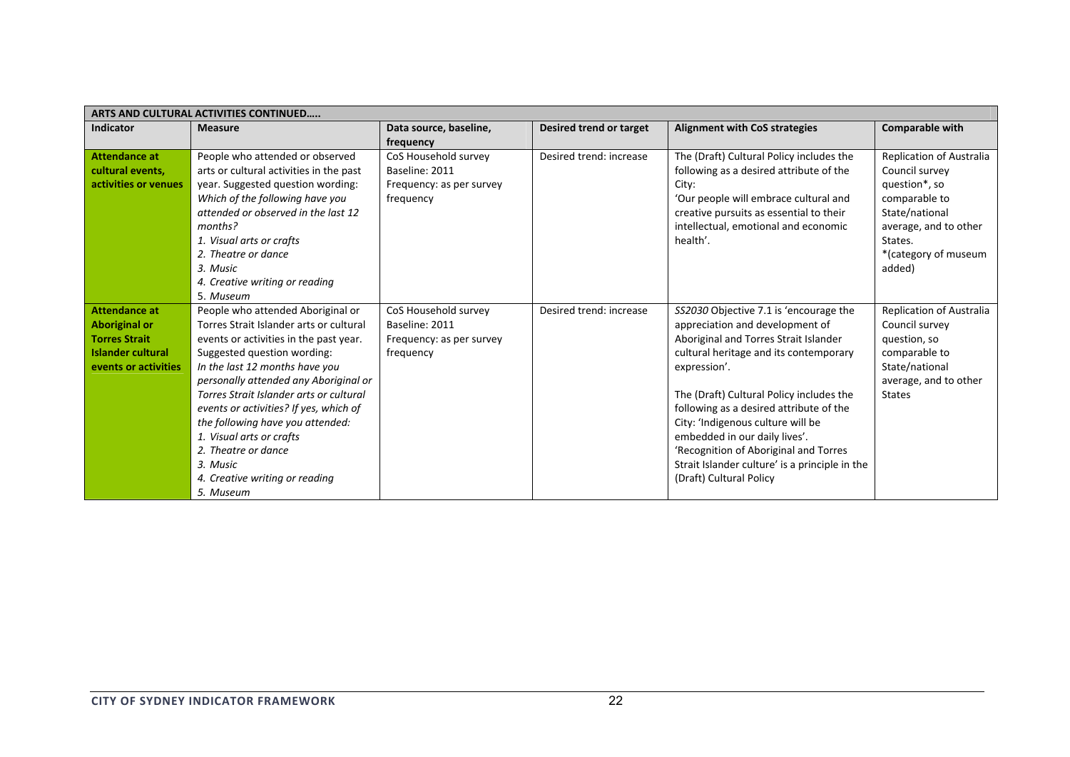| ARTS AND CULTURAL ACTIVITIES CONTINUED                                                           |                                                                                                                                                                                                                                                                                                                                                                                                                                    |                                                                                 |                                |                                                                                                                                                                                                                                                                                                                                                                                                                       |                                                                                                                                                                      |  |  |
|--------------------------------------------------------------------------------------------------|------------------------------------------------------------------------------------------------------------------------------------------------------------------------------------------------------------------------------------------------------------------------------------------------------------------------------------------------------------------------------------------------------------------------------------|---------------------------------------------------------------------------------|--------------------------------|-----------------------------------------------------------------------------------------------------------------------------------------------------------------------------------------------------------------------------------------------------------------------------------------------------------------------------------------------------------------------------------------------------------------------|----------------------------------------------------------------------------------------------------------------------------------------------------------------------|--|--|
| <b>Indicator</b>                                                                                 | <b>Measure</b>                                                                                                                                                                                                                                                                                                                                                                                                                     | Data source, baseline,<br>frequency                                             | <b>Desired trend or target</b> | <b>Alignment with CoS strategies</b>                                                                                                                                                                                                                                                                                                                                                                                  | Comparable with                                                                                                                                                      |  |  |
| <b>Attendance at</b><br>cultural events,<br>activities or venues                                 | People who attended or observed<br>arts or cultural activities in the past<br>year. Suggested question wording:<br>Which of the following have you<br>attended or observed in the last 12<br>months?<br>1. Visual arts or crafts<br>2. Theatre or dance<br>3. Music                                                                                                                                                                | CoS Household survey<br>Baseline: 2011<br>Frequency: as per survey<br>frequency | Desired trend: increase        | The (Draft) Cultural Policy includes the<br>following as a desired attribute of the<br>City:<br>'Our people will embrace cultural and<br>creative pursuits as essential to their<br>intellectual, emotional and economic<br>health'.                                                                                                                                                                                  | Replication of Australia<br>Council survey<br>question*, so<br>comparable to<br>State/national<br>average, and to other<br>States.<br>*(category of museum<br>added) |  |  |
| <b>Attendance at</b>                                                                             | 4. Creative writing or reading<br>5. Museum<br>People who attended Aboriginal or                                                                                                                                                                                                                                                                                                                                                   | CoS Household survey                                                            | Desired trend: increase        | SS2030 Objective 7.1 is 'encourage the                                                                                                                                                                                                                                                                                                                                                                                | Replication of Australia                                                                                                                                             |  |  |
| <b>Aboriginal or</b><br><b>Torres Strait</b><br><b>Islander cultural</b><br>events or activities | Torres Strait Islander arts or cultural<br>events or activities in the past year.<br>Suggested question wording:<br>In the last 12 months have you<br>personally attended any Aboriginal or<br>Torres Strait Islander arts or cultural<br>events or activities? If yes, which of<br>the following have you attended:<br>1. Visual arts or crafts<br>2. Theatre or dance<br>3. Music<br>4. Creative writing or reading<br>5. Museum | Baseline: 2011<br>Frequency: as per survey<br>frequency                         |                                | appreciation and development of<br>Aboriginal and Torres Strait Islander<br>cultural heritage and its contemporary<br>expression'.<br>The (Draft) Cultural Policy includes the<br>following as a desired attribute of the<br>City: 'Indigenous culture will be<br>embedded in our daily lives'.<br>'Recognition of Aboriginal and Torres<br>Strait Islander culture' is a principle in the<br>(Draft) Cultural Policy | Council survey<br>question, so<br>comparable to<br>State/national<br>average, and to other<br><b>States</b>                                                          |  |  |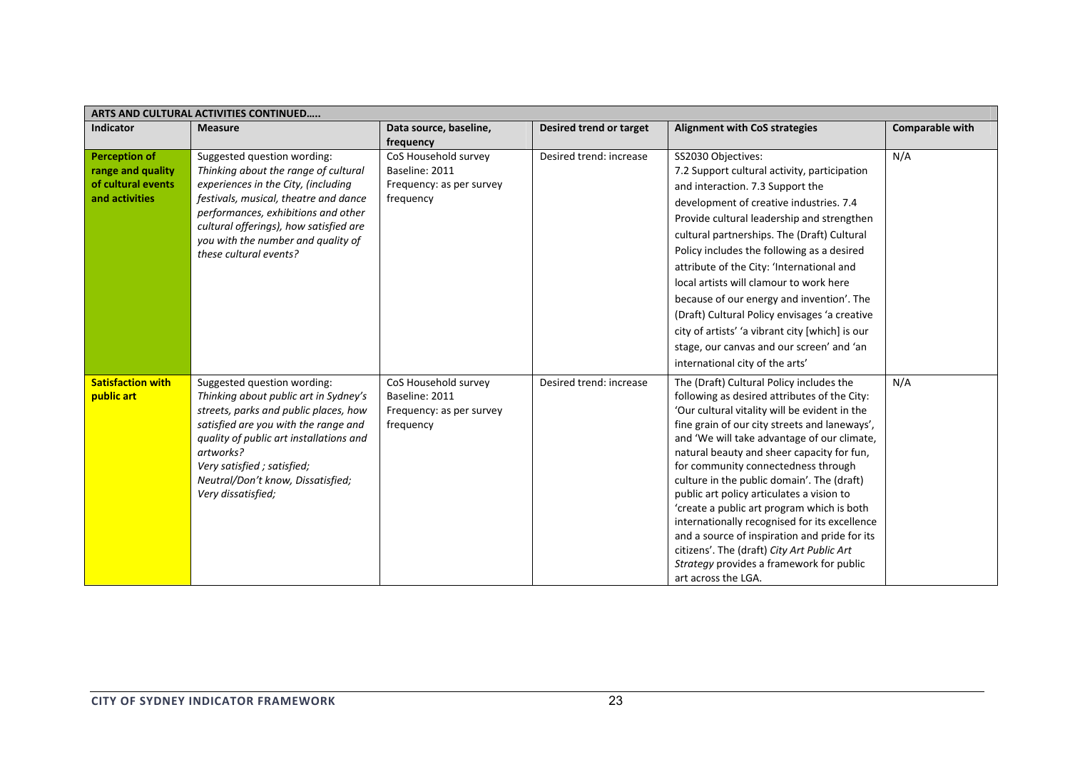| ARTS AND CULTURAL ACTIVITIES CONTINUED                                            |                                                                                                                                                                                                                                                                                                         |                                                                                 |                         |                                                                                                                                                                                                                                                                                                                                                                                                                                                                                                                                                                                                                                                                                            |                        |  |  |
|-----------------------------------------------------------------------------------|---------------------------------------------------------------------------------------------------------------------------------------------------------------------------------------------------------------------------------------------------------------------------------------------------------|---------------------------------------------------------------------------------|-------------------------|--------------------------------------------------------------------------------------------------------------------------------------------------------------------------------------------------------------------------------------------------------------------------------------------------------------------------------------------------------------------------------------------------------------------------------------------------------------------------------------------------------------------------------------------------------------------------------------------------------------------------------------------------------------------------------------------|------------------------|--|--|
| <b>Indicator</b>                                                                  | <b>Measure</b>                                                                                                                                                                                                                                                                                          | Data source, baseline,<br>frequency                                             | Desired trend or target | <b>Alignment with CoS strategies</b>                                                                                                                                                                                                                                                                                                                                                                                                                                                                                                                                                                                                                                                       | <b>Comparable with</b> |  |  |
| <b>Perception of</b><br>range and quality<br>of cultural events<br>and activities | Suggested question wording:<br>Thinking about the range of cultural<br>experiences in the City, (including<br>festivals, musical, theatre and dance<br>performances, exhibitions and other<br>cultural offerings), how satisfied are<br>you with the number and quality of<br>these cultural events?    | CoS Household survey<br>Baseline: 2011<br>Frequency: as per survey<br>frequency | Desired trend: increase | SS2030 Objectives:<br>7.2 Support cultural activity, participation<br>and interaction. 7.3 Support the<br>development of creative industries. 7.4<br>Provide cultural leadership and strengthen<br>cultural partnerships. The (Draft) Cultural<br>Policy includes the following as a desired<br>attribute of the City: 'International and<br>local artists will clamour to work here<br>because of our energy and invention'. The<br>(Draft) Cultural Policy envisages 'a creative<br>city of artists' 'a vibrant city [which] is our<br>stage, our canvas and our screen' and 'an<br>international city of the arts'                                                                      | N/A                    |  |  |
| <b>Satisfaction with</b><br>public art                                            | Suggested question wording:<br>Thinking about public art in Sydney's<br>streets, parks and public places, how<br>satisfied are you with the range and<br>quality of public art installations and<br>artworks?<br>Very satisfied ; satisfied;<br>Neutral/Don't know, Dissatisfied;<br>Very dissatisfied; | CoS Household survey<br>Baseline: 2011<br>Frequency: as per survey<br>frequency | Desired trend: increase | The (Draft) Cultural Policy includes the<br>following as desired attributes of the City:<br>'Our cultural vitality will be evident in the<br>fine grain of our city streets and laneways',<br>and 'We will take advantage of our climate,<br>natural beauty and sheer capacity for fun,<br>for community connectedness through<br>culture in the public domain'. The (draft)<br>public art policy articulates a vision to<br>'create a public art program which is both<br>internationally recognised for its excellence<br>and a source of inspiration and pride for its<br>citizens'. The (draft) City Art Public Art<br>Strategy provides a framework for public<br>art across the LGA. | N/A                    |  |  |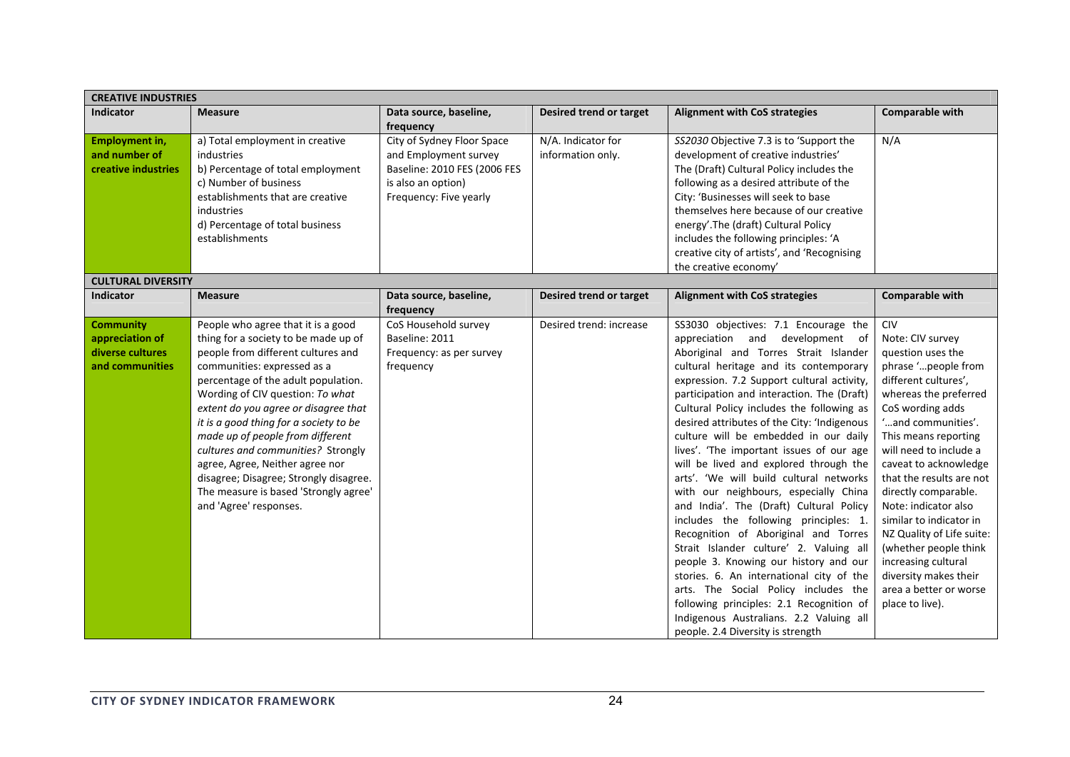| <b>CREATIVE INDUSTRIES</b>                                                 |                                                                                                                                                                                                                                                                                                                                                                                                                                                                                                                                        |                                                                                                                                     |                                         |                                                                                                                                                                                                                                                                                                                                                                                                                                                                                                                                                                                                                                                                                                                                                                                                                                                                                                                                                                                                          |                                                                                                                                                                                                                                                                                                                                                                                                                                                                                                            |  |  |
|----------------------------------------------------------------------------|----------------------------------------------------------------------------------------------------------------------------------------------------------------------------------------------------------------------------------------------------------------------------------------------------------------------------------------------------------------------------------------------------------------------------------------------------------------------------------------------------------------------------------------|-------------------------------------------------------------------------------------------------------------------------------------|-----------------------------------------|----------------------------------------------------------------------------------------------------------------------------------------------------------------------------------------------------------------------------------------------------------------------------------------------------------------------------------------------------------------------------------------------------------------------------------------------------------------------------------------------------------------------------------------------------------------------------------------------------------------------------------------------------------------------------------------------------------------------------------------------------------------------------------------------------------------------------------------------------------------------------------------------------------------------------------------------------------------------------------------------------------|------------------------------------------------------------------------------------------------------------------------------------------------------------------------------------------------------------------------------------------------------------------------------------------------------------------------------------------------------------------------------------------------------------------------------------------------------------------------------------------------------------|--|--|
| <b>Indicator</b>                                                           | <b>Measure</b>                                                                                                                                                                                                                                                                                                                                                                                                                                                                                                                         | Data source, baseline,<br>frequency                                                                                                 | Desired trend or target                 | <b>Alignment with CoS strategies</b>                                                                                                                                                                                                                                                                                                                                                                                                                                                                                                                                                                                                                                                                                                                                                                                                                                                                                                                                                                     | Comparable with                                                                                                                                                                                                                                                                                                                                                                                                                                                                                            |  |  |
| Employment in,<br>and number of<br>creative industries                     | a) Total employment in creative<br>industries<br>b) Percentage of total employment<br>c) Number of business<br>establishments that are creative<br>industries<br>d) Percentage of total business<br>establishments                                                                                                                                                                                                                                                                                                                     | City of Sydney Floor Space<br>and Employment survey<br>Baseline: 2010 FES (2006 FES<br>is also an option)<br>Frequency: Five yearly | N/A. Indicator for<br>information only. | SS2030 Objective 7.3 is to 'Support the<br>development of creative industries'<br>The (Draft) Cultural Policy includes the<br>following as a desired attribute of the<br>City: 'Businesses will seek to base<br>themselves here because of our creative<br>energy'. The (draft) Cultural Policy<br>includes the following principles: 'A<br>creative city of artists', and 'Recognising<br>the creative economy'                                                                                                                                                                                                                                                                                                                                                                                                                                                                                                                                                                                         | N/A                                                                                                                                                                                                                                                                                                                                                                                                                                                                                                        |  |  |
| <b>CULTURAL DIVERSITY</b>                                                  |                                                                                                                                                                                                                                                                                                                                                                                                                                                                                                                                        |                                                                                                                                     |                                         |                                                                                                                                                                                                                                                                                                                                                                                                                                                                                                                                                                                                                                                                                                                                                                                                                                                                                                                                                                                                          |                                                                                                                                                                                                                                                                                                                                                                                                                                                                                                            |  |  |
| <b>Indicator</b>                                                           | <b>Measure</b>                                                                                                                                                                                                                                                                                                                                                                                                                                                                                                                         | Data source, baseline,<br>frequency                                                                                                 | Desired trend or target                 | <b>Alignment with CoS strategies</b>                                                                                                                                                                                                                                                                                                                                                                                                                                                                                                                                                                                                                                                                                                                                                                                                                                                                                                                                                                     | Comparable with                                                                                                                                                                                                                                                                                                                                                                                                                                                                                            |  |  |
| <b>Community</b><br>appreciation of<br>diverse cultures<br>and communities | People who agree that it is a good<br>thing for a society to be made up of<br>people from different cultures and<br>communities: expressed as a<br>percentage of the adult population.<br>Wording of CIV question: To what<br>extent do you agree or disagree that<br>it is a good thing for a society to be<br>made up of people from different<br>cultures and communities? Strongly<br>agree, Agree, Neither agree nor<br>disagree; Disagree; Strongly disagree.<br>The measure is based 'Strongly agree'<br>and 'Agree' responses. | CoS Household survey<br>Baseline: 2011<br>Frequency: as per survey<br>frequency                                                     | Desired trend: increase                 | SS3030 objectives: 7.1 Encourage the<br>appreciation and<br>development of<br>Aboriginal and Torres Strait Islander<br>cultural heritage and its contemporary<br>expression. 7.2 Support cultural activity,<br>participation and interaction. The (Draft)<br>Cultural Policy includes the following as<br>desired attributes of the City: 'Indigenous<br>culture will be embedded in our daily<br>lives'. 'The important issues of our age<br>will be lived and explored through the<br>arts'. 'We will build cultural networks<br>with our neighbours, especially China<br>and India'. The (Draft) Cultural Policy<br>includes the following principles: 1.<br>Recognition of Aboriginal and Torres<br>Strait Islander culture' 2. Valuing all<br>people 3. Knowing our history and our<br>stories. 6. An international city of the<br>arts. The Social Policy includes the<br>following principles: 2.1 Recognition of<br>Indigenous Australians. 2.2 Valuing all<br>people. 2.4 Diversity is strength | <b>CIV</b><br>Note: CIV survey<br>question uses the<br>phrase 'people from<br>different cultures',<br>whereas the preferred<br>CoS wording adds<br>'and communities'.<br>This means reporting<br>will need to include a<br>caveat to acknowledge<br>that the results are not<br>directly comparable.<br>Note: indicator also<br>similar to indicator in<br>NZ Quality of Life suite:<br>(whether people think<br>increasing cultural<br>diversity makes their<br>area a better or worse<br>place to live). |  |  |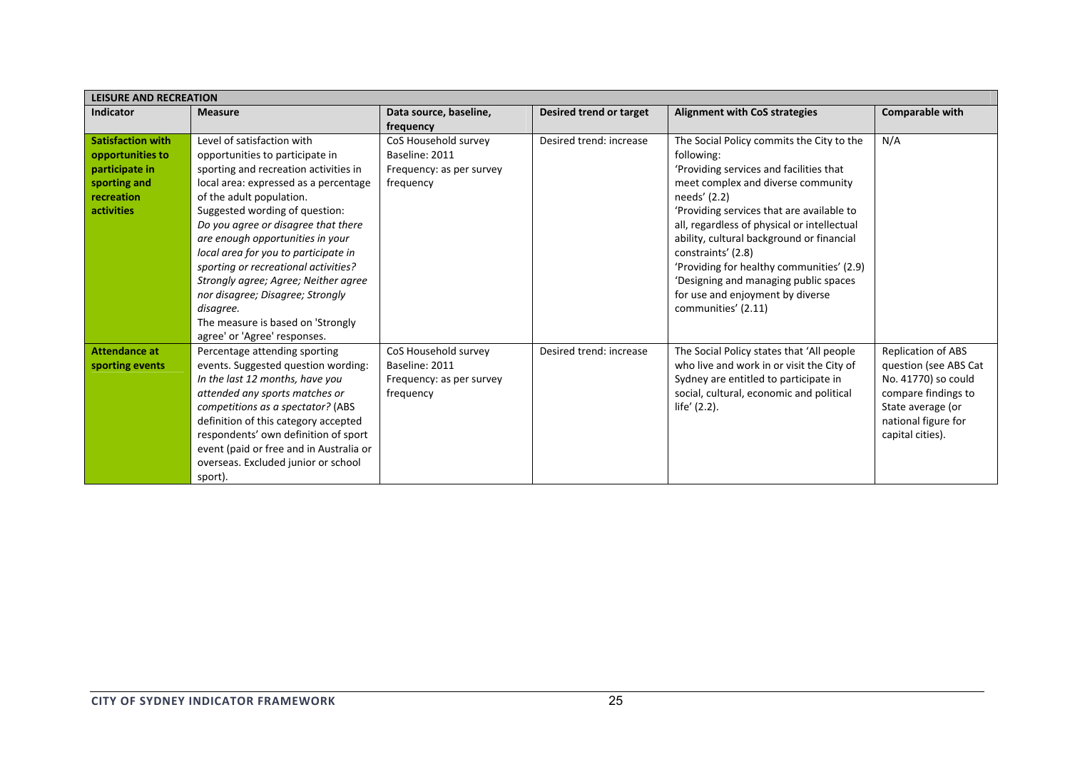|                                                                                                            | <b>LEISURE AND RECREATION</b>                                                                                                                                                                                                                                                                                                                                                                                                                                                                                                          |                                                                                 |                         |                                                                                                                                                                                                                                                                                                                                                                                                                                                                          |                                                                                                                                                           |  |  |  |
|------------------------------------------------------------------------------------------------------------|----------------------------------------------------------------------------------------------------------------------------------------------------------------------------------------------------------------------------------------------------------------------------------------------------------------------------------------------------------------------------------------------------------------------------------------------------------------------------------------------------------------------------------------|---------------------------------------------------------------------------------|-------------------------|--------------------------------------------------------------------------------------------------------------------------------------------------------------------------------------------------------------------------------------------------------------------------------------------------------------------------------------------------------------------------------------------------------------------------------------------------------------------------|-----------------------------------------------------------------------------------------------------------------------------------------------------------|--|--|--|
| Indicator                                                                                                  | <b>Measure</b>                                                                                                                                                                                                                                                                                                                                                                                                                                                                                                                         | Data source, baseline,<br>frequency                                             | Desired trend or target | <b>Alignment with CoS strategies</b>                                                                                                                                                                                                                                                                                                                                                                                                                                     | Comparable with                                                                                                                                           |  |  |  |
| <b>Satisfaction with</b><br>opportunities to<br>participate in<br>sporting and<br>recreation<br>activities | Level of satisfaction with<br>opportunities to participate in<br>sporting and recreation activities in<br>local area: expressed as a percentage<br>of the adult population.<br>Suggested wording of question:<br>Do you agree or disagree that there<br>are enough opportunities in your<br>local area for you to participate in<br>sporting or recreational activities?<br>Strongly agree; Agree; Neither agree<br>nor disagree; Disagree; Strongly<br>disagree.<br>The measure is based on 'Strongly<br>agree' or 'Agree' responses. | CoS Household survey<br>Baseline: 2011<br>Frequency: as per survey<br>frequency | Desired trend: increase | The Social Policy commits the City to the<br>following:<br>'Providing services and facilities that<br>meet complex and diverse community<br>needs' (2.2)<br>'Providing services that are available to<br>all, regardless of physical or intellectual<br>ability, cultural background or financial<br>constraints' (2.8)<br>'Providing for healthy communities' (2.9)<br>'Designing and managing public spaces<br>for use and enjoyment by diverse<br>communities' (2.11) | N/A                                                                                                                                                       |  |  |  |
| Attendance at<br>sporting events                                                                           | Percentage attending sporting<br>events. Suggested question wording:<br>In the last 12 months, have you<br>attended any sports matches or<br>competitions as a spectator? (ABS<br>definition of this category accepted<br>respondents' own definition of sport<br>event (paid or free and in Australia or<br>overseas. Excluded junior or school<br>sport).                                                                                                                                                                            | CoS Household survey<br>Baseline: 2011<br>Frequency: as per survey<br>frequency | Desired trend: increase | The Social Policy states that 'All people<br>who live and work in or visit the City of<br>Sydney are entitled to participate in<br>social, cultural, economic and political<br>life' (2.2).                                                                                                                                                                                                                                                                              | Replication of ABS<br>question (see ABS Cat<br>No. 41770) so could<br>compare findings to<br>State average (or<br>national figure for<br>capital cities). |  |  |  |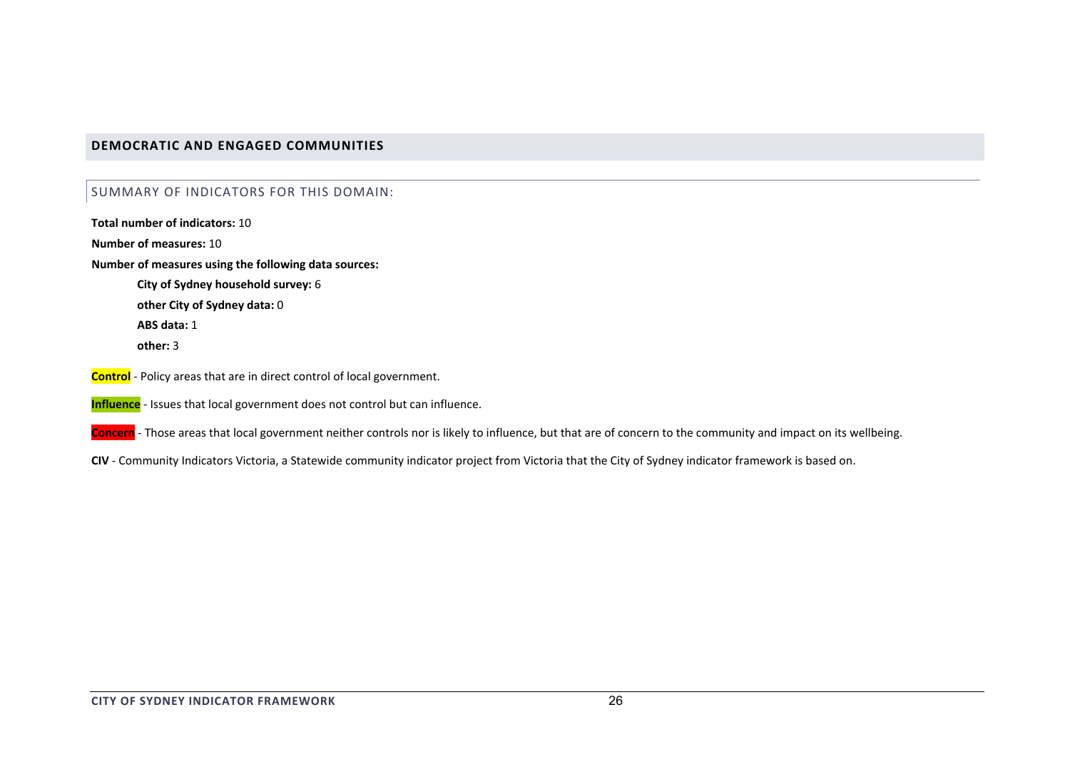## **DEMOCRATIC AND ENGAGED COMMUNITIES**

# SUMMARY OF INDICATORS FOR THIS DOMAIN:

**Total number of indicators:** 10**Number of measures:** 10**Number of measures using the following data sources: City of Sydney household survey:** 6 **other City of Sydney data:** 0 **ABS data:** 1**other:** 3**Control** ‐ Policy areas that are in direct control of local government.

**Influence** ‐ Issues that local government does not control but can influence.

**Concern** ‐ Those areas that local government neither controls nor is likely to influence, but that are of concern to the community and impact on its wellbeing.

**CIV** ‐ Community Indicators Victoria, <sup>a</sup> Statewide community indicator project from Victoria that the City of Sydney indicator framework is based on.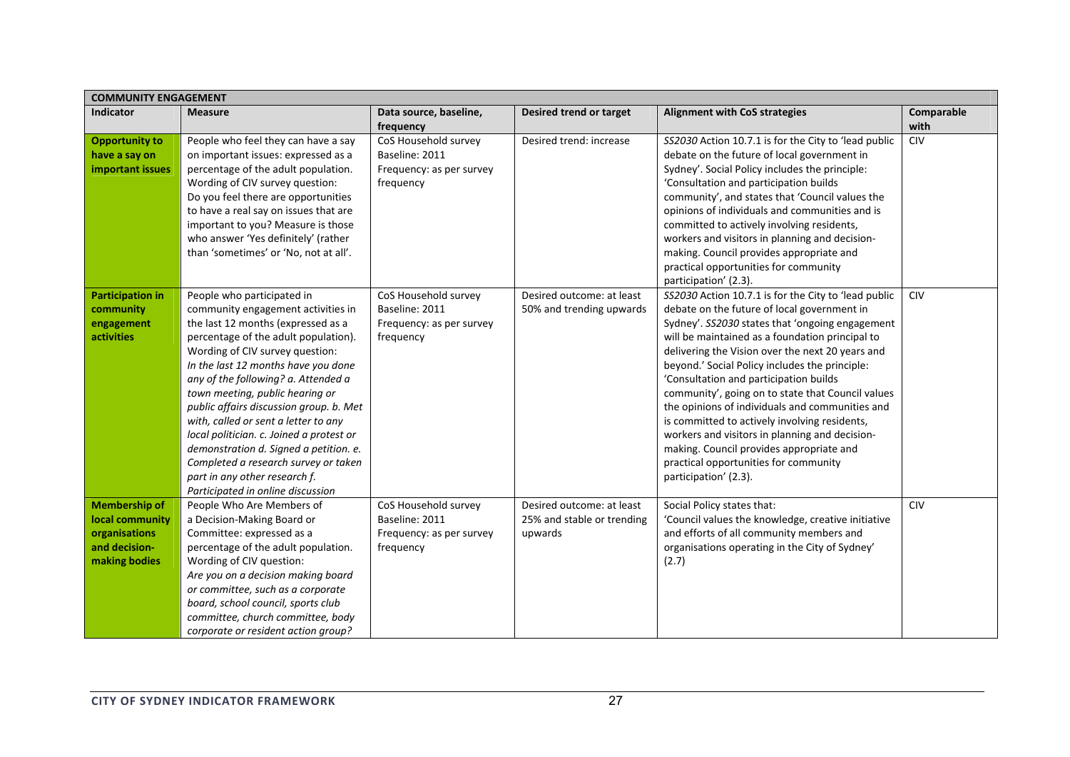| <b>COMMUNITY ENGAGEMENT</b>                                                                |                                                                                                                                                                                                                                                                                                                                                                                                                                                                                                                                                                                           |                                                                                 |                                                                    |                                                                                                                                                                                                                                                                                                                                                                                                                                                                                                                                                                                                                                                                                    |                    |  |  |
|--------------------------------------------------------------------------------------------|-------------------------------------------------------------------------------------------------------------------------------------------------------------------------------------------------------------------------------------------------------------------------------------------------------------------------------------------------------------------------------------------------------------------------------------------------------------------------------------------------------------------------------------------------------------------------------------------|---------------------------------------------------------------------------------|--------------------------------------------------------------------|------------------------------------------------------------------------------------------------------------------------------------------------------------------------------------------------------------------------------------------------------------------------------------------------------------------------------------------------------------------------------------------------------------------------------------------------------------------------------------------------------------------------------------------------------------------------------------------------------------------------------------------------------------------------------------|--------------------|--|--|
| <b>Indicator</b>                                                                           | <b>Measure</b>                                                                                                                                                                                                                                                                                                                                                                                                                                                                                                                                                                            | Data source, baseline,<br>frequency                                             | Desired trend or target                                            | <b>Alignment with CoS strategies</b>                                                                                                                                                                                                                                                                                                                                                                                                                                                                                                                                                                                                                                               | Comparable<br>with |  |  |
| <b>Opportunity to</b><br>have a say on<br>important issues                                 | People who feel they can have a say<br>on important issues: expressed as a<br>percentage of the adult population.<br>Wording of CIV survey question:<br>Do you feel there are opportunities<br>to have a real say on issues that are<br>important to you? Measure is those<br>who answer 'Yes definitely' (rather<br>than 'sometimes' or 'No, not at all'.                                                                                                                                                                                                                                | CoS Household survey<br>Baseline: 2011<br>Frequency: as per survey<br>frequency | Desired trend: increase                                            | SS2030 Action 10.7.1 is for the City to 'lead public<br>debate on the future of local government in<br>Sydney'. Social Policy includes the principle:<br>'Consultation and participation builds<br>community', and states that 'Council values the<br>opinions of individuals and communities and is<br>committed to actively involving residents,<br>workers and visitors in planning and decision-<br>making. Council provides appropriate and<br>practical opportunities for community<br>participation' (2.3).                                                                                                                                                                 | <b>CIV</b>         |  |  |
| <b>Participation in</b><br>community<br>engagement<br>activities                           | People who participated in<br>community engagement activities in<br>the last 12 months (expressed as a<br>percentage of the adult population).<br>Wording of CIV survey question:<br>In the last 12 months have you done<br>any of the following? a. Attended a<br>town meeting, public hearing or<br>public affairs discussion group. b. Met<br>with, called or sent a letter to any<br>local politician. c. Joined a protest or<br>demonstration d. Signed a petition. e.<br>Completed a research survey or taken<br>part in any other research f.<br>Participated in online discussion | CoS Household survey<br>Baseline: 2011<br>Frequency: as per survey<br>frequency | Desired outcome: at least<br>50% and trending upwards              | SS2030 Action 10.7.1 is for the City to 'lead public<br>debate on the future of local government in<br>Sydney'. SS2030 states that 'ongoing engagement<br>will be maintained as a foundation principal to<br>delivering the Vision over the next 20 years and<br>beyond.' Social Policy includes the principle:<br>'Consultation and participation builds<br>community', going on to state that Council values<br>the opinions of individuals and communities and<br>is committed to actively involving residents,<br>workers and visitors in planning and decision-<br>making. Council provides appropriate and<br>practical opportunities for community<br>participation' (2.3). | <b>CIV</b>         |  |  |
| <b>Membership of</b><br>local community<br>organisations<br>and decision-<br>making bodies | People Who Are Members of<br>a Decision-Making Board or<br>Committee: expressed as a<br>percentage of the adult population.<br>Wording of CIV question:<br>Are you on a decision making board<br>or committee, such as a corporate<br>board, school council, sports club<br>committee, church committee, body<br>corporate or resident action group?                                                                                                                                                                                                                                      | CoS Household survey<br>Baseline: 2011<br>Frequency: as per survey<br>frequency | Desired outcome: at least<br>25% and stable or trending<br>upwards | Social Policy states that:<br>'Council values the knowledge, creative initiative<br>and efforts of all community members and<br>organisations operating in the City of Sydney'<br>(2.7)                                                                                                                                                                                                                                                                                                                                                                                                                                                                                            | <b>CIV</b>         |  |  |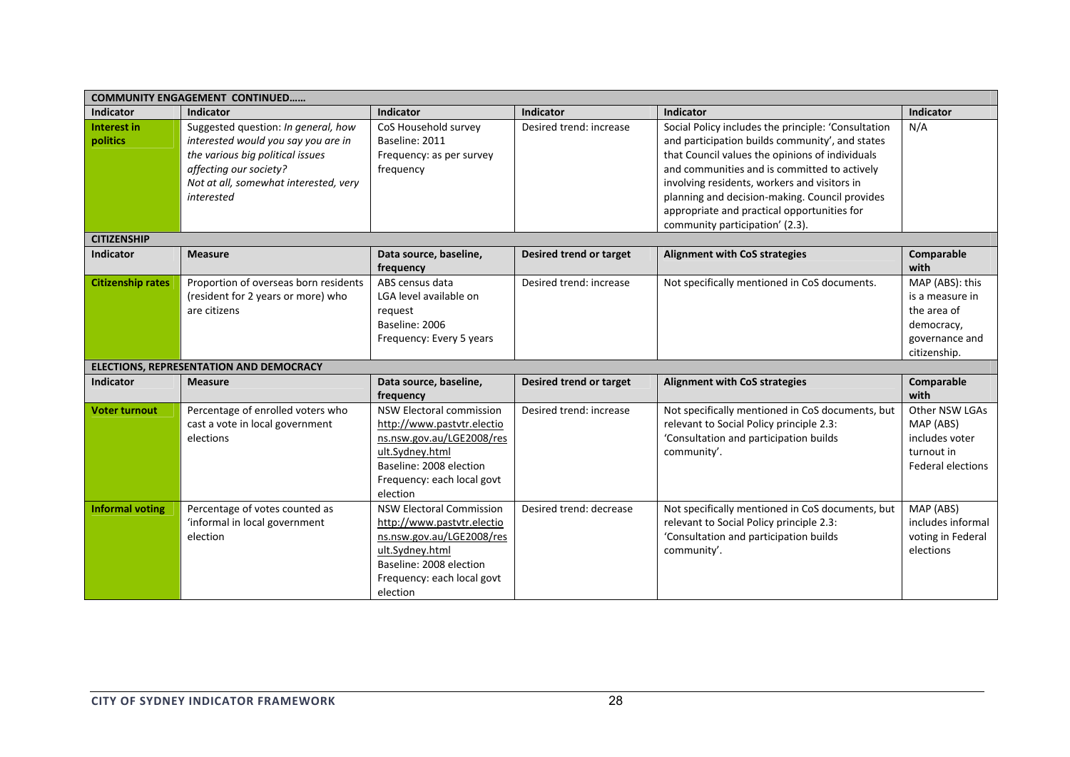|                                | <b>COMMUNITY ENGAGEMENT CONTINUED</b>                                                                                                                                                           |                                                                                                                                                                                    |                         |                                                                                                                                                                                                                                                                                                                                                            |                                                                                                   |  |  |  |
|--------------------------------|-------------------------------------------------------------------------------------------------------------------------------------------------------------------------------------------------|------------------------------------------------------------------------------------------------------------------------------------------------------------------------------------|-------------------------|------------------------------------------------------------------------------------------------------------------------------------------------------------------------------------------------------------------------------------------------------------------------------------------------------------------------------------------------------------|---------------------------------------------------------------------------------------------------|--|--|--|
| <b>Indicator</b>               | <b>Indicator</b>                                                                                                                                                                                | <b>Indicator</b>                                                                                                                                                                   | Indicator               | Indicator                                                                                                                                                                                                                                                                                                                                                  | Indicator                                                                                         |  |  |  |
| <b>Interest in</b><br>politics | Suggested question: In general, how<br>interested would you say you are in<br>the various big political issues<br>affecting our society?<br>Not at all, somewhat interested, very<br>interested | CoS Household survey<br>Baseline: 2011<br>Frequency: as per survey<br>frequency                                                                                                    | Desired trend: increase | Social Policy includes the principle: 'Consultation<br>and participation builds community', and states<br>that Council values the opinions of individuals<br>and communities and is committed to actively<br>involving residents, workers and visitors in<br>planning and decision-making. Council provides<br>appropriate and practical opportunities for | N/A                                                                                               |  |  |  |
|                                |                                                                                                                                                                                                 |                                                                                                                                                                                    |                         | community participation' (2.3).                                                                                                                                                                                                                                                                                                                            |                                                                                                   |  |  |  |
| <b>CITIZENSHIP</b>             |                                                                                                                                                                                                 |                                                                                                                                                                                    |                         |                                                                                                                                                                                                                                                                                                                                                            |                                                                                                   |  |  |  |
| <b>Indicator</b>               | <b>Measure</b>                                                                                                                                                                                  | Data source, baseline,<br>frequency                                                                                                                                                | Desired trend or target | <b>Alignment with CoS strategies</b>                                                                                                                                                                                                                                                                                                                       | Comparable<br>with                                                                                |  |  |  |
| <b>Citizenship rates</b>       | Proportion of overseas born residents<br>(resident for 2 years or more) who<br>are citizens                                                                                                     | ABS census data<br>LGA level available on<br>request<br>Baseline: 2006<br>Frequency: Every 5 years                                                                                 | Desired trend: increase | Not specifically mentioned in CoS documents.                                                                                                                                                                                                                                                                                                               | MAP (ABS): this<br>is a measure in<br>the area of<br>democracy,<br>governance and<br>citizenship. |  |  |  |
|                                | ELECTIONS, REPRESENTATION AND DEMOCRACY                                                                                                                                                         |                                                                                                                                                                                    |                         |                                                                                                                                                                                                                                                                                                                                                            |                                                                                                   |  |  |  |
| <b>Indicator</b>               | <b>Measure</b>                                                                                                                                                                                  | Data source, baseline,<br>frequency                                                                                                                                                | Desired trend or target | <b>Alignment with CoS strategies</b>                                                                                                                                                                                                                                                                                                                       | Comparable<br>with                                                                                |  |  |  |
| <b>Voter turnout</b>           | Percentage of enrolled voters who<br>cast a vote in local government<br>elections                                                                                                               | <b>NSW Electoral commission</b><br>http://www.pastvtr.electio<br>ns.nsw.gov.au/LGE2008/res<br>ult.Svdnev.html<br>Baseline: 2008 election<br>Frequency: each local govt<br>election | Desired trend: increase | Not specifically mentioned in CoS documents, but<br>relevant to Social Policy principle 2.3:<br>'Consultation and participation builds<br>community'.                                                                                                                                                                                                      | Other NSW LGAs<br>MAP (ABS)<br>includes voter<br>turnout in<br><b>Federal elections</b>           |  |  |  |
| <b>Informal voting</b>         | Percentage of votes counted as<br>'informal in local government<br>election                                                                                                                     | <b>NSW Electoral Commission</b><br>http://www.pastvtr.electio<br>ns.nsw.gov.au/LGE2008/res<br>ult.Sydney.html<br>Baseline: 2008 election<br>Frequency: each local govt<br>election | Desired trend: decrease | Not specifically mentioned in CoS documents, but<br>relevant to Social Policy principle 2.3:<br>'Consultation and participation builds<br>community'.                                                                                                                                                                                                      | MAP (ABS)<br>includes informal<br>voting in Federal<br>elections                                  |  |  |  |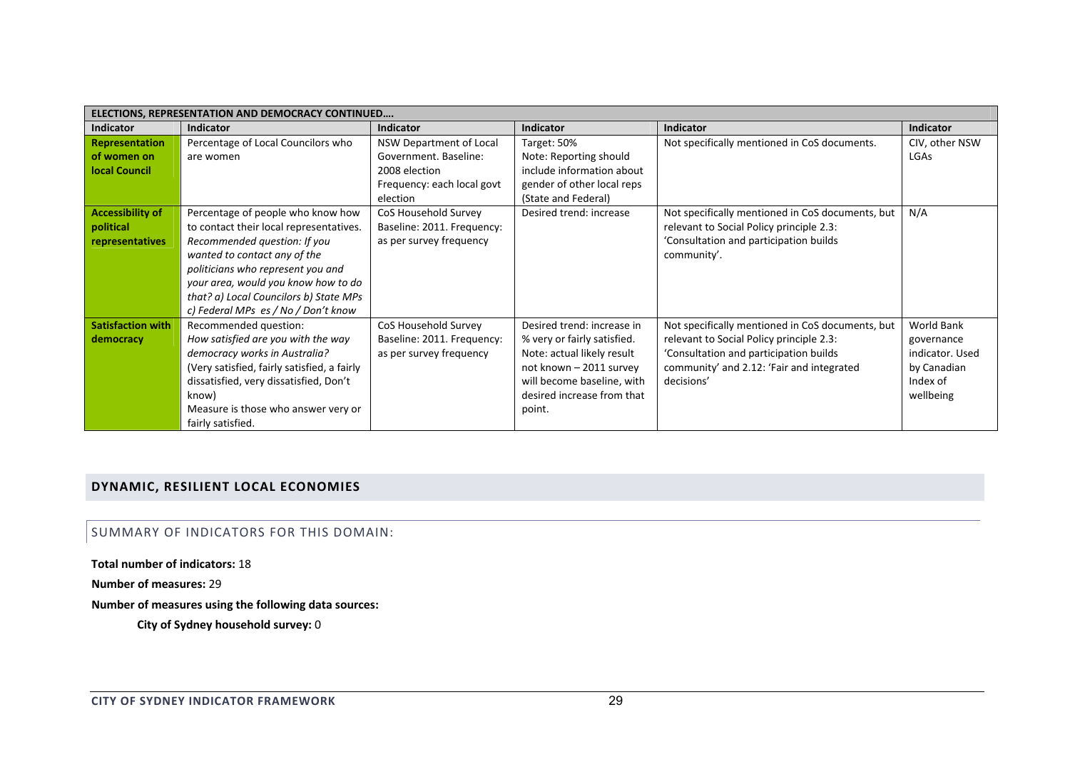|                          | ELECTIONS, REPRESENTATION AND DEMOCRACY CONTINUED |                            |                             |                                                  |                   |
|--------------------------|---------------------------------------------------|----------------------------|-----------------------------|--------------------------------------------------|-------------------|
| <b>Indicator</b>         | <b>Indicator</b>                                  | <b>Indicator</b>           | <b>Indicator</b>            | <b>Indicator</b>                                 | <b>Indicator</b>  |
| <b>Representation</b>    | Percentage of Local Councilors who                | NSW Department of Local    | Target: 50%                 | Not specifically mentioned in CoS documents.     | CIV, other NSW    |
| of women on              | are women                                         | Government. Baseline:      | Note: Reporting should      |                                                  | LGAs              |
| <b>local Council</b>     |                                                   | 2008 election              | include information about   |                                                  |                   |
|                          |                                                   | Frequency: each local govt | gender of other local reps  |                                                  |                   |
|                          |                                                   | election                   | (State and Federal)         |                                                  |                   |
| <b>Accessibility of</b>  | Percentage of people who know how                 | CoS Household Survey       | Desired trend: increase     | Not specifically mentioned in CoS documents, but | N/A               |
| political                | to contact their local representatives.           | Baseline: 2011. Frequency: |                             | relevant to Social Policy principle 2.3:         |                   |
| representatives          | Recommended question: If you                      | as per survey frequency    |                             | 'Consultation and participation builds           |                   |
|                          | wanted to contact any of the                      |                            |                             | community'.                                      |                   |
|                          | politicians who represent you and                 |                            |                             |                                                  |                   |
|                          | your area, would you know how to do               |                            |                             |                                                  |                   |
|                          | that? a) Local Councilors b) State MPs            |                            |                             |                                                  |                   |
|                          | c) Federal MPs es / No / Don't know               |                            |                             |                                                  |                   |
| <b>Satisfaction with</b> | Recommended question:                             | CoS Household Survey       | Desired trend: increase in  | Not specifically mentioned in CoS documents, but | <b>World Bank</b> |
| democracy                | How satisfied are you with the way                | Baseline: 2011. Frequency: | % very or fairly satisfied. | relevant to Social Policy principle 2.3:         | governance        |
|                          | democracy works in Australia?                     | as per survey frequency    | Note: actual likely result  | 'Consultation and participation builds           | indicator. Used   |
|                          | (Very satisfied, fairly satisfied, a fairly       |                            | not known - 2011 survey     | community' and 2.12: 'Fair and integrated        | by Canadian       |
|                          | dissatisfied, very dissatisfied, Don't            |                            | will become baseline, with  | decisions'                                       | Index of          |
|                          | know)                                             |                            | desired increase from that  |                                                  | wellbeing         |
|                          | Measure is those who answer very or               |                            | point.                      |                                                  |                   |
|                          | fairly satisfied.                                 |                            |                             |                                                  |                   |

# **DYNAMIC, RESILIENT LOCAL ECONOMIES**

SUMMARY OF INDICATORS FOR THIS DOMAIN:

**Total number of indicators:** 18

**Number of measures:** 29

**Number of measures using the following data sources:**

**City of Sydney household survey:** 0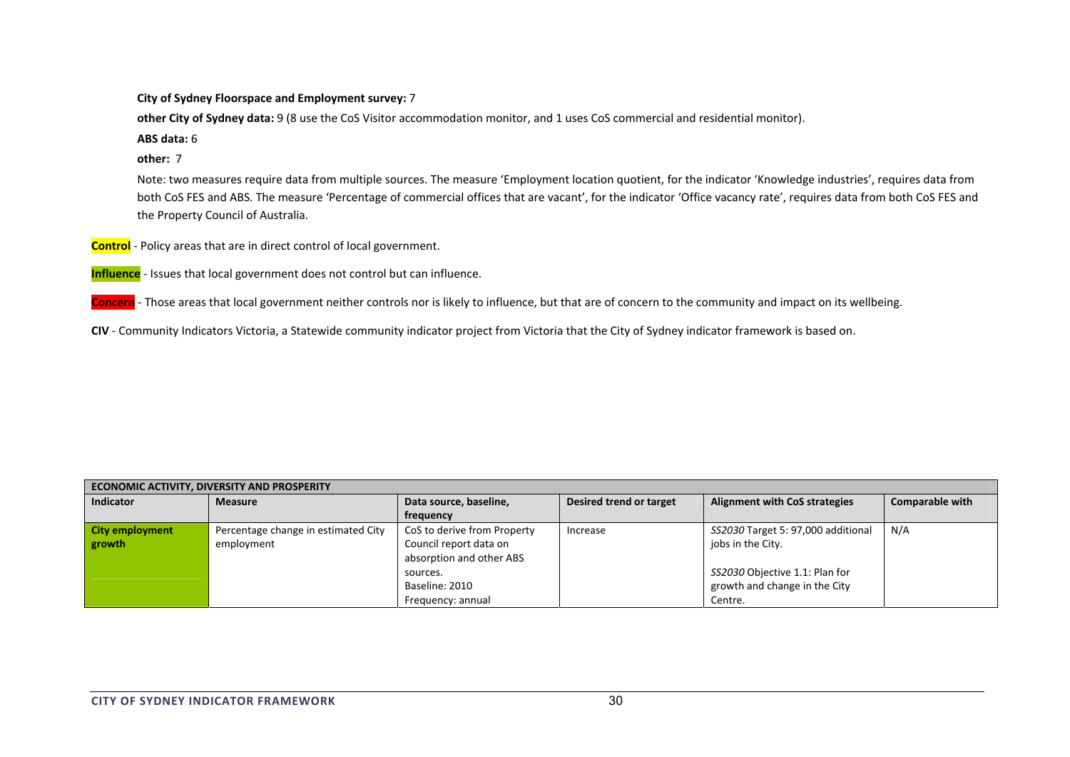**City of Sydney Floorspace and Employment survey:** 7

**other City of Sydney data:** 9 (8 use the CoS Visitor accommodation monitor, and 1 uses CoS commercial and residential monitor).

**ABS data:** 6

**other:** 7

Note: two measures require data from multiple sources. The measure 'Employment location quotient, for the indicator 'Knowledge industries', requires data from both CoS FES and ABS. The measure 'Percentage of commercial offices that are vacant', for the indicator 'Office vacancy rate', requires data from both CoS FES and the Property Council of Australia.

**Control** ‐ Policy areas that are in direct control of local government.

**Influence** ‐ Issues that local government does not control but can influence.

**Concern** ‐ Those areas that local government neither controls nor is likely to influence, but that are of concern to the community and impact on its wellbeing.

**CIV** ‐ Community Indicators Victoria, <sup>a</sup> Statewide community indicator project from Victoria that the City of Sydney indicator framework is based on.

| <b>ECONOMIC ACTIVITY, DIVERSITY AND PROSPERITY</b> |                                                   |                                                                                   |                         |                                                                            |                        |  |  |  |
|----------------------------------------------------|---------------------------------------------------|-----------------------------------------------------------------------------------|-------------------------|----------------------------------------------------------------------------|------------------------|--|--|--|
| <b>Indicator</b>                                   | <b>Measure</b>                                    | Data source, baseline,                                                            | Desired trend or target | <b>Alignment with CoS strategies</b>                                       | <b>Comparable with</b> |  |  |  |
|                                                    |                                                   | frequency                                                                         |                         |                                                                            |                        |  |  |  |
| City employment<br>growth                          | Percentage change in estimated City<br>employment | CoS to derive from Property<br>Council report data on<br>absorption and other ABS | Increase                | SS2030 Target 5: 97,000 additional<br>jobs in the City.                    | N/A                    |  |  |  |
|                                                    |                                                   | sources.<br>Baseline: 2010<br>Frequency: annual                                   |                         | SS2030 Objective 1.1: Plan for<br>growth and change in the City<br>Centre. |                        |  |  |  |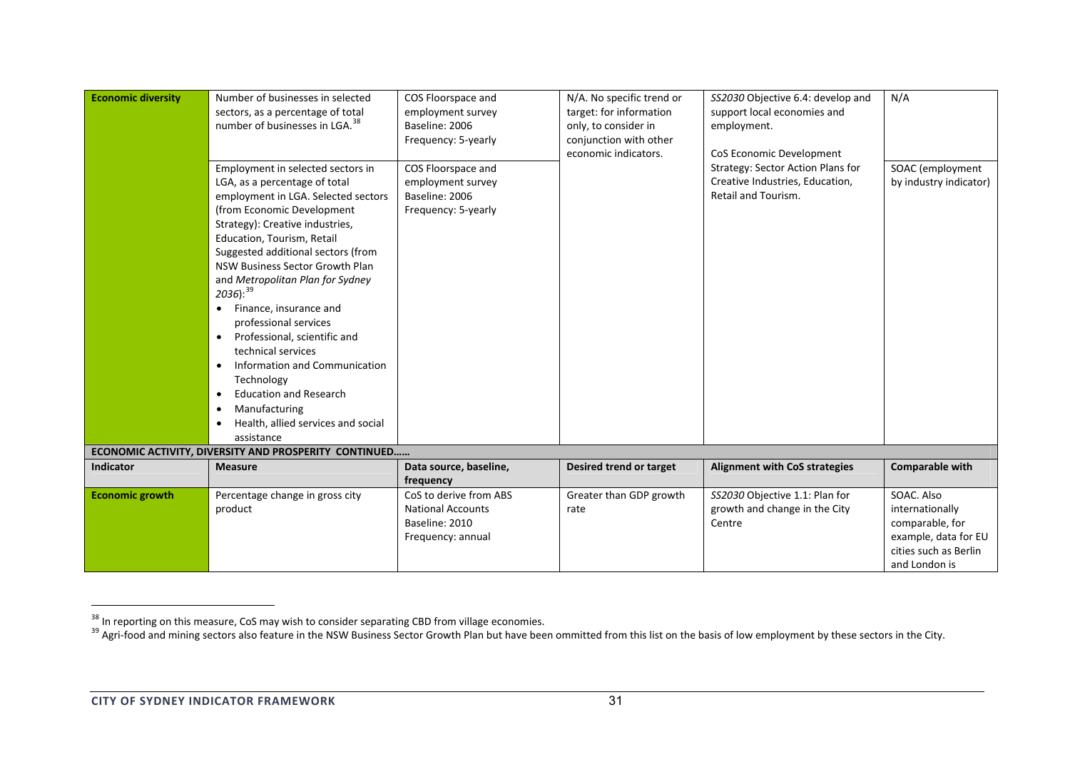| <b>Economic diversity</b><br><b>Indicator</b> | Number of businesses in selected<br>sectors, as a percentage of total<br>number of businesses in LGA. <sup>38</sup><br>Employment in selected sectors in<br>LGA, as a percentage of total<br>employment in LGA. Selected sectors<br>(from Economic Development<br>Strategy): Creative industries,<br>Education, Tourism, Retail<br>Suggested additional sectors (from<br>NSW Business Sector Growth Plan<br>and Metropolitan Plan for Sydney<br>$2036$ ): $39$<br>Finance, insurance and<br>$\bullet$<br>professional services<br>Professional, scientific and<br>$\bullet$<br>technical services<br>Information and Communication<br>Technology<br><b>Education and Research</b><br>$\bullet$<br>Manufacturing<br>$\bullet$<br>Health, allied services and social<br>assistance<br>ECONOMIC ACTIVITY, DIVERSITY AND PROSPERITY CONTINUED<br><b>Measure</b> | COS Floorspace and<br>employment survey<br>Baseline: 2006<br>Frequency: 5-yearly<br>COS Floorspace and<br>employment survey<br>Baseline: 2006<br>Frequency: 5-yearly | N/A. No specific trend or<br>target: for information<br>only, to consider in<br>conjunction with other<br>economic indicators.<br>Desired trend or target | SS2030 Objective 6.4: develop and<br>support local economies and<br>employment.<br>CoS Economic Development<br>Strategy: Sector Action Plans for<br>Creative Industries, Education,<br>Retail and Tourism.<br><b>Alignment with CoS strategies</b> | N/A<br>SOAC (employment<br>by industry indicator)<br><b>Comparable with</b> |
|-----------------------------------------------|-------------------------------------------------------------------------------------------------------------------------------------------------------------------------------------------------------------------------------------------------------------------------------------------------------------------------------------------------------------------------------------------------------------------------------------------------------------------------------------------------------------------------------------------------------------------------------------------------------------------------------------------------------------------------------------------------------------------------------------------------------------------------------------------------------------------------------------------------------------|----------------------------------------------------------------------------------------------------------------------------------------------------------------------|-----------------------------------------------------------------------------------------------------------------------------------------------------------|----------------------------------------------------------------------------------------------------------------------------------------------------------------------------------------------------------------------------------------------------|-----------------------------------------------------------------------------|
|                                               |                                                                                                                                                                                                                                                                                                                                                                                                                                                                                                                                                                                                                                                                                                                                                                                                                                                             | Data source, baseline,<br>frequency                                                                                                                                  |                                                                                                                                                           |                                                                                                                                                                                                                                                    |                                                                             |
| <b>Economic growth</b>                        | Percentage change in gross city                                                                                                                                                                                                                                                                                                                                                                                                                                                                                                                                                                                                                                                                                                                                                                                                                             | CoS to derive from ABS                                                                                                                                               | Greater than GDP growth                                                                                                                                   | SS2030 Objective 1.1: Plan for                                                                                                                                                                                                                     | SOAC. Also                                                                  |
|                                               | product                                                                                                                                                                                                                                                                                                                                                                                                                                                                                                                                                                                                                                                                                                                                                                                                                                                     | <b>National Accounts</b>                                                                                                                                             | rate                                                                                                                                                      | growth and change in the City                                                                                                                                                                                                                      | internationally                                                             |
|                                               |                                                                                                                                                                                                                                                                                                                                                                                                                                                                                                                                                                                                                                                                                                                                                                                                                                                             | Baseline: 2010                                                                                                                                                       |                                                                                                                                                           | Centre                                                                                                                                                                                                                                             | comparable, for                                                             |
|                                               |                                                                                                                                                                                                                                                                                                                                                                                                                                                                                                                                                                                                                                                                                                                                                                                                                                                             | Frequency: annual                                                                                                                                                    |                                                                                                                                                           |                                                                                                                                                                                                                                                    | example, data for EU                                                        |
|                                               |                                                                                                                                                                                                                                                                                                                                                                                                                                                                                                                                                                                                                                                                                                                                                                                                                                                             |                                                                                                                                                                      |                                                                                                                                                           |                                                                                                                                                                                                                                                    | cities such as Berlin                                                       |
|                                               |                                                                                                                                                                                                                                                                                                                                                                                                                                                                                                                                                                                                                                                                                                                                                                                                                                                             |                                                                                                                                                                      |                                                                                                                                                           |                                                                                                                                                                                                                                                    | and London is                                                               |

<sup>&</sup>lt;sup>38</sup> In reporting on this measure, CoS may wish to consider separating CBD from village economies.<br><sup>39</sup> Agri-food and mining sectors also feature in the NSW Business Sector Growth Plan but have been ommitted from this list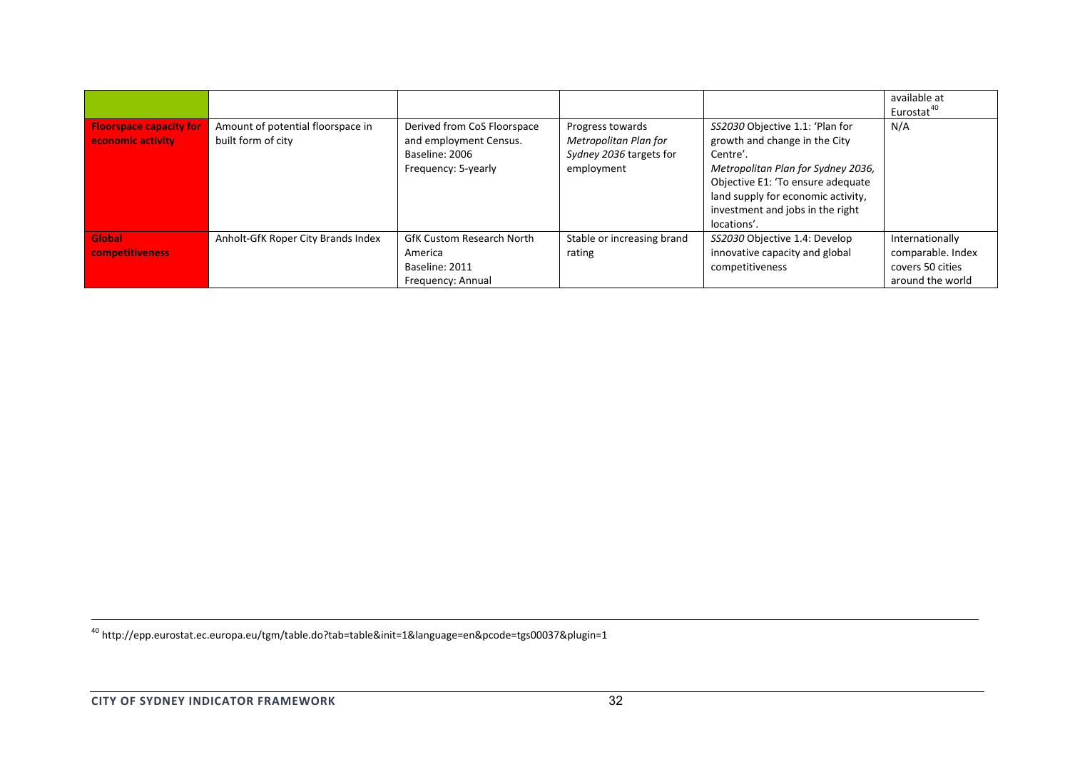|                                                     |                                                         |                                                                                                |                                                                                    |                                                                                                                                                                                                                                                  | available at<br>Eurostat <sup>40</sup>                                       |
|-----------------------------------------------------|---------------------------------------------------------|------------------------------------------------------------------------------------------------|------------------------------------------------------------------------------------|--------------------------------------------------------------------------------------------------------------------------------------------------------------------------------------------------------------------------------------------------|------------------------------------------------------------------------------|
| <b>Floorspace capacity for</b><br>economic activity | Amount of potential floorspace in<br>built form of city | Derived from CoS Floorspace<br>and employment Census.<br>Baseline: 2006<br>Frequency: 5-yearly | Progress towards<br>Metropolitan Plan for<br>Sydney 2036 targets for<br>employment | SS2030 Objective 1.1: 'Plan for<br>growth and change in the City<br>Centre'.<br>Metropolitan Plan for Sydney 2036,<br>Objective E1: 'To ensure adequate<br>land supply for economic activity,<br>investment and jobs in the right<br>locations'. | N/A                                                                          |
| Global<br>competitiveness                           | Anholt-GfK Roper City Brands Index                      | <b>GfK Custom Research North</b><br>America<br>Baseline: 2011<br>Frequency: Annual             | Stable or increasing brand<br>rating                                               | SS2030 Objective 1.4: Develop<br>innovative capacity and global<br>competitiveness                                                                                                                                                               | Internationally<br>comparable. Index<br>covers 50 cities<br>around the world |

40 http://epp.eurostat.ec.europa.eu/tgm/table.do?tab=table&init=1&language=en&pcode=tgs00037&plugin=1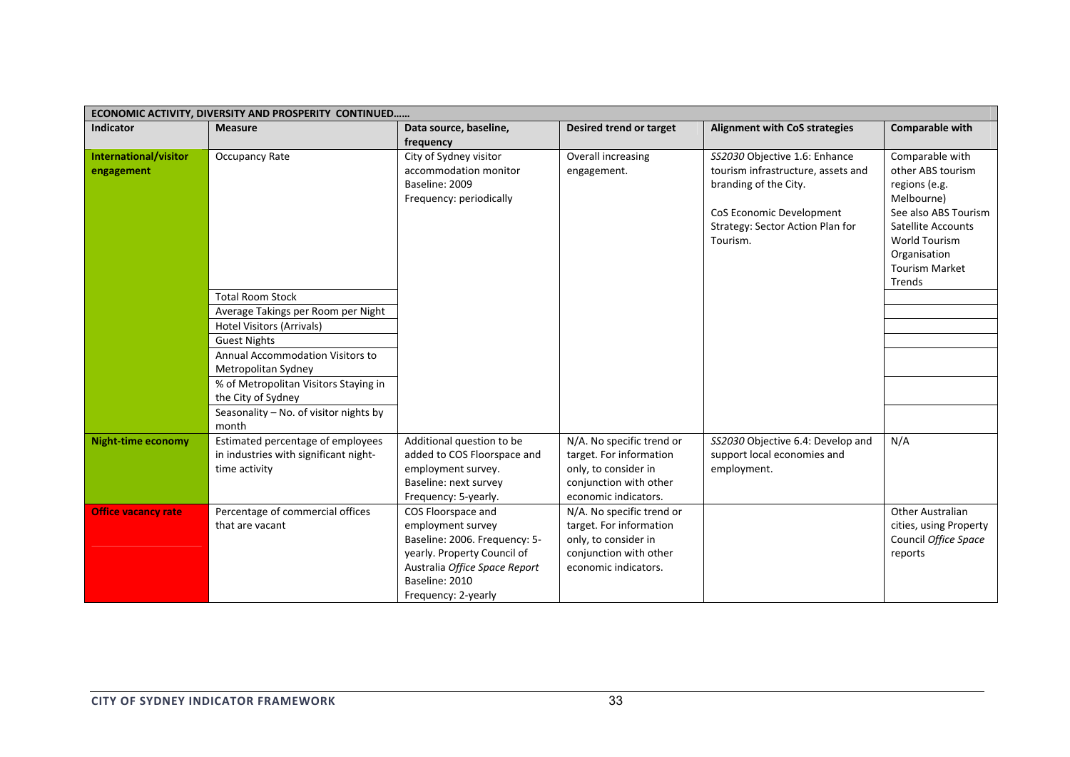|                            | ECONOMIC ACTIVITY, DIVERSITY AND PROSPERITY CONTINUED |                               |                           |                                      |                           |  |  |  |
|----------------------------|-------------------------------------------------------|-------------------------------|---------------------------|--------------------------------------|---------------------------|--|--|--|
| <b>Indicator</b>           | <b>Measure</b>                                        | Data source, baseline,        | Desired trend or target   | <b>Alignment with CoS strategies</b> | <b>Comparable with</b>    |  |  |  |
|                            |                                                       | frequency                     |                           |                                      |                           |  |  |  |
| International/visitor      | Occupancy Rate                                        | City of Sydney visitor        | Overall increasing        | SS2030 Objective 1.6: Enhance        | Comparable with           |  |  |  |
| engagement                 |                                                       | accommodation monitor         | engagement.               | tourism infrastructure, assets and   | other ABS tourism         |  |  |  |
|                            |                                                       | Baseline: 2009                |                           | branding of the City.                | regions (e.g.             |  |  |  |
|                            |                                                       | Frequency: periodically       |                           |                                      | Melbourne)                |  |  |  |
|                            |                                                       |                               |                           | CoS Economic Development             | See also ABS Tourism      |  |  |  |
|                            |                                                       |                               |                           | Strategy: Sector Action Plan for     | <b>Satellite Accounts</b> |  |  |  |
|                            |                                                       |                               |                           | Tourism.                             | World Tourism             |  |  |  |
|                            |                                                       |                               |                           |                                      | Organisation              |  |  |  |
|                            |                                                       |                               |                           |                                      | <b>Tourism Market</b>     |  |  |  |
|                            |                                                       |                               |                           |                                      | Trends                    |  |  |  |
|                            | <b>Total Room Stock</b>                               |                               |                           |                                      |                           |  |  |  |
|                            | Average Takings per Room per Night                    |                               |                           |                                      |                           |  |  |  |
|                            | <b>Hotel Visitors (Arrivals)</b>                      |                               |                           |                                      |                           |  |  |  |
|                            | <b>Guest Nights</b>                                   |                               |                           |                                      |                           |  |  |  |
|                            | Annual Accommodation Visitors to                      |                               |                           |                                      |                           |  |  |  |
|                            | Metropolitan Sydney                                   |                               |                           |                                      |                           |  |  |  |
|                            | % of Metropolitan Visitors Staying in                 |                               |                           |                                      |                           |  |  |  |
|                            | the City of Sydney                                    |                               |                           |                                      |                           |  |  |  |
|                            | Seasonality - No. of visitor nights by                |                               |                           |                                      |                           |  |  |  |
|                            | month                                                 |                               |                           |                                      |                           |  |  |  |
| <b>Night-time economy</b>  | Estimated percentage of employees                     | Additional question to be     | N/A. No specific trend or | SS2030 Objective 6.4: Develop and    | N/A                       |  |  |  |
|                            | in industries with significant night-                 | added to COS Floorspace and   | target. For information   | support local economies and          |                           |  |  |  |
|                            | time activity                                         | employment survey.            | only, to consider in      | employment.                          |                           |  |  |  |
|                            |                                                       | Baseline: next survey         | conjunction with other    |                                      |                           |  |  |  |
|                            |                                                       | Frequency: 5-yearly.          | economic indicators.      |                                      |                           |  |  |  |
| <b>Office vacancy rate</b> | Percentage of commercial offices                      | COS Floorspace and            | N/A. No specific trend or |                                      | <b>Other Australian</b>   |  |  |  |
|                            | that are vacant                                       | employment survey             | target. For information   |                                      | cities, using Property    |  |  |  |
|                            |                                                       | Baseline: 2006. Frequency: 5- | only, to consider in      |                                      | Council Office Space      |  |  |  |
|                            |                                                       | yearly. Property Council of   | conjunction with other    |                                      | reports                   |  |  |  |
|                            |                                                       | Australia Office Space Report | economic indicators.      |                                      |                           |  |  |  |
|                            |                                                       | Baseline: 2010                |                           |                                      |                           |  |  |  |
|                            |                                                       | Frequency: 2-yearly           |                           |                                      |                           |  |  |  |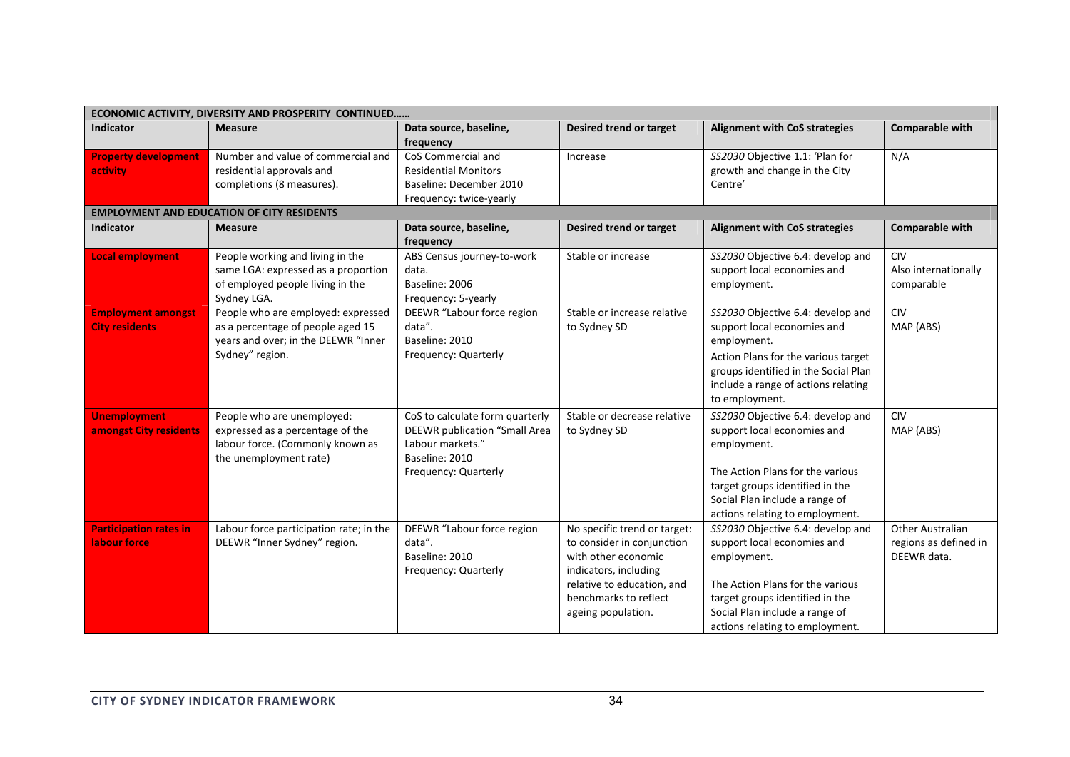| <b>Indicator</b><br><b>Measure</b><br>Data source, baseline,<br><b>Comparable with</b><br>Desired trend or target<br><b>Alignment with CoS strategies</b><br>frequency<br>CoS Commercial and<br>Number and value of commercial and<br>SS2030 Objective 1.1: 'Plan for<br>N/A<br><b>Property development</b><br>Increase<br>growth and change in the City<br>activity<br>residential approvals and<br><b>Residential Monitors</b><br>completions (8 measures).<br>Baseline: December 2010<br>Centre'<br>Frequency: twice-yearly<br><b>EMPLOYMENT AND EDUCATION OF CITY RESIDENTS</b><br><b>Comparable with</b><br><b>Indicator</b><br>Data source, baseline,<br><b>Alignment with CoS strategies</b><br><b>Measure</b><br>Desired trend or target<br>frequency<br>People working and living in the<br>SS2030 Objective 6.4: develop and<br>CIV<br><b>Local employment</b><br>ABS Census journey-to-work<br>Stable or increase<br>same LGA: expressed as a proportion<br>support local economies and<br>Also internationally<br>data.<br>of employed people living in the<br>Baseline: 2006<br>employment.<br>comparable<br>Sydney LGA.<br>Frequency: 5-yearly<br>People who are employed: expressed<br>DEEWR "Labour force region<br>SS2030 Objective 6.4: develop and<br><b>CIV</b><br>Stable or increase relative<br><b>Employment amongst</b><br><b>City residents</b><br>as a percentage of people aged 15<br>support local economies and<br>MAP (ABS)<br>data".<br>to Sydney SD<br>years and over; in the DEEWR "Inner<br>Baseline: 2010<br>employment. |  | ECONOMIC ACTIVITY, DIVERSITY AND PROSPERITY CONTINUED |  |  |  |  |  |  |
|-------------------------------------------------------------------------------------------------------------------------------------------------------------------------------------------------------------------------------------------------------------------------------------------------------------------------------------------------------------------------------------------------------------------------------------------------------------------------------------------------------------------------------------------------------------------------------------------------------------------------------------------------------------------------------------------------------------------------------------------------------------------------------------------------------------------------------------------------------------------------------------------------------------------------------------------------------------------------------------------------------------------------------------------------------------------------------------------------------------------------------------------------------------------------------------------------------------------------------------------------------------------------------------------------------------------------------------------------------------------------------------------------------------------------------------------------------------------------------------------------------------------------------------------------------------|--|-------------------------------------------------------|--|--|--|--|--|--|
|                                                                                                                                                                                                                                                                                                                                                                                                                                                                                                                                                                                                                                                                                                                                                                                                                                                                                                                                                                                                                                                                                                                                                                                                                                                                                                                                                                                                                                                                                                                                                             |  |                                                       |  |  |  |  |  |  |
|                                                                                                                                                                                                                                                                                                                                                                                                                                                                                                                                                                                                                                                                                                                                                                                                                                                                                                                                                                                                                                                                                                                                                                                                                                                                                                                                                                                                                                                                                                                                                             |  |                                                       |  |  |  |  |  |  |
|                                                                                                                                                                                                                                                                                                                                                                                                                                                                                                                                                                                                                                                                                                                                                                                                                                                                                                                                                                                                                                                                                                                                                                                                                                                                                                                                                                                                                                                                                                                                                             |  |                                                       |  |  |  |  |  |  |
|                                                                                                                                                                                                                                                                                                                                                                                                                                                                                                                                                                                                                                                                                                                                                                                                                                                                                                                                                                                                                                                                                                                                                                                                                                                                                                                                                                                                                                                                                                                                                             |  |                                                       |  |  |  |  |  |  |
|                                                                                                                                                                                                                                                                                                                                                                                                                                                                                                                                                                                                                                                                                                                                                                                                                                                                                                                                                                                                                                                                                                                                                                                                                                                                                                                                                                                                                                                                                                                                                             |  |                                                       |  |  |  |  |  |  |
|                                                                                                                                                                                                                                                                                                                                                                                                                                                                                                                                                                                                                                                                                                                                                                                                                                                                                                                                                                                                                                                                                                                                                                                                                                                                                                                                                                                                                                                                                                                                                             |  |                                                       |  |  |  |  |  |  |
|                                                                                                                                                                                                                                                                                                                                                                                                                                                                                                                                                                                                                                                                                                                                                                                                                                                                                                                                                                                                                                                                                                                                                                                                                                                                                                                                                                                                                                                                                                                                                             |  |                                                       |  |  |  |  |  |  |
|                                                                                                                                                                                                                                                                                                                                                                                                                                                                                                                                                                                                                                                                                                                                                                                                                                                                                                                                                                                                                                                                                                                                                                                                                                                                                                                                                                                                                                                                                                                                                             |  |                                                       |  |  |  |  |  |  |
|                                                                                                                                                                                                                                                                                                                                                                                                                                                                                                                                                                                                                                                                                                                                                                                                                                                                                                                                                                                                                                                                                                                                                                                                                                                                                                                                                                                                                                                                                                                                                             |  |                                                       |  |  |  |  |  |  |
|                                                                                                                                                                                                                                                                                                                                                                                                                                                                                                                                                                                                                                                                                                                                                                                                                                                                                                                                                                                                                                                                                                                                                                                                                                                                                                                                                                                                                                                                                                                                                             |  |                                                       |  |  |  |  |  |  |
|                                                                                                                                                                                                                                                                                                                                                                                                                                                                                                                                                                                                                                                                                                                                                                                                                                                                                                                                                                                                                                                                                                                                                                                                                                                                                                                                                                                                                                                                                                                                                             |  |                                                       |  |  |  |  |  |  |
|                                                                                                                                                                                                                                                                                                                                                                                                                                                                                                                                                                                                                                                                                                                                                                                                                                                                                                                                                                                                                                                                                                                                                                                                                                                                                                                                                                                                                                                                                                                                                             |  |                                                       |  |  |  |  |  |  |
|                                                                                                                                                                                                                                                                                                                                                                                                                                                                                                                                                                                                                                                                                                                                                                                                                                                                                                                                                                                                                                                                                                                                                                                                                                                                                                                                                                                                                                                                                                                                                             |  |                                                       |  |  |  |  |  |  |
|                                                                                                                                                                                                                                                                                                                                                                                                                                                                                                                                                                                                                                                                                                                                                                                                                                                                                                                                                                                                                                                                                                                                                                                                                                                                                                                                                                                                                                                                                                                                                             |  |                                                       |  |  |  |  |  |  |
| Sydney" region.<br>Frequency: Quarterly<br>Action Plans for the various target                                                                                                                                                                                                                                                                                                                                                                                                                                                                                                                                                                                                                                                                                                                                                                                                                                                                                                                                                                                                                                                                                                                                                                                                                                                                                                                                                                                                                                                                              |  |                                                       |  |  |  |  |  |  |
| groups identified in the Social Plan                                                                                                                                                                                                                                                                                                                                                                                                                                                                                                                                                                                                                                                                                                                                                                                                                                                                                                                                                                                                                                                                                                                                                                                                                                                                                                                                                                                                                                                                                                                        |  |                                                       |  |  |  |  |  |  |
| include a range of actions relating                                                                                                                                                                                                                                                                                                                                                                                                                                                                                                                                                                                                                                                                                                                                                                                                                                                                                                                                                                                                                                                                                                                                                                                                                                                                                                                                                                                                                                                                                                                         |  |                                                       |  |  |  |  |  |  |
| to employment.                                                                                                                                                                                                                                                                                                                                                                                                                                                                                                                                                                                                                                                                                                                                                                                                                                                                                                                                                                                                                                                                                                                                                                                                                                                                                                                                                                                                                                                                                                                                              |  |                                                       |  |  |  |  |  |  |
| CoS to calculate form quarterly<br>Stable or decrease relative<br>SS2030 Objective 6.4: develop and<br><b>CIV</b><br><b>Unemployment</b><br>People who are unemployed:                                                                                                                                                                                                                                                                                                                                                                                                                                                                                                                                                                                                                                                                                                                                                                                                                                                                                                                                                                                                                                                                                                                                                                                                                                                                                                                                                                                      |  |                                                       |  |  |  |  |  |  |
| amongst City residents<br>expressed as a percentage of the<br>DEEWR publication "Small Area<br>to Sydney SD<br>support local economies and<br>MAP (ABS)                                                                                                                                                                                                                                                                                                                                                                                                                                                                                                                                                                                                                                                                                                                                                                                                                                                                                                                                                                                                                                                                                                                                                                                                                                                                                                                                                                                                     |  |                                                       |  |  |  |  |  |  |
| labour force. (Commonly known as<br>Labour markets."<br>employment.                                                                                                                                                                                                                                                                                                                                                                                                                                                                                                                                                                                                                                                                                                                                                                                                                                                                                                                                                                                                                                                                                                                                                                                                                                                                                                                                                                                                                                                                                         |  |                                                       |  |  |  |  |  |  |
| the unemployment rate)<br>Baseline: 2010                                                                                                                                                                                                                                                                                                                                                                                                                                                                                                                                                                                                                                                                                                                                                                                                                                                                                                                                                                                                                                                                                                                                                                                                                                                                                                                                                                                                                                                                                                                    |  |                                                       |  |  |  |  |  |  |
| The Action Plans for the various<br>Frequency: Quarterly                                                                                                                                                                                                                                                                                                                                                                                                                                                                                                                                                                                                                                                                                                                                                                                                                                                                                                                                                                                                                                                                                                                                                                                                                                                                                                                                                                                                                                                                                                    |  |                                                       |  |  |  |  |  |  |
| target groups identified in the                                                                                                                                                                                                                                                                                                                                                                                                                                                                                                                                                                                                                                                                                                                                                                                                                                                                                                                                                                                                                                                                                                                                                                                                                                                                                                                                                                                                                                                                                                                             |  |                                                       |  |  |  |  |  |  |
| Social Plan include a range of                                                                                                                                                                                                                                                                                                                                                                                                                                                                                                                                                                                                                                                                                                                                                                                                                                                                                                                                                                                                                                                                                                                                                                                                                                                                                                                                                                                                                                                                                                                              |  |                                                       |  |  |  |  |  |  |
| actions relating to employment.                                                                                                                                                                                                                                                                                                                                                                                                                                                                                                                                                                                                                                                                                                                                                                                                                                                                                                                                                                                                                                                                                                                                                                                                                                                                                                                                                                                                                                                                                                                             |  |                                                       |  |  |  |  |  |  |
| SS2030 Objective 6.4: develop and<br><b>Other Australian</b><br><b>Participation rates in</b><br>Labour force participation rate; in the<br>DEEWR "Labour force region<br>No specific trend or target:                                                                                                                                                                                                                                                                                                                                                                                                                                                                                                                                                                                                                                                                                                                                                                                                                                                                                                                                                                                                                                                                                                                                                                                                                                                                                                                                                      |  |                                                       |  |  |  |  |  |  |
| support local economies and<br>labour force<br>DEEWR "Inner Sydney" region.<br>data".<br>to consider in conjunction<br>regions as defined in                                                                                                                                                                                                                                                                                                                                                                                                                                                                                                                                                                                                                                                                                                                                                                                                                                                                                                                                                                                                                                                                                                                                                                                                                                                                                                                                                                                                                |  |                                                       |  |  |  |  |  |  |
| Baseline: 2010<br>with other economic<br>DEEWR data.<br>employment.                                                                                                                                                                                                                                                                                                                                                                                                                                                                                                                                                                                                                                                                                                                                                                                                                                                                                                                                                                                                                                                                                                                                                                                                                                                                                                                                                                                                                                                                                         |  |                                                       |  |  |  |  |  |  |
| Frequency: Quarterly<br>indicators, including<br>The Action Plans for the various                                                                                                                                                                                                                                                                                                                                                                                                                                                                                                                                                                                                                                                                                                                                                                                                                                                                                                                                                                                                                                                                                                                                                                                                                                                                                                                                                                                                                                                                           |  |                                                       |  |  |  |  |  |  |
| relative to education, and<br>benchmarks to reflect                                                                                                                                                                                                                                                                                                                                                                                                                                                                                                                                                                                                                                                                                                                                                                                                                                                                                                                                                                                                                                                                                                                                                                                                                                                                                                                                                                                                                                                                                                         |  |                                                       |  |  |  |  |  |  |
| target groups identified in the<br>Social Plan include a range of                                                                                                                                                                                                                                                                                                                                                                                                                                                                                                                                                                                                                                                                                                                                                                                                                                                                                                                                                                                                                                                                                                                                                                                                                                                                                                                                                                                                                                                                                           |  |                                                       |  |  |  |  |  |  |
| ageing population.<br>actions relating to employment.                                                                                                                                                                                                                                                                                                                                                                                                                                                                                                                                                                                                                                                                                                                                                                                                                                                                                                                                                                                                                                                                                                                                                                                                                                                                                                                                                                                                                                                                                                       |  |                                                       |  |  |  |  |  |  |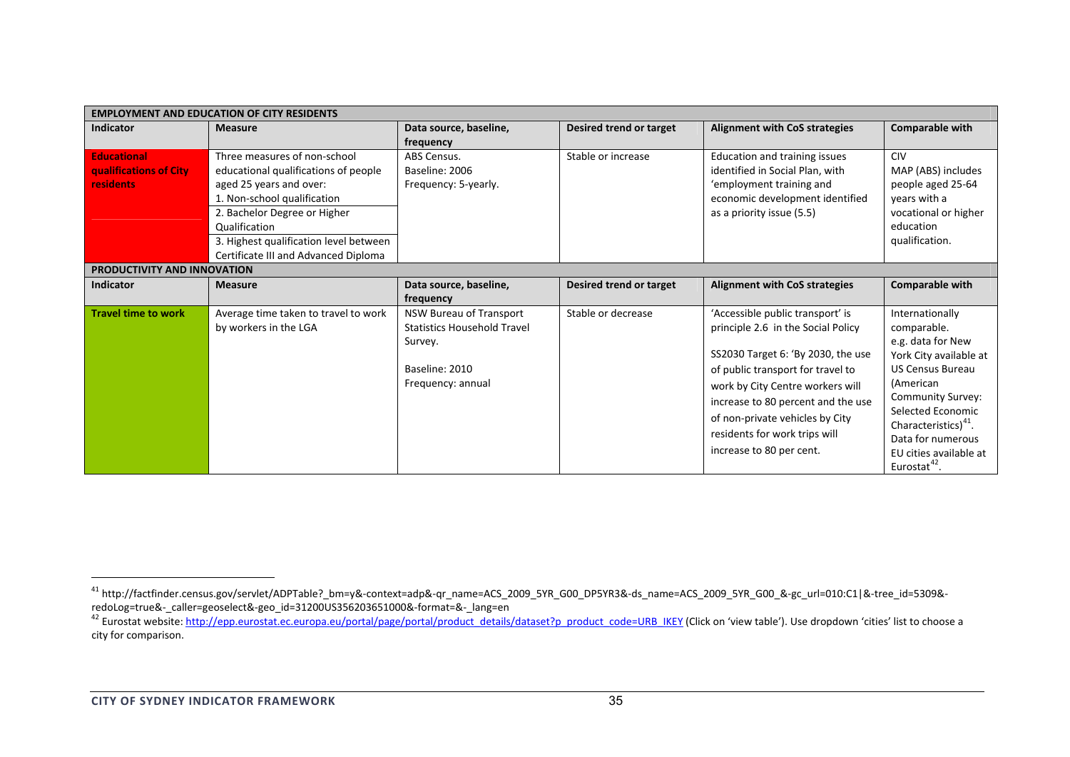| <b>EMPLOYMENT AND EDUCATION OF CITY RESIDENTS</b>                |                                                                                                                                                                                                                                                                   |                                                                                                                        |                         |                                                                                                                                                                                                                                                                                                                             |                                                                                                                                                                                                                                                                                 |  |  |
|------------------------------------------------------------------|-------------------------------------------------------------------------------------------------------------------------------------------------------------------------------------------------------------------------------------------------------------------|------------------------------------------------------------------------------------------------------------------------|-------------------------|-----------------------------------------------------------------------------------------------------------------------------------------------------------------------------------------------------------------------------------------------------------------------------------------------------------------------------|---------------------------------------------------------------------------------------------------------------------------------------------------------------------------------------------------------------------------------------------------------------------------------|--|--|
| <b>Indicator</b>                                                 | <b>Measure</b>                                                                                                                                                                                                                                                    | Data source, baseline,<br>frequency                                                                                    | Desired trend or target | <b>Alignment with CoS strategies</b>                                                                                                                                                                                                                                                                                        | <b>Comparable with</b>                                                                                                                                                                                                                                                          |  |  |
| <b>Educational</b><br>qualifications of City<br><b>residents</b> | Three measures of non-school<br>educational qualifications of people<br>aged 25 years and over:<br>1. Non-school qualification<br>2. Bachelor Degree or Higher<br>Qualification<br>3. Highest qualification level between<br>Certificate III and Advanced Diploma | ABS Census.<br>Baseline: 2006<br>Frequency: 5-yearly.                                                                  | Stable or increase      | Education and training issues<br>identified in Social Plan, with<br>'employment training and<br>economic development identified<br>as a priority issue (5.5)                                                                                                                                                                | <b>CIV</b><br>MAP (ABS) includes<br>people aged 25-64<br>years with a<br>vocational or higher<br>education<br>qualification.                                                                                                                                                    |  |  |
| PRODUCTIVITY AND INNOVATION                                      |                                                                                                                                                                                                                                                                   |                                                                                                                        |                         |                                                                                                                                                                                                                                                                                                                             |                                                                                                                                                                                                                                                                                 |  |  |
| <b>Indicator</b>                                                 | <b>Measure</b>                                                                                                                                                                                                                                                    | Data source, baseline,<br>frequency                                                                                    | Desired trend or target | <b>Alignment with CoS strategies</b>                                                                                                                                                                                                                                                                                        | <b>Comparable with</b>                                                                                                                                                                                                                                                          |  |  |
| <b>Travel time to work</b>                                       | Average time taken to travel to work<br>by workers in the LGA                                                                                                                                                                                                     | <b>NSW Bureau of Transport</b><br><b>Statistics Household Travel</b><br>Survey.<br>Baseline: 2010<br>Frequency: annual | Stable or decrease      | 'Accessible public transport' is<br>principle 2.6 in the Social Policy<br>SS2030 Target 6: 'By 2030, the use<br>of public transport for travel to<br>work by City Centre workers will<br>increase to 80 percent and the use<br>of non-private vehicles by City<br>residents for work trips will<br>increase to 80 per cent. | Internationally<br>comparable.<br>e.g. data for New<br>York City available at<br><b>US Census Bureau</b><br>(American<br><b>Community Survey:</b><br>Selected Economic<br>Characteristics) $4^{4}$ .<br>Data for numerous<br>EU cities available at<br>Eurostat <sup>42</sup> . |  |  |

 $^{41}$ http://factfinder.census.gov/servlet/ADPTable? bm=y&‐context=adp&‐qr\_name=ACS\_2009\_5YR\_G00\_DP5YR3&‐ds\_name=ACS\_2009\_5YR\_G00\_&‐gc\_url=010:C1|&‐tree\_id=5309&‐ redoLog=true&-\_caller=geoselect&-geo\_id=31200US356203651000&-format=&-\_lang=en<br><sup>42</sup> Eurostat website: http://epp.eurostat.ec.europa.eu/portal/page/portal/product details/dataset?p product code=URB IKEY (Click on 'view tabl

city for comparison.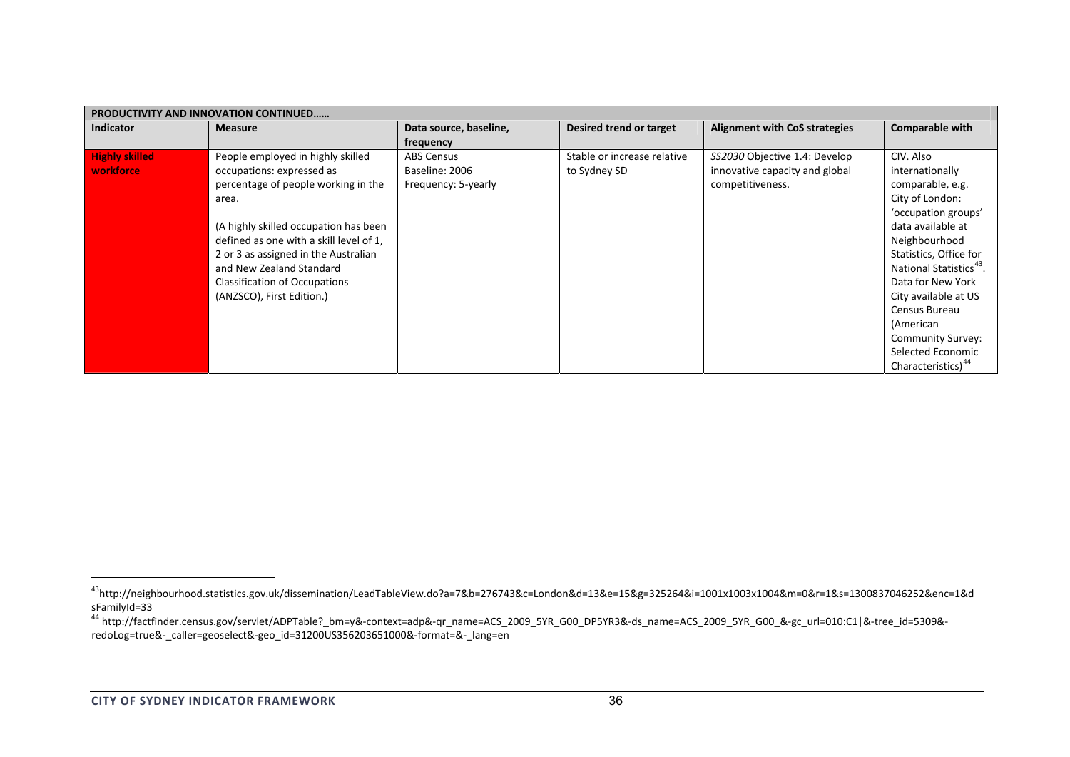|                                    | <b>PRODUCTIVITY AND INNOVATION CONTINUED</b>                                                                                                                                                                                                                                                                                         |                                                            |                                             |                                                                                     |                                                                                                                                                                                                                                                                                                                                                                 |  |  |  |
|------------------------------------|--------------------------------------------------------------------------------------------------------------------------------------------------------------------------------------------------------------------------------------------------------------------------------------------------------------------------------------|------------------------------------------------------------|---------------------------------------------|-------------------------------------------------------------------------------------|-----------------------------------------------------------------------------------------------------------------------------------------------------------------------------------------------------------------------------------------------------------------------------------------------------------------------------------------------------------------|--|--|--|
| <b>Indicator</b>                   | <b>Measure</b>                                                                                                                                                                                                                                                                                                                       | Data source, baseline,<br>frequency                        | Desired trend or target                     | <b>Alignment with CoS strategies</b>                                                | Comparable with                                                                                                                                                                                                                                                                                                                                                 |  |  |  |
| <b>Highly skilled</b><br>workforce | People employed in highly skilled<br>occupations: expressed as<br>percentage of people working in the<br>area.<br>(A highly skilled occupation has been<br>defined as one with a skill level of 1.<br>2 or 3 as assigned in the Australian<br>and New Zealand Standard<br>Classification of Occupations<br>(ANZSCO), First Edition.) | <b>ABS Census</b><br>Baseline: 2006<br>Frequency: 5-yearly | Stable or increase relative<br>to Sydney SD | SS2030 Objective 1.4: Develop<br>innovative capacity and global<br>competitiveness. | CIV. Also<br>internationally<br>comparable, e.g.<br>City of London:<br>'occupation groups'<br>data available at<br>Neighbourhood<br>Statistics, Office for<br>National Statistics <sup>43</sup> .<br>Data for New York<br>City available at US<br>Census Bureau<br>(American<br><b>Community Survey:</b><br>Selected Economic<br>Characteristics) <sup>44</sup> |  |  |  |

<sup>43</sup>http://neighbourhood.statistics.gov.uk/dissemination/LeadTableView.do?a=7&b=276743&c=London&d=13&e=15&g=325264&i=1001x1003x1004&m=0&r=1&s=1300837046252&enc=1&d sFamilyId=33

<sup>&</sup>lt;sup>44</sup> http://factfinder.census.gov/servlet/ADPTable? bm=y&‐context=adp&‐qr\_name=ACS\_2009\_5YR\_G00\_DP5YR3&‐ds\_name=ACS\_2009\_5YR\_G00\_&‐gc\_url=010:C1|&‐tree\_id=5309&‐ redoLog=true&‐\_caller=geoselect&‐geo\_id=31200US356203651000&‐format=&‐\_lang=en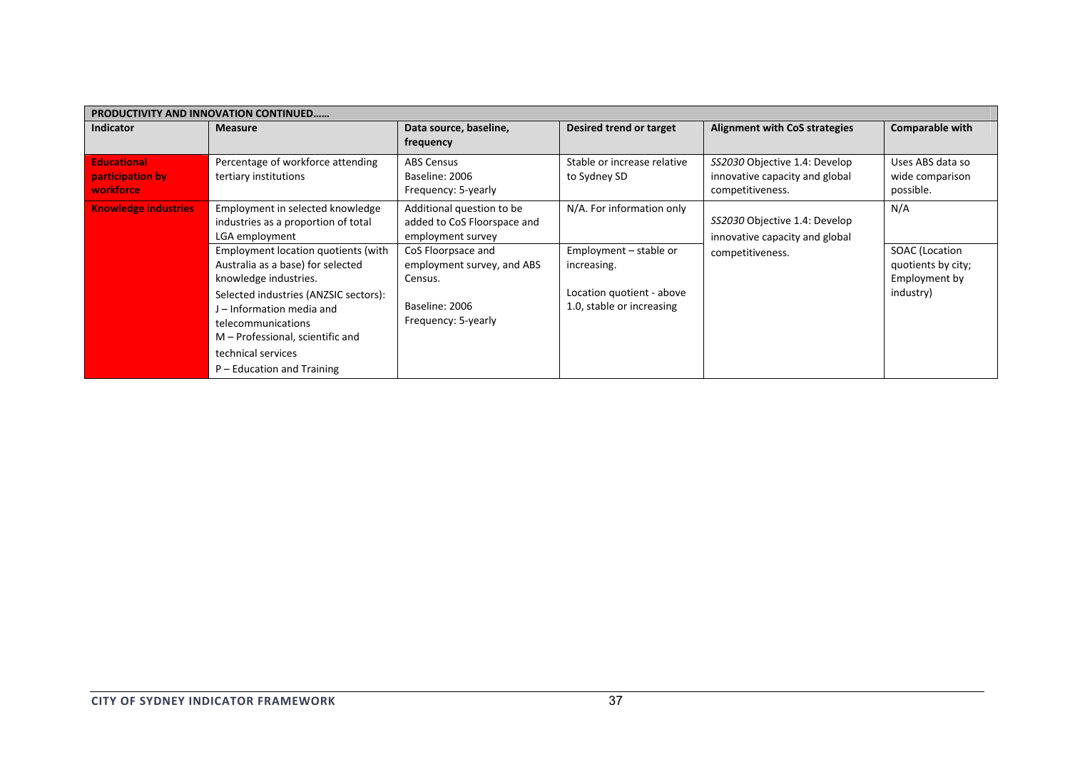| <b>PRODUCTIVITY AND INNOVATION CONTINUED</b> |                                       |                             |                             |                                      |                        |  |  |  |
|----------------------------------------------|---------------------------------------|-----------------------------|-----------------------------|--------------------------------------|------------------------|--|--|--|
| <b>Indicator</b>                             | <b>Measure</b>                        | Data source, baseline,      | Desired trend or target     | <b>Alignment with CoS strategies</b> | <b>Comparable with</b> |  |  |  |
|                                              |                                       | frequency                   |                             |                                      |                        |  |  |  |
| <b>Educational</b>                           | Percentage of workforce attending     | <b>ABS Census</b>           | Stable or increase relative | SS2030 Objective 1.4: Develop        | Uses ABS data so       |  |  |  |
| participation by                             | tertiary institutions                 | Baseline: 2006              | to Sydney SD                | innovative capacity and global       | wide comparison        |  |  |  |
| workforce                                    |                                       | Frequency: 5-yearly         |                             | competitiveness.                     | possible.              |  |  |  |
| <b>Knowledge industries</b>                  | Employment in selected knowledge      | Additional question to be   | N/A. For information only   |                                      | N/A                    |  |  |  |
|                                              | industries as a proportion of total   | added to CoS Floorspace and |                             | SS2030 Objective 1.4: Develop        |                        |  |  |  |
|                                              | LGA employment                        | employment survey           |                             | innovative capacity and global       |                        |  |  |  |
|                                              | Employment location quotients (with   | CoS Floorpsace and          | Employment – stable or      | competitiveness.                     | <b>SOAC</b> (Location  |  |  |  |
|                                              | Australia as a base) for selected     | employment survey, and ABS  | increasing.                 |                                      | quotients by city;     |  |  |  |
|                                              | knowledge industries.                 | Census.                     |                             |                                      | Employment by          |  |  |  |
|                                              | Selected industries (ANZSIC sectors): |                             | Location quotient - above   |                                      | industry)              |  |  |  |
|                                              | J – Information media and             | Baseline: 2006              | 1.0, stable or increasing   |                                      |                        |  |  |  |
|                                              | telecommunications                    | Frequency: 5-yearly         |                             |                                      |                        |  |  |  |
|                                              | M – Professional, scientific and      |                             |                             |                                      |                        |  |  |  |
|                                              | technical services                    |                             |                             |                                      |                        |  |  |  |
|                                              | P – Education and Training            |                             |                             |                                      |                        |  |  |  |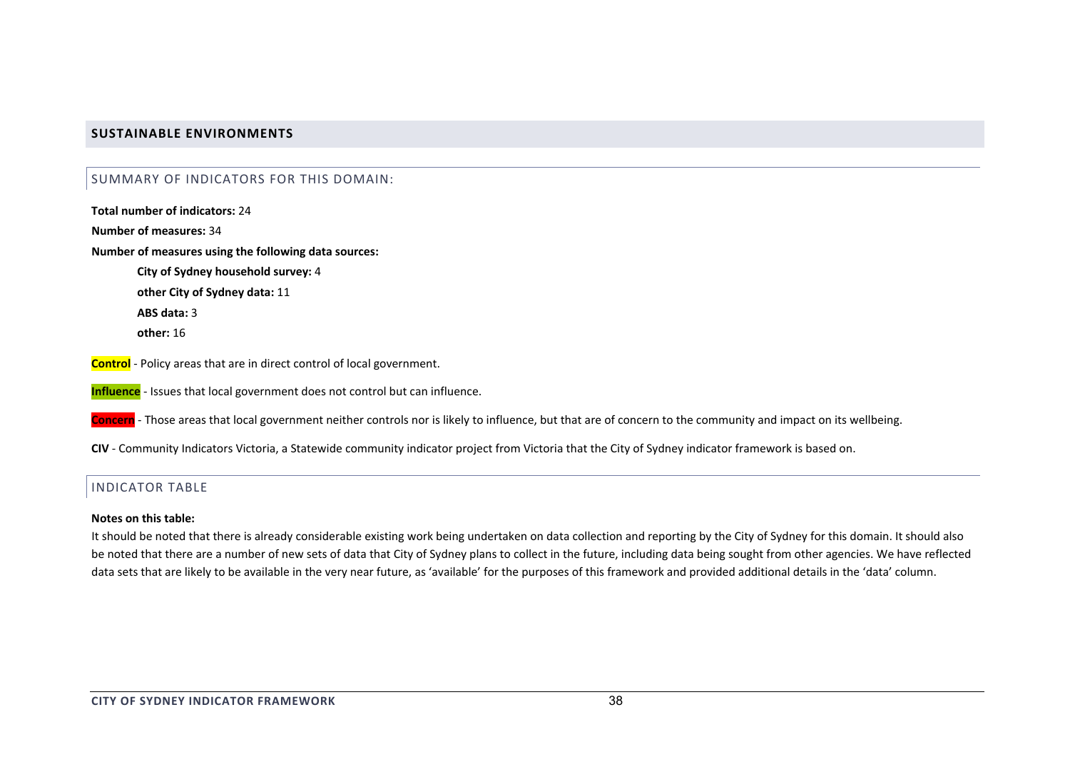## **SUSTAINABLE ENVIRONMENTS**

#### SUMMARY OF INDICATORS FOR THIS DOMAIN:

**Total number of indicators:** 24**Number of measures:** 34**Number of measures using the following data sources: City of Sydney household survey:** 4 **other City of Sydney data:** 11 **ABS data:** 3**other:** 16

**Control** ‐ Policy areas that are in direct control of local government.

**Influence** ‐ Issues that local government does not control but can influence.

**Concern** ‐ Those areas that local government neither controls nor is likely to influence, but that are of concern to the community and impact on its wellbeing.

**CIV** ‐ Community Indicators Victoria, <sup>a</sup> Statewide community indicator project from Victoria that the City of Sydney indicator framework is based on.

## INDICATOR TABLE

#### **Notes on this table:**

It should be noted that there is already considerable existing work being undertaken on data collection and reporting by the City of Sydney for this domain. It should also be noted that there are <sup>a</sup> number of new sets of data that City of Sydney plans to collect in the future, including data being sought from other agencies. We have reflected data sets that are likely to be available in the very near future, as 'available' for the purposes of this framework and provided additional details in the 'data' column.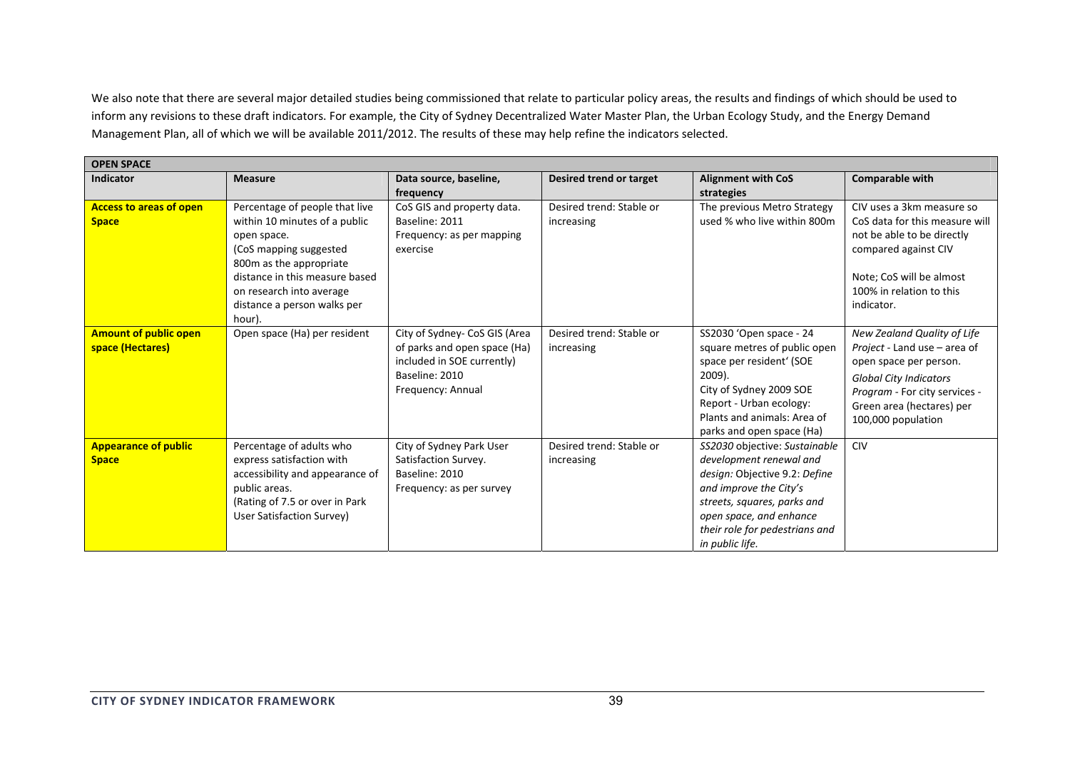We also note that there are several major detailed studies being commissioned that relate to particular policy areas, the results and findings of which should be used to inform any revisions to these draft indicators. For example, the City of Sydney Decentralized Water Master Plan, the Urban Ecology Study, and the Energy Demand Management Plan, all of which we will be available 2011/2012. The results of these may help refine the indicators selected.

| <b>OPEN SPACE</b>                                |                                                                                                                                                                                                                                            |                                                                                                                                    |                                        |                                                                                                                                                                                                                                    |                                                                                                                                                                                                            |
|--------------------------------------------------|--------------------------------------------------------------------------------------------------------------------------------------------------------------------------------------------------------------------------------------------|------------------------------------------------------------------------------------------------------------------------------------|----------------------------------------|------------------------------------------------------------------------------------------------------------------------------------------------------------------------------------------------------------------------------------|------------------------------------------------------------------------------------------------------------------------------------------------------------------------------------------------------------|
| <b>Indicator</b>                                 | <b>Measure</b>                                                                                                                                                                                                                             | Data source, baseline,<br>frequency                                                                                                | Desired trend or target                | <b>Alignment with CoS</b><br>strategies                                                                                                                                                                                            | Comparable with                                                                                                                                                                                            |
| <b>Access to areas of open</b><br><b>Space</b>   | Percentage of people that live<br>within 10 minutes of a public<br>open space.<br>(CoS mapping suggested<br>800m as the appropriate<br>distance in this measure based<br>on research into average<br>distance a person walks per<br>hour). | CoS GIS and property data.<br>Baseline: 2011<br>Frequency: as per mapping<br>exercise                                              | Desired trend: Stable or<br>increasing | The previous Metro Strategy<br>used % who live within 800m                                                                                                                                                                         | CIV uses a 3km measure so<br>CoS data for this measure will<br>not be able to be directly<br>compared against CIV<br>Note; CoS will be almost<br>100% in relation to this<br>indicator.                    |
| <b>Amount of public open</b><br>space (Hectares) | Open space (Ha) per resident                                                                                                                                                                                                               | City of Sydney- CoS GIS (Area<br>of parks and open space (Ha)<br>included in SOE currently)<br>Baseline: 2010<br>Frequency: Annual | Desired trend: Stable or<br>increasing | SS2030 'Open space - 24<br>square metres of public open<br>space per resident' (SOE<br>$2009$ ).<br>City of Sydney 2009 SOE<br>Report - Urban ecology:<br>Plants and animals: Area of<br>parks and open space (Ha)                 | New Zealand Quality of Life<br>Project - Land use - area of<br>open space per person.<br><b>Global City Indicators</b><br>Program - For city services -<br>Green area (hectares) per<br>100,000 population |
| <b>Appearance of public</b><br><b>Space</b>      | Percentage of adults who<br>express satisfaction with<br>accessibility and appearance of<br>public areas.<br>(Rating of 7.5 or over in Park<br>User Satisfaction Survey)                                                                   | City of Sydney Park User<br>Satisfaction Survey.<br>Baseline: 2010<br>Frequency: as per survey                                     | Desired trend: Stable or<br>increasing | SS2030 objective: Sustainable<br>development renewal and<br>design: Objective 9.2: Define<br>and improve the City's<br>streets, squares, parks and<br>open space, and enhance<br>their role for pedestrians and<br>in public life. | <b>CIV</b>                                                                                                                                                                                                 |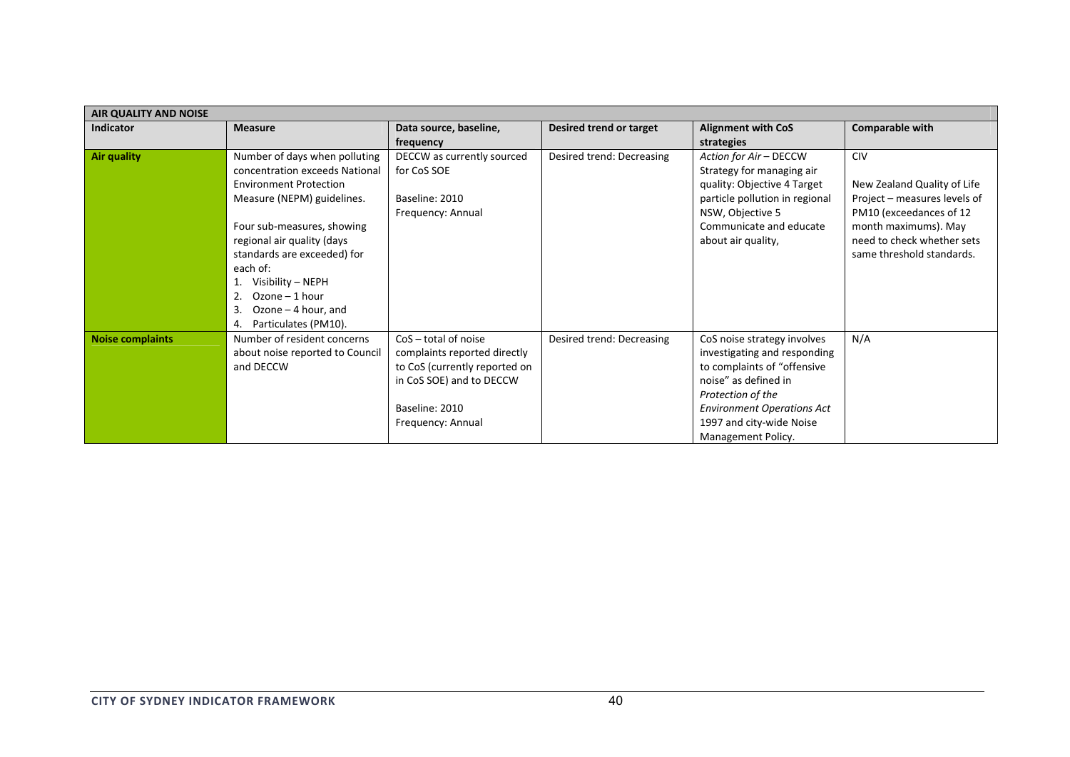| <b>AIR QUALITY AND NOISE</b> |                                 |                               |                           |                                   |                              |
|------------------------------|---------------------------------|-------------------------------|---------------------------|-----------------------------------|------------------------------|
| <b>Indicator</b>             | <b>Measure</b>                  | Data source, baseline,        | Desired trend or target   | <b>Alignment with CoS</b>         | <b>Comparable with</b>       |
|                              |                                 | frequency                     |                           | strategies                        |                              |
| <b>Air quality</b>           | Number of days when polluting   | DECCW as currently sourced    | Desired trend: Decreasing | Action for Air - DECCW            | <b>CIV</b>                   |
|                              | concentration exceeds National  | for CoS SOE                   |                           | Strategy for managing air         |                              |
|                              | <b>Environment Protection</b>   |                               |                           | quality: Objective 4 Target       | New Zealand Quality of Life  |
|                              | Measure (NEPM) guidelines.      | Baseline: 2010                |                           | particle pollution in regional    | Project – measures levels of |
|                              |                                 | Frequency: Annual             |                           | NSW, Objective 5                  | PM10 (exceedances of 12      |
|                              | Four sub-measures, showing      |                               |                           | Communicate and educate           | month maximums). May         |
|                              | regional air quality (days      |                               |                           | about air quality,                | need to check whether sets   |
|                              | standards are exceeded) for     |                               |                           |                                   | same threshold standards.    |
|                              | each of:                        |                               |                           |                                   |                              |
|                              | Visibility – NEPH               |                               |                           |                                   |                              |
|                              | $Ozone - 1 hour$<br>2.          |                               |                           |                                   |                              |
|                              | Ozone - 4 hour, and<br>3.       |                               |                           |                                   |                              |
|                              | Particulates (PM10).<br>4.      |                               |                           |                                   |                              |
| <b>Noise complaints</b>      | Number of resident concerns     | $CoS - total of noise$        | Desired trend: Decreasing | CoS noise strategy involves       | N/A                          |
|                              | about noise reported to Council | complaints reported directly  |                           | investigating and responding      |                              |
|                              | and DECCW                       | to CoS (currently reported on |                           | to complaints of "offensive       |                              |
|                              |                                 | in CoS SOE) and to DECCW      |                           | noise" as defined in              |                              |
|                              |                                 |                               |                           | Protection of the                 |                              |
|                              |                                 | Baseline: 2010                |                           | <b>Environment Operations Act</b> |                              |
|                              |                                 | Frequency: Annual             |                           | 1997 and city-wide Noise          |                              |
|                              |                                 |                               |                           | Management Policy.                |                              |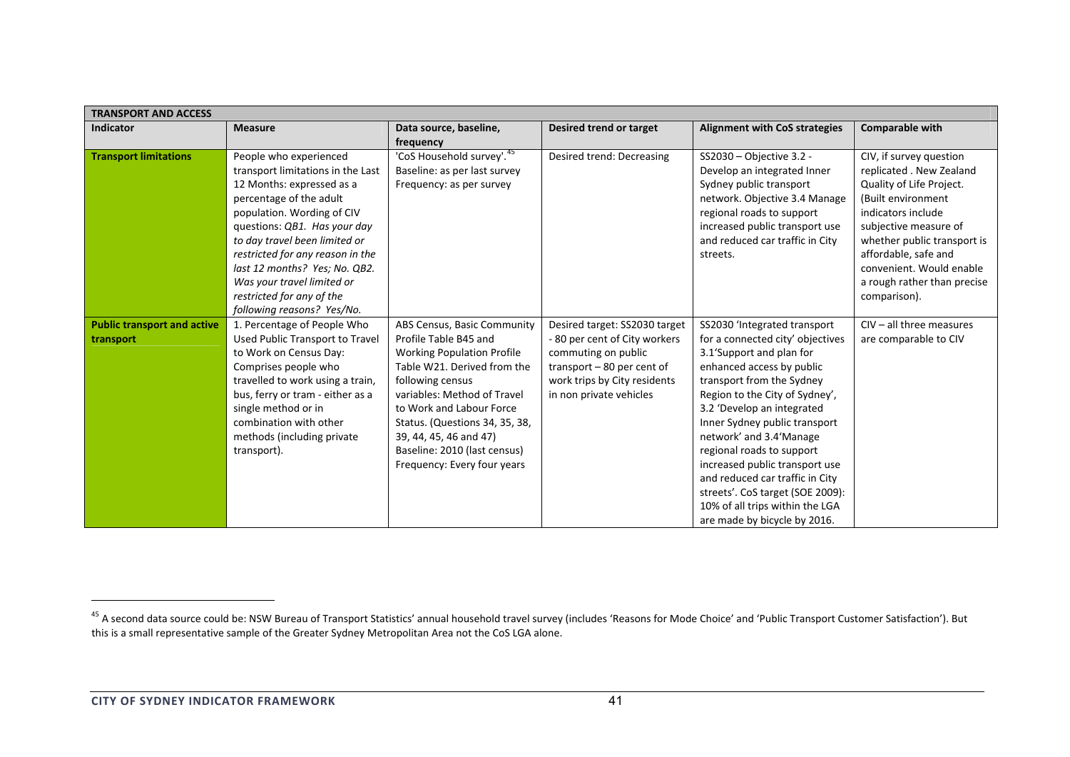| <b>TRANSPORT AND ACCESS</b>                     |                                                                                                                                                                                                                                                                                                                                                                                  |                                                                                                                                                                                                                                                                                                                                    |                                                                                                                                                                                 |                                                                                                                                                                                                                                                                                                                                                                                                                                                                                             |                                                                                                                                                                                                                                                                                        |  |  |
|-------------------------------------------------|----------------------------------------------------------------------------------------------------------------------------------------------------------------------------------------------------------------------------------------------------------------------------------------------------------------------------------------------------------------------------------|------------------------------------------------------------------------------------------------------------------------------------------------------------------------------------------------------------------------------------------------------------------------------------------------------------------------------------|---------------------------------------------------------------------------------------------------------------------------------------------------------------------------------|---------------------------------------------------------------------------------------------------------------------------------------------------------------------------------------------------------------------------------------------------------------------------------------------------------------------------------------------------------------------------------------------------------------------------------------------------------------------------------------------|----------------------------------------------------------------------------------------------------------------------------------------------------------------------------------------------------------------------------------------------------------------------------------------|--|--|
| <b>Indicator</b>                                | <b>Measure</b>                                                                                                                                                                                                                                                                                                                                                                   | Data source, baseline,<br>frequency                                                                                                                                                                                                                                                                                                | Desired trend or target                                                                                                                                                         | <b>Alignment with CoS strategies</b>                                                                                                                                                                                                                                                                                                                                                                                                                                                        | Comparable with                                                                                                                                                                                                                                                                        |  |  |
| <b>Transport limitations</b>                    | People who experienced<br>transport limitations in the Last<br>12 Months: expressed as a<br>percentage of the adult<br>population. Wording of CIV<br>questions: QB1. Has your day<br>to day travel been limited or<br>restricted for any reason in the<br>last 12 months? Yes; No. QB2.<br>Was your travel limited or<br>restricted for any of the<br>following reasons? Yes/No. | 'CoS Household survey'. 45<br>Baseline: as per last survey<br>Frequency: as per survey                                                                                                                                                                                                                                             | Desired trend: Decreasing                                                                                                                                                       | SS2030 - Objective 3.2 -<br>Develop an integrated Inner<br>Sydney public transport<br>network. Objective 3.4 Manage<br>regional roads to support<br>increased public transport use<br>and reduced car traffic in City<br>streets.                                                                                                                                                                                                                                                           | CIV, if survey question<br>replicated . New Zealand<br>Quality of Life Project.<br>(Built environment<br>indicators include<br>subjective measure of<br>whether public transport is<br>affordable, safe and<br>convenient. Would enable<br>a rough rather than precise<br>comparison). |  |  |
| <b>Public transport and active</b><br>transport | 1. Percentage of People Who<br>Used Public Transport to Travel<br>to Work on Census Day:<br>Comprises people who<br>travelled to work using a train,<br>bus, ferry or tram - either as a<br>single method or in<br>combination with other<br>methods (including private<br>transport).                                                                                           | ABS Census, Basic Community<br>Profile Table B45 and<br><b>Working Population Profile</b><br>Table W21. Derived from the<br>following census<br>variables: Method of Travel<br>to Work and Labour Force<br>Status. (Questions 34, 35, 38,<br>39, 44, 45, 46 and 47)<br>Baseline: 2010 (last census)<br>Frequency: Every four years | Desired target: SS2030 target<br>- 80 per cent of City workers<br>commuting on public<br>transport $-80$ per cent of<br>work trips by City residents<br>in non private vehicles | SS2030 'Integrated transport<br>for a connected city' objectives<br>3.1'Support and plan for<br>enhanced access by public<br>transport from the Sydney<br>Region to the City of Sydney',<br>3.2 'Develop an integrated<br>Inner Sydney public transport<br>network' and 3.4'Manage<br>regional roads to support<br>increased public transport use<br>and reduced car traffic in City<br>streets'. CoS target (SOE 2009):<br>10% of all trips within the LGA<br>are made by bicycle by 2016. | $CIV - all$ three measures<br>are comparable to CIV                                                                                                                                                                                                                                    |  |  |

<sup>&</sup>lt;sup>45</sup> A second data source could be: NSW Bureau of Transport Statistics' annual household travel survey (includes 'Reasons for Mode Choice' and 'Public Transport Customer Satisfaction'). But this is <sup>a</sup> small representative sample of the Greater Sydney Metropolitan Area not the CoS LGA alone.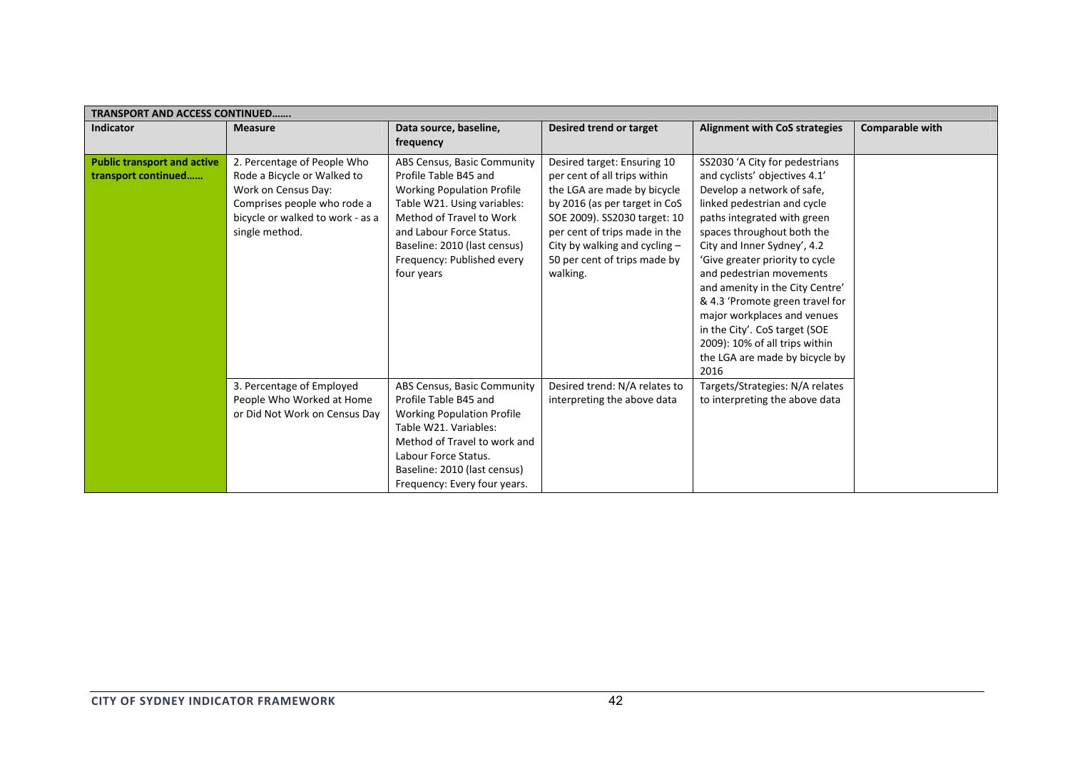| <b>TRANSPORT AND ACCESS CONTINUED</b>                     |                                                                                                                                                                        |                                                                                                                                                                                                                                                              |                                                                                                                                                                                                                                                                           |                                                                                                                                                                                                                                                                                                                                                                                                                                                                                                           |                 |  |  |
|-----------------------------------------------------------|------------------------------------------------------------------------------------------------------------------------------------------------------------------------|--------------------------------------------------------------------------------------------------------------------------------------------------------------------------------------------------------------------------------------------------------------|---------------------------------------------------------------------------------------------------------------------------------------------------------------------------------------------------------------------------------------------------------------------------|-----------------------------------------------------------------------------------------------------------------------------------------------------------------------------------------------------------------------------------------------------------------------------------------------------------------------------------------------------------------------------------------------------------------------------------------------------------------------------------------------------------|-----------------|--|--|
| <b>Indicator</b>                                          | <b>Measure</b>                                                                                                                                                         | Data source, baseline,<br>frequency                                                                                                                                                                                                                          | Desired trend or target                                                                                                                                                                                                                                                   | <b>Alignment with CoS strategies</b>                                                                                                                                                                                                                                                                                                                                                                                                                                                                      | Comparable with |  |  |
| <b>Public transport and active</b><br>transport continued | 2. Percentage of People Who<br>Rode a Bicycle or Walked to<br>Work on Census Day:<br>Comprises people who rode a<br>bicycle or walked to work - as a<br>single method. | ABS Census, Basic Community<br>Profile Table B45 and<br><b>Working Population Profile</b><br>Table W21. Using variables:<br>Method of Travel to Work<br>and Labour Force Status.<br>Baseline: 2010 (last census)<br>Frequency: Published every<br>four years | Desired target: Ensuring 10<br>per cent of all trips within<br>the LGA are made by bicycle<br>by 2016 (as per target in CoS<br>SOE 2009). SS2030 target: 10<br>per cent of trips made in the<br>City by walking and cycling -<br>50 per cent of trips made by<br>walking. | SS2030 'A City for pedestrians<br>and cyclists' objectives 4.1'<br>Develop a network of safe,<br>linked pedestrian and cycle<br>paths integrated with green<br>spaces throughout both the<br>City and Inner Sydney', 4.2<br>'Give greater priority to cycle<br>and pedestrian movements<br>and amenity in the City Centre'<br>& 4.3 'Promote green travel for<br>major workplaces and venues<br>in the City'. CoS target (SOE<br>2009): 10% of all trips within<br>the LGA are made by bicycle by<br>2016 |                 |  |  |
|                                                           | 3. Percentage of Employed<br>People Who Worked at Home<br>or Did Not Work on Census Day                                                                                | ABS Census, Basic Community<br>Profile Table B45 and<br><b>Working Population Profile</b><br>Table W21. Variables:<br>Method of Travel to work and<br>Labour Force Status.<br>Baseline: 2010 (last census)<br>Frequency: Every four years.                   | Desired trend: N/A relates to<br>interpreting the above data                                                                                                                                                                                                              | Targets/Strategies: N/A relates<br>to interpreting the above data                                                                                                                                                                                                                                                                                                                                                                                                                                         |                 |  |  |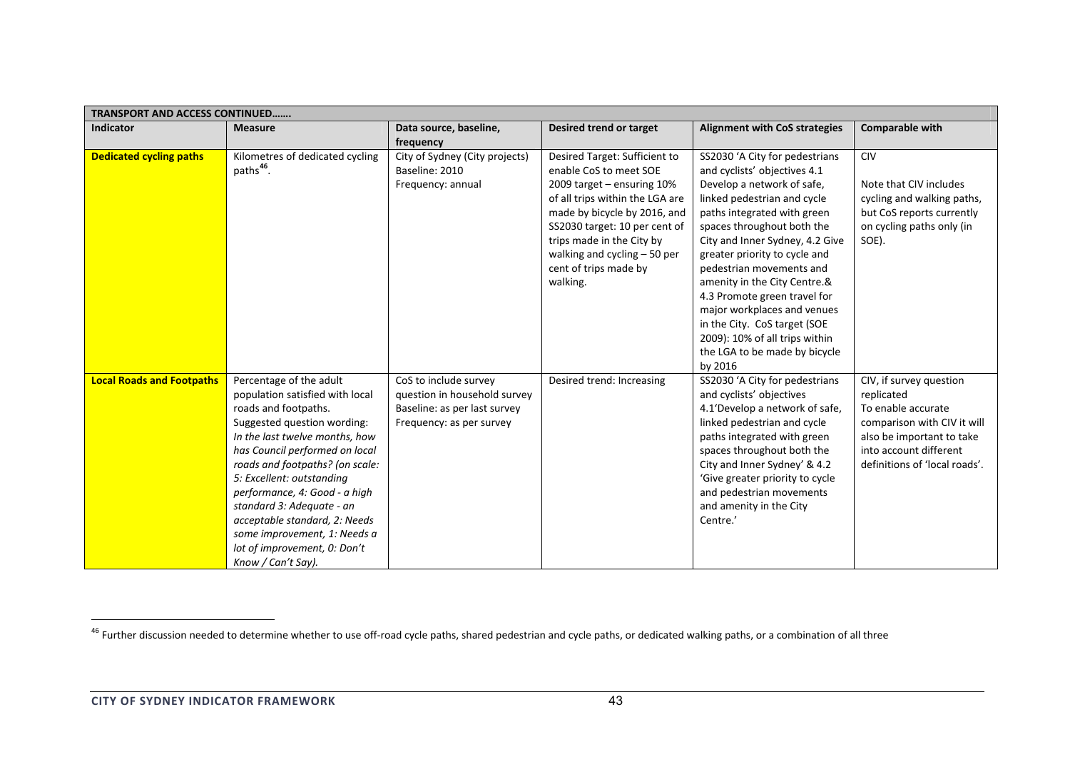| <b>TRANSPORT AND ACCESS CONTINUED</b> |                                                                                                                                                                                                                                                                                                                                                                                                                                            |                                                                                                                   |                                                                                                                                                                                                                                                                                              |                                                                                                                                                                                                                                                                                                                                                                                                                                                                                                       |                                                                                                                                                                                    |  |  |
|---------------------------------------|--------------------------------------------------------------------------------------------------------------------------------------------------------------------------------------------------------------------------------------------------------------------------------------------------------------------------------------------------------------------------------------------------------------------------------------------|-------------------------------------------------------------------------------------------------------------------|----------------------------------------------------------------------------------------------------------------------------------------------------------------------------------------------------------------------------------------------------------------------------------------------|-------------------------------------------------------------------------------------------------------------------------------------------------------------------------------------------------------------------------------------------------------------------------------------------------------------------------------------------------------------------------------------------------------------------------------------------------------------------------------------------------------|------------------------------------------------------------------------------------------------------------------------------------------------------------------------------------|--|--|
| <b>Indicator</b>                      | <b>Measure</b>                                                                                                                                                                                                                                                                                                                                                                                                                             | Data source, baseline,<br>frequency                                                                               | Desired trend or target                                                                                                                                                                                                                                                                      | <b>Alignment with CoS strategies</b>                                                                                                                                                                                                                                                                                                                                                                                                                                                                  | Comparable with                                                                                                                                                                    |  |  |
| <b>Dedicated cycling paths</b>        | Kilometres of dedicated cycling<br>paths <sup>46</sup> .                                                                                                                                                                                                                                                                                                                                                                                   | City of Sydney (City projects)<br>Baseline: 2010<br>Frequency: annual                                             | Desired Target: Sufficient to<br>enable CoS to meet SOE<br>2009 target - ensuring 10%<br>of all trips within the LGA are<br>made by bicycle by 2016, and<br>SS2030 target: 10 per cent of<br>trips made in the City by<br>walking and cycling $-50$ per<br>cent of trips made by<br>walking. | SS2030 'A City for pedestrians<br>and cyclists' objectives 4.1<br>Develop a network of safe,<br>linked pedestrian and cycle<br>paths integrated with green<br>spaces throughout both the<br>City and Inner Sydney, 4.2 Give<br>greater priority to cycle and<br>pedestrian movements and<br>amenity in the City Centre.&<br>4.3 Promote green travel for<br>major workplaces and venues<br>in the City. CoS target (SOE<br>2009): 10% of all trips within<br>the LGA to be made by bicycle<br>by 2016 | <b>CIV</b><br>Note that CIV includes<br>cycling and walking paths,<br>but CoS reports currently<br>on cycling paths only (in<br>SOE).                                              |  |  |
| <b>Local Roads and Footpaths</b>      | Percentage of the adult<br>population satisfied with local<br>roads and footpaths.<br>Suggested question wording:<br>In the last twelve months, how<br>has Council performed on local<br>roads and footpaths? (on scale:<br>5: Excellent: outstanding<br>performance, 4: Good - a high<br>standard 3: Adequate - an<br>acceptable standard, 2: Needs<br>some improvement, 1: Needs a<br>lot of improvement, 0: Don't<br>Know / Can't Say). | CoS to include survey<br>question in household survey<br>Baseline: as per last survey<br>Frequency: as per survey | Desired trend: Increasing                                                                                                                                                                                                                                                                    | SS2030 'A City for pedestrians<br>and cyclists' objectives<br>4.1'Develop a network of safe,<br>linked pedestrian and cycle<br>paths integrated with green<br>spaces throughout both the<br>City and Inner Sydney' & 4.2<br>'Give greater priority to cycle<br>and pedestrian movements<br>and amenity in the City<br>Centre.'                                                                                                                                                                        | CIV, if survey question<br>replicated<br>To enable accurate<br>comparison with CIV it will<br>also be important to take<br>into account different<br>definitions of 'local roads'. |  |  |

<sup>&</sup>lt;sup>46</sup> Further discussion needed to determine whether to use off-road cycle paths, shared pedestrian and cycle paths, or dedicated walking paths, or a combination of all three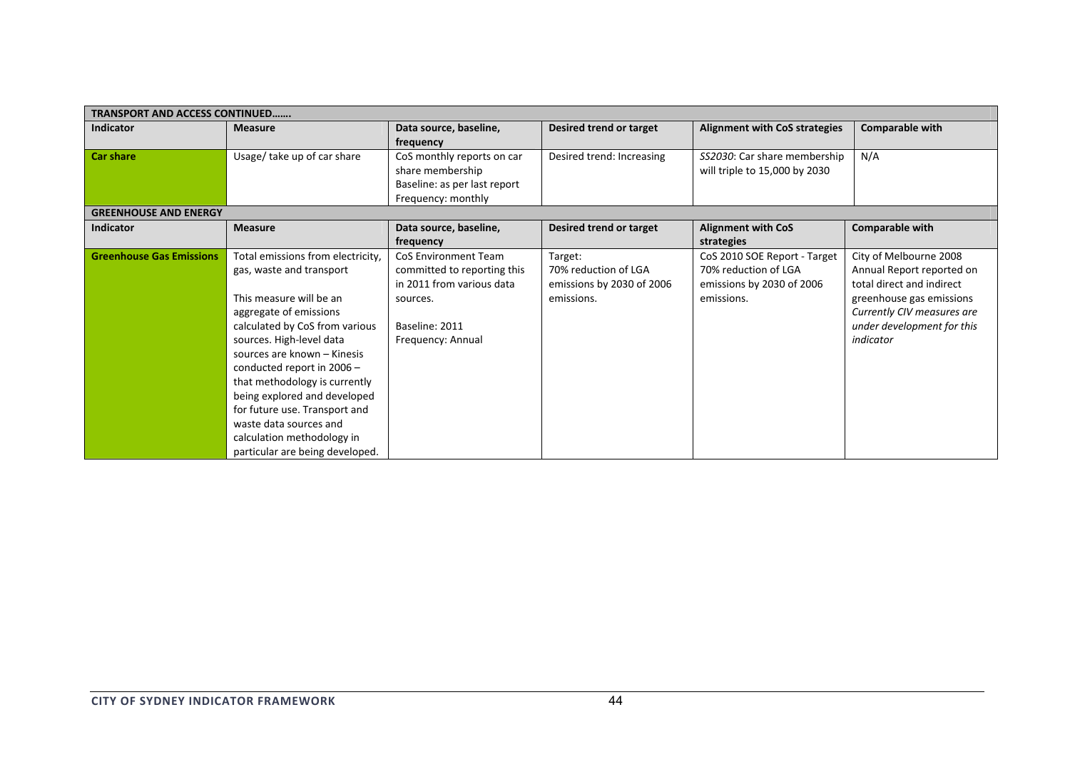| <b>TRANSPORT AND ACCESS CONTINUED</b> |                                   |                              |                           |                                      |                            |
|---------------------------------------|-----------------------------------|------------------------------|---------------------------|--------------------------------------|----------------------------|
| <b>Indicator</b>                      | <b>Measure</b>                    | Data source, baseline,       | Desired trend or target   | <b>Alignment with CoS strategies</b> | <b>Comparable with</b>     |
|                                       |                                   | frequency                    |                           |                                      |                            |
| <b>Car share</b>                      | Usage/ take up of car share       | CoS monthly reports on car   | Desired trend: Increasing | SS2030: Car share membership         | N/A                        |
|                                       |                                   | share membership             |                           | will triple to 15,000 by 2030        |                            |
|                                       |                                   | Baseline: as per last report |                           |                                      |                            |
|                                       |                                   | Frequency: monthly           |                           |                                      |                            |
| <b>GREENHOUSE AND ENERGY</b>          |                                   |                              |                           |                                      |                            |
| <b>Indicator</b>                      | <b>Measure</b>                    | Data source, baseline,       | Desired trend or target   | <b>Alignment with CoS</b>            | Comparable with            |
|                                       |                                   | frequency                    |                           | strategies                           |                            |
| <b>Greenhouse Gas Emissions</b>       | Total emissions from electricity, | CoS Environment Team         | Target:                   | CoS 2010 SOE Report - Target         | City of Melbourne 2008     |
|                                       | gas, waste and transport          | committed to reporting this  | 70% reduction of LGA      | 70% reduction of LGA                 | Annual Report reported on  |
|                                       |                                   | in 2011 from various data    | emissions by 2030 of 2006 | emissions by 2030 of 2006            | total direct and indirect  |
|                                       | This measure will be an           | sources.                     | emissions.                | emissions.                           | greenhouse gas emissions   |
|                                       | aggregate of emissions            |                              |                           |                                      | Currently CIV measures are |
|                                       | calculated by CoS from various    | Baseline: 2011               |                           |                                      | under development for this |
|                                       | sources. High-level data          | Frequency: Annual            |                           |                                      | indicator                  |
|                                       | sources are known - Kinesis       |                              |                           |                                      |                            |
|                                       | conducted report in $2006 -$      |                              |                           |                                      |                            |
|                                       | that methodology is currently     |                              |                           |                                      |                            |
|                                       | being explored and developed      |                              |                           |                                      |                            |
|                                       | for future use. Transport and     |                              |                           |                                      |                            |
|                                       | waste data sources and            |                              |                           |                                      |                            |
|                                       | calculation methodology in        |                              |                           |                                      |                            |
|                                       | particular are being developed.   |                              |                           |                                      |                            |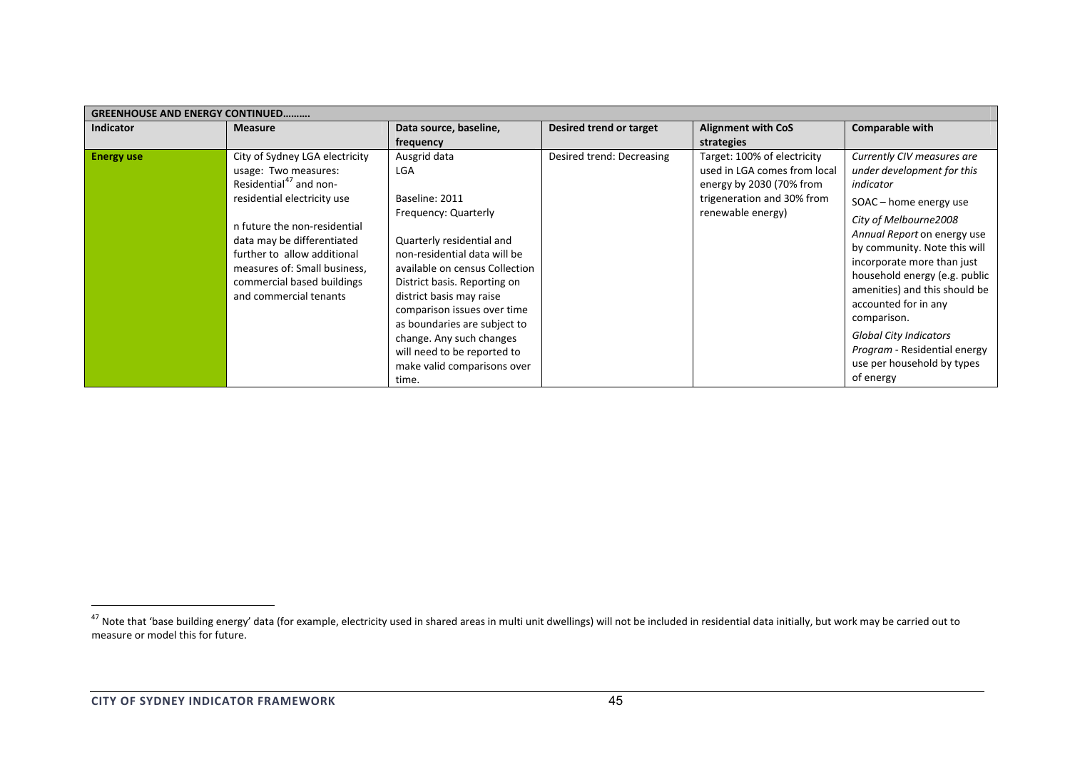|                   | <b>GREENHOUSE AND ENERGY CONTINUED</b>                                                                                                                                                                                                                                                                           |                                                                                                                                                                                                                                                                                                                                                                                            |                                |                                                                                                                                            |                                                                                                                                                                                                                                                                                                                                                                                                                                            |  |  |  |
|-------------------|------------------------------------------------------------------------------------------------------------------------------------------------------------------------------------------------------------------------------------------------------------------------------------------------------------------|--------------------------------------------------------------------------------------------------------------------------------------------------------------------------------------------------------------------------------------------------------------------------------------------------------------------------------------------------------------------------------------------|--------------------------------|--------------------------------------------------------------------------------------------------------------------------------------------|--------------------------------------------------------------------------------------------------------------------------------------------------------------------------------------------------------------------------------------------------------------------------------------------------------------------------------------------------------------------------------------------------------------------------------------------|--|--|--|
| <b>Indicator</b>  | <b>Measure</b>                                                                                                                                                                                                                                                                                                   | Data source, baseline,                                                                                                                                                                                                                                                                                                                                                                     | <b>Desired trend or target</b> | <b>Alignment with CoS</b>                                                                                                                  | <b>Comparable with</b>                                                                                                                                                                                                                                                                                                                                                                                                                     |  |  |  |
|                   |                                                                                                                                                                                                                                                                                                                  | frequency                                                                                                                                                                                                                                                                                                                                                                                  |                                | strategies                                                                                                                                 |                                                                                                                                                                                                                                                                                                                                                                                                                                            |  |  |  |
| <b>Energy use</b> | City of Sydney LGA electricity<br>usage: Two measures:<br>Residential <sup>47</sup> and non-<br>residential electricity use<br>n future the non-residential<br>data may be differentiated<br>further to allow additional<br>measures of: Small business,<br>commercial based buildings<br>and commercial tenants | Ausgrid data<br>LGA<br>Baseline: 2011<br>Frequency: Quarterly<br>Quarterly residential and<br>non-residential data will be<br>available on census Collection<br>District basis. Reporting on<br>district basis may raise<br>comparison issues over time<br>as boundaries are subject to<br>change. Any such changes<br>will need to be reported to<br>make valid comparisons over<br>time. | Desired trend: Decreasing      | Target: 100% of electricity<br>used in LGA comes from local<br>energy by 2030 (70% from<br>trigeneration and 30% from<br>renewable energy) | Currently CIV measures are<br>under development for this<br>indicator<br>SOAC - home energy use<br>City of Melbourne2008<br>Annual Report on energy use<br>by community. Note this will<br>incorporate more than just<br>household energy (e.g. public<br>amenities) and this should be<br>accounted for in any<br>comparison.<br><b>Global City Indicators</b><br>Program - Residential energy<br>use per household by types<br>of energy |  |  |  |

<sup>&</sup>lt;sup>47</sup> Note that 'base building energy' data (for example, electricity used in shared areas in multi unit dwellings) will not be included in residential data initially, but work may be carried out to measure or model this for future.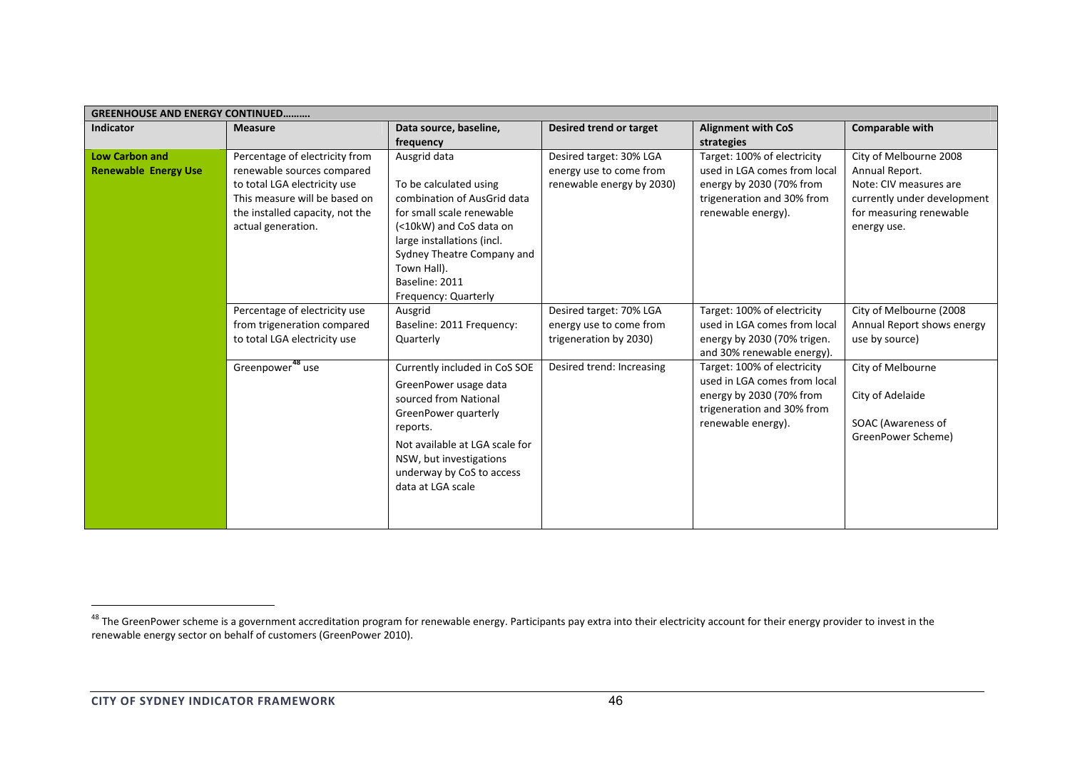| <b>GREENHOUSE AND ENERGY CONTINUED</b>               |                                                                                                                                                                                        |                                                                                                                                                                                                                                                    |                                                                                 |                                                                                                                                             |                                                                                                                                             |  |  |
|------------------------------------------------------|----------------------------------------------------------------------------------------------------------------------------------------------------------------------------------------|----------------------------------------------------------------------------------------------------------------------------------------------------------------------------------------------------------------------------------------------------|---------------------------------------------------------------------------------|---------------------------------------------------------------------------------------------------------------------------------------------|---------------------------------------------------------------------------------------------------------------------------------------------|--|--|
| <b>Indicator</b>                                     | <b>Measure</b>                                                                                                                                                                         | Data source, baseline,                                                                                                                                                                                                                             | <b>Desired trend or target</b>                                                  | <b>Alignment with CoS</b>                                                                                                                   | Comparable with                                                                                                                             |  |  |
|                                                      |                                                                                                                                                                                        | frequency                                                                                                                                                                                                                                          |                                                                                 | strategies                                                                                                                                  |                                                                                                                                             |  |  |
| <b>Low Carbon and</b><br><b>Renewable Energy Use</b> | Percentage of electricity from<br>renewable sources compared<br>to total LGA electricity use<br>This measure will be based on<br>the installed capacity, not the<br>actual generation. | Ausgrid data<br>To be calculated using<br>combination of AusGrid data<br>for small scale renewable<br>(<10kW) and CoS data on<br>large installations (incl.<br>Sydney Theatre Company and<br>Town Hall).<br>Baseline: 2011<br>Frequency: Quarterly | Desired target: 30% LGA<br>energy use to come from<br>renewable energy by 2030) | Target: 100% of electricity<br>used in LGA comes from local<br>energy by 2030 (70% from<br>trigeneration and 30% from<br>renewable energy). | City of Melbourne 2008<br>Annual Report.<br>Note: CIV measures are<br>currently under development<br>for measuring renewable<br>energy use. |  |  |
|                                                      | Percentage of electricity use<br>from trigeneration compared<br>to total LGA electricity use                                                                                           | Ausgrid<br>Baseline: 2011 Frequency:<br>Quarterly                                                                                                                                                                                                  | Desired target: 70% LGA<br>energy use to come from<br>trigeneration by 2030)    | Target: 100% of electricity<br>used in LGA comes from local<br>energy by 2030 (70% trigen.<br>and 30% renewable energy).                    | City of Melbourne (2008<br>Annual Report shows energy<br>use by source)                                                                     |  |  |
|                                                      | Greenpower <sup>48</sup> use                                                                                                                                                           | Currently included in CoS SOE<br>GreenPower usage data<br>sourced from National<br>GreenPower quarterly<br>reports.<br>Not available at LGA scale for<br>NSW, but investigations<br>underway by CoS to access<br>data at LGA scale                 | Desired trend: Increasing                                                       | Target: 100% of electricity<br>used in LGA comes from local<br>energy by 2030 (70% from<br>trigeneration and 30% from<br>renewable energy). | City of Melbourne<br>City of Adelaide<br>SOAC (Awareness of<br>GreenPower Scheme)                                                           |  |  |

<sup>&</sup>lt;sup>48</sup> The GreenPower scheme is a government accreditation program for renewable energy. Participants pay extra into their electricity account for their energy provider to invest in the renewable energy sector on behalf of customers (GreenPower 2010).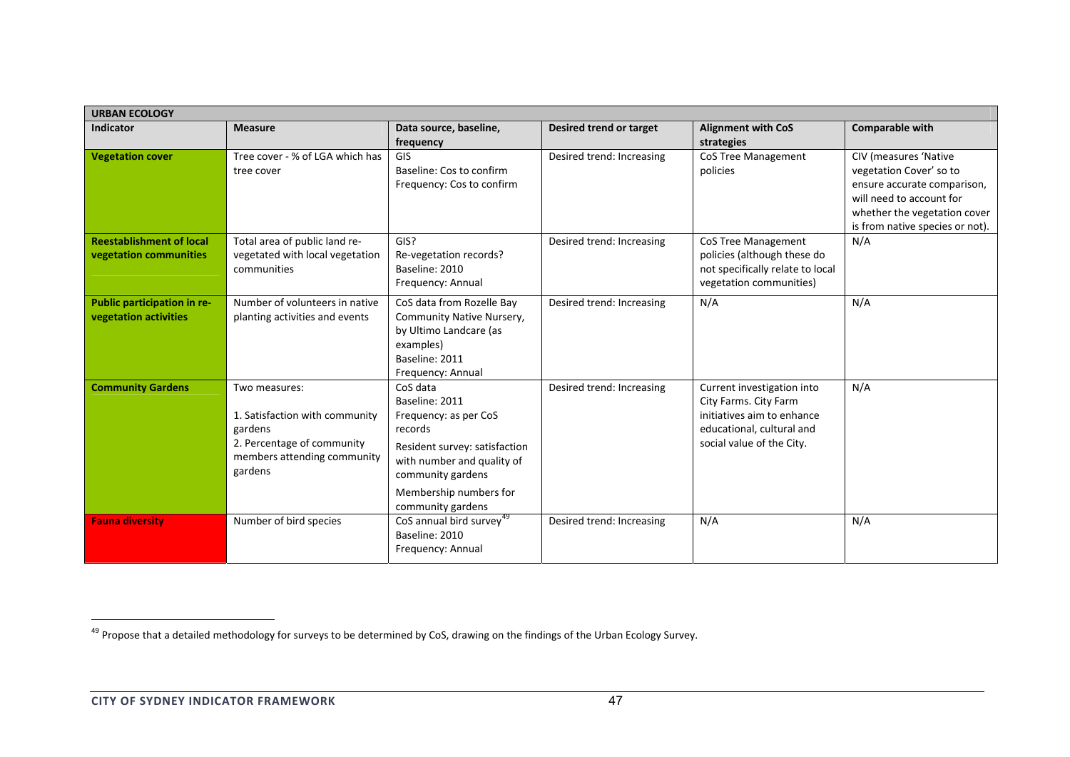| <b>URBAN ECOLOGY</b>                                      |                                                                                                                                    |                                                                                                                                                                                                   |                           |                                                                                                                                             |                                                                                                                                                                                       |  |
|-----------------------------------------------------------|------------------------------------------------------------------------------------------------------------------------------------|---------------------------------------------------------------------------------------------------------------------------------------------------------------------------------------------------|---------------------------|---------------------------------------------------------------------------------------------------------------------------------------------|---------------------------------------------------------------------------------------------------------------------------------------------------------------------------------------|--|
| <b>Indicator</b>                                          | <b>Measure</b>                                                                                                                     | Data source, baseline,<br>frequency                                                                                                                                                               | Desired trend or target   | <b>Alignment with CoS</b><br>strategies                                                                                                     | <b>Comparable with</b>                                                                                                                                                                |  |
| <b>Vegetation cover</b>                                   | Tree cover - % of LGA which has<br>tree cover                                                                                      | <b>GIS</b><br>Baseline: Cos to confirm<br>Frequency: Cos to confirm                                                                                                                               | Desired trend: Increasing | <b>CoS Tree Management</b><br>policies                                                                                                      | <b>CIV (measures 'Native</b><br>vegetation Cover' so to<br>ensure accurate comparison,<br>will need to account for<br>whether the vegetation cover<br>is from native species or not). |  |
| <b>Reestablishment of local</b><br>vegetation communities | Total area of public land re-<br>vegetated with local vegetation<br>communities                                                    | GIS?<br>Re-vegetation records?<br>Baseline: 2010<br>Frequency: Annual                                                                                                                             | Desired trend: Increasing | <b>CoS Tree Management</b><br>policies (although these do<br>not specifically relate to local<br>vegetation communities)                    | N/A                                                                                                                                                                                   |  |
| Public participation in re-<br>vegetation activities      | Number of volunteers in native<br>planting activities and events                                                                   | CoS data from Rozelle Bay<br>Community Native Nursery,<br>by Ultimo Landcare (as<br>examples)<br>Baseline: 2011<br>Frequency: Annual                                                              | Desired trend: Increasing | N/A                                                                                                                                         | N/A                                                                                                                                                                                   |  |
| <b>Community Gardens</b>                                  | Two measures:<br>1. Satisfaction with community<br>gardens<br>2. Percentage of community<br>members attending community<br>gardens | CoS data<br>Baseline: 2011<br>Frequency: as per CoS<br>records<br>Resident survey: satisfaction<br>with number and quality of<br>community gardens<br>Membership numbers for<br>community gardens | Desired trend: Increasing | Current investigation into<br>City Farms. City Farm<br>initiatives aim to enhance<br>educational, cultural and<br>social value of the City. | N/A                                                                                                                                                                                   |  |
| <b>Fauna diversity</b>                                    | Number of bird species                                                                                                             | CoS annual bird survey <sup>49</sup><br>Baseline: 2010<br>Frequency: Annual                                                                                                                       | Desired trend: Increasing | N/A                                                                                                                                         | N/A                                                                                                                                                                                   |  |

<sup>&</sup>lt;sup>49</sup> Propose that a detailed methodology for surveys to be determined by CoS, drawing on the findings of the Urban Ecology Survey.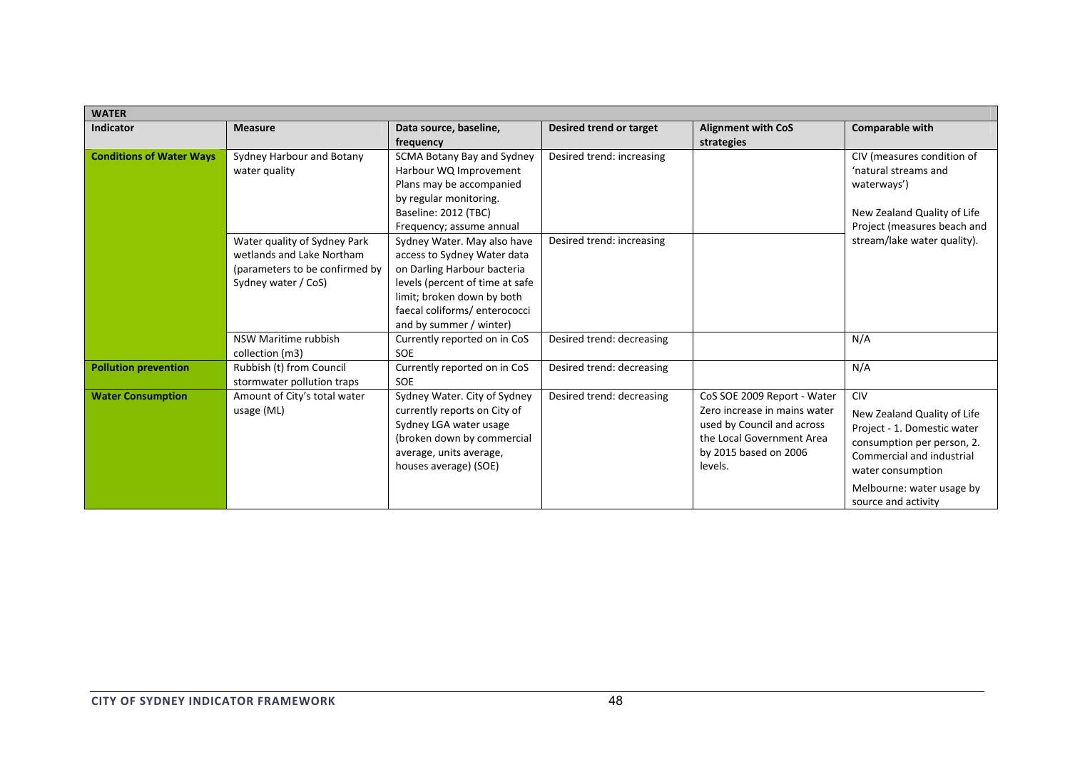| <b>WATER</b>                    |                                                                                                                                                                                                              |                                                                                                                                                                                                                        |                           |                                                                                                                                                            |                                                                                                                                                                                                              |  |  |
|---------------------------------|--------------------------------------------------------------------------------------------------------------------------------------------------------------------------------------------------------------|------------------------------------------------------------------------------------------------------------------------------------------------------------------------------------------------------------------------|---------------------------|------------------------------------------------------------------------------------------------------------------------------------------------------------|--------------------------------------------------------------------------------------------------------------------------------------------------------------------------------------------------------------|--|--|
| <b>Indicator</b>                | <b>Measure</b>                                                                                                                                                                                               | Data source, baseline,<br>frequency                                                                                                                                                                                    | Desired trend or target   | <b>Alignment with CoS</b><br>strategies                                                                                                                    | <b>Comparable with</b>                                                                                                                                                                                       |  |  |
| <b>Conditions of Water Ways</b> | SCMA Botany Bay and Sydney<br>Sydney Harbour and Botany<br>water quality<br>Harbour WQ Improvement<br>Plans may be accompanied<br>by regular monitoring.<br>Baseline: 2012 (TBC)<br>Frequency; assume annual |                                                                                                                                                                                                                        | Desired trend: increasing |                                                                                                                                                            | CIV (measures condition of<br>'natural streams and<br>waterways')<br>New Zealand Quality of Life<br>Project (measures beach and                                                                              |  |  |
|                                 | Water quality of Sydney Park<br>wetlands and Lake Northam<br>(parameters to be confirmed by<br>Sydney water / CoS)                                                                                           | Sydney Water. May also have<br>access to Sydney Water data<br>on Darling Harbour bacteria<br>levels (percent of time at safe<br>limit; broken down by both<br>faecal coliforms/ enterococci<br>and by summer / winter) | Desired trend: increasing |                                                                                                                                                            | stream/lake water quality).                                                                                                                                                                                  |  |  |
|                                 | NSW Maritime rubbish<br>collection (m3)                                                                                                                                                                      | Currently reported on in CoS<br><b>SOE</b>                                                                                                                                                                             | Desired trend: decreasing |                                                                                                                                                            | N/A                                                                                                                                                                                                          |  |  |
| <b>Pollution prevention</b>     | Rubbish (t) from Council<br>stormwater pollution traps                                                                                                                                                       | Currently reported on in CoS<br>SOE                                                                                                                                                                                    | Desired trend: decreasing |                                                                                                                                                            | N/A                                                                                                                                                                                                          |  |  |
| <b>Water Consumption</b>        | Amount of City's total water<br>usage (ML)                                                                                                                                                                   | Sydney Water. City of Sydney<br>currently reports on City of<br>Sydney LGA water usage<br>(broken down by commercial<br>average, units average,<br>houses average) (SOE)                                               | Desired trend: decreasing | CoS SOE 2009 Report - Water<br>Zero increase in mains water<br>used by Council and across<br>the Local Government Area<br>by 2015 based on 2006<br>levels. | <b>CIV</b><br>New Zealand Quality of Life<br>Project - 1. Domestic water<br>consumption per person, 2.<br>Commercial and industrial<br>water consumption<br>Melbourne: water usage by<br>source and activity |  |  |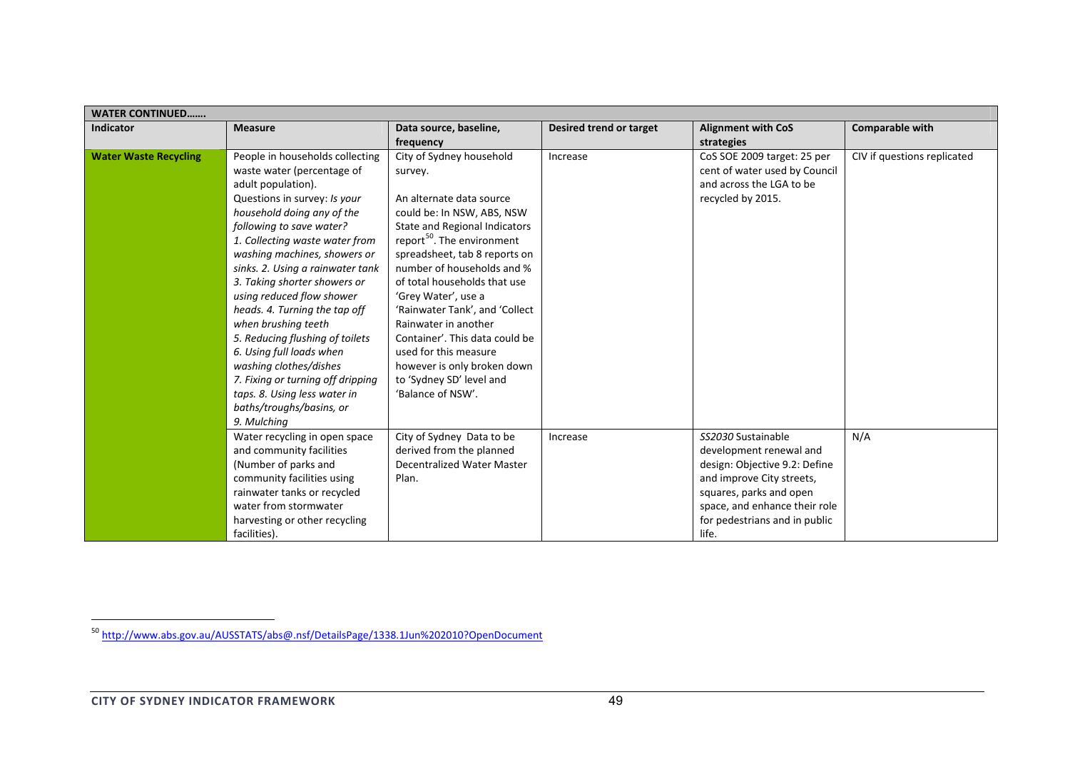| <b>WATER CONTINUED</b>       |                                                                                                                                                                                                                                                                                                                                                                                                                                                                                                                                                                                                                   |                                                                                                                                                                                                                                                                                                                                                                                                                                                                                                     |                         |                                                                                                                                                                                                                   |                             |  |  |
|------------------------------|-------------------------------------------------------------------------------------------------------------------------------------------------------------------------------------------------------------------------------------------------------------------------------------------------------------------------------------------------------------------------------------------------------------------------------------------------------------------------------------------------------------------------------------------------------------------------------------------------------------------|-----------------------------------------------------------------------------------------------------------------------------------------------------------------------------------------------------------------------------------------------------------------------------------------------------------------------------------------------------------------------------------------------------------------------------------------------------------------------------------------------------|-------------------------|-------------------------------------------------------------------------------------------------------------------------------------------------------------------------------------------------------------------|-----------------------------|--|--|
| <b>Indicator</b>             | <b>Measure</b>                                                                                                                                                                                                                                                                                                                                                                                                                                                                                                                                                                                                    | Data source, baseline,<br>frequency                                                                                                                                                                                                                                                                                                                                                                                                                                                                 | Desired trend or target | <b>Alignment with CoS</b><br>strategies                                                                                                                                                                           | <b>Comparable with</b>      |  |  |
| <b>Water Waste Recycling</b> | People in households collecting<br>waste water (percentage of<br>adult population).<br>Questions in survey: Is your<br>household doing any of the<br>following to save water?<br>1. Collecting waste water from<br>washing machines, showers or<br>sinks. 2. Using a rainwater tank<br>3. Taking shorter showers or<br>using reduced flow shower<br>heads. 4. Turning the tap off<br>when brushing teeth<br>5. Reducing flushing of toilets<br>6. Using full loads when<br>washing clothes/dishes<br>7. Fixing or turning off dripping<br>taps. 8. Using less water in<br>baths/troughs/basins, or<br>9. Mulching | City of Sydney household<br>survey.<br>An alternate data source<br>could be: In NSW, ABS, NSW<br>State and Regional Indicators<br>report <sup>50</sup> . The environment<br>spreadsheet, tab 8 reports on<br>number of households and %<br>of total households that use<br>'Grey Water', use a<br>'Rainwater Tank', and 'Collect<br>Rainwater in another<br>Container'. This data could be<br>used for this measure<br>however is only broken down<br>to 'Sydney SD' level and<br>'Balance of NSW'. | Increase                | CoS SOE 2009 target: 25 per<br>cent of water used by Council<br>and across the LGA to be<br>recycled by 2015.                                                                                                     | CIV if questions replicated |  |  |
|                              | Water recycling in open space<br>and community facilities<br>(Number of parks and<br>community facilities using<br>rainwater tanks or recycled<br>water from stormwater<br>harvesting or other recycling<br>facilities).                                                                                                                                                                                                                                                                                                                                                                                          | City of Sydney Data to be<br>derived from the planned<br><b>Decentralized Water Master</b><br>Plan.                                                                                                                                                                                                                                                                                                                                                                                                 | Increase                | SS2030 Sustainable<br>development renewal and<br>design: Objective 9.2: Define<br>and improve City streets,<br>squares, parks and open<br>space, and enhance their role<br>for pedestrians and in public<br>life. | N/A                         |  |  |

<sup>&</sup>lt;sup>50</sup> http://www.abs.gov.au/AUSSTATS/abs@.nsf/DetailsPage/1338.1Jun%202010?OpenDocument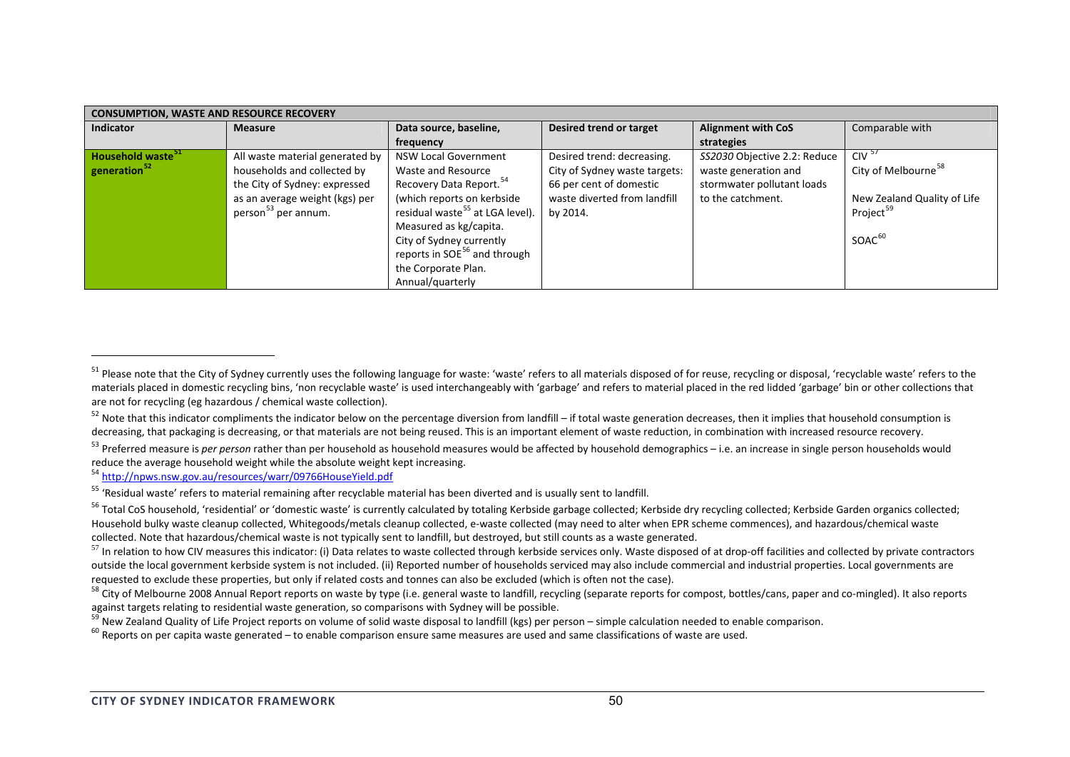| <b>CONSUMPTION, WASTE AND RESOURCE RECOVERY</b> |                                 |                                             |                               |                              |                                 |  |  |  |
|-------------------------------------------------|---------------------------------|---------------------------------------------|-------------------------------|------------------------------|---------------------------------|--|--|--|
| <b>Indicator</b>                                | <b>Measure</b>                  | Data source, baseline,                      | Desired trend or target       | <b>Alignment with CoS</b>    | Comparable with                 |  |  |  |
|                                                 |                                 | frequency                                   |                               | strategies                   |                                 |  |  |  |
| Household waste <sup>51</sup>                   | All waste material generated by | <b>NSW Local Government</b>                 | Desired trend: decreasing.    | SS2030 Objective 2.2: Reduce | $CIV^5$                         |  |  |  |
| generation <sup>52</sup>                        | households and collected by     | Waste and Resource                          | City of Sydney waste targets: | waste generation and         | City of Melbourne <sup>58</sup> |  |  |  |
|                                                 | the City of Sydney: expressed   | Recovery Data Report. <sup>54</sup>         | 66 per cent of domestic       | stormwater pollutant loads   |                                 |  |  |  |
|                                                 | as an average weight (kgs) per  | (which reports on kerbside                  | waste diverted from landfill  | to the catchment.            | New Zealand Quality of Life     |  |  |  |
|                                                 | person <sup>53</sup> per annum. | residual waste <sup>55</sup> at LGA level). | by 2014.                      |                              | Project <sup>59</sup>           |  |  |  |
|                                                 |                                 | Measured as kg/capita.                      |                               |                              |                                 |  |  |  |
|                                                 |                                 | City of Sydney currently                    |                               |                              | SOAC <sup>60</sup>              |  |  |  |
|                                                 |                                 | reports in SOE <sup>56</sup> and through    |                               |                              |                                 |  |  |  |
|                                                 |                                 | the Corporate Plan.                         |                               |                              |                                 |  |  |  |
|                                                 |                                 | Annual/quarterly                            |                               |                              |                                 |  |  |  |

<sup>54</sup> http://npws.nsw.gov.au/resources/warr/09766HouseYield.pdf

<sup>&</sup>lt;sup>51</sup> Please note that the City of Sydney currently uses the following language for waste: 'waste' refers to all materials disposed of for reuse, recycling or disposal, 'recyclable waste' refers to the materials placed in domestic recycling bins, 'non recyclable waste' is used interchangeably with 'garbage' and refers to material placed in the red lidded 'garbage' bin or other collections that are not for recycling (eg hazardous / chemical waste collection).

 $^{52}$  Note that this indicator compliments the indicator below on the percentage diversion from landfill – if total waste generation decreases, then it implies that household consumption is decreasing, that packaging is decreasing, or that materials are not being reused. This is an important element of waste reduction, in combination with increased resource recovery.

<sup>&</sup>lt;sup>53</sup> Preferred measure is *per person* rather than per household as household measures would be affected by household demographics – i.e. an increase in single person households would reduce the average household weight while the absolute weight kept increasing.

<sup>&</sup>lt;sup>55</sup> 'Residual waste' refers to material remaining after recyclable material has been diverted and is usually sent to landfill.

<sup>&</sup>lt;sup>56</sup> Total CoS household, 'residential' or 'domestic waste' is currently calculated by totaling Kerbside garbage collected; Kerbside dry recycling collected; Kerbside Garden organics collected; Household bulky waste cleanup collected, Whitegoods/metals cleanup collected, e-waste collected (may need to alter when EPR scheme commences), and hazardous/chemical waste collected. Note that hazardous/chemical waste is not typically sent to landfill, but destroyed, but still counts as <sup>a</sup> waste generated.

 $^{57}$  In relation to how CIV measures this indicator: (i) Data relates to waste collected through kerbside services only. Waste disposed of at drop-off facilities and collected by private contractors outside the local government kerbside system is not included. (ii) Reported number of households serviced may also include commercial and industrial properties. Local governments are requested to exclude these properties, but only if related costs and tonnes can also be excluded (which is often not the case).

<sup>&</sup>lt;sup>58</sup> City of Melbourne 2008 Annual Report reports on waste by type (i.e. general waste to landfill, recycling (separate reports for compost, bottles/cans, paper and co-mingled). It also reports against targets relating to residential waste generation, so comparisons with Sydney will be possible.

<sup>&</sup>lt;sup>59</sup> New Zealand Quality of Life Project reports on volume of solid waste disposal to landfill (kgs) per person – simple calculation needed to enable comparison.

 $^{60}$  Reports on per capita waste generated – to enable comparison ensure same measures are used and same classifications of waste are used.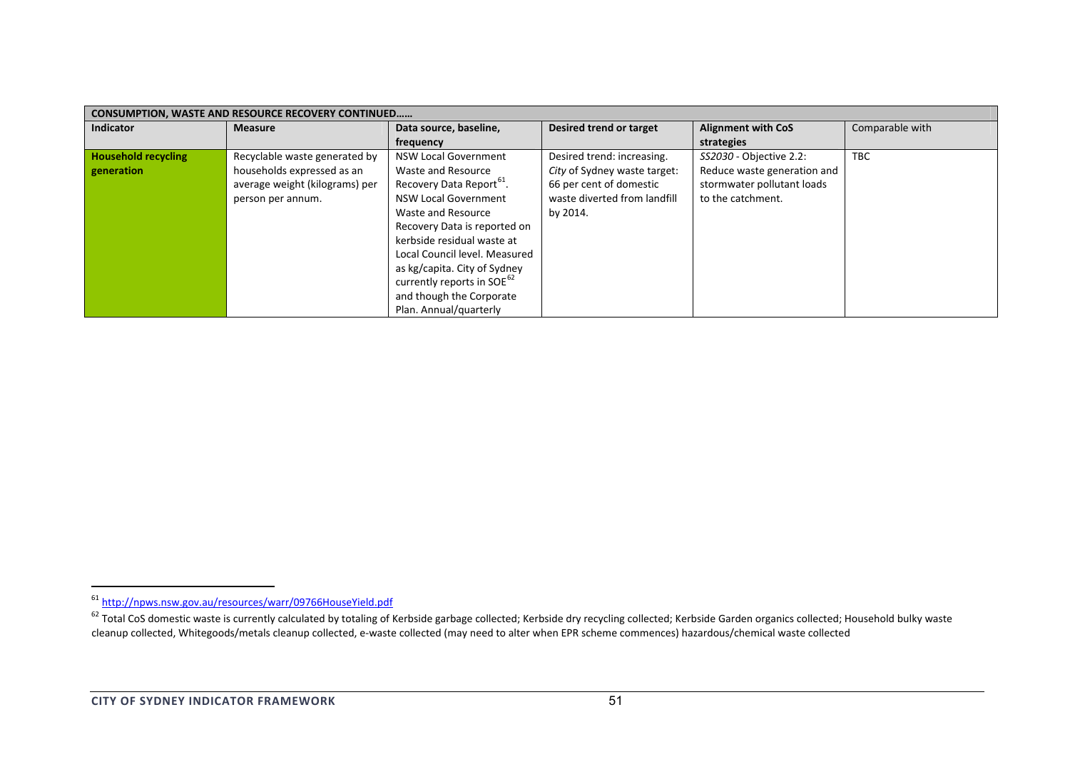| <b>CONSUMPTION, WASTE AND RESOURCE RECOVERY CONTINUED</b> |                                |                                        |                                |                             |                 |  |  |  |
|-----------------------------------------------------------|--------------------------------|----------------------------------------|--------------------------------|-----------------------------|-----------------|--|--|--|
| <b>Indicator</b>                                          | <b>Measure</b>                 | Data source, baseline,                 | <b>Desired trend or target</b> | <b>Alignment with CoS</b>   | Comparable with |  |  |  |
|                                                           |                                | frequency                              |                                | strategies                  |                 |  |  |  |
| <b>Household recycling</b>                                | Recyclable waste generated by  | <b>NSW Local Government</b>            | Desired trend: increasing.     | SS2030 - Objective 2.2:     | <b>TBC</b>      |  |  |  |
| generation                                                | households expressed as an     | Waste and Resource                     | City of Sydney waste target:   | Reduce waste generation and |                 |  |  |  |
|                                                           | average weight (kilograms) per | Recovery Data Report <sup>o1</sup> .   | 66 per cent of domestic        | stormwater pollutant loads  |                 |  |  |  |
|                                                           | person per annum.              | <b>NSW Local Government</b>            | waste diverted from landfill   | to the catchment.           |                 |  |  |  |
|                                                           |                                | Waste and Resource                     | by 2014.                       |                             |                 |  |  |  |
|                                                           |                                | Recovery Data is reported on           |                                |                             |                 |  |  |  |
|                                                           |                                | kerbside residual waste at             |                                |                             |                 |  |  |  |
|                                                           |                                | Local Council level. Measured          |                                |                             |                 |  |  |  |
|                                                           |                                | as kg/capita. City of Sydney           |                                |                             |                 |  |  |  |
|                                                           |                                | currently reports in SOE <sup>62</sup> |                                |                             |                 |  |  |  |
|                                                           |                                | and though the Corporate               |                                |                             |                 |  |  |  |
|                                                           |                                | Plan. Annual/quarterly                 |                                |                             |                 |  |  |  |

<sup>&</sup>lt;sup>61</sup> http://npws.nsw.gov.au/resources/warr/09766HouseYield.pdf<br><sup>62</sup> Total CoS domestic waste is currently calculated by totaling of Kerbside garbage collected; Kerbside gollected; Kerbside Garden organics collected; Househ cleanup collected, Whitegoods/metals cleanup collected, <sup>e</sup>‐waste collected (may need to alter when EPR scheme commences) hazardous/chemical waste collected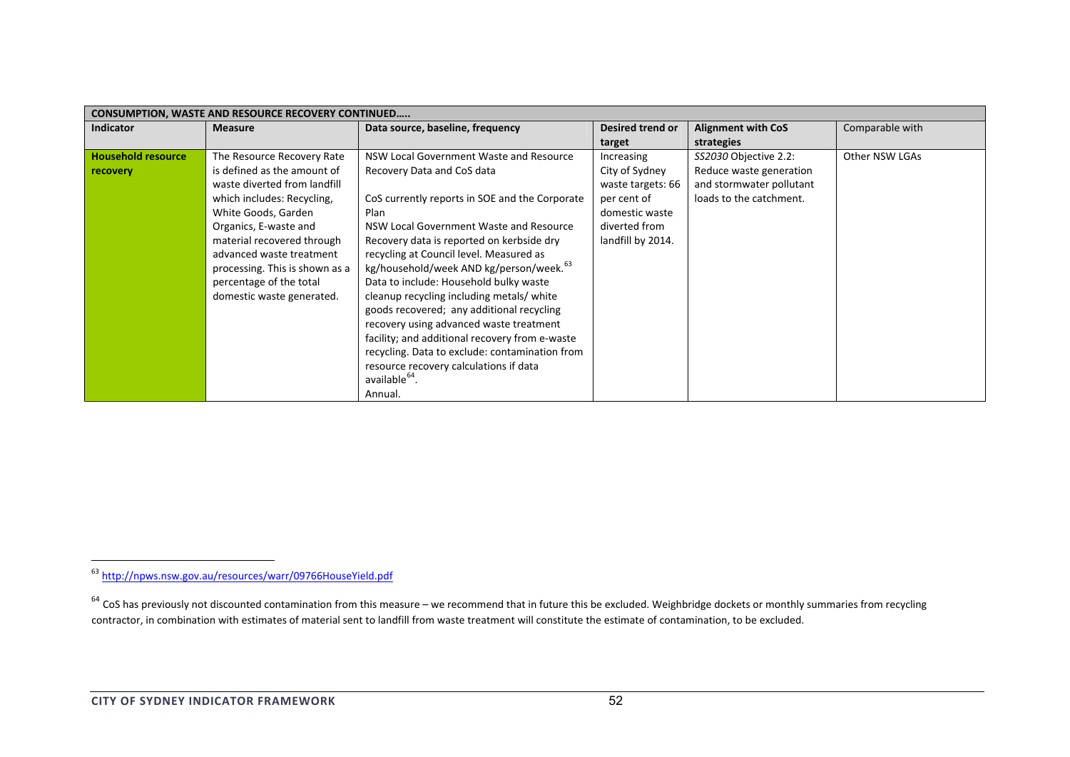| <b>CONSUMPTION, WASTE AND RESOURCE RECOVERY CONTINUED</b> |                                |                                                     |                   |                           |                 |  |  |
|-----------------------------------------------------------|--------------------------------|-----------------------------------------------------|-------------------|---------------------------|-----------------|--|--|
| <b>Indicator</b>                                          | <b>Measure</b>                 | Data source, baseline, frequency                    | Desired trend or  | <b>Alignment with CoS</b> | Comparable with |  |  |
|                                                           |                                |                                                     | target            | strategies                |                 |  |  |
| <b>Household resource</b>                                 | The Resource Recovery Rate     | NSW Local Government Waste and Resource             | Increasing        | SS2030 Objective 2.2:     | Other NSW LGAs  |  |  |
| recovery                                                  | is defined as the amount of    | Recovery Data and CoS data                          | City of Sydney    | Reduce waste generation   |                 |  |  |
|                                                           | waste diverted from landfill   |                                                     | waste targets: 66 | and stormwater pollutant  |                 |  |  |
|                                                           | which includes: Recycling,     | CoS currently reports in SOE and the Corporate      | per cent of       | loads to the catchment.   |                 |  |  |
|                                                           | White Goods, Garden            | Plan                                                | domestic waste    |                           |                 |  |  |
|                                                           | Organics, E-waste and          | NSW Local Government Waste and Resource             | diverted from     |                           |                 |  |  |
|                                                           | material recovered through     | Recovery data is reported on kerbside dry           | landfill by 2014. |                           |                 |  |  |
|                                                           | advanced waste treatment       | recycling at Council level. Measured as             |                   |                           |                 |  |  |
|                                                           | processing. This is shown as a | kg/household/week AND kg/person/week. <sup>63</sup> |                   |                           |                 |  |  |
|                                                           | percentage of the total        | Data to include: Household bulky waste              |                   |                           |                 |  |  |
|                                                           | domestic waste generated.      | cleanup recycling including metals/ white           |                   |                           |                 |  |  |
|                                                           |                                | goods recovered; any additional recycling           |                   |                           |                 |  |  |
|                                                           |                                | recovery using advanced waste treatment             |                   |                           |                 |  |  |
|                                                           |                                | facility; and additional recovery from e-waste      |                   |                           |                 |  |  |
|                                                           |                                | recycling. Data to exclude: contamination from      |                   |                           |                 |  |  |
|                                                           |                                | resource recovery calculations if data              |                   |                           |                 |  |  |
|                                                           |                                | available <sup>64</sup> .                           |                   |                           |                 |  |  |
|                                                           |                                | Annual.                                             |                   |                           |                 |  |  |

<sup>&</sup>lt;sup>63</sup> http://npws.nsw.gov.au/resources/warr/09766HouseYield.pdf

 $^{64}$  CoS has previously not discounted contamination from this measure – we recommend that in future this be excluded. Weighbridge dockets or monthly summaries from recycling contractor, in combination with estimates of material sent to landfill from waste treatment will constitute the estimate of contamination, to be excluded.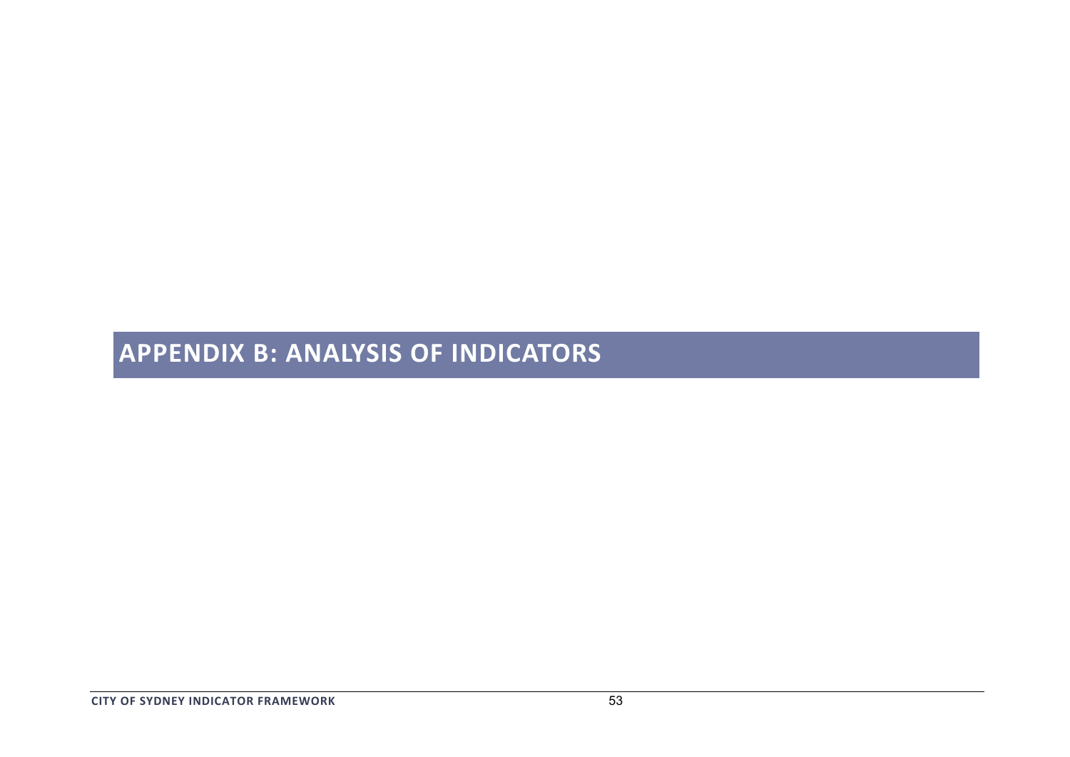# **APPENDIX B: ANALYSIS OF INDICATORS**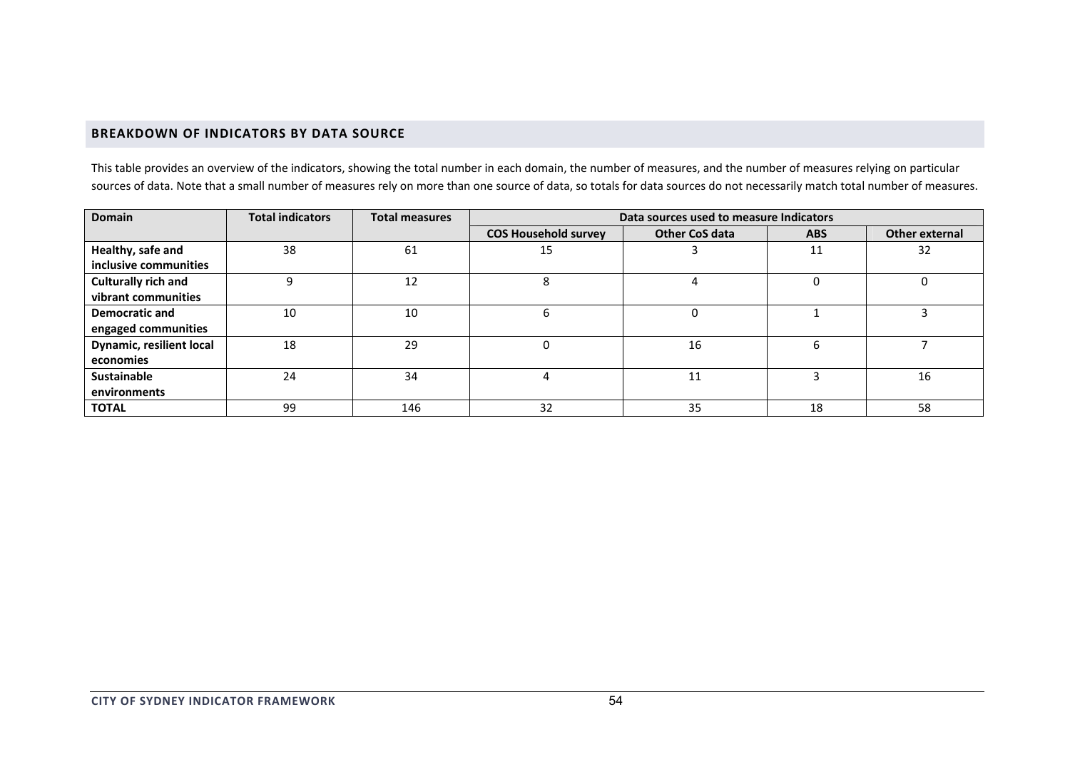# **BREAKDOWN OF INDICATORS BY DATA SOURCE**

This table provides an overview of the indicators, showing the total number in each domain, the number of measures, and the number of measures relying on particular sources of data. Note that <sup>a</sup> small number of measures rely on more than one source of data, so totals for data sources do not necessarily match total number of measures.

| <b>Domain</b>              | <b>Total indicators</b> | <b>Total measures</b> | Data sources used to measure Indicators |                       |            |                |  |
|----------------------------|-------------------------|-----------------------|-----------------------------------------|-----------------------|------------|----------------|--|
|                            |                         |                       | <b>COS Household survey</b>             | <b>Other CoS data</b> | <b>ABS</b> | Other external |  |
| Healthy, safe and          | 38                      | 61                    | 15                                      |                       | 11         | 32             |  |
| inclusive communities      |                         |                       |                                         |                       |            |                |  |
| <b>Culturally rich and</b> |                         | 12                    |                                         | 4                     |            |                |  |
| vibrant communities        |                         |                       |                                         |                       |            |                |  |
| <b>Democratic and</b>      | 10                      | 10                    |                                         | $\Omega$              |            |                |  |
| engaged communities        |                         |                       |                                         |                       |            |                |  |
| Dynamic, resilient local   | 18                      | 29                    |                                         | 16                    |            |                |  |
| economies                  |                         |                       |                                         |                       |            |                |  |
| <b>Sustainable</b>         | 24                      | 34                    |                                         | 11                    |            | 16             |  |
| environments               |                         |                       |                                         |                       |            |                |  |
| <b>TOTAL</b>               | 99                      | 146                   | 32                                      | 35                    | 18         | 58             |  |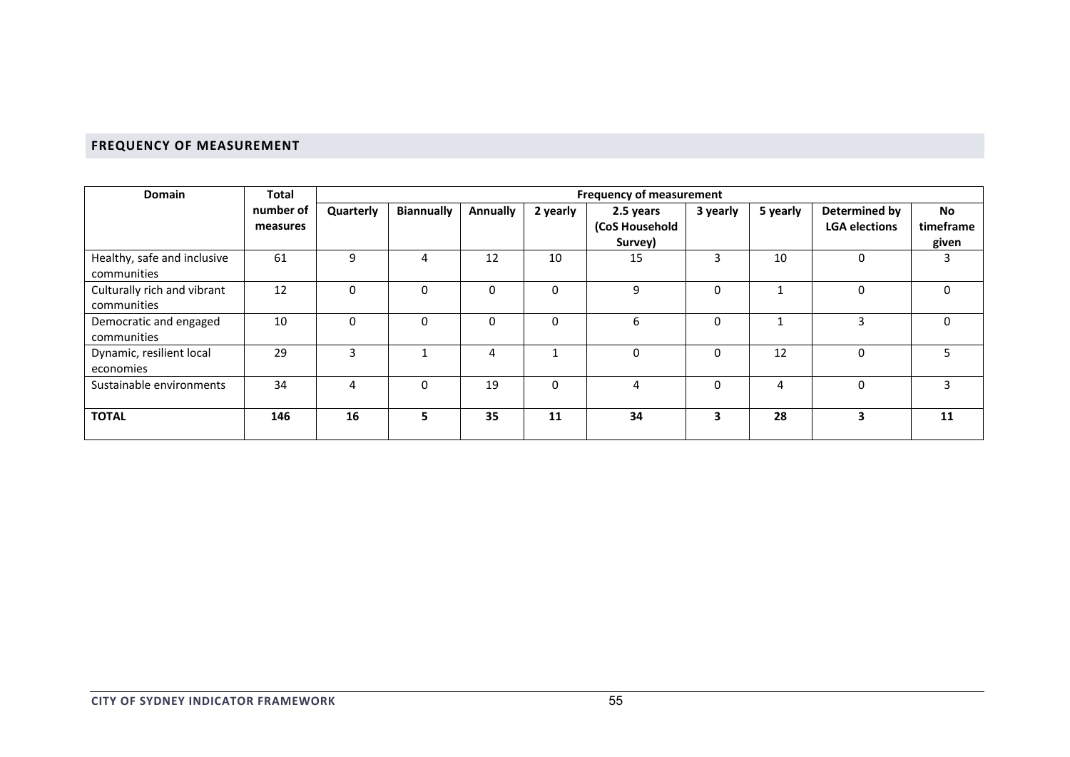## **FREQUENCY OF MEASUREMENT**

| <b>Domain</b>                              | <b>Total</b>          | <b>Frequency of measurement</b> |                   |          |              |                                        |              |          |                                       |                                 |
|--------------------------------------------|-----------------------|---------------------------------|-------------------|----------|--------------|----------------------------------------|--------------|----------|---------------------------------------|---------------------------------|
|                                            | number of<br>measures | Quarterly                       | <b>Biannually</b> | Annually | 2 yearly     | 2.5 years<br>(CoS Household<br>Survey) | 3 yearly     | 5 yearly | Determined by<br><b>LGA elections</b> | <b>No</b><br>timeframe<br>given |
| Healthy, safe and inclusive<br>communities | 61                    | 9                               | 4                 | 12       | 10           | 15                                     | 3            | 10       | $\mathbf 0$                           | 3                               |
| Culturally rich and vibrant<br>communities | 12                    | $\Omega$                        | $\Omega$          | 0        | $\Omega$     | 9                                      | $\Omega$     |          | 0                                     | $\Omega$                        |
| Democratic and engaged<br>communities      | 10                    | $\Omega$                        | $\Omega$          | 0        | $\Omega$     | 6                                      | $\mathbf{0}$ |          | 3                                     | $\mathbf 0$                     |
| Dynamic, resilient local<br>economies      | 29                    | 3                               |                   | 4        |              | 0                                      | 0            | 12       | 0                                     | 5                               |
| Sustainable environments                   | 34                    | 4                               | $\Omega$          | 19       | $\mathbf{0}$ | 4                                      | $\mathbf{0}$ | 4        | $\Omega$                              | 3                               |
| <b>TOTAL</b>                               | 146                   | 16                              | 5                 | 35       | 11           | 34                                     | 3            | 28       | 3                                     | 11                              |